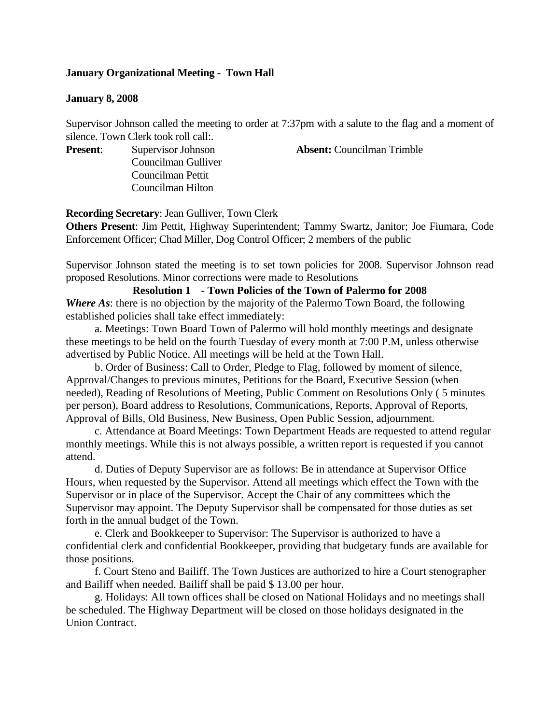### **January Organizational Meeting - Town Hall**

#### **January 8, 2008**

Supervisor Johnson called the meeting to order at 7:37pm with a salute to the flag and a moment of silence. Town Clerk took roll call:.

Councilman Gulliver Councilman Pettit Councilman Hilton

**Present:** Supervisor Johnson **Absent:** Councilman Trimble

**Recording Secretary**: Jean Gulliver, Town Clerk

**Others Present**: Jim Pettit, Highway Superintendent; Tammy Swartz, Janitor; Joe Fiumara, Code Enforcement Officer; Chad Miller, Dog Control Officer; 2 members of the public

Supervisor Johnson stated the meeting is to set town policies for 2008. Supervisor Johnson read proposed Resolutions. Minor corrections were made to Resolutions

**Resolution 1 - Town Policies of the Town of Palermo for 2008**  *Where As*: there is no objection by the majority of the Palermo Town Board, the following established policies shall take effect immediately:

a. Meetings: Town Board Town of Palermo will hold monthly meetings and designate these meetings to be held on the fourth Tuesday of every month at 7:00 P.M, unless otherwise advertised by Public Notice. All meetings will be held at the Town Hall.

b. Order of Business: Call to Order, Pledge to Flag, followed by moment of silence, Approval/Changes to previous minutes, Petitions for the Board, Executive Session (when needed), Reading of Resolutions of Meeting, Public Comment on Resolutions Only ( 5 minutes per person), Board address to Resolutions, Communications, Reports, Approval of Reports, Approval of Bills, Old Business, New Business, Open Public Session, adjournment.

c. Attendance at Board Meetings: Town Department Heads are requested to attend regular monthly meetings. While this is not always possible, a written report is requested if you cannot attend.

d. Duties of Deputy Supervisor are as follows: Be in attendance at Supervisor Office Hours, when requested by the Supervisor. Attend all meetings which effect the Town with the Supervisor or in place of the Supervisor. Accept the Chair of any committees which the Supervisor may appoint. The Deputy Supervisor shall be compensated for those duties as set forth in the annual budget of the Town.

e. Clerk and Bookkeeper to Supervisor: The Supervisor is authorized to have a confidential clerk and confidential Bookkeeper, providing that budgetary funds are available for those positions.

f. Court Steno and Bailiff. The Town Justices are authorized to hire a Court stenographer and Bailiff when needed. Bailiff shall be paid \$ 13.00 per hour.

g. Holidays: All town offices shall be closed on National Holidays and no meetings shall be scheduled. The Highway Department will be closed on those holidays designated in the Union Contract.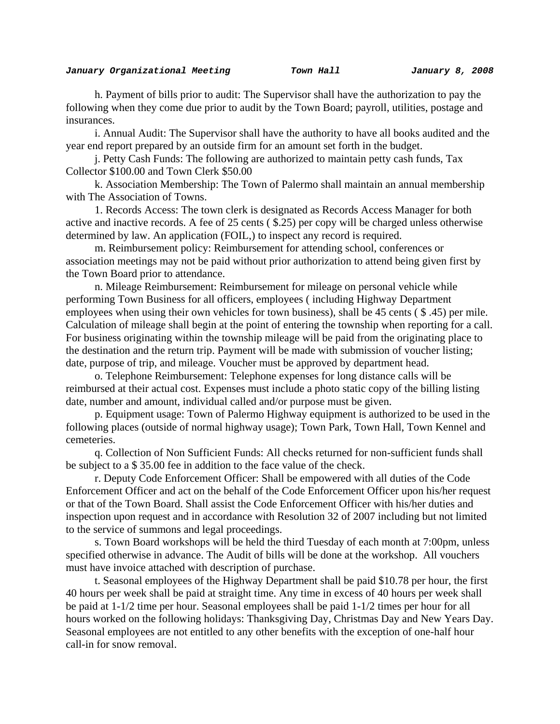h. Payment of bills prior to audit: The Supervisor shall have the authorization to pay the following when they come due prior to audit by the Town Board; payroll, utilities, postage and insurances.

i. Annual Audit: The Supervisor shall have the authority to have all books audited and the year end report prepared by an outside firm for an amount set forth in the budget.

j. Petty Cash Funds: The following are authorized to maintain petty cash funds, Tax Collector \$100.00 and Town Clerk \$50.00

k. Association Membership: The Town of Palermo shall maintain an annual membership with The Association of Towns.

1. Records Access: The town clerk is designated as Records Access Manager for both active and inactive records. A fee of 25 cents ( \$.25) per copy will be charged unless otherwise determined by law. An application (FOIL,) to inspect any record is required.

m. Reimbursement policy: Reimbursement for attending school, conferences or association meetings may not be paid without prior authorization to attend being given first by the Town Board prior to attendance.

n. Mileage Reimbursement: Reimbursement for mileage on personal vehicle while performing Town Business for all officers, employees ( including Highway Department employees when using their own vehicles for town business), shall be 45 cents (\$.45) per mile. Calculation of mileage shall begin at the point of entering the township when reporting for a call. For business originating within the township mileage will be paid from the originating place to the destination and the return trip. Payment will be made with submission of voucher listing; date, purpose of trip, and mileage. Voucher must be approved by department head.

o. Telephone Reimbursement: Telephone expenses for long distance calls will be reimbursed at their actual cost. Expenses must include a photo static copy of the billing listing date, number and amount, individual called and/or purpose must be given.

p. Equipment usage: Town of Palermo Highway equipment is authorized to be used in the following places (outside of normal highway usage); Town Park, Town Hall, Town Kennel and cemeteries.

q. Collection of Non Sufficient Funds: All checks returned for non-sufficient funds shall be subject to a \$ 35.00 fee in addition to the face value of the check.

r. Deputy Code Enforcement Officer: Shall be empowered with all duties of the Code Enforcement Officer and act on the behalf of the Code Enforcement Officer upon his/her request or that of the Town Board. Shall assist the Code Enforcement Officer with his/her duties and inspection upon request and in accordance with Resolution 32 of 2007 including but not limited to the service of summons and legal proceedings.

s. Town Board workshops will be held the third Tuesday of each month at 7:00pm, unless specified otherwise in advance. The Audit of bills will be done at the workshop. All vouchers must have invoice attached with description of purchase.

t. Seasonal employees of the Highway Department shall be paid \$10.78 per hour, the first 40 hours per week shall be paid at straight time. Any time in excess of 40 hours per week shall be paid at 1-1/2 time per hour. Seasonal employees shall be paid 1-1/2 times per hour for all hours worked on the following holidays: Thanksgiving Day, Christmas Day and New Years Day. Seasonal employees are not entitled to any other benefits with the exception of one-half hour call-in for snow removal.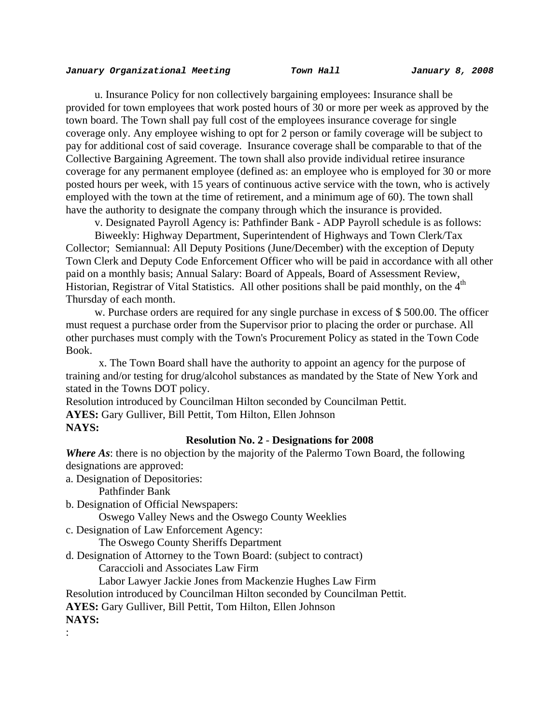u. Insurance Policy for non collectively bargaining employees: Insurance shall be provided for town employees that work posted hours of 30 or more per week as approved by the town board. The Town shall pay full cost of the employees insurance coverage for single coverage only. Any employee wishing to opt for 2 person or family coverage will be subject to pay for additional cost of said coverage. Insurance coverage shall be comparable to that of the Collective Bargaining Agreement. The town shall also provide individual retiree insurance coverage for any permanent employee (defined as: an employee who is employed for 30 or more posted hours per week, with 15 years of continuous active service with the town, who is actively employed with the town at the time of retirement, and a minimum age of 60). The town shall have the authority to designate the company through which the insurance is provided.

v. Designated Payroll Agency is: Pathfinder Bank - ADP Payroll schedule is as follows:

Biweekly: Highway Department, Superintendent of Highways and Town Clerk/Tax Collector; Semiannual: All Deputy Positions (June/December) with the exception of Deputy Town Clerk and Deputy Code Enforcement Officer who will be paid in accordance with all other paid on a monthly basis; Annual Salary: Board of Appeals, Board of Assessment Review, Historian, Registrar of Vital Statistics. All other positions shall be paid monthly, on the 4<sup>th</sup> Thursday of each month.

w. Purchase orders are required for any single purchase in excess of \$ 500.00. The officer must request a purchase order from the Supervisor prior to placing the order or purchase. All other purchases must comply with the Town's Procurement Policy as stated in the Town Code Book.

 x. The Town Board shall have the authority to appoint an agency for the purpose of training and/or testing for drug/alcohol substances as mandated by the State of New York and stated in the Towns DOT policy.

Resolution introduced by Councilman Hilton seconded by Councilman Pettit.

**AYES:** Gary Gulliver, Bill Pettit, Tom Hilton, Ellen Johnson

#### **NAYS:**

#### **Resolution No. 2** - **Designations for 2008**

*Where As*: there is no objection by the majority of the Palermo Town Board, the following designations are approved:

a. Designation of Depositories:

Pathfinder Bank

b. Designation of Official Newspapers:

Oswego Valley News and the Oswego County Weeklies

c. Designation of Law Enforcement Agency:

The Oswego County Sheriffs Department

d. Designation of Attorney to the Town Board: (subject to contract)

Caraccioli and Associates Law Firm

Labor Lawyer Jackie Jones from Mackenzie Hughes Law Firm

Resolution introduced by Councilman Hilton seconded by Councilman Pettit.

**AYES:** Gary Gulliver, Bill Pettit, Tom Hilton, Ellen Johnson

**NAYS:** 

: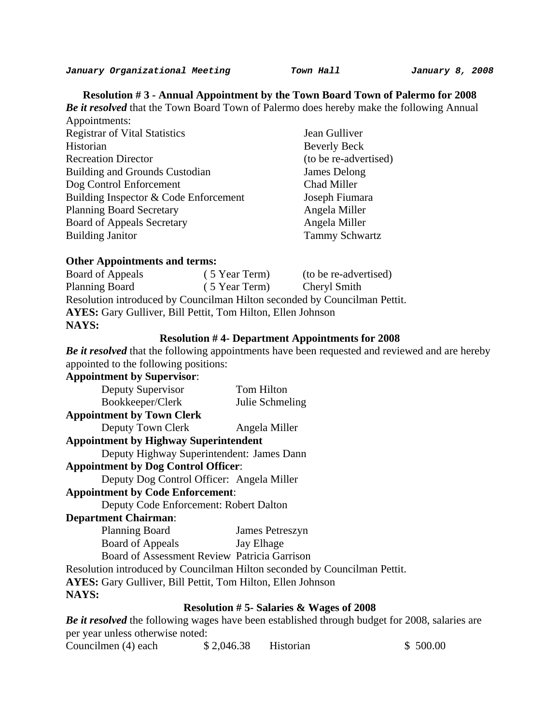**Resolution # 3 - Annual Appointment by the Town Board Town of Palermo for 2008**  *Be it resolved* that the Town Board Town of Palermo does hereby make the following Annual Appointments:

| Appointments:                         |                       |
|---------------------------------------|-----------------------|
| <b>Registrar of Vital Statistics</b>  | Jean Gulliver         |
| Historian                             | <b>Beverly Beck</b>   |
| <b>Recreation Director</b>            | (to be re-advertised) |
| Building and Grounds Custodian        | James Delong          |
| Dog Control Enforcement               | Chad Miller           |
| Building Inspector & Code Enforcement | Joseph Fiumara        |
| <b>Planning Board Secretary</b>       | Angela Miller         |
| <b>Board of Appeals Secretary</b>     | Angela Miller         |
| <b>Building Janitor</b>               | <b>Tammy Schwartz</b> |

#### **Other Appointments and terms:**

Board of Appeals ( 5 Year Term) (to be re-advertised) Planning Board (5 Year Term) Cheryl Smith Resolution introduced by Councilman Hilton seconded by Councilman Pettit. **AYES:** Gary Gulliver, Bill Pettit, Tom Hilton, Ellen Johnson **NAYS:** 

#### **Resolution # 4- Department Appointments for 2008**

*Be it resolved* that the following appointments have been requested and reviewed and are hereby appointed to the following positions:

#### **Appointment by Supervisor**:

| Deputy Supervisor                | Tom Hilton      |
|----------------------------------|-----------------|
| Bookkeeper/Clerk                 | Julie Schmeling |
| <b>Appointment by Town Clerk</b> |                 |

Deputy Town Clerk Angela Miller

#### **Appointment by Highway Superintendent**

Deputy Highway Superintendent: James Dann

## **Appointment by Dog Control Officer**:

Deputy Dog Control Officer: Angela Miller

## **Appointment by Code Enforcement**:

Deputy Code Enforcement: Robert Dalton

### **Department Chairman**:

| <b>Planning Board</b> | James Petreszyn |
|-----------------------|-----------------|
| Board of Appeals      | Jay Elhage      |

Board of Assessment Review Patricia Garrison

Resolution introduced by Councilman Hilton seconded by Councilman Pettit.

**AYES:** Gary Gulliver, Bill Pettit, Tom Hilton, Ellen Johnson

#### **NAYS:**

# **Resolution # 5- Salaries & Wages of 2008**

*Be it resolved* the following wages have been established through budget for 2008, salaries are per year unless otherwise noted:

| Councilmen (4) each | \$2,046.38 | Historian | \$500.00 |
|---------------------|------------|-----------|----------|
|---------------------|------------|-----------|----------|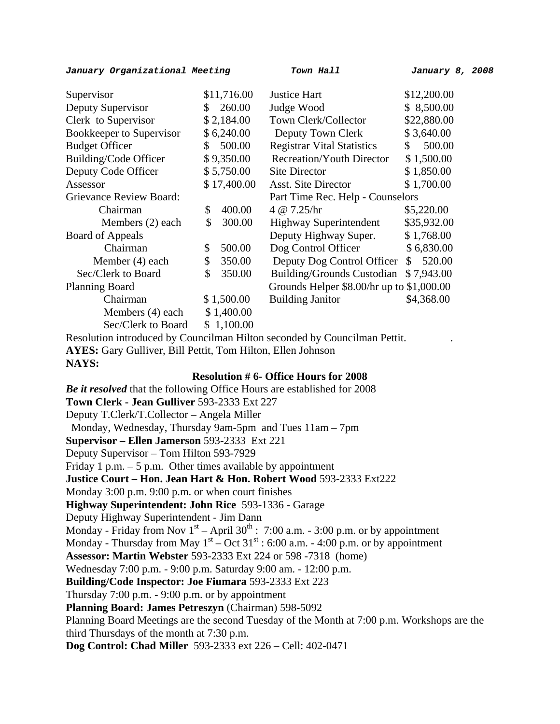#### *January Organizational Meeting Town Hall January 8, 2008*

| Supervisor               |     | \$11,716.00 | <b>Justice Hart</b>                         | \$12,200.00  |
|--------------------------|-----|-------------|---------------------------------------------|--------------|
| Deputy Supervisor        | S.  | 260.00      | Judge Wood                                  | \$8,500.00   |
| Clerk to Supervisor      |     | \$2,184.00  | Town Clerk/Collector                        | \$22,880.00  |
| Bookkeeper to Supervisor |     | \$6,240.00  | Deputy Town Clerk                           | \$3,640.00   |
| <b>Budget Officer</b>    | \$. | 500.00      | <b>Registrar Vital Statistics</b>           | 500.00<br>\$ |
| Building/Code Officer    |     | \$9,350.00  | <b>Recreation/Youth Director</b>            | \$1,500.00   |
| Deputy Code Officer      |     | \$5,750.00  | <b>Site Director</b>                        | \$1,850.00   |
| Assessor                 |     | \$17,400.00 | <b>Asst. Site Director</b>                  | \$1,700.00   |
| Grievance Review Board:  |     |             | Part Time Rec. Help - Counselors            |              |
| Chairman                 | \$  | 400.00      | 4 @ 7.25/hr                                 | \$5,220.00   |
| Members (2) each         | \$  | 300.00      | <b>Highway Superintendent</b>               | \$35,932.00  |
| Board of Appeals         |     |             | Deputy Highway Super.                       | \$1,768.00   |
| Chairman                 | \$  | 500.00      | Dog Control Officer                         | \$6,830.00   |
| Member (4) each          | \$  | 350.00      | Deputy Dog Control Officer                  | 520.00<br>S. |
| Sec/Clerk to Board       | \$  | 350.00      | <b>Building/Grounds Custodian</b>           | \$7,943.00   |
| <b>Planning Board</b>    |     |             | Grounds Helper $$8.00/hr$ up to $$1,000.00$ |              |
| Chairman                 |     | \$1,500.00  | <b>Building Janitor</b>                     | \$4,368.00   |
| Members (4) each         |     | \$1,400.00  |                                             |              |
| Sec/Clerk to Board       |     | \$1,100.00  |                                             |              |

Resolution introduced by Councilman Hilton seconded by Councilman Pettit. . **AYES:** Gary Gulliver, Bill Pettit, Tom Hilton, Ellen Johnson **NAYS:** 

#### **Resolution # 6- Office Hours for 2008**

*Be it resolved* that the following Office Hours are established for 2008 **Town Clerk - Jean Gulliver** 593-2333 Ext 227 Deputy T.Clerk/T.Collector – Angela Miller Monday, Wednesday, Thursday 9am-5pm and Tues 11am – 7pm **Supervisor – Ellen Jamerson** 593-2333 Ext 221 Deputy Supervisor – Tom Hilton 593-7929 Friday 1 p.m.  $-5$  p.m. Other times available by appointment **Justice Court – Hon. Jean Hart & Hon. Robert Wood** 593-2333 Ext222 Monday 3:00 p.m. 9:00 p.m. or when court finishes **Highway Superintendent: John Rice** 593-1336 - Garage Deputy Highway Superintendent - Jim Dann Monday - Friday from Nov  $1<sup>st</sup>$  – April 30<sup>th</sup> : 7:00 a.m. - 3:00 p.m. or by appointment Monday - Thursday from May  $1<sup>st</sup>$  – Oct 31<sup>st</sup> : 6:00 a.m. - 4:00 p.m. or by appointment **Assessor: Martin Webster** 593-2333 Ext 224 or 598 -7318 (home) Wednesday 7:00 p.m. - 9:00 p.m. Saturday 9:00 am. - 12:00 p.m. **Building/Code Inspector: Joe Fiumara** 593-2333 Ext 223 Thursday 7:00 p.m. - 9:00 p.m. or by appointment **Planning Board: James Petreszyn** (Chairman) 598-5092 Planning Board Meetings are the second Tuesday of the Month at 7:00 p.m. Workshops are the third Thursdays of the month at 7:30 p.m. **Dog Control: Chad Miller** 593-2333 ext 226 – Cell: 402-0471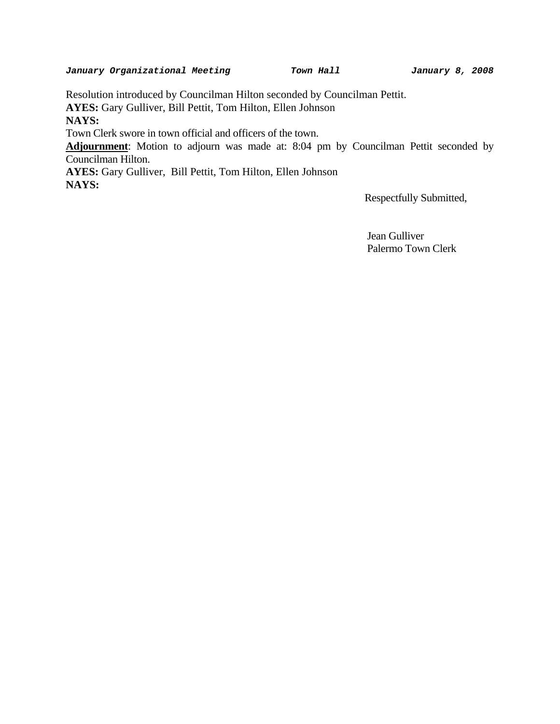Resolution introduced by Councilman Hilton seconded by Councilman Pettit.

**AYES:** Gary Gulliver, Bill Pettit, Tom Hilton, Ellen Johnson

**NAYS:** 

Town Clerk swore in town official and officers of the town.

**Adjournment**: Motion to adjourn was made at: 8:04 pm by Councilman Pettit seconded by Councilman Hilton.

**AYES:** Gary Gulliver, Bill Pettit, Tom Hilton, Ellen Johnson **NAYS:** 

Respectfully Submitted,

 Jean Gulliver Palermo Town Clerk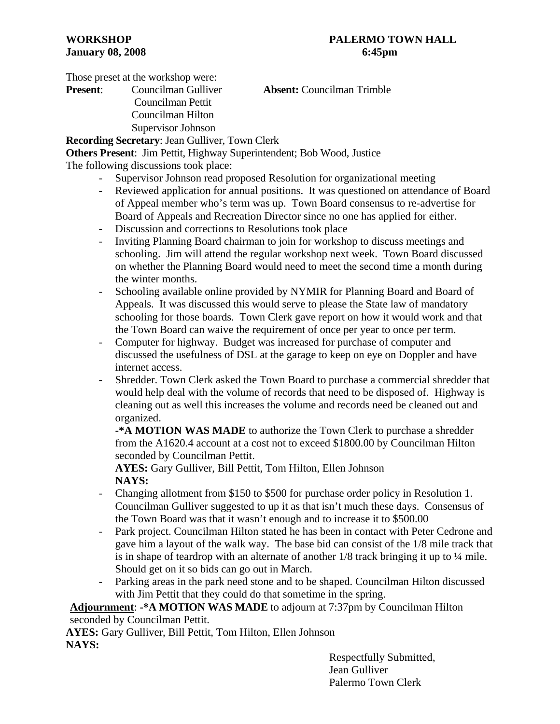Those preset at the workshop were:

**Present**: Councilman Gulliver **Absent:** Councilman Trimble Councilman Pettit Councilman Hilton

 Supervisor Johnson **Recording Secretary**: Jean Gulliver, Town Clerk

**Others Present**: Jim Pettit, Highway Superintendent; Bob Wood, Justice

The following discussions took place:

- Supervisor Johnson read proposed Resolution for organizational meeting
- Reviewed application for annual positions. It was questioned on attendance of Board of Appeal member who's term was up. Town Board consensus to re-advertise for Board of Appeals and Recreation Director since no one has applied for either.
- Discussion and corrections to Resolutions took place
- Inviting Planning Board chairman to join for workshop to discuss meetings and schooling. Jim will attend the regular workshop next week. Town Board discussed on whether the Planning Board would need to meet the second time a month during the winter months.
- Schooling available online provided by NYMIR for Planning Board and Board of Appeals. It was discussed this would serve to please the State law of mandatory schooling for those boards. Town Clerk gave report on how it would work and that the Town Board can waive the requirement of once per year to once per term.
- Computer for highway. Budget was increased for purchase of computer and discussed the usefulness of DSL at the garage to keep on eye on Doppler and have internet access.
- Shredder. Town Clerk asked the Town Board to purchase a commercial shredder that would help deal with the volume of records that need to be disposed of. Highway is cleaning out as well this increases the volume and records need be cleaned out and organized.

**-\*A MOTION WAS MADE** to authorize the Town Clerk to purchase a shredder from the A1620.4 account at a cost not to exceed \$1800.00 by Councilman Hilton seconded by Councilman Pettit.

**AYES:** Gary Gulliver, Bill Pettit, Tom Hilton, Ellen Johnson  **NAYS:**

- Changing allotment from \$150 to \$500 for purchase order policy in Resolution 1. Councilman Gulliver suggested to up it as that isn't much these days. Consensus of the Town Board was that it wasn't enough and to increase it to \$500.00
- Park project. Councilman Hilton stated he has been in contact with Peter Cedrone and gave him a layout of the walk way. The base bid can consist of the 1/8 mile track that is in shape of teardrop with an alternate of another  $1/8$  track bringing it up to  $\frac{1}{4}$  mile. Should get on it so bids can go out in March.
- Parking areas in the park need stone and to be shaped. Councilman Hilton discussed with Jim Pettit that they could do that sometime in the spring.

**Adjournment**: **-\*A MOTION WAS MADE** to adjourn at 7:37pm by Councilman Hilton seconded by Councilman Pettit.

**AYES:** Gary Gulliver, Bill Pettit, Tom Hilton, Ellen Johnson **NAYS:**

 Respectfully Submitted, Jean Gulliver Palermo Town Clerk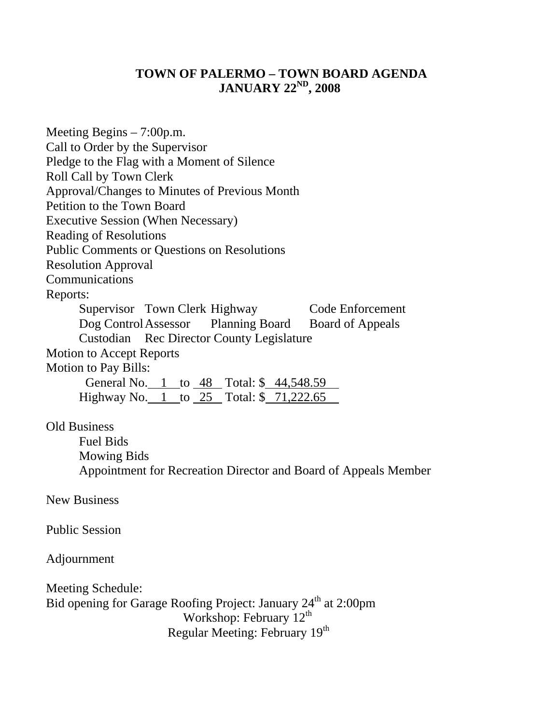# **TOWN OF PALERMO – TOWN BOARD AGENDA JANUARY 22ND, 2008**

Meeting Begins – 7:00p.m. Call to Order by the Supervisor Pledge to the Flag with a Moment of Silence Roll Call by Town Clerk Approval/Changes to Minutes of Previous Month Petition to the Town Board Executive Session (When Necessary) Reading of Resolutions Public Comments or Questions on Resolutions Resolution Approval Communications Reports: Supervisor Town Clerk Highway Code Enforcement Dog Control Assessor Planning Board Board of Appeals Custodian Rec Director County Legislature Motion to Accept Reports Motion to Pay Bills: General No. 1 to 48 Total: \$44,548.59 Highway No. 1 to 25 Total: \$ 71,222.65 . Old Business Fuel Bids Mowing Bids Appointment for Recreation Director and Board of Appeals Member New Business Public Session Adjournment Meeting Schedule: Bid opening for Garage Roofing Project: January 24<sup>th</sup> at 2:00pm Workshop: February  $12^{th}$ 

Regular Meeting: February 19<sup>th</sup>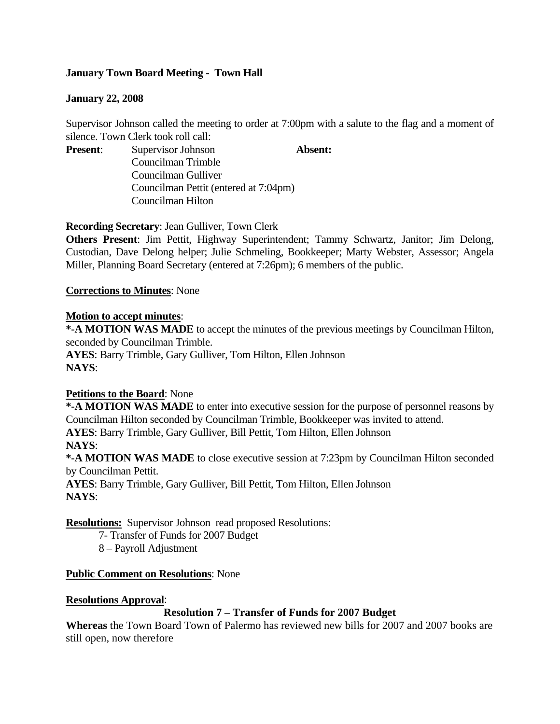# **January Town Board Meeting - Town Hall**

# **January 22, 2008**

Supervisor Johnson called the meeting to order at 7:00pm with a salute to the flag and a moment of silence. Town Clerk took roll call:

**Present:** Supervisor Johnson **Absent:** 

Councilman Trimble Councilman Gulliver Councilman Pettit (entered at 7:04pm) Councilman Hilton

**Recording Secretary**: Jean Gulliver, Town Clerk

**Others Present**: Jim Pettit, Highway Superintendent; Tammy Schwartz, Janitor; Jim Delong, Custodian, Dave Delong helper; Julie Schmeling, Bookkeeper; Marty Webster, Assessor; Angela Miller, Planning Board Secretary (entered at 7:26pm); 6 members of the public.

## **Corrections to Minutes**: None

## **Motion to accept minutes**:

**\*-A MOTION WAS MADE** to accept the minutes of the previous meetings by Councilman Hilton, seconded by Councilman Trimble.

**AYES**: Barry Trimble, Gary Gulliver, Tom Hilton, Ellen Johnson **NAYS**:

# **Petitions to the Board**: None

**\*-A MOTION WAS MADE** to enter into executive session for the purpose of personnel reasons by Councilman Hilton seconded by Councilman Trimble, Bookkeeper was invited to attend. **AYES**: Barry Trimble, Gary Gulliver, Bill Pettit, Tom Hilton, Ellen Johnson **NAYS**:

**\*-A MOTION WAS MADE** to close executive session at 7:23pm by Councilman Hilton seconded by Councilman Pettit.

**AYES**: Barry Trimble, Gary Gulliver, Bill Pettit, Tom Hilton, Ellen Johnson **NAYS**:

**Resolutions:** Supervisor Johnson read proposed Resolutions:

- 7- Transfer of Funds for 2007 Budget
- 8 Payroll Adjustment

#### **Public Comment on Resolutions**: None

#### **Resolutions Approval**:

#### **Resolution 7 – Transfer of Funds for 2007 Budget**

**Whereas** the Town Board Town of Palermo has reviewed new bills for 2007 and 2007 books are still open, now therefore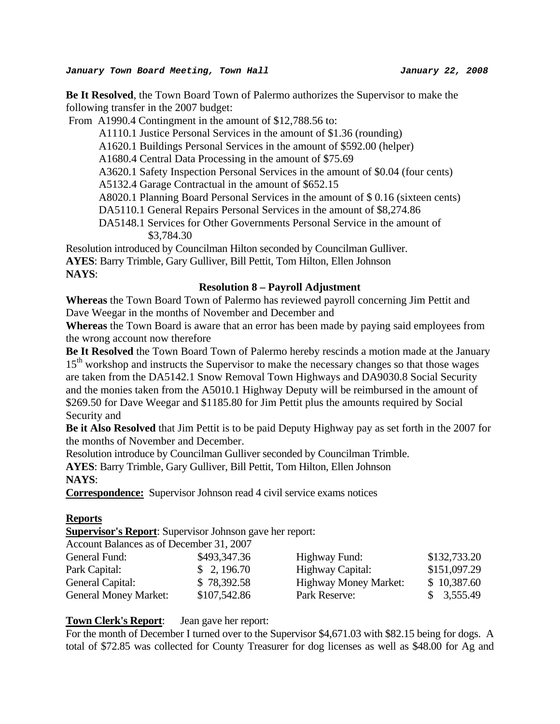**Be It Resolved**, the Town Board Town of Palermo authorizes the Supervisor to make the following transfer in the 2007 budget:

From A1990.4 Contingment in the amount of \$12,788.56 to:

A1110.1 Justice Personal Services in the amount of \$1.36 (rounding)

A1620.1 Buildings Personal Services in the amount of \$592.00 (helper)

A1680.4 Central Data Processing in the amount of \$75.69

A3620.1 Safety Inspection Personal Services in the amount of \$0.04 (four cents)

A5132.4 Garage Contractual in the amount of \$652.15

A8020.1 Planning Board Personal Services in the amount of \$ 0.16 (sixteen cents)

DA5110.1 General Repairs Personal Services in the amount of \$8,274.86

 DA5148.1 Services for Other Governments Personal Service in the amount of \$3,784.30

Resolution introduced by Councilman Hilton seconded by Councilman Gulliver. **AYES**: Barry Trimble, Gary Gulliver, Bill Pettit, Tom Hilton, Ellen Johnson **NAYS**:

#### **Resolution 8 – Payroll Adjustment**

**Whereas** the Town Board Town of Palermo has reviewed payroll concerning Jim Pettit and Dave Weegar in the months of November and December and

**Whereas** the Town Board is aware that an error has been made by paying said employees from the wrong account now therefore

**Be It Resolved** the Town Board Town of Palermo hereby rescinds a motion made at the January 15<sup>th</sup> workshop and instructs the Supervisor to make the necessary changes so that those wages are taken from the DA5142.1 Snow Removal Town Highways and DA9030.8 Social Security and the monies taken from the A5010.1 Highway Deputy will be reimbursed in the amount of \$269.50 for Dave Weegar and \$1185.80 for Jim Pettit plus the amounts required by Social Security and

**Be it Also Resolved** that Jim Pettit is to be paid Deputy Highway pay as set forth in the 2007 for the months of November and December.

Resolution introduce by Councilman Gulliver seconded by Councilman Trimble.

**AYES**: Barry Trimble, Gary Gulliver, Bill Pettit, Tom Hilton, Ellen Johnson **NAYS**:

**Correspondence:** Supervisor Johnson read 4 civil service exams notices

#### **Reports**

**Supervisor's Report**: Supervisor Johnson gave her report:

Account Balances as of December 31, 2007

| General Fund:                | \$493,347.36 | Highway Fund:                | \$132,733.20 |
|------------------------------|--------------|------------------------------|--------------|
| Park Capital:                | \$2,196.70   | Highway Capital:             | \$151,097.29 |
| General Capital:             | \$78,392.58  | <b>Highway Money Market:</b> | \$10,387.60  |
| <b>General Money Market:</b> | \$107,542.86 | Park Reserve:                | \$3,555.49   |

#### **Town Clerk's Report**: Jean gave her report:

For the month of December I turned over to the Supervisor \$4,671.03 with \$82.15 being for dogs. A total of \$72.85 was collected for County Treasurer for dog licenses as well as \$48.00 for Ag and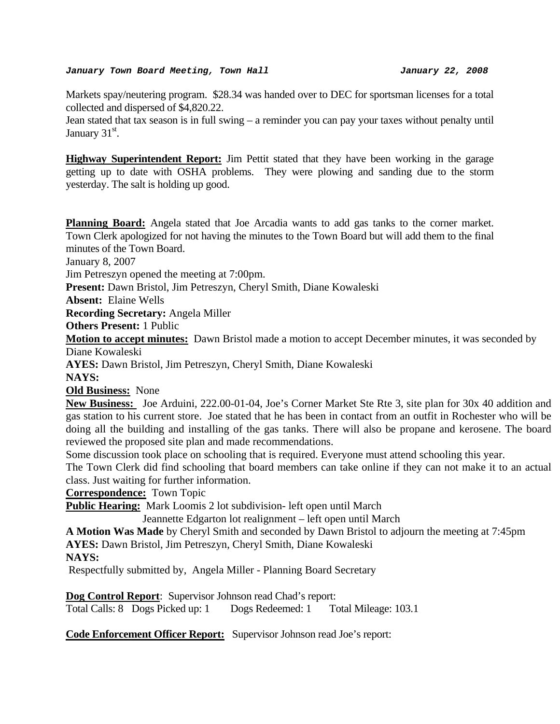#### *January Town Board Meeting, Town Hall January 22, 2008*

Markets spay/neutering program. \$28.34 was handed over to DEC for sportsman licenses for a total collected and dispersed of \$4,820.22.

Jean stated that tax season is in full swing – a reminder you can pay your taxes without penalty until January  $31<sup>st</sup>$ .

**Highway Superintendent Report:** Jim Pettit stated that they have been working in the garage getting up to date with OSHA problems. They were plowing and sanding due to the storm yesterday. The salt is holding up good.

**Planning Board:** Angela stated that Joe Arcadia wants to add gas tanks to the corner market. Town Clerk apologized for not having the minutes to the Town Board but will add them to the final minutes of the Town Board.

January 8, 2007

Jim Petreszyn opened the meeting at 7:00pm.

**Present:** Dawn Bristol, Jim Petreszyn, Cheryl Smith, Diane Kowaleski

**Absent:** Elaine Wells

**Recording Secretary:** Angela Miller

**Others Present:** 1 Public

**Motion to accept minutes:** Dawn Bristol made a motion to accept December minutes, it was seconded by Diane Kowaleski

**AYES:** Dawn Bristol, Jim Petreszyn, Cheryl Smith, Diane Kowaleski

**NAYS:** 

**Old Business:** None

**New Business:** Joe Arduini, 222.00-01-04, Joe's Corner Market Ste Rte 3, site plan for 30x 40 addition and gas station to his current store. Joe stated that he has been in contact from an outfit in Rochester who will be doing all the building and installing of the gas tanks. There will also be propane and kerosene. The board reviewed the proposed site plan and made recommendations.

Some discussion took place on schooling that is required. Everyone must attend schooling this year.

The Town Clerk did find schooling that board members can take online if they can not make it to an actual class. Just waiting for further information.

**Correspondence:** Town Topic

**Public Hearing:** Mark Loomis 2 lot subdivision- left open until March

Jeannette Edgarton lot realignment – left open until March

**A Motion Was Made** by Cheryl Smith and seconded by Dawn Bristol to adjourn the meeting at 7:45pm

**AYES:** Dawn Bristol, Jim Petreszyn, Cheryl Smith, Diane Kowaleski

**NAYS:** 

Respectfully submitted by, Angela Miller - Planning Board Secretary

**Dog Control Report**: Supervisor Johnson read Chad's report:

Total Calls: 8 Dogs Picked up: 1 Dogs Redeemed: 1 Total Mileage: 103.1

**Code Enforcement Officer Report:** Supervisor Johnson read Joe's report: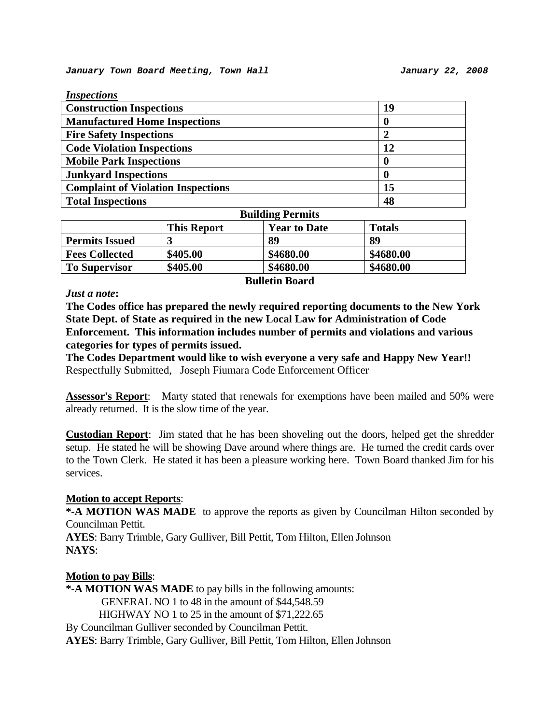| <b>Inspections</b>                            |           |
|-----------------------------------------------|-----------|
| <b>Construction Inspections</b>               | 19        |
| <b>Manufactured Home Inspections</b>          |           |
| <b>Fire Safety Inspections</b>                |           |
| <b>Code Violation Inspections</b>             | 12        |
| <b>Mobile Park Inspections</b>                |           |
| <b>Junkyard Inspections</b>                   |           |
| <b>Complaint of Violation Inspections</b>     | 15        |
| <b>Total Inspections</b>                      | 48        |
| $\mathbf{r}$ . $\mathbf{r}$<br>$\blacksquare$ | $\bullet$ |

| <b>Building Permits</b> |                    |                     |               |
|-------------------------|--------------------|---------------------|---------------|
|                         | <b>This Report</b> | <b>Year to Date</b> | <b>Totals</b> |
| <b>Permits Issued</b>   |                    | 89                  | 89            |
| <b>Fees Collected</b>   | \$405.00           | \$4680.00           | \$4680.00     |
| <b>To Supervisor</b>    | \$405.00           | \$4680.00           | \$4680.00     |

#### *Just a note***:**

**Bulletin Board** 

**The Codes office has prepared the newly required reporting documents to the New York State Dept. of State as required in the new Local Law for Administration of Code Enforcement. This information includes number of permits and violations and various categories for types of permits issued.** 

**The Codes Department would like to wish everyone a very safe and Happy New Year!!**  Respectfully Submitted, Joseph Fiumara Code Enforcement Officer

**Assessor's Report**: Marty stated that renewals for exemptions have been mailed and 50% were already returned. It is the slow time of the year.

**Custodian Report**: Jim stated that he has been shoveling out the doors, helped get the shredder setup. He stated he will be showing Dave around where things are. He turned the credit cards over to the Town Clerk. He stated it has been a pleasure working here. Town Board thanked Jim for his services.

#### **Motion to accept Reports**:

**\*-A MOTION WAS MADE** to approve the reports as given by Councilman Hilton seconded by Councilman Pettit.

**AYES**: Barry Trimble, Gary Gulliver, Bill Pettit, Tom Hilton, Ellen Johnson **NAYS**:

#### **Motion to pay Bills**:

**\*-A MOTION WAS MADE** to pay bills in the following amounts: GENERAL NO 1 to 48 in the amount of \$44,548.59 HIGHWAY NO 1 to 25 in the amount of \$71,222.65 By Councilman Gulliver seconded by Councilman Pettit. **AYES**: Barry Trimble, Gary Gulliver, Bill Pettit, Tom Hilton, Ellen Johnson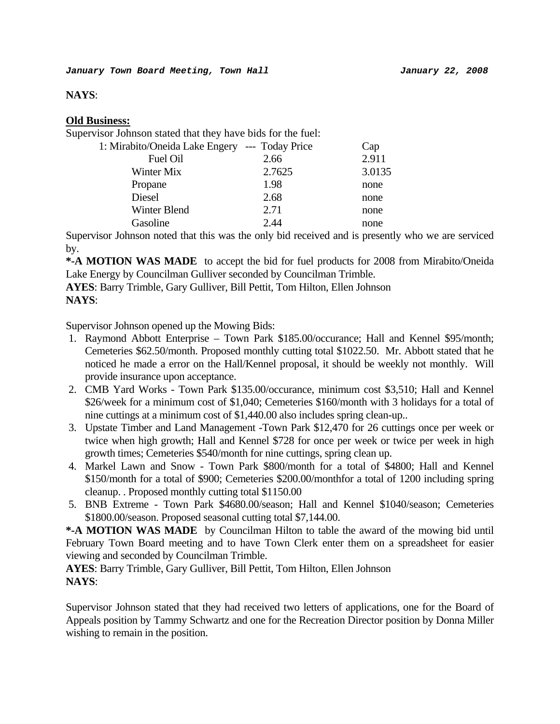#### **NAYS**:

## **Old Business:**

Supervisor Johnson stated that they have bids for the fuel:

| 1: Mirabito/Oneida Lake Engery --- Today Price |        | Cap    |
|------------------------------------------------|--------|--------|
| Fuel Oil                                       | 2.66   | 2.911  |
| Winter Mix                                     | 2.7625 | 3.0135 |
| Propane                                        | 1.98   | none   |
| Diesel                                         | 2.68   | none   |
| Winter Blend                                   | 2.71   | none   |
| Gasoline                                       | 2.44   | none   |

Supervisor Johnson noted that this was the only bid received and is presently who we are serviced by.

**\*-A MOTION WAS MADE** to accept the bid for fuel products for 2008 from Mirabito/Oneida Lake Energy by Councilman Gulliver seconded by Councilman Trimble.

**AYES**: Barry Trimble, Gary Gulliver, Bill Pettit, Tom Hilton, Ellen Johnson **NAYS**:

Supervisor Johnson opened up the Mowing Bids:

- 1. Raymond Abbott Enterprise Town Park \$185.00/occurance; Hall and Kennel \$95/month; Cemeteries \$62.50/month. Proposed monthly cutting total \$1022.50. Mr. Abbott stated that he noticed he made a error on the Hall/Kennel proposal, it should be weekly not monthly. Will provide insurance upon acceptance.
- 2. CMB Yard Works Town Park \$135.00/occurance, minimum cost \$3,510; Hall and Kennel \$26/week for a minimum cost of \$1,040; Cemeteries \$160/month with 3 holidays for a total of nine cuttings at a minimum cost of \$1,440.00 also includes spring clean-up..
- 3. Upstate Timber and Land Management -Town Park \$12,470 for 26 cuttings once per week or twice when high growth; Hall and Kennel \$728 for once per week or twice per week in high growth times; Cemeteries \$540/month for nine cuttings, spring clean up.
- 4. Markel Lawn and Snow Town Park \$800/month for a total of \$4800; Hall and Kennel \$150/month for a total of \$900; Cemeteries \$200.00/monthfor a total of 1200 including spring cleanup. . Proposed monthly cutting total \$1150.00
- 5. BNB Extreme Town Park \$4680.00/season; Hall and Kennel \$1040/season; Cemeteries \$1800.00/season. Proposed seasonal cutting total \$7,144.00.

**\*-A MOTION WAS MADE** by Councilman Hilton to table the award of the mowing bid until February Town Board meeting and to have Town Clerk enter them on a spreadsheet for easier viewing and seconded by Councilman Trimble.

**AYES**: Barry Trimble, Gary Gulliver, Bill Pettit, Tom Hilton, Ellen Johnson **NAYS**:

Supervisor Johnson stated that they had received two letters of applications, one for the Board of Appeals position by Tammy Schwartz and one for the Recreation Director position by Donna Miller wishing to remain in the position.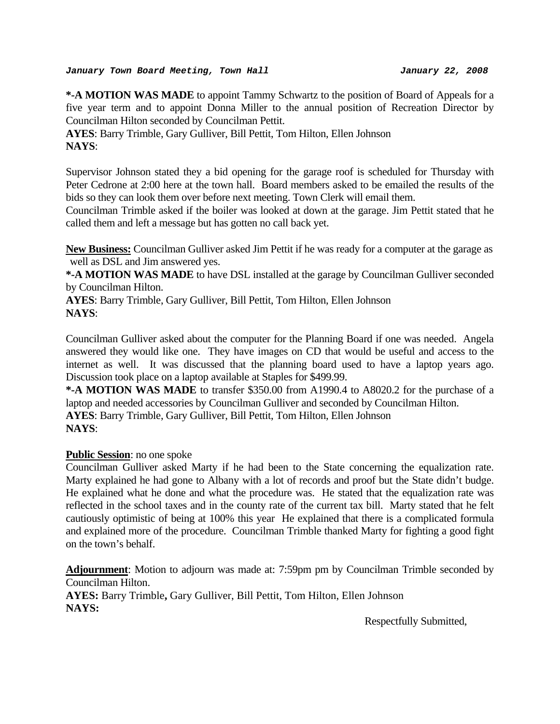**\*-A MOTION WAS MADE** to appoint Tammy Schwartz to the position of Board of Appeals for a five year term and to appoint Donna Miller to the annual position of Recreation Director by Councilman Hilton seconded by Councilman Pettit.

**AYES**: Barry Trimble, Gary Gulliver, Bill Pettit, Tom Hilton, Ellen Johnson **NAYS**:

Supervisor Johnson stated they a bid opening for the garage roof is scheduled for Thursday with Peter Cedrone at 2:00 here at the town hall. Board members asked to be emailed the results of the bids so they can look them over before next meeting. Town Clerk will email them.

Councilman Trimble asked if the boiler was looked at down at the garage. Jim Pettit stated that he called them and left a message but has gotten no call back yet.

**New Business:** Councilman Gulliver asked Jim Pettit if he was ready for a computer at the garage as well as DSL and Jim answered yes.

**\*-A MOTION WAS MADE** to have DSL installed at the garage by Councilman Gulliver seconded by Councilman Hilton.

**AYES**: Barry Trimble, Gary Gulliver, Bill Pettit, Tom Hilton, Ellen Johnson **NAYS**:

Councilman Gulliver asked about the computer for the Planning Board if one was needed. Angela answered they would like one. They have images on CD that would be useful and access to the internet as well. It was discussed that the planning board used to have a laptop years ago. Discussion took place on a laptop available at Staples for \$499.99.

**\*-A MOTION WAS MADE** to transfer \$350.00 from A1990.4 to A8020.2 for the purchase of a laptop and needed accessories by Councilman Gulliver and seconded by Councilman Hilton.

**AYES**: Barry Trimble, Gary Gulliver, Bill Pettit, Tom Hilton, Ellen Johnson **NAYS**:

# **Public Session**: no one spoke

Councilman Gulliver asked Marty if he had been to the State concerning the equalization rate. Marty explained he had gone to Albany with a lot of records and proof but the State didn't budge. He explained what he done and what the procedure was. He stated that the equalization rate was reflected in the school taxes and in the county rate of the current tax bill. Marty stated that he felt cautiously optimistic of being at 100% this year He explained that there is a complicated formula and explained more of the procedure. Councilman Trimble thanked Marty for fighting a good fight on the town's behalf.

**Adjournment**: Motion to adjourn was made at: 7:59pm pm by Councilman Trimble seconded by Councilman Hilton.

**AYES:** Barry Trimble**,** Gary Gulliver, Bill Pettit, Tom Hilton, Ellen Johnson **NAYS:** 

Respectfully Submitted,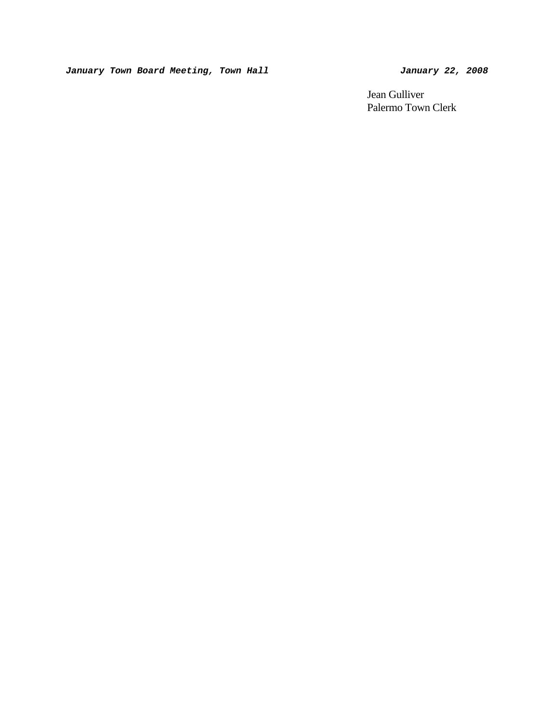*January Town Board Meeting, Town Hall January 22, 2008* 

 Jean Gulliver Palermo Town Clerk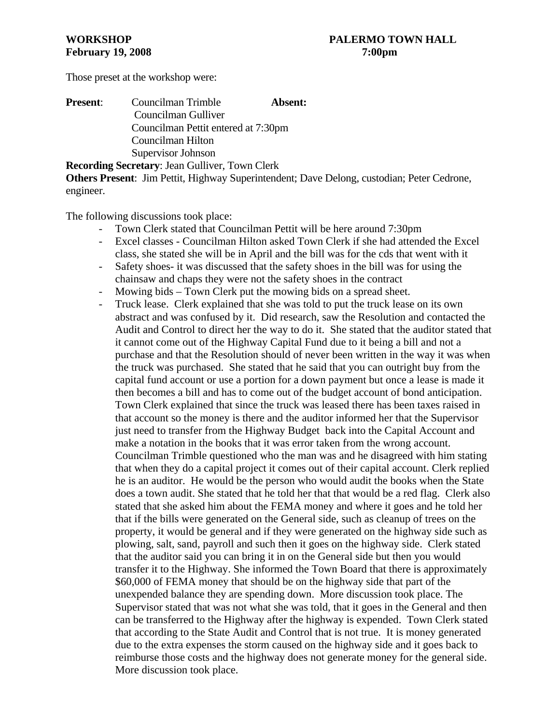Those preset at the workshop were:

| <b>Present:</b> | Councilman Trimble<br>Absent:       |  |
|-----------------|-------------------------------------|--|
|                 | Councilman Gulliver                 |  |
|                 | Councilman Pettit entered at 7:30pm |  |
|                 | Councilman Hilton                   |  |
|                 | Supervisor Johnson                  |  |
|                 |                                     |  |

**Recording Secretary**: Jean Gulliver, Town Clerk **Others Present**: Jim Pettit, Highway Superintendent; Dave Delong, custodian; Peter Cedrone, engineer.

The following discussions took place:

- Town Clerk stated that Councilman Pettit will be here around 7:30pm
- Excel classes Councilman Hilton asked Town Clerk if she had attended the Excel class, she stated she will be in April and the bill was for the cds that went with it
- Safety shoes- it was discussed that the safety shoes in the bill was for using the chainsaw and chaps they were not the safety shoes in the contract
- Mowing bids Town Clerk put the mowing bids on a spread sheet.
- Truck lease. Clerk explained that she was told to put the truck lease on its own abstract and was confused by it. Did research, saw the Resolution and contacted the Audit and Control to direct her the way to do it. She stated that the auditor stated that it cannot come out of the Highway Capital Fund due to it being a bill and not a purchase and that the Resolution should of never been written in the way it was when the truck was purchased. She stated that he said that you can outright buy from the capital fund account or use a portion for a down payment but once a lease is made it then becomes a bill and has to come out of the budget account of bond anticipation. Town Clerk explained that since the truck was leased there has been taxes raised in that account so the money is there and the auditor informed her that the Supervisor just need to transfer from the Highway Budget back into the Capital Account and make a notation in the books that it was error taken from the wrong account. Councilman Trimble questioned who the man was and he disagreed with him stating that when they do a capital project it comes out of their capital account. Clerk replied he is an auditor. He would be the person who would audit the books when the State does a town audit. She stated that he told her that that would be a red flag. Clerk also stated that she asked him about the FEMA money and where it goes and he told her that if the bills were generated on the General side, such as cleanup of trees on the property, it would be general and if they were generated on the highway side such as plowing, salt, sand, payroll and such then it goes on the highway side. Clerk stated that the auditor said you can bring it in on the General side but then you would transfer it to the Highway. She informed the Town Board that there is approximately \$60,000 of FEMA money that should be on the highway side that part of the unexpended balance they are spending down. More discussion took place. The Supervisor stated that was not what she was told, that it goes in the General and then can be transferred to the Highway after the highway is expended. Town Clerk stated that according to the State Audit and Control that is not true. It is money generated due to the extra expenses the storm caused on the highway side and it goes back to reimburse those costs and the highway does not generate money for the general side. More discussion took place.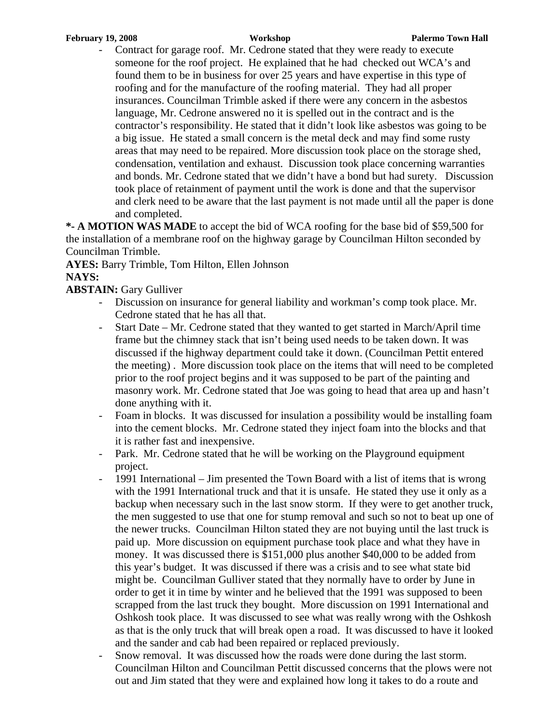- Contract for garage roof. Mr. Cedrone stated that they were ready to execute someone for the roof project. He explained that he had checked out WCA's and found them to be in business for over 25 years and have expertise in this type of roofing and for the manufacture of the roofing material. They had all proper insurances. Councilman Trimble asked if there were any concern in the asbestos language, Mr. Cedrone answered no it is spelled out in the contract and is the contractor's responsibility. He stated that it didn't look like asbestos was going to be a big issue. He stated a small concern is the metal deck and may find some rusty areas that may need to be repaired. More discussion took place on the storage shed, condensation, ventilation and exhaust. Discussion took place concerning warranties and bonds. Mr. Cedrone stated that we didn't have a bond but had surety. Discussion took place of retainment of payment until the work is done and that the supervisor and clerk need to be aware that the last payment is not made until all the paper is done and completed.

**\*- A MOTION WAS MADE** to accept the bid of WCA roofing for the base bid of \$59,500 for the installation of a membrane roof on the highway garage by Councilman Hilton seconded by Councilman Trimble.

**AYES:** Barry Trimble, Tom Hilton, Ellen Johnson **NAYS:** 

# **ABSTAIN:** Gary Gulliver

- Discussion on insurance for general liability and workman's comp took place. Mr. Cedrone stated that he has all that.
- Start Date Mr. Cedrone stated that they wanted to get started in March/April time frame but the chimney stack that isn't being used needs to be taken down. It was discussed if the highway department could take it down. (Councilman Pettit entered the meeting) . More discussion took place on the items that will need to be completed prior to the roof project begins and it was supposed to be part of the painting and masonry work. Mr. Cedrone stated that Joe was going to head that area up and hasn't done anything with it.
- Foam in blocks. It was discussed for insulation a possibility would be installing foam into the cement blocks. Mr. Cedrone stated they inject foam into the blocks and that it is rather fast and inexpensive.
- Park. Mr. Cedrone stated that he will be working on the Playground equipment project.
- 1991 International Jim presented the Town Board with a list of items that is wrong with the 1991 International truck and that it is unsafe. He stated they use it only as a backup when necessary such in the last snow storm. If they were to get another truck, the men suggested to use that one for stump removal and such so not to beat up one of the newer trucks. Councilman Hilton stated they are not buying until the last truck is paid up. More discussion on equipment purchase took place and what they have in money. It was discussed there is \$151,000 plus another \$40,000 to be added from this year's budget. It was discussed if there was a crisis and to see what state bid might be. Councilman Gulliver stated that they normally have to order by June in order to get it in time by winter and he believed that the 1991 was supposed to been scrapped from the last truck they bought. More discussion on 1991 International and Oshkosh took place. It was discussed to see what was really wrong with the Oshkosh as that is the only truck that will break open a road. It was discussed to have it looked and the sander and cab had been repaired or replaced previously.
- Snow removal. It was discussed how the roads were done during the last storm. Councilman Hilton and Councilman Pettit discussed concerns that the plows were not out and Jim stated that they were and explained how long it takes to do a route and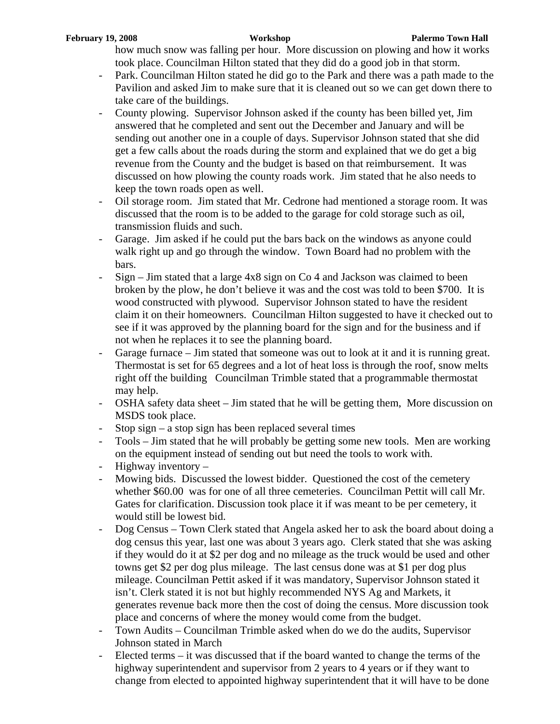how much snow was falling per hour. More discussion on plowing and how it works took place. Councilman Hilton stated that they did do a good job in that storm.

- Park. Councilman Hilton stated he did go to the Park and there was a path made to the Pavilion and asked Jim to make sure that it is cleaned out so we can get down there to take care of the buildings.
- County plowing. Supervisor Johnson asked if the county has been billed yet, Jim answered that he completed and sent out the December and January and will be sending out another one in a couple of days. Supervisor Johnson stated that she did get a few calls about the roads during the storm and explained that we do get a big revenue from the County and the budget is based on that reimbursement. It was discussed on how plowing the county roads work. Jim stated that he also needs to keep the town roads open as well.
- Oil storage room. Jim stated that Mr. Cedrone had mentioned a storage room. It was discussed that the room is to be added to the garage for cold storage such as oil, transmission fluids and such.
- Garage. Jim asked if he could put the bars back on the windows as anyone could walk right up and go through the window. Town Board had no problem with the bars.
- $Sign-Jim$  stated that a large  $4x8$  sign on Co 4 and Jackson was claimed to been broken by the plow, he don't believe it was and the cost was told to been \$700. It is wood constructed with plywood. Supervisor Johnson stated to have the resident claim it on their homeowners. Councilman Hilton suggested to have it checked out to see if it was approved by the planning board for the sign and for the business and if not when he replaces it to see the planning board.
- Garage furnace Jim stated that someone was out to look at it and it is running great. Thermostat is set for 65 degrees and a lot of heat loss is through the roof, snow melts right off the building Councilman Trimble stated that a programmable thermostat may help.
- OSHA safety data sheet Jim stated that he will be getting them, More discussion on MSDS took place.
- Stop sign a stop sign has been replaced several times
- Tools Jim stated that he will probably be getting some new tools. Men are working on the equipment instead of sending out but need the tools to work with.
- Highway inventory –
- Mowing bids. Discussed the lowest bidder. Questioned the cost of the cemetery whether \$60.00 was for one of all three cemeteries. Councilman Pettit will call Mr. Gates for clarification. Discussion took place it if was meant to be per cemetery, it would still be lowest bid.
- Dog Census Town Clerk stated that Angela asked her to ask the board about doing a dog census this year, last one was about 3 years ago. Clerk stated that she was asking if they would do it at \$2 per dog and no mileage as the truck would be used and other towns get \$2 per dog plus mileage. The last census done was at \$1 per dog plus mileage. Councilman Pettit asked if it was mandatory, Supervisor Johnson stated it isn't. Clerk stated it is not but highly recommended NYS Ag and Markets, it generates revenue back more then the cost of doing the census. More discussion took place and concerns of where the money would come from the budget.
- Town Audits Councilman Trimble asked when do we do the audits, Supervisor Johnson stated in March
- Elected terms  $-$  it was discussed that if the board wanted to change the terms of the highway superintendent and supervisor from 2 years to 4 years or if they want to change from elected to appointed highway superintendent that it will have to be done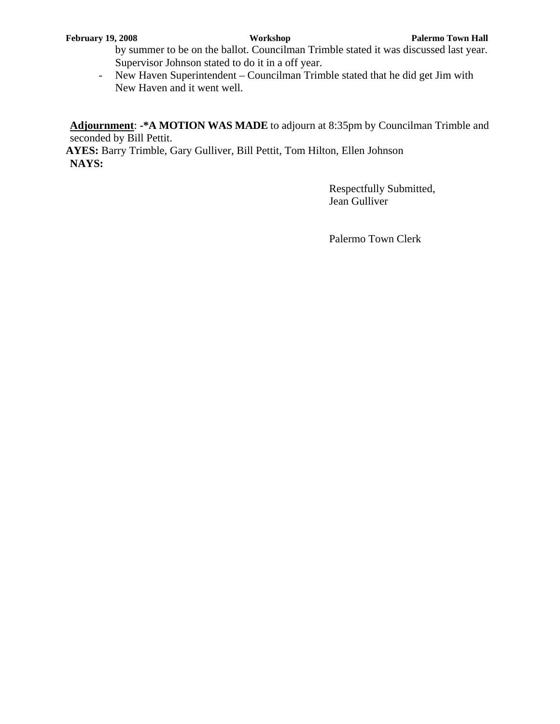by summer to be on the ballot. Councilman Trimble stated it was discussed last year. Supervisor Johnson stated to do it in a off year.

- New Haven Superintendent – Councilman Trimble stated that he did get Jim with New Haven and it went well.

**Adjournment**: **-\*A MOTION WAS MADE** to adjourn at 8:35pm by Councilman Trimble and seconded by Bill Pettit.

**AYES:** Barry Trimble, Gary Gulliver, Bill Pettit, Tom Hilton, Ellen Johnson **NAYS:**

> Respectfully Submitted, Jean Gulliver

Palermo Town Clerk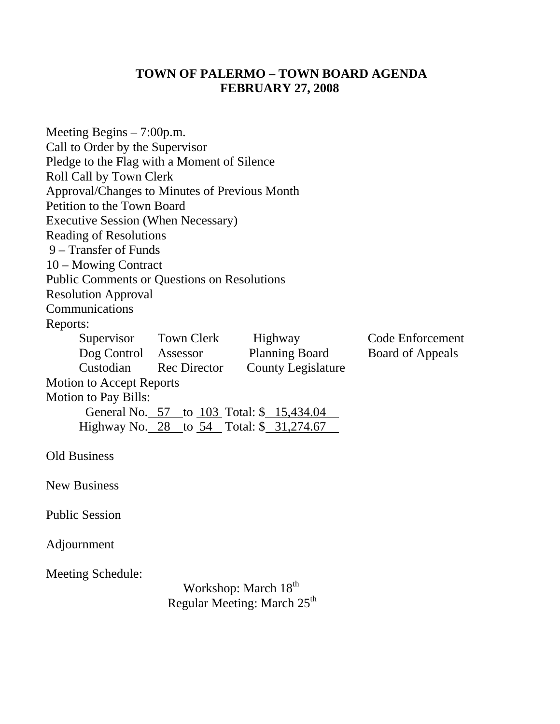# **TOWN OF PALERMO – TOWN BOARD AGENDA FEBRUARY 27, 2008**

| Meeting Begins $-7:00$ p.m.<br>Call to Order by the Supervisor<br>Pledge to the Flag with a Moment of Silence<br>Roll Call by Town Clerk<br>Approval/Changes to Minutes of Previous Month<br>Petition to the Town Board |                        |                                                                             |                         |
|-------------------------------------------------------------------------------------------------------------------------------------------------------------------------------------------------------------------------|------------------------|-----------------------------------------------------------------------------|-------------------------|
| <b>Executive Session (When Necessary)</b>                                                                                                                                                                               |                        |                                                                             |                         |
| <b>Reading of Resolutions</b>                                                                                                                                                                                           |                        |                                                                             |                         |
| 9 – Transfer of Funds                                                                                                                                                                                                   |                        |                                                                             |                         |
| 10 – Mowing Contract                                                                                                                                                                                                    |                        |                                                                             |                         |
| <b>Public Comments or Questions on Resolutions</b>                                                                                                                                                                      |                        |                                                                             |                         |
| <b>Resolution Approval</b>                                                                                                                                                                                              |                        |                                                                             |                         |
| Communications                                                                                                                                                                                                          |                        |                                                                             |                         |
| Reports:                                                                                                                                                                                                                |                        |                                                                             |                         |
|                                                                                                                                                                                                                         | Supervisor Town Clerk  | Highway                                                                     | Code Enforcement        |
| Dog Control Assessor                                                                                                                                                                                                    |                        | <b>Planning Board</b>                                                       | <b>Board of Appeals</b> |
|                                                                                                                                                                                                                         | Custodian Rec Director | <b>County Legislature</b>                                                   |                         |
| <b>Motion to Accept Reports</b>                                                                                                                                                                                         |                        |                                                                             |                         |
| <b>Motion to Pay Bills:</b>                                                                                                                                                                                             |                        |                                                                             |                         |
|                                                                                                                                                                                                                         |                        | General No. 57 to 103 Total: \$ 15,434.04                                   |                         |
|                                                                                                                                                                                                                         |                        | Highway No. 28 to 54 Total: \$ 31,274.67                                    |                         |
| <b>Old Business</b>                                                                                                                                                                                                     |                        |                                                                             |                         |
| <b>New Business</b>                                                                                                                                                                                                     |                        |                                                                             |                         |
| <b>Public Session</b>                                                                                                                                                                                                   |                        |                                                                             |                         |
| Adjournment                                                                                                                                                                                                             |                        |                                                                             |                         |
| Meeting Schedule:                                                                                                                                                                                                       |                        | Workshop: March 18 <sup>th</sup><br>Regular Meeting: March 25 <sup>th</sup> |                         |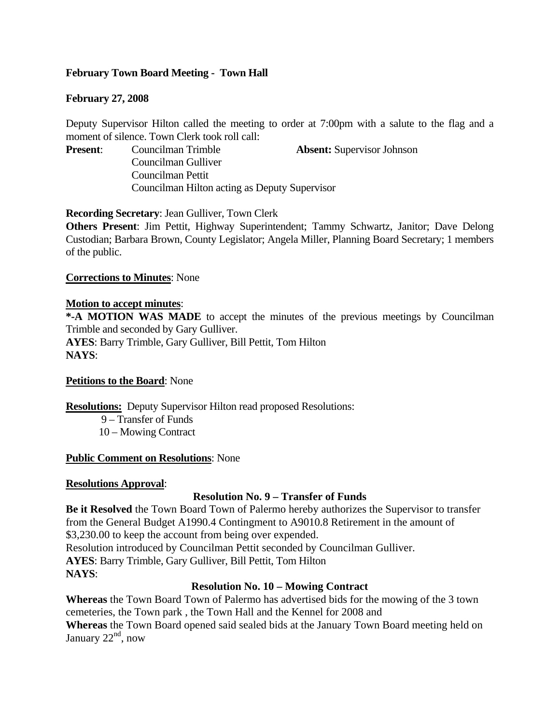# **February Town Board Meeting - Town Hall**

## **February 27, 2008**

Deputy Supervisor Hilton called the meeting to order at 7:00pm with a salute to the flag and a moment of silence. Town Clerk took roll call:

**Present**: Councilman Trimble **Absent:** Supervisor Johnson

Councilman Gulliver Councilman Pettit Councilman Hilton acting as Deputy Supervisor

**Recording Secretary**: Jean Gulliver, Town Clerk

**Others Present**: Jim Pettit, Highway Superintendent; Tammy Schwartz, Janitor; Dave Delong Custodian; Barbara Brown, County Legislator; Angela Miller, Planning Board Secretary; 1 members of the public.

#### **Corrections to Minutes**: None

#### **Motion to accept minutes**:

**\*-A MOTION WAS MADE** to accept the minutes of the previous meetings by Councilman Trimble and seconded by Gary Gulliver. **AYES**: Barry Trimble, Gary Gulliver, Bill Pettit, Tom Hilton **NAYS**:

#### **Petitions to the Board**: None

**Resolutions:** Deputy Supervisor Hilton read proposed Resolutions: 9 – Transfer of Funds

10 – Mowing Contract

#### **Public Comment on Resolutions**: None

#### **Resolutions Approval**:

# **Resolution No. 9 – Transfer of Funds**

**Be it Resolved** the Town Board Town of Palermo hereby authorizes the Supervisor to transfer from the General Budget A1990.4 Contingment to A9010.8 Retirement in the amount of \$3,230.00 to keep the account from being over expended. Resolution introduced by Councilman Pettit seconded by Councilman Gulliver. **AYES**: Barry Trimble, Gary Gulliver, Bill Pettit, Tom Hilton

**NAYS**:

# **Resolution No. 10 – Mowing Contract**

**Whereas** the Town Board Town of Palermo has advertised bids for the mowing of the 3 town cemeteries, the Town park , the Town Hall and the Kennel for 2008 and **Whereas** the Town Board opened said sealed bids at the January Town Board meeting held on January  $22<sup>nd</sup>$ , now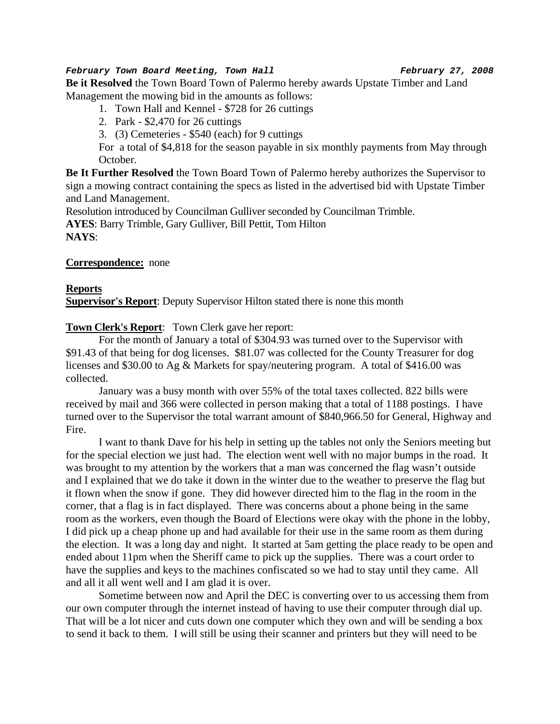# *February Town Board Meeting, Town Hall February 27, 2008*

**Be it Resolved** the Town Board Town of Palermo hereby awards Upstate Timber and Land Management the mowing bid in the amounts as follows:

- 1. Town Hall and Kennel \$728 for 26 cuttings
- 2. Park \$2,470 for 26 cuttings
- 3. (3) Cemeteries \$540 (each) for 9 cuttings

For a total of \$4,818 for the season payable in six monthly payments from May through October.

**Be It Further Resolved** the Town Board Town of Palermo hereby authorizes the Supervisor to sign a mowing contract containing the specs as listed in the advertised bid with Upstate Timber and Land Management.

Resolution introduced by Councilman Gulliver seconded by Councilman Trimble.

**AYES**: Barry Trimble, Gary Gulliver, Bill Pettit, Tom Hilton

**NAYS**:

## **Correspondence:** none

#### **Reports**

**Supervisor's Report:** Deputy Supervisor Hilton stated there is none this month

**Town Clerk's Report**: Town Clerk gave her report:

For the month of January a total of \$304.93 was turned over to the Supervisor with \$91.43 of that being for dog licenses. \$81.07 was collected for the County Treasurer for dog licenses and \$30.00 to Ag & Markets for spay/neutering program. A total of \$416.00 was collected.

January was a busy month with over 55% of the total taxes collected. 822 bills were received by mail and 366 were collected in person making that a total of 1188 postings. I have turned over to the Supervisor the total warrant amount of \$840,966.50 for General, Highway and Fire.

I want to thank Dave for his help in setting up the tables not only the Seniors meeting but for the special election we just had. The election went well with no major bumps in the road. It was brought to my attention by the workers that a man was concerned the flag wasn't outside and I explained that we do take it down in the winter due to the weather to preserve the flag but it flown when the snow if gone. They did however directed him to the flag in the room in the corner, that a flag is in fact displayed. There was concerns about a phone being in the same room as the workers, even though the Board of Elections were okay with the phone in the lobby, I did pick up a cheap phone up and had available for their use in the same room as them during the election. It was a long day and night. It started at 5am getting the place ready to be open and ended about 11pm when the Sheriff came to pick up the supplies. There was a court order to have the supplies and keys to the machines confiscated so we had to stay until they came. All and all it all went well and I am glad it is over.

Sometime between now and April the DEC is converting over to us accessing them from our own computer through the internet instead of having to use their computer through dial up. That will be a lot nicer and cuts down one computer which they own and will be sending a box to send it back to them. I will still be using their scanner and printers but they will need to be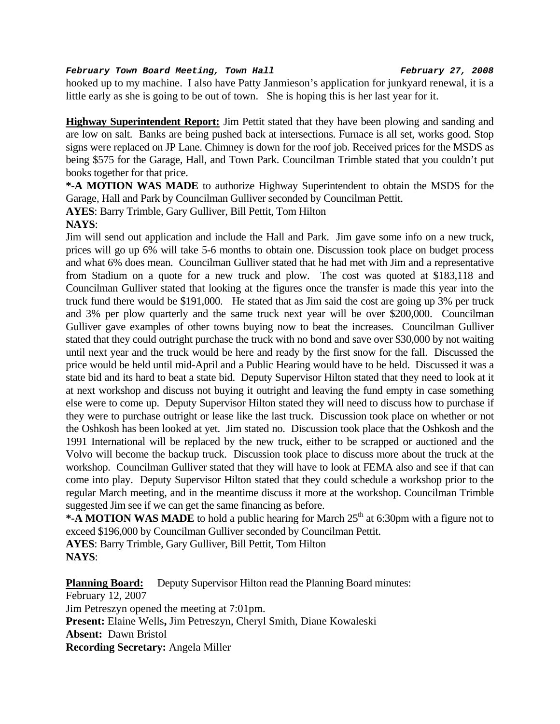#### *February Town Board Meeting, Town Hall February 27, 2008*

hooked up to my machine. I also have Patty Janmieson's application for junkyard renewal, it is a little early as she is going to be out of town. She is hoping this is her last year for it.

**Highway Superintendent Report:** Jim Pettit stated that they have been plowing and sanding and are low on salt. Banks are being pushed back at intersections. Furnace is all set, works good. Stop signs were replaced on JP Lane. Chimney is down for the roof job. Received prices for the MSDS as being \$575 for the Garage, Hall, and Town Park. Councilman Trimble stated that you couldn't put books together for that price.

**\*-A MOTION WAS MADE** to authorize Highway Superintendent to obtain the MSDS for the Garage, Hall and Park by Councilman Gulliver seconded by Councilman Pettit.

**AYES**: Barry Trimble, Gary Gulliver, Bill Pettit, Tom Hilton

# **NAYS**:

Jim will send out application and include the Hall and Park. Jim gave some info on a new truck, prices will go up 6% will take 5-6 months to obtain one. Discussion took place on budget process and what 6% does mean. Councilman Gulliver stated that he had met with Jim and a representative from Stadium on a quote for a new truck and plow. The cost was quoted at \$183,118 and Councilman Gulliver stated that looking at the figures once the transfer is made this year into the truck fund there would be \$191,000. He stated that as Jim said the cost are going up 3% per truck and 3% per plow quarterly and the same truck next year will be over \$200,000. Councilman Gulliver gave examples of other towns buying now to beat the increases. Councilman Gulliver stated that they could outright purchase the truck with no bond and save over \$30,000 by not waiting until next year and the truck would be here and ready by the first snow for the fall. Discussed the price would be held until mid-April and a Public Hearing would have to be held. Discussed it was a state bid and its hard to beat a state bid. Deputy Supervisor Hilton stated that they need to look at it at next workshop and discuss not buying it outright and leaving the fund empty in case something else were to come up. Deputy Supervisor Hilton stated they will need to discuss how to purchase if they were to purchase outright or lease like the last truck. Discussion took place on whether or not the Oshkosh has been looked at yet. Jim stated no. Discussion took place that the Oshkosh and the 1991 International will be replaced by the new truck, either to be scrapped or auctioned and the Volvo will become the backup truck. Discussion took place to discuss more about the truck at the workshop. Councilman Gulliver stated that they will have to look at FEMA also and see if that can come into play. Deputy Supervisor Hilton stated that they could schedule a workshop prior to the regular March meeting, and in the meantime discuss it more at the workshop. Councilman Trimble suggested Jim see if we can get the same financing as before.

**\*-A MOTION WAS MADE** to hold a public hearing for March 25<sup>th</sup> at 6:30pm with a figure not to exceed \$196,000 by Councilman Gulliver seconded by Councilman Pettit.

**AYES**: Barry Trimble, Gary Gulliver, Bill Pettit, Tom Hilton **NAYS**:

**Planning Board:** Deputy Supervisor Hilton read the Planning Board minutes: February 12, 2007 Jim Petreszyn opened the meeting at 7:01pm. **Present:** Elaine Wells**,** Jim Petreszyn, Cheryl Smith, Diane Kowaleski **Absent:** Dawn Bristol **Recording Secretary:** Angela Miller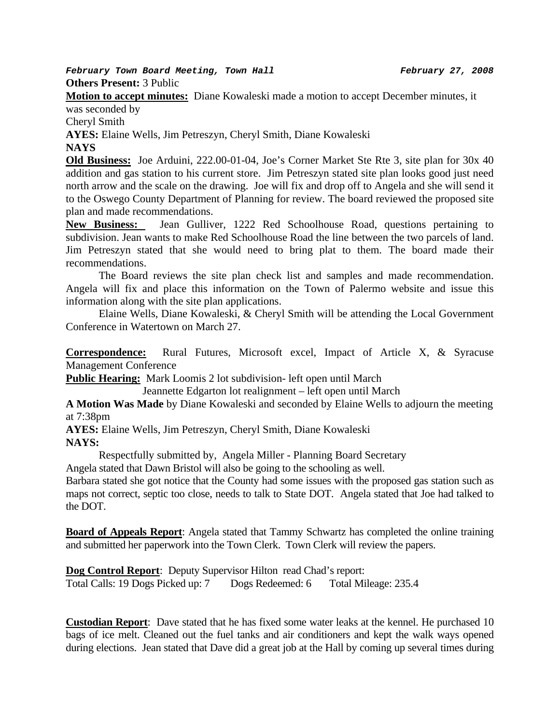*February Town Board Meeting, Town Hall February 27, 2008*  **Others Present:** 3 Public

**Motion to accept minutes:** Diane Kowaleski made a motion to accept December minutes, it was seconded by

Cheryl Smith

**AYES:** Elaine Wells, Jim Petreszyn, Cheryl Smith, Diane Kowaleski **NAYS** 

**Old Business:** Joe Arduini, 222.00-01-04, Joe's Corner Market Ste Rte 3, site plan for 30x 40 addition and gas station to his current store. Jim Petreszyn stated site plan looks good just need north arrow and the scale on the drawing. Joe will fix and drop off to Angela and she will send it to the Oswego County Department of Planning for review. The board reviewed the proposed site plan and made recommendations.

**New Business:** Jean Gulliver, 1222 Red Schoolhouse Road, questions pertaining to subdivision. Jean wants to make Red Schoolhouse Road the line between the two parcels of land. Jim Petreszyn stated that she would need to bring plat to them. The board made their recommendations.

 The Board reviews the site plan check list and samples and made recommendation. Angela will fix and place this information on the Town of Palermo website and issue this information along with the site plan applications.

Elaine Wells, Diane Kowaleski, & Cheryl Smith will be attending the Local Government Conference in Watertown on March 27.

**Correspondence:** Rural Futures, Microsoft excel, Impact of Article X, & Syracuse Management Conference

**Public Hearing:** Mark Loomis 2 lot subdivision- left open until March

Jeannette Edgarton lot realignment – left open until March

**A Motion Was Made** by Diane Kowaleski and seconded by Elaine Wells to adjourn the meeting at 7:38pm

**AYES:** Elaine Wells, Jim Petreszyn, Cheryl Smith, Diane Kowaleski **NAYS:** 

Respectfully submitted by, Angela Miller - Planning Board Secretary

Angela stated that Dawn Bristol will also be going to the schooling as well.

Barbara stated she got notice that the County had some issues with the proposed gas station such as maps not correct, septic too close, needs to talk to State DOT. Angela stated that Joe had talked to the DOT.

**Board of Appeals Report**: Angela stated that Tammy Schwartz has completed the online training and submitted her paperwork into the Town Clerk. Town Clerk will review the papers.

**Dog Control Report**: Deputy Supervisor Hilton read Chad's report: Total Calls: 19 Dogs Picked up: 7 Dogs Redeemed: 6 Total Mileage: 235.4

**Custodian Report**: Dave stated that he has fixed some water leaks at the kennel. He purchased 10 bags of ice melt. Cleaned out the fuel tanks and air conditioners and kept the walk ways opened during elections. Jean stated that Dave did a great job at the Hall by coming up several times during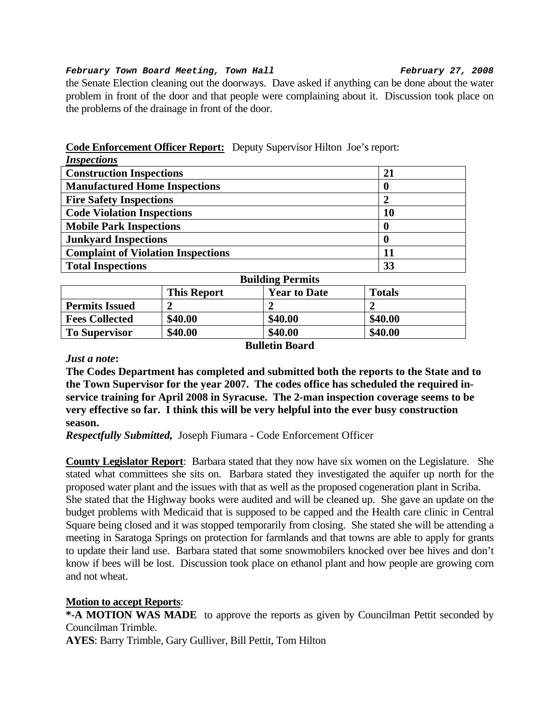#### *February Town Board Meeting, Town Hall February 27, 2008*

the Senate Election cleaning out the doorways. Dave asked if anything can be done about the water problem in front of the door and that people were complaining about it. Discussion took place on the problems of the drainage in front of the door.

| <i>Inspections</i>                        |           |
|-------------------------------------------|-----------|
| <b>Construction Inspections</b>           | 21        |
| <b>Manufactured Home Inspections</b>      | 0         |
| <b>Fire Safety Inspections</b>            | 2         |
| <b>Code Violation Inspections</b>         | <b>10</b> |
| <b>Mobile Park Inspections</b>            | 0         |
| <b>Junkyard Inspections</b>               | 0         |
| <b>Complaint of Violation Inspections</b> | 11        |
| <b>Total Inspections</b>                  | 33        |

# **Code Enforcement Officer Report:** Deputy Supervisor Hilton Joe's report:

| <b>Building Permits</b> |                    |                     |               |  |
|-------------------------|--------------------|---------------------|---------------|--|
|                         | <b>This Report</b> | <b>Year to Date</b> | <b>Totals</b> |  |
| <b>Permits Issued</b>   |                    |                     |               |  |
| <b>Fees Collected</b>   | \$40.00            | \$40.00             | \$40.00       |  |
| <b>To Supervisor</b>    | \$40.00            | \$40.00             | \$40.00       |  |

# **Bulletin Board**

#### *Just a note***:**

**The Codes Department has completed and submitted both the reports to the State and to the Town Supervisor for the year 2007. The codes office has scheduled the required inservice training for April 2008 in Syracuse. The 2-man inspection coverage seems to be very effective so far. I think this will be very helpful into the ever busy construction season.** 

*Respectfully Submitted,* Joseph Fiumara - Code Enforcement Officer

**County Legislator Report**: Barbara stated that they now have six women on the Legislature. She stated what committees she sits on. Barbara stated they investigated the aquifer up north for the proposed water plant and the issues with that as well as the proposed cogeneration plant in Scriba. She stated that the Highway books were audited and will be cleaned up. She gave an update on the budget problems with Medicaid that is supposed to be capped and the Health care clinic in Central Square being closed and it was stopped temporarily from closing. She stated she will be attending a meeting in Saratoga Springs on protection for farmlands and that towns are able to apply for grants to update their land use. Barbara stated that some snowmobilers knocked over bee hives and don't know if bees will be lost. Discussion took place on ethanol plant and how people are growing corn and not wheat.

#### **Motion to accept Reports**:

**\*-A MOTION WAS MADE** to approve the reports as given by Councilman Pettit seconded by Councilman Trimble.

**AYES**: Barry Trimble, Gary Gulliver, Bill Pettit, Tom Hilton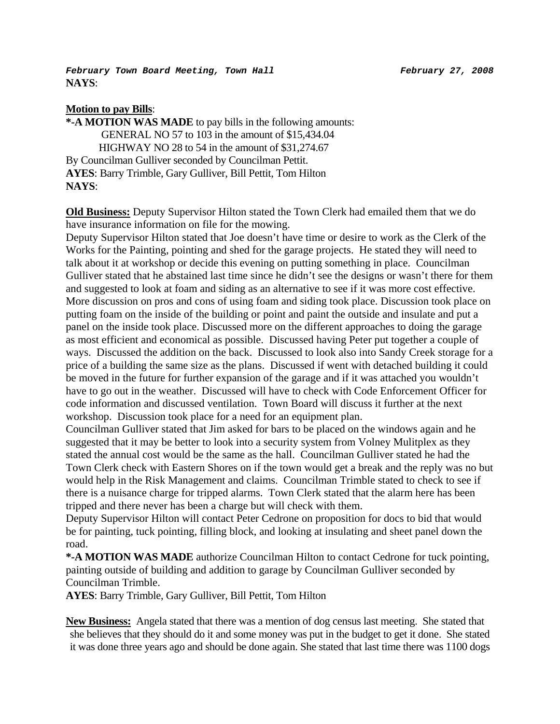*February Town Board Meeting, Town Hall February 27, 2008*  **NAYS**:

### **Motion to pay Bills**:

**\*-A MOTION WAS MADE** to pay bills in the following amounts: GENERAL NO 57 to 103 in the amount of \$15,434.04 HIGHWAY NO 28 to 54 in the amount of \$31,274.67 By Councilman Gulliver seconded by Councilman Pettit. **AYES**: Barry Trimble, Gary Gulliver, Bill Pettit, Tom Hilton **NAYS**:

**Old Business:** Deputy Supervisor Hilton stated the Town Clerk had emailed them that we do have insurance information on file for the mowing.

Deputy Supervisor Hilton stated that Joe doesn't have time or desire to work as the Clerk of the Works for the Painting, pointing and shed for the garage projects. He stated they will need to talk about it at workshop or decide this evening on putting something in place. Councilman Gulliver stated that he abstained last time since he didn't see the designs or wasn't there for them and suggested to look at foam and siding as an alternative to see if it was more cost effective. More discussion on pros and cons of using foam and siding took place. Discussion took place on putting foam on the inside of the building or point and paint the outside and insulate and put a panel on the inside took place. Discussed more on the different approaches to doing the garage as most efficient and economical as possible. Discussed having Peter put together a couple of ways. Discussed the addition on the back. Discussed to look also into Sandy Creek storage for a price of a building the same size as the plans. Discussed if went with detached building it could be moved in the future for further expansion of the garage and if it was attached you wouldn't have to go out in the weather. Discussed will have to check with Code Enforcement Officer for code information and discussed ventilation. Town Board will discuss it further at the next workshop. Discussion took place for a need for an equipment plan.

Councilman Gulliver stated that Jim asked for bars to be placed on the windows again and he suggested that it may be better to look into a security system from Volney Mulitplex as they stated the annual cost would be the same as the hall. Councilman Gulliver stated he had the Town Clerk check with Eastern Shores on if the town would get a break and the reply was no but would help in the Risk Management and claims. Councilman Trimble stated to check to see if there is a nuisance charge for tripped alarms. Town Clerk stated that the alarm here has been tripped and there never has been a charge but will check with them.

Deputy Supervisor Hilton will contact Peter Cedrone on proposition for docs to bid that would be for painting, tuck pointing, filling block, and looking at insulating and sheet panel down the road.

**\*-A MOTION WAS MADE** authorize Councilman Hilton to contact Cedrone for tuck pointing, painting outside of building and addition to garage by Councilman Gulliver seconded by Councilman Trimble.

**AYES**: Barry Trimble, Gary Gulliver, Bill Pettit, Tom Hilton

**New Business:** Angela stated that there was a mention of dog census last meeting. She stated that she believes that they should do it and some money was put in the budget to get it done. She stated it was done three years ago and should be done again. She stated that last time there was 1100 dogs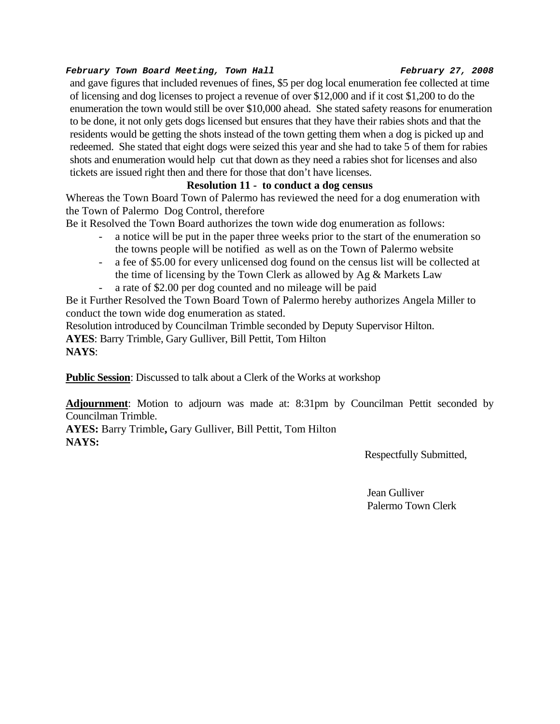#### *February Town Board Meeting, Town Hall February 27, 2008*

and gave figures that included revenues of fines, \$5 per dog local enumeration fee collected at time of licensing and dog licenses to project a revenue of over \$12,000 and if it cost \$1,200 to do the enumeration the town would still be over \$10,000 ahead. She stated safety reasons for enumeration to be done, it not only gets dogs licensed but ensures that they have their rabies shots and that the residents would be getting the shots instead of the town getting them when a dog is picked up and redeemed. She stated that eight dogs were seized this year and she had to take 5 of them for rabies shots and enumeration would help cut that down as they need a rabies shot for licenses and also tickets are issued right then and there for those that don't have licenses.

# **Resolution 11 - to conduct a dog census**

Whereas the Town Board Town of Palermo has reviewed the need for a dog enumeration with the Town of Palermo Dog Control, therefore

Be it Resolved the Town Board authorizes the town wide dog enumeration as follows:

- a notice will be put in the paper three weeks prior to the start of the enumeration so the towns people will be notified as well as on the Town of Palermo website
- a fee of \$5.00 for every unlicensed dog found on the census list will be collected at the time of licensing by the Town Clerk as allowed by Ag & Markets Law a rate of \$2.00 per dog counted and no mileage will be paid

Be it Further Resolved the Town Board Town of Palermo hereby authorizes Angela Miller to conduct the town wide dog enumeration as stated.

Resolution introduced by Councilman Trimble seconded by Deputy Supervisor Hilton.

**AYES**: Barry Trimble, Gary Gulliver, Bill Pettit, Tom Hilton

**NAYS**:

**Public Session**: Discussed to talk about a Clerk of the Works at workshop

**Adjournment**: Motion to adjourn was made at: 8:31pm by Councilman Pettit seconded by Councilman Trimble.

**AYES:** Barry Trimble**,** Gary Gulliver, Bill Pettit, Tom Hilton **NAYS:** 

Respectfully Submitted,

 Jean Gulliver Palermo Town Clerk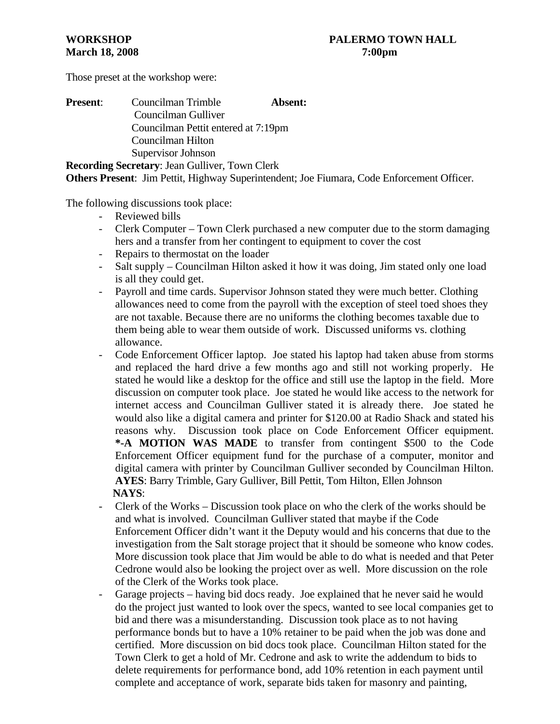Those preset at the workshop were:

| <b>Present:</b> | Councilman Trimble                  | Absent: |
|-----------------|-------------------------------------|---------|
|                 | Councilman Gulliver                 |         |
|                 | Councilman Pettit entered at 7:19pm |         |
|                 | Councilman Hilton                   |         |
|                 | Supervisor Johnson                  |         |
|                 |                                     |         |

**Recording Secretary**: Jean Gulliver, Town Clerk **Others Present**: Jim Pettit, Highway Superintendent; Joe Fiumara, Code Enforcement Officer.

The following discussions took place:

- Reviewed bills
- Clerk Computer Town Clerk purchased a new computer due to the storm damaging hers and a transfer from her contingent to equipment to cover the cost
- Repairs to thermostat on the loader
- Salt supply Councilman Hilton asked it how it was doing, Jim stated only one load is all they could get.
- Payroll and time cards. Supervisor Johnson stated they were much better. Clothing allowances need to come from the payroll with the exception of steel toed shoes they are not taxable. Because there are no uniforms the clothing becomes taxable due to them being able to wear them outside of work. Discussed uniforms vs. clothing allowance.
- Code Enforcement Officer laptop. Joe stated his laptop had taken abuse from storms and replaced the hard drive a few months ago and still not working properly. He stated he would like a desktop for the office and still use the laptop in the field. More discussion on computer took place. Joe stated he would like access to the network for internet access and Councilman Gulliver stated it is already there. Joe stated he would also like a digital camera and printer for \$120.00 at Radio Shack and stated his reasons why. Discussion took place on Code Enforcement Officer equipment. **\*-A MOTION WAS MADE** to transfer from contingent \$500 to the Code Enforcement Officer equipment fund for the purchase of a computer, monitor and digital camera with printer by Councilman Gulliver seconded by Councilman Hilton. **AYES**: Barry Trimble, Gary Gulliver, Bill Pettit, Tom Hilton, Ellen Johnson  **NAYS**:
- Clerk of the Works Discussion took place on who the clerk of the works should be and what is involved. Councilman Gulliver stated that maybe if the Code Enforcement Officer didn't want it the Deputy would and his concerns that due to the investigation from the Salt storage project that it should be someone who know codes. More discussion took place that Jim would be able to do what is needed and that Peter Cedrone would also be looking the project over as well. More discussion on the role of the Clerk of the Works took place.
- Garage projects having bid docs ready. Joe explained that he never said he would do the project just wanted to look over the specs, wanted to see local companies get to bid and there was a misunderstanding. Discussion took place as to not having performance bonds but to have a 10% retainer to be paid when the job was done and certified. More discussion on bid docs took place. Councilman Hilton stated for the Town Clerk to get a hold of Mr. Cedrone and ask to write the addendum to bids to delete requirements for performance bond, add 10% retention in each payment until complete and acceptance of work, separate bids taken for masonry and painting,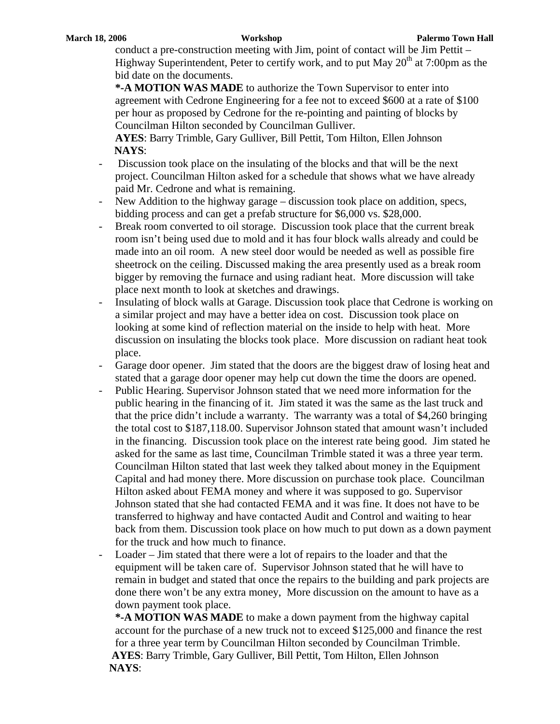conduct a pre-construction meeting with Jim, point of contact will be Jim Pettit – Highway Superintendent, Peter to certify work, and to put May  $20<sup>th</sup>$  at 7:00pm as the bid date on the documents.

**\*-A MOTION WAS MADE** to authorize the Town Supervisor to enter into agreement with Cedrone Engineering for a fee not to exceed \$600 at a rate of \$100 per hour as proposed by Cedrone for the re-pointing and painting of blocks by Councilman Hilton seconded by Councilman Gulliver.

**AYES**: Barry Trimble, Gary Gulliver, Bill Pettit, Tom Hilton, Ellen Johnson  **NAYS**:

- Discussion took place on the insulating of the blocks and that will be the next project. Councilman Hilton asked for a schedule that shows what we have already paid Mr. Cedrone and what is remaining.
- New Addition to the highway garage discussion took place on addition, specs, bidding process and can get a prefab structure for \$6,000 vs. \$28,000.
- Break room converted to oil storage. Discussion took place that the current break room isn't being used due to mold and it has four block walls already and could be made into an oil room. A new steel door would be needed as well as possible fire sheetrock on the ceiling. Discussed making the area presently used as a break room bigger by removing the furnace and using radiant heat. More discussion will take place next month to look at sketches and drawings.
- Insulating of block walls at Garage. Discussion took place that Cedrone is working on a similar project and may have a better idea on cost. Discussion took place on looking at some kind of reflection material on the inside to help with heat. More discussion on insulating the blocks took place. More discussion on radiant heat took place.
- Garage door opener. Jim stated that the doors are the biggest draw of losing heat and stated that a garage door opener may help cut down the time the doors are opened.
- Public Hearing. Supervisor Johnson stated that we need more information for the public hearing in the financing of it. Jim stated it was the same as the last truck and that the price didn't include a warranty. The warranty was a total of \$4,260 bringing the total cost to \$187,118.00. Supervisor Johnson stated that amount wasn't included in the financing. Discussion took place on the interest rate being good. Jim stated he asked for the same as last time, Councilman Trimble stated it was a three year term. Councilman Hilton stated that last week they talked about money in the Equipment Capital and had money there. More discussion on purchase took place. Councilman Hilton asked about FEMA money and where it was supposed to go. Supervisor Johnson stated that she had contacted FEMA and it was fine. It does not have to be transferred to highway and have contacted Audit and Control and waiting to hear back from them. Discussion took place on how much to put down as a down payment for the truck and how much to finance.
- Loader Jim stated that there were a lot of repairs to the loader and that the equipment will be taken care of. Supervisor Johnson stated that he will have to remain in budget and stated that once the repairs to the building and park projects are done there won't be any extra money, More discussion on the amount to have as a down payment took place.

**\*-A MOTION WAS MADE** to make a down payment from the highway capital account for the purchase of a new truck not to exceed \$125,000 and finance the rest for a three year term by Councilman Hilton seconded by Councilman Trimble.  **AYES**: Barry Trimble, Gary Gulliver, Bill Pettit, Tom Hilton, Ellen Johnson  **NAYS**: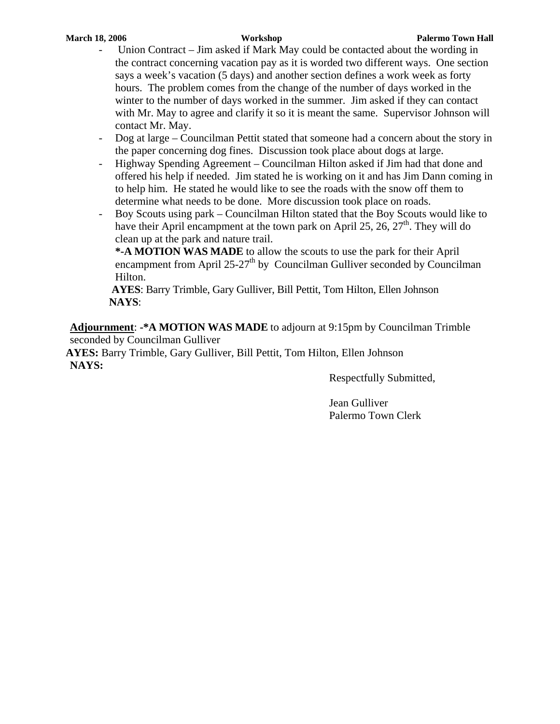- Union Contract Jim asked if Mark May could be contacted about the wording in the contract concerning vacation pay as it is worded two different ways. One section says a week's vacation (5 days) and another section defines a work week as forty hours. The problem comes from the change of the number of days worked in the winter to the number of days worked in the summer. Jim asked if they can contact with Mr. May to agree and clarify it so it is meant the same. Supervisor Johnson will contact Mr. May.
- Dog at large Councilman Pettit stated that someone had a concern about the story in the paper concerning dog fines. Discussion took place about dogs at large.
- Highway Spending Agreement Councilman Hilton asked if Jim had that done and offered his help if needed. Jim stated he is working on it and has Jim Dann coming in to help him. He stated he would like to see the roads with the snow off them to determine what needs to be done. More discussion took place on roads.
- Boy Scouts using park Councilman Hilton stated that the Boy Scouts would like to have their April encampment at the town park on April 25, 26,  $27<sup>th</sup>$ . They will do clean up at the park and nature trail.

**\*-A MOTION WAS MADE** to allow the scouts to use the park for their April encampment from April  $25-27<sup>th</sup>$  by Councilman Gulliver seconded by Councilman Hilton.

 **AYES**: Barry Trimble, Gary Gulliver, Bill Pettit, Tom Hilton, Ellen Johnson  **NAYS**:

**Adjournment**: **-\*A MOTION WAS MADE** to adjourn at 9:15pm by Councilman Trimble seconded by Councilman Gulliver

**AYES:** Barry Trimble, Gary Gulliver, Bill Pettit, Tom Hilton, Ellen Johnson **NAYS:**

Respectfully Submitted,

Jean Gulliver Palermo Town Clerk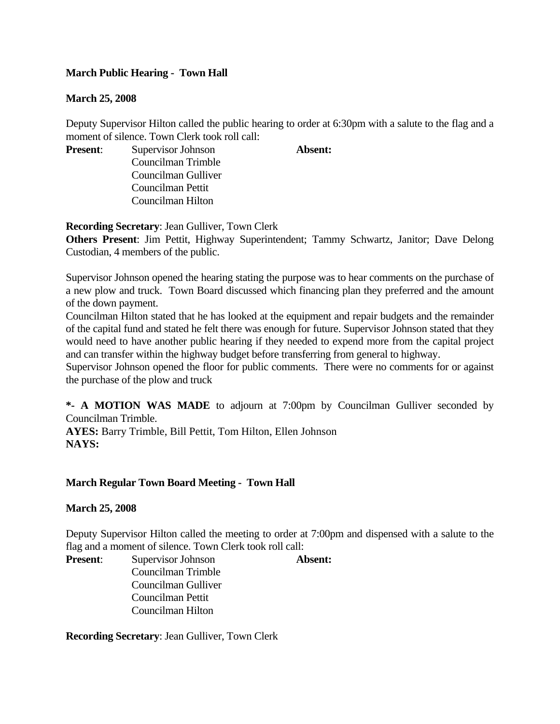## **March Public Hearing - Town Hall**

### **March 25, 2008**

Deputy Supervisor Hilton called the public hearing to order at 6:30pm with a salute to the flag and a moment of silence. Town Clerk took roll call:

**Present:** Supervisor Johnson **Absent:** Councilman Trimble Councilman Gulliver Councilman Pettit Councilman Hilton

**Recording Secretary**: Jean Gulliver, Town Clerk

**Others Present**: Jim Pettit, Highway Superintendent; Tammy Schwartz, Janitor; Dave Delong Custodian, 4 members of the public.

Supervisor Johnson opened the hearing stating the purpose was to hear comments on the purchase of a new plow and truck. Town Board discussed which financing plan they preferred and the amount of the down payment.

Councilman Hilton stated that he has looked at the equipment and repair budgets and the remainder of the capital fund and stated he felt there was enough for future. Supervisor Johnson stated that they would need to have another public hearing if they needed to expend more from the capital project and can transfer within the highway budget before transferring from general to highway.

Supervisor Johnson opened the floor for public comments. There were no comments for or against the purchase of the plow and truck

**\*- A MOTION WAS MADE** to adjourn at 7:00pm by Councilman Gulliver seconded by Councilman Trimble.

**AYES:** Barry Trimble, Bill Pettit, Tom Hilton, Ellen Johnson **NAYS:**

#### **March Regular Town Board Meeting - Town Hall**

#### **March 25, 2008**

Deputy Supervisor Hilton called the meeting to order at 7:00pm and dispensed with a salute to the flag and a moment of silence. Town Clerk took roll call:

**Present**: Supervisor Johnson **Absent:** Councilman Trimble Councilman Gulliver Councilman Pettit Councilman Hilton

**Recording Secretary**: Jean Gulliver, Town Clerk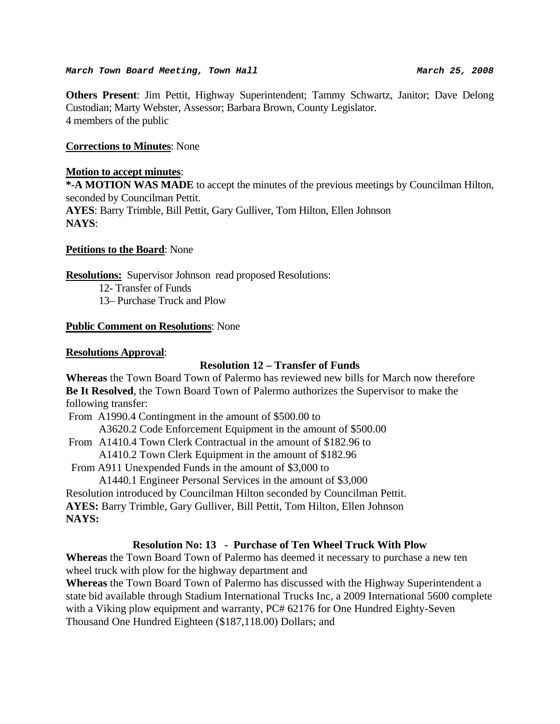#### March Town Board Meeting, Town Hall **March 25, 2008**

**Others Present**: Jim Pettit, Highway Superintendent; Tammy Schwartz, Janitor; Dave Delong Custodian; Marty Webster, Assessor; Barbara Brown, County Legislator. 4 members of the public

#### **Corrections to Minutes**: None

#### **Motion to accept minutes**:

**\*-A MOTION WAS MADE** to accept the minutes of the previous meetings by Councilman Hilton, seconded by Councilman Pettit. **AYES**: Barry Trimble, Bill Pettit, Gary Gulliver, Tom Hilton, Ellen Johnson **NAYS**:

#### **Petitions to the Board**: None

**Resolutions:** Supervisor Johnson read proposed Resolutions:

- 12- Transfer of Funds
- 13– Purchase Truck and Plow

#### **Public Comment on Resolutions**: None

#### **Resolutions Approval**:

#### **Resolution 12 – Transfer of Funds**

**Whereas** the Town Board Town of Palermo has reviewed new bills for March now therefore **Be It Resolved**, the Town Board Town of Palermo authorizes the Supervisor to make the following transfer:

From A1990.4 Contingment in the amount of \$500.00 to

A3620.2 Code Enforcement Equipment in the amount of \$500.00

From A1410.4 Town Clerk Contractual in the amount of \$182.96 to

A1410.2 Town Clerk Equipment in the amount of \$182.96

From A911 Unexpended Funds in the amount of \$3,000 to

A1440.1 Engineer Personal Services in the amount of \$3,000

Resolution introduced by Councilman Hilton seconded by Councilman Pettit. **AYES:** Barry Trimble, Gary Gulliver, Bill Pettit, Tom Hilton, Ellen Johnson

**NAYS:**

# **Resolution No: 13 - Purchase of Ten Wheel Truck With Plow**

**Whereas** the Town Board Town of Palermo has deemed it necessary to purchase a new ten wheel truck with plow for the highway department and

**Whereas** the Town Board Town of Palermo has discussed with the Highway Superintendent a state bid available through Stadium International Trucks Inc, a 2009 International 5600 complete with a Viking plow equipment and warranty, PC# 62176 for One Hundred Eighty-Seven Thousand One Hundred Eighteen (\$187,118.00) Dollars; and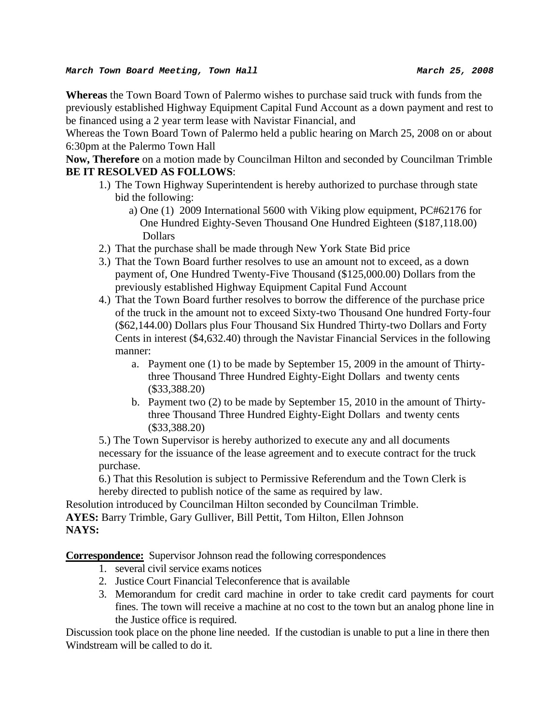**Whereas** the Town Board Town of Palermo wishes to purchase said truck with funds from the previously established Highway Equipment Capital Fund Account as a down payment and rest to be financed using a 2 year term lease with Navistar Financial, and

Whereas the Town Board Town of Palermo held a public hearing on March 25, 2008 on or about 6:30pm at the Palermo Town Hall

**Now, Therefore** on a motion made by Councilman Hilton and seconded by Councilman Trimble **BE IT RESOLVED AS FOLLOWS**:

- 1.) The Town Highway Superintendent is hereby authorized to purchase through state bid the following:
	- a) One (1) 2009 International 5600 with Viking plow equipment, PC#62176 for One Hundred Eighty-Seven Thousand One Hundred Eighteen (\$187,118.00) Dollars
- 2.) That the purchase shall be made through New York State Bid price
- 3.) That the Town Board further resolves to use an amount not to exceed, as a down payment of, One Hundred Twenty-Five Thousand (\$125,000.00) Dollars from the previously established Highway Equipment Capital Fund Account
- 4.) That the Town Board further resolves to borrow the difference of the purchase price of the truck in the amount not to exceed Sixty-two Thousand One hundred Forty-four (\$62,144.00) Dollars plus Four Thousand Six Hundred Thirty-two Dollars and Forty Cents in interest (\$4,632.40) through the Navistar Financial Services in the following manner:
	- a. Payment one (1) to be made by September 15, 2009 in the amount of Thirtythree Thousand Three Hundred Eighty-Eight Dollars and twenty cents (\$33,388.20)
	- b. Payment two (2) to be made by September 15, 2010 in the amount of Thirtythree Thousand Three Hundred Eighty-Eight Dollars and twenty cents (\$33,388.20)

5.) The Town Supervisor is hereby authorized to execute any and all documents necessary for the issuance of the lease agreement and to execute contract for the truck purchase.

6.) That this Resolution is subject to Permissive Referendum and the Town Clerk is hereby directed to publish notice of the same as required by law.

Resolution introduced by Councilman Hilton seconded by Councilman Trimble. **AYES:** Barry Trimble, Gary Gulliver, Bill Pettit, Tom Hilton, Ellen Johnson **NAYS:**

**Correspondence:** Supervisor Johnson read the following correspondences

- 1. several civil service exams notices
- 2. Justice Court Financial Teleconference that is available
- 3. Memorandum for credit card machine in order to take credit card payments for court fines. The town will receive a machine at no cost to the town but an analog phone line in the Justice office is required.

Discussion took place on the phone line needed. If the custodian is unable to put a line in there then Windstream will be called to do it.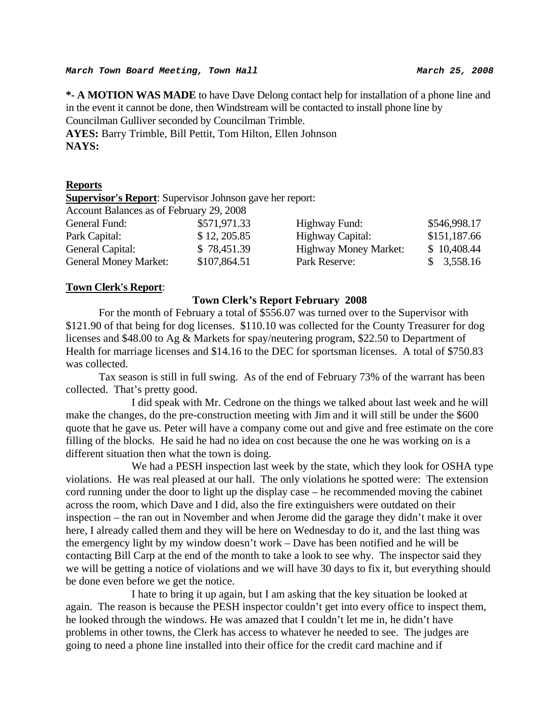**\*- A MOTION WAS MADE** to have Dave Delong contact help for installation of a phone line and in the event it cannot be done, then Windstream will be contacted to install phone line by Councilman Gulliver seconded by Councilman Trimble. **AYES:** Barry Trimble, Bill Pettit, Tom Hilton, Ellen Johnson

**NAYS:**

#### **Reports**

**Supervisor's Report**: Supervisor Johnson gave her report:

Account Balances as of February 29, 2008

| General Fund:                | \$571,971.33 | Highway Fund:                | \$546,998.17 |
|------------------------------|--------------|------------------------------|--------------|
| Park Capital:                | \$12, 205.85 | Highway Capital:             | \$151,187.66 |
| General Capital:             | \$78,451.39  | <b>Highway Money Market:</b> | \$10,408.44  |
| <b>General Money Market:</b> | \$107,864.51 | Park Reserve:                | \$3,558.16   |
|                              |              |                              |              |

#### **Town Clerk's Report**:

#### **Town Clerk's Report February 2008**

For the month of February a total of \$556.07 was turned over to the Supervisor with \$121.90 of that being for dog licenses. \$110.10 was collected for the County Treasurer for dog licenses and \$48.00 to Ag & Markets for spay/neutering program, \$22.50 to Department of Health for marriage licenses and \$14.16 to the DEC for sportsman licenses. A total of \$750.83 was collected.

Tax season is still in full swing. As of the end of February 73% of the warrant has been collected. That's pretty good.

 I did speak with Mr. Cedrone on the things we talked about last week and he will make the changes, do the pre-construction meeting with Jim and it will still be under the \$600 quote that he gave us. Peter will have a company come out and give and free estimate on the core filling of the blocks. He said he had no idea on cost because the one he was working on is a different situation then what the town is doing.

 We had a PESH inspection last week by the state, which they look for OSHA type violations. He was real pleased at our hall. The only violations he spotted were: The extension cord running under the door to light up the display case – he recommended moving the cabinet across the room, which Dave and I did, also the fire extinguishers were outdated on their inspection – the ran out in November and when Jerome did the garage they didn't make it over here, I already called them and they will be here on Wednesday to do it, and the last thing was the emergency light by my window doesn't work – Dave has been notified and he will be contacting Bill Carp at the end of the month to take a look to see why. The inspector said they we will be getting a notice of violations and we will have 30 days to fix it, but everything should be done even before we get the notice.

 I hate to bring it up again, but I am asking that the key situation be looked at again. The reason is because the PESH inspector couldn't get into every office to inspect them, he looked through the windows. He was amazed that I couldn't let me in, he didn't have problems in other towns, the Clerk has access to whatever he needed to see. The judges are going to need a phone line installed into their office for the credit card machine and if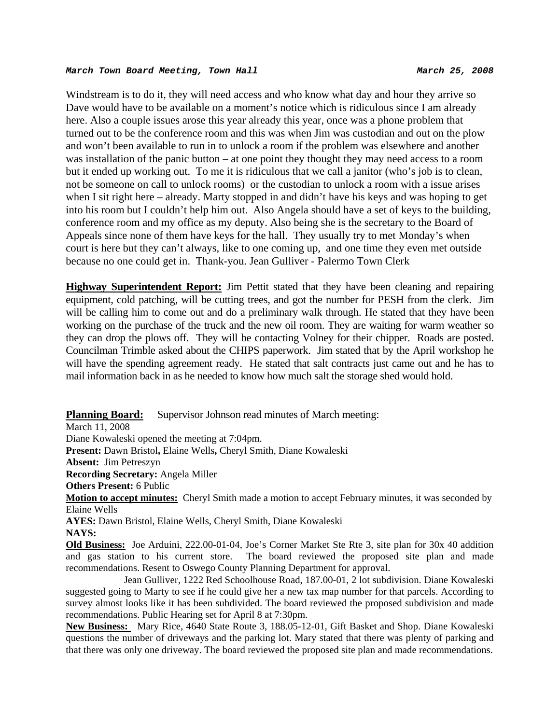#### *March Town Board Meeting, Town Hall March 25, 2008*

Windstream is to do it, they will need access and who know what day and hour they arrive so Dave would have to be available on a moment's notice which is ridiculous since I am already here. Also a couple issues arose this year already this year, once was a phone problem that turned out to be the conference room and this was when Jim was custodian and out on the plow and won't been available to run in to unlock a room if the problem was elsewhere and another was installation of the panic button – at one point they thought they may need access to a room but it ended up working out. To me it is ridiculous that we call a janitor (who's job is to clean, not be someone on call to unlock rooms) or the custodian to unlock a room with a issue arises when I sit right here – already. Marty stopped in and didn't have his keys and was hoping to get into his room but I couldn't help him out. Also Angela should have a set of keys to the building, conference room and my office as my deputy. Also being she is the secretary to the Board of Appeals since none of them have keys for the hall. They usually try to met Monday's when court is here but they can't always, like to one coming up, and one time they even met outside because no one could get in. Thank-you. Jean Gulliver - Palermo Town Clerk

**Highway Superintendent Report:** Jim Pettit stated that they have been cleaning and repairing equipment, cold patching, will be cutting trees, and got the number for PESH from the clerk. Jim will be calling him to come out and do a preliminary walk through. He stated that they have been working on the purchase of the truck and the new oil room. They are waiting for warm weather so they can drop the plows off. They will be contacting Volney for their chipper. Roads are posted. Councilman Trimble asked about the CHIPS paperwork. Jim stated that by the April workshop he will have the spending agreement ready. He stated that salt contracts just came out and he has to mail information back in as he needed to know how much salt the storage shed would hold.

**Planning Board:** Supervisor Johnson read minutes of March meeting:

March 11, 2008

Diane Kowaleski opened the meeting at 7:04pm.

**Present:** Dawn Bristol**,** Elaine Wells**,** Cheryl Smith, Diane Kowaleski

**Absent:** Jim Petreszyn

**Recording Secretary:** Angela Miller

**Others Present:** 6 Public

**Motion to accept minutes:** Cheryl Smith made a motion to accept February minutes, it was seconded by Elaine Wells

**AYES:** Dawn Bristol, Elaine Wells, Cheryl Smith, Diane Kowaleski **NAYS:** 

**Old Business:** Joe Arduini, 222.00-01-04, Joe's Corner Market Ste Rte 3, site plan for 30x 40 addition and gas station to his current store. The board reviewed the proposed site plan and made recommendations. Resent to Oswego County Planning Department for approval.

 Jean Gulliver, 1222 Red Schoolhouse Road, 187.00-01, 2 lot subdivision. Diane Kowaleski suggested going to Marty to see if he could give her a new tax map number for that parcels. According to survey almost looks like it has been subdivided. The board reviewed the proposed subdivision and made recommendations. Public Hearing set for April 8 at 7:30pm.

**New Business:** Mary Rice, 4640 State Route 3, 188.05-12-01, Gift Basket and Shop. Diane Kowaleski questions the number of driveways and the parking lot. Mary stated that there was plenty of parking and that there was only one driveway. The board reviewed the proposed site plan and made recommendations.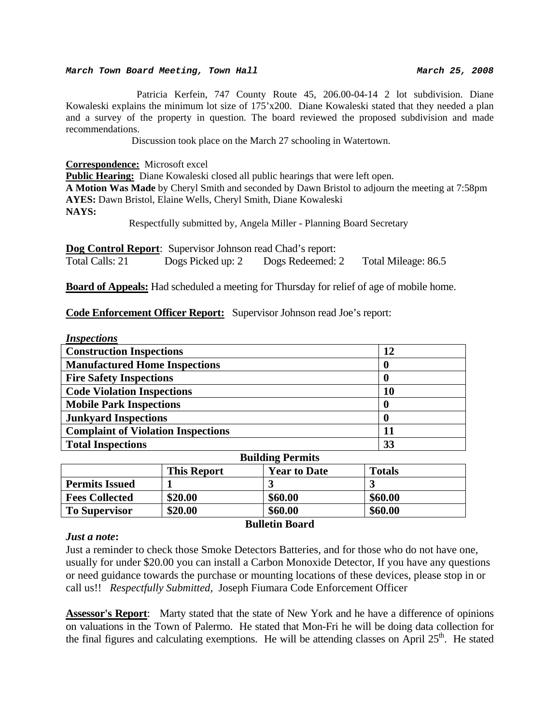#### *March Town Board Meeting, Town Hall March 25, 2008*

 Patricia Kerfein, 747 County Route 45, 206.00-04-14 2 lot subdivision. Diane Kowaleski explains the minimum lot size of 175'x200. Diane Kowaleski stated that they needed a plan and a survey of the property in question. The board reviewed the proposed subdivision and made recommendations.

Discussion took place on the March 27 schooling in Watertown.

**Correspondence:** Microsoft excel

**Public Hearing:** Diane Kowaleski closed all public hearings that were left open. **A Motion Was Made** by Cheryl Smith and seconded by Dawn Bristol to adjourn the meeting at 7:58pm **AYES:** Dawn Bristol, Elaine Wells, Cheryl Smith, Diane Kowaleski **NAYS:** 

Respectfully submitted by, Angela Miller - Planning Board Secretary

**Dog Control Report:** Supervisor Johnson read Chad's report: Total Calls: 21 Dogs Picked up: 2 Dogs Redeemed: 2 Total Mileage: 86.5

**Board of Appeals:** Had scheduled a meeting for Thursday for relief of age of mobile home.

**Code Enforcement Officer Report:** Supervisor Johnson read Joe's report:

| <i>Inspections</i>                        |    |
|-------------------------------------------|----|
| <b>Construction Inspections</b>           | 12 |
| <b>Manufactured Home Inspections</b>      | O  |
| <b>Fire Safety Inspections</b>            | O  |
| <b>Code Violation Inspections</b>         | 10 |
| <b>Mobile Park Inspections</b>            | 0  |
| <b>Junkyard Inspections</b>               | O  |
| <b>Complaint of Violation Inspections</b> |    |
| <b>Total Inspections</b>                  | 33 |
| <b>Ruilding Pormits</b>                   |    |

| DUNUME I CLIMIN       |                    |                     |               |
|-----------------------|--------------------|---------------------|---------------|
|                       | <b>This Report</b> | <b>Year to Date</b> | <b>Totals</b> |
| <b>Permits Issued</b> |                    |                     |               |
| <b>Fees Collected</b> | \$20.00            | \$60.00             | \$60.00       |
| <b>To Supervisor</b>  | \$20.00            | \$60.00             | \$60.00       |

#### *Just a note***:**

**Bulletin Board** 

Just a reminder to check those Smoke Detectors Batteries, and for those who do not have one, usually for under \$20.00 you can install a Carbon Monoxide Detector, If you have any questions or need guidance towards the purchase or mounting locations of these devices, please stop in or call us!! *Respectfully Submitted,* Joseph Fiumara Code Enforcement Officer

**Assessor's Report**: Marty stated that the state of New York and he have a difference of opinions on valuations in the Town of Palermo. He stated that Mon-Fri he will be doing data collection for the final figures and calculating exemptions. He will be attending classes on April  $25<sup>th</sup>$ . He stated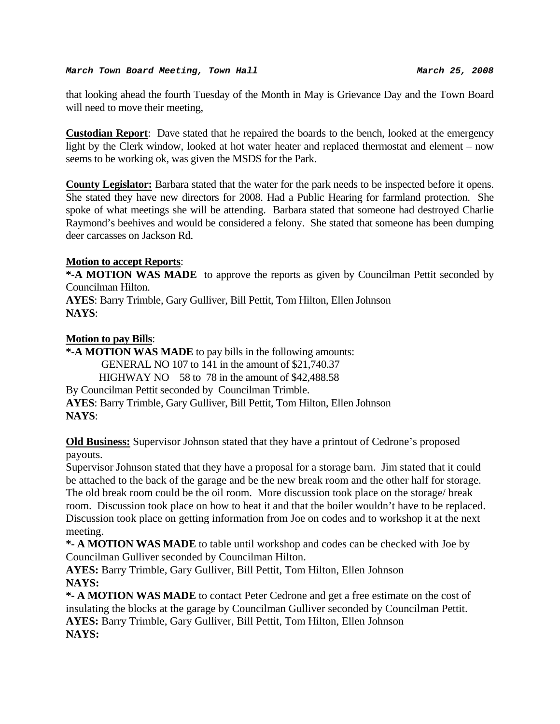that looking ahead the fourth Tuesday of the Month in May is Grievance Day and the Town Board will need to move their meeting,

**Custodian Report**: Dave stated that he repaired the boards to the bench, looked at the emergency light by the Clerk window, looked at hot water heater and replaced thermostat and element – now seems to be working ok, was given the MSDS for the Park.

**County Legislator:** Barbara stated that the water for the park needs to be inspected before it opens. She stated they have new directors for 2008. Had a Public Hearing for farmland protection. She spoke of what meetings she will be attending. Barbara stated that someone had destroyed Charlie Raymond's beehives and would be considered a felony. She stated that someone has been dumping deer carcasses on Jackson Rd.

### **Motion to accept Reports**:

**\*-A MOTION WAS MADE** to approve the reports as given by Councilman Pettit seconded by Councilman Hilton.

**AYES**: Barry Trimble, Gary Gulliver, Bill Pettit, Tom Hilton, Ellen Johnson **NAYS**:

### **Motion to pay Bills**:

**\*-A MOTION WAS MADE** to pay bills in the following amounts: GENERAL NO 107 to 141 in the amount of \$21,740.37 HIGHWAY NO 58 to 78 in the amount of \$42,488.58 By Councilman Pettit seconded by Councilman Trimble. **AYES**: Barry Trimble, Gary Gulliver, Bill Pettit, Tom Hilton, Ellen Johnson **NAYS**:

**Old Business:** Supervisor Johnson stated that they have a printout of Cedrone's proposed payouts.

Supervisor Johnson stated that they have a proposal for a storage barn. Jim stated that it could be attached to the back of the garage and be the new break room and the other half for storage. The old break room could be the oil room. More discussion took place on the storage/ break room. Discussion took place on how to heat it and that the boiler wouldn't have to be replaced. Discussion took place on getting information from Joe on codes and to workshop it at the next meeting.

**\*- A MOTION WAS MADE** to table until workshop and codes can be checked with Joe by Councilman Gulliver seconded by Councilman Hilton.

**AYES:** Barry Trimble, Gary Gulliver, Bill Pettit, Tom Hilton, Ellen Johnson **NAYS:**

**\*- A MOTION WAS MADE** to contact Peter Cedrone and get a free estimate on the cost of insulating the blocks at the garage by Councilman Gulliver seconded by Councilman Pettit. **AYES:** Barry Trimble, Gary Gulliver, Bill Pettit, Tom Hilton, Ellen Johnson **NAYS:**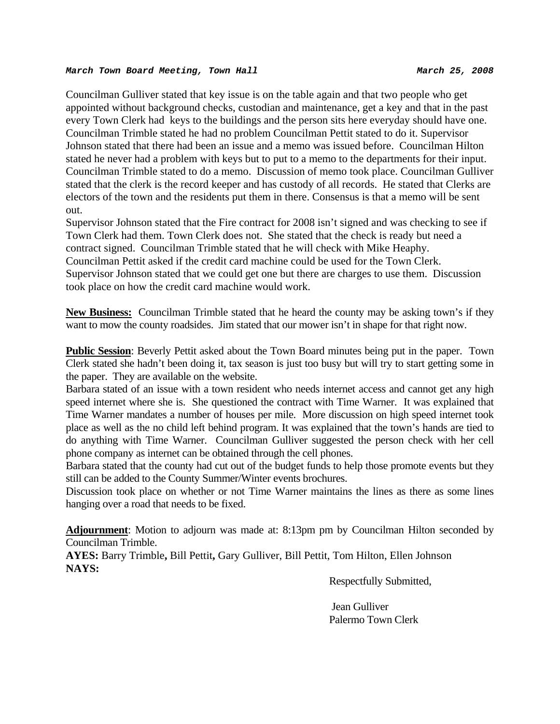#### *March Town Board Meeting, Town Hall March 25, 2008*

Councilman Gulliver stated that key issue is on the table again and that two people who get appointed without background checks, custodian and maintenance, get a key and that in the past every Town Clerk had keys to the buildings and the person sits here everyday should have one. Councilman Trimble stated he had no problem Councilman Pettit stated to do it. Supervisor Johnson stated that there had been an issue and a memo was issued before. Councilman Hilton stated he never had a problem with keys but to put to a memo to the departments for their input. Councilman Trimble stated to do a memo. Discussion of memo took place. Councilman Gulliver stated that the clerk is the record keeper and has custody of all records. He stated that Clerks are electors of the town and the residents put them in there. Consensus is that a memo will be sent out.

Supervisor Johnson stated that the Fire contract for 2008 isn't signed and was checking to see if Town Clerk had them. Town Clerk does not. She stated that the check is ready but need a contract signed. Councilman Trimble stated that he will check with Mike Heaphy.

Councilman Pettit asked if the credit card machine could be used for the Town Clerk. Supervisor Johnson stated that we could get one but there are charges to use them. Discussion took place on how the credit card machine would work.

**New Business:** Councilman Trimble stated that he heard the county may be asking town's if they want to mow the county roadsides. Jim stated that our mower isn't in shape for that right now.

**Public Session:** Beverly Pettit asked about the Town Board minutes being put in the paper. Town Clerk stated she hadn't been doing it, tax season is just too busy but will try to start getting some in the paper. They are available on the website.

Barbara stated of an issue with a town resident who needs internet access and cannot get any high speed internet where she is. She questioned the contract with Time Warner. It was explained that Time Warner mandates a number of houses per mile. More discussion on high speed internet took place as well as the no child left behind program. It was explained that the town's hands are tied to do anything with Time Warner. Councilman Gulliver suggested the person check with her cell phone company as internet can be obtained through the cell phones.

Barbara stated that the county had cut out of the budget funds to help those promote events but they still can be added to the County Summer/Winter events brochures.

Discussion took place on whether or not Time Warner maintains the lines as there as some lines hanging over a road that needs to be fixed.

**Adjournment**: Motion to adjourn was made at: 8:13pm pm by Councilman Hilton seconded by Councilman Trimble.

**AYES:** Barry Trimble**,** Bill Pettit**,** Gary Gulliver, Bill Pettit, Tom Hilton, Ellen Johnson **NAYS:** 

Respectfully Submitted,

 Jean Gulliver Palermo Town Clerk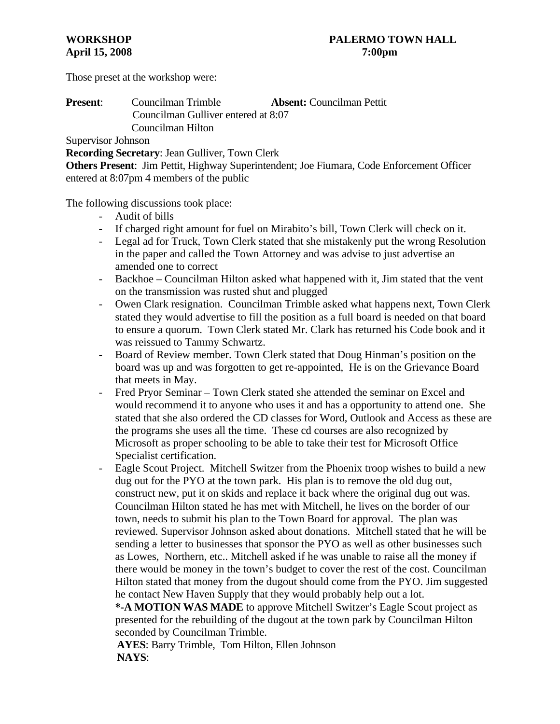Those preset at the workshop were:

# **Present**: Councilman Trimble **Absent:** Councilman Pettit Councilman Gulliver entered at 8:07 Councilman Hilton

Supervisor Johnson

**Recording Secretary**: Jean Gulliver, Town Clerk

**Others Present**: Jim Pettit, Highway Superintendent; Joe Fiumara, Code Enforcement Officer entered at 8:07pm 4 members of the public

The following discussions took place:

- Audit of bills
- If charged right amount for fuel on Mirabito's bill, Town Clerk will check on it.
- Legal ad for Truck, Town Clerk stated that she mistakenly put the wrong Resolution in the paper and called the Town Attorney and was advise to just advertise an amended one to correct
- Backhoe Councilman Hilton asked what happened with it, Jim stated that the vent on the transmission was rusted shut and plugged
- Owen Clark resignation. Councilman Trimble asked what happens next, Town Clerk stated they would advertise to fill the position as a full board is needed on that board to ensure a quorum. Town Clerk stated Mr. Clark has returned his Code book and it was reissued to Tammy Schwartz.
- Board of Review member. Town Clerk stated that Doug Hinman's position on the board was up and was forgotten to get re-appointed, He is on the Grievance Board that meets in May.
- Fred Pryor Seminar Town Clerk stated she attended the seminar on Excel and would recommend it to anyone who uses it and has a opportunity to attend one. She stated that she also ordered the CD classes for Word, Outlook and Access as these are the programs she uses all the time. These cd courses are also recognized by Microsoft as proper schooling to be able to take their test for Microsoft Office Specialist certification.
- Eagle Scout Project. Mitchell Switzer from the Phoenix troop wishes to build a new dug out for the PYO at the town park. His plan is to remove the old dug out, construct new, put it on skids and replace it back where the original dug out was. Councilman Hilton stated he has met with Mitchell, he lives on the border of our town, needs to submit his plan to the Town Board for approval. The plan was reviewed. Supervisor Johnson asked about donations. Mitchell stated that he will be sending a letter to businesses that sponsor the PYO as well as other businesses such as Lowes, Northern, etc.. Mitchell asked if he was unable to raise all the money if there would be money in the town's budget to cover the rest of the cost. Councilman Hilton stated that money from the dugout should come from the PYO. Jim suggested he contact New Haven Supply that they would probably help out a lot.

**\*-A MOTION WAS MADE** to approve Mitchell Switzer's Eagle Scout project as presented for the rebuilding of the dugout at the town park by Councilman Hilton seconded by Councilman Trimble.

 **AYES**: Barry Trimble, Tom Hilton, Ellen Johnson  **NAYS**: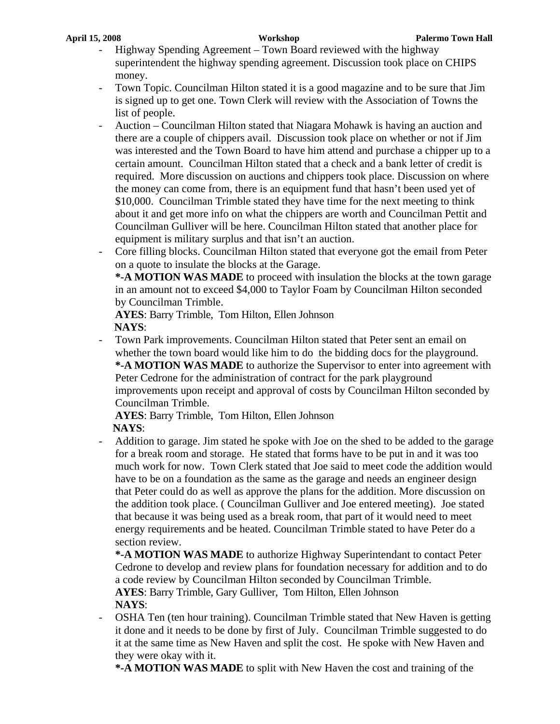- Highway Spending Agreement Town Board reviewed with the highway superintendent the highway spending agreement. Discussion took place on CHIPS money.
- Town Topic. Councilman Hilton stated it is a good magazine and to be sure that Jim is signed up to get one. Town Clerk will review with the Association of Towns the list of people.
- Auction Councilman Hilton stated that Niagara Mohawk is having an auction and there are a couple of chippers avail. Discussion took place on whether or not if Jim was interested and the Town Board to have him attend and purchase a chipper up to a certain amount. Councilman Hilton stated that a check and a bank letter of credit is required. More discussion on auctions and chippers took place. Discussion on where the money can come from, there is an equipment fund that hasn't been used yet of \$10,000. Councilman Trimble stated they have time for the next meeting to think about it and get more info on what the chippers are worth and Councilman Pettit and Councilman Gulliver will be here. Councilman Hilton stated that another place for equipment is military surplus and that isn't an auction.
- Core filling blocks. Councilman Hilton stated that everyone got the email from Peter on a quote to insulate the blocks at the Garage. **\*-A MOTION WAS MADE** to proceed with insulation the blocks at the town garage in an amount not to exceed \$4,000 to Taylor Foam by Councilman Hilton seconded

by Councilman Trimble.

**AYES**: Barry Trimble, Tom Hilton, Ellen Johnson  **NAYS**:

- Town Park improvements. Councilman Hilton stated that Peter sent an email on whether the town board would like him to do the bidding docs for the playground. **\*-A MOTION WAS MADE** to authorize the Supervisor to enter into agreement with Peter Cedrone for the administration of contract for the park playground improvements upon receipt and approval of costs by Councilman Hilton seconded by Councilman Trimble.

**AYES**: Barry Trimble, Tom Hilton, Ellen Johnson  **NAYS**:

- Addition to garage. Jim stated he spoke with Joe on the shed to be added to the garage for a break room and storage. He stated that forms have to be put in and it was too much work for now. Town Clerk stated that Joe said to meet code the addition would have to be on a foundation as the same as the garage and needs an engineer design that Peter could do as well as approve the plans for the addition. More discussion on the addition took place. ( Councilman Gulliver and Joe entered meeting). Joe stated that because it was being used as a break room, that part of it would need to meet energy requirements and be heated. Councilman Trimble stated to have Peter do a section review.

**\*-A MOTION WAS MADE** to authorize Highway Superintendant to contact Peter Cedrone to develop and review plans for foundation necessary for addition and to do a code review by Councilman Hilton seconded by Councilman Trimble. **AYES**: Barry Trimble, Gary Gulliver, Tom Hilton, Ellen Johnson **NAYS**:

- OSHA Ten (ten hour training). Councilman Trimble stated that New Haven is getting it done and it needs to be done by first of July. Councilman Trimble suggested to do it at the same time as New Haven and split the cost. He spoke with New Haven and they were okay with it.

**\*-A MOTION WAS MADE** to split with New Haven the cost and training of the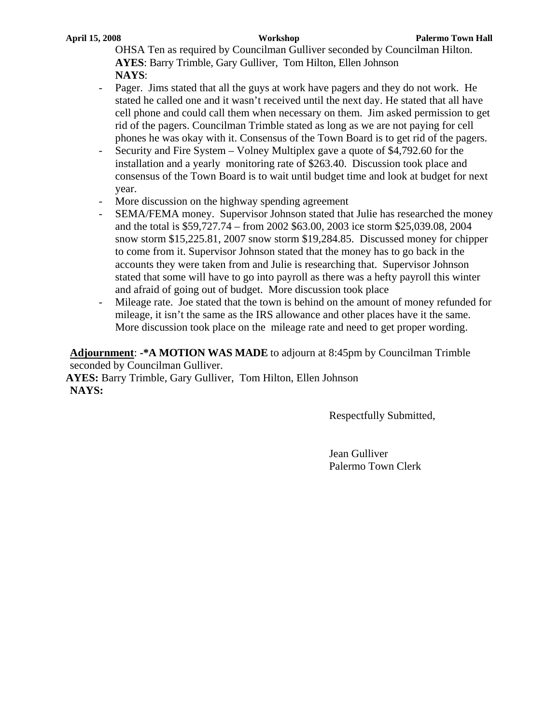OHSA Ten as required by Councilman Gulliver seconded by Councilman Hilton. **AYES**: Barry Trimble, Gary Gulliver, Tom Hilton, Ellen Johnson **NAYS**:

- Pager. Jims stated that all the guys at work have pagers and they do not work. He stated he called one and it wasn't received until the next day. He stated that all have cell phone and could call them when necessary on them. Jim asked permission to get rid of the pagers. Councilman Trimble stated as long as we are not paying for cell phones he was okay with it. Consensus of the Town Board is to get rid of the pagers.
- Security and Fire System Volney Multiplex gave a quote of \$4,792.60 for the installation and a yearly monitoring rate of \$263.40. Discussion took place and consensus of the Town Board is to wait until budget time and look at budget for next year.
- More discussion on the highway spending agreement
- SEMA/FEMA money. Supervisor Johnson stated that Julie has researched the money and the total is \$59,727.74 – from 2002 \$63.00, 2003 ice storm \$25,039.08, 2004 snow storm \$15,225.81, 2007 snow storm \$19,284.85. Discussed money for chipper to come from it. Supervisor Johnson stated that the money has to go back in the accounts they were taken from and Julie is researching that. Supervisor Johnson stated that some will have to go into payroll as there was a hefty payroll this winter and afraid of going out of budget. More discussion took place
- Mileage rate. Joe stated that the town is behind on the amount of money refunded for mileage, it isn't the same as the IRS allowance and other places have it the same. More discussion took place on the mileage rate and need to get proper wording.

**Adjournment**: **-\*A MOTION WAS MADE** to adjourn at 8:45pm by Councilman Trimble seconded by Councilman Gulliver.

**AYES:** Barry Trimble, Gary Gulliver, Tom Hilton, Ellen Johnson **NAYS:**

Respectfully Submitted,

Jean Gulliver Palermo Town Clerk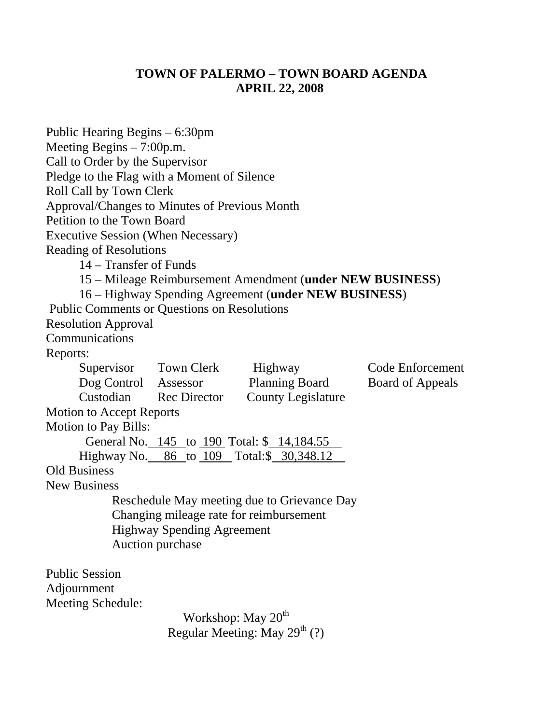# **TOWN OF PALERMO – TOWN BOARD AGENDA APRIL 22, 2008**

| Public Hearing Begins – 6:30pm<br>Meeting Begins $-7:00$ p.m.<br>Call to Order by the Supervisor<br>Pledge to the Flag with a Moment of Silence<br>Roll Call by Town Clerk<br>Approval/Changes to Minutes of Previous Month<br>Petition to the Town Board<br><b>Executive Session (When Necessary)</b><br><b>Reading of Resolutions</b><br>14 – Transfer of Funds |                                                       |                                                                                        |                                             |
|-------------------------------------------------------------------------------------------------------------------------------------------------------------------------------------------------------------------------------------------------------------------------------------------------------------------------------------------------------------------|-------------------------------------------------------|----------------------------------------------------------------------------------------|---------------------------------------------|
|                                                                                                                                                                                                                                                                                                                                                                   |                                                       | 15 – Mileage Reimbursement Amendment (under NEW BUSINESS)                              |                                             |
| <b>Public Comments or Questions on Resolutions</b>                                                                                                                                                                                                                                                                                                                |                                                       | 16 – Highway Spending Agreement (under NEW BUSINESS)                                   |                                             |
| <b>Resolution Approval</b>                                                                                                                                                                                                                                                                                                                                        |                                                       |                                                                                        |                                             |
| Communications                                                                                                                                                                                                                                                                                                                                                    |                                                       |                                                                                        |                                             |
| Reports:                                                                                                                                                                                                                                                                                                                                                          |                                                       |                                                                                        |                                             |
| Dog Control Assessor<br>Custodian Rec Director                                                                                                                                                                                                                                                                                                                    | Supervisor Town Clerk Highway                         | <b>Planning Board</b><br><b>County Legislature</b>                                     | Code Enforcement<br><b>Board of Appeals</b> |
| <b>Motion to Accept Reports</b>                                                                                                                                                                                                                                                                                                                                   |                                                       |                                                                                        |                                             |
| <b>Motion to Pay Bills:</b>                                                                                                                                                                                                                                                                                                                                       |                                                       |                                                                                        |                                             |
|                                                                                                                                                                                                                                                                                                                                                                   |                                                       | General No. 145 to 190 Total: \$ 14,184.55                                             |                                             |
|                                                                                                                                                                                                                                                                                                                                                                   |                                                       | Highway No. 86 to 109 Total:\$ 30,348.12                                               |                                             |
| <b>Old Business</b>                                                                                                                                                                                                                                                                                                                                               |                                                       |                                                                                        |                                             |
| <b>New Business</b>                                                                                                                                                                                                                                                                                                                                               |                                                       |                                                                                        |                                             |
|                                                                                                                                                                                                                                                                                                                                                                   | <b>Highway Spending Agreement</b><br>Auction purchase | Reschedule May meeting due to Grievance Day<br>Changing mileage rate for reimbursement |                                             |
| <b>Public Session</b>                                                                                                                                                                                                                                                                                                                                             |                                                       |                                                                                        |                                             |
| Adjournment                                                                                                                                                                                                                                                                                                                                                       |                                                       |                                                                                        |                                             |
| Meeting Schedule:                                                                                                                                                                                                                                                                                                                                                 |                                                       |                                                                                        |                                             |
|                                                                                                                                                                                                                                                                                                                                                                   | Workshop: May 20 <sup>th</sup>                        |                                                                                        |                                             |
|                                                                                                                                                                                                                                                                                                                                                                   |                                                       | Regular Meeting: May $29^{th}$ (?)                                                     |                                             |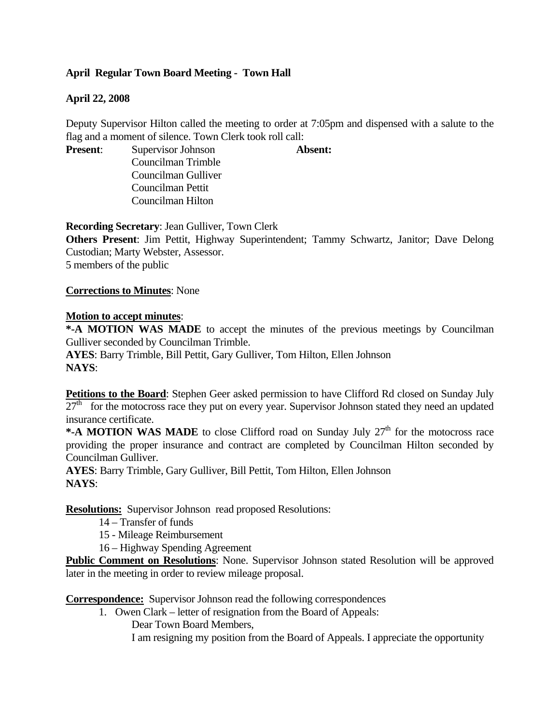# **April Regular Town Board Meeting - Town Hall**

# **April 22, 2008**

Deputy Supervisor Hilton called the meeting to order at 7:05pm and dispensed with a salute to the flag and a moment of silence. Town Clerk took roll call:

**Present:** Supervisor Johnson **Absent:** 

Councilman Trimble Councilman Gulliver Councilman Pettit Councilman Hilton

**Recording Secretary**: Jean Gulliver, Town Clerk

**Others Present**: Jim Pettit, Highway Superintendent; Tammy Schwartz, Janitor; Dave Delong Custodian; Marty Webster, Assessor.

5 members of the public

**Corrections to Minutes**: None

### **Motion to accept minutes**:

**\*-A MOTION WAS MADE** to accept the minutes of the previous meetings by Councilman Gulliver seconded by Councilman Trimble.

**AYES**: Barry Trimble, Bill Pettit, Gary Gulliver, Tom Hilton, Ellen Johnson **NAYS**:

**Petitions to the Board**: Stephen Geer asked permission to have Clifford Rd closed on Sunday July  $27<sup>th</sup>$  for the motocross race they put on every year. Supervisor Johnson stated they need an updated insurance certificate.

\*-A MOTION WAS MADE to close Clifford road on Sunday July 27<sup>th</sup> for the motocross race providing the proper insurance and contract are completed by Councilman Hilton seconded by Councilman Gulliver.

**AYES**: Barry Trimble, Gary Gulliver, Bill Pettit, Tom Hilton, Ellen Johnson **NAYS**:

**Resolutions:** Supervisor Johnson read proposed Resolutions:

14 – Transfer of funds

15 - Mileage Reimbursement

16 – Highway Spending Agreement

Public Comment on Resolutions: None. Supervisor Johnson stated Resolution will be approved later in the meeting in order to review mileage proposal.

**Correspondence:** Supervisor Johnson read the following correspondences

1. Owen Clark – letter of resignation from the Board of Appeals:

Dear Town Board Members,

I am resigning my position from the Board of Appeals. I appreciate the opportunity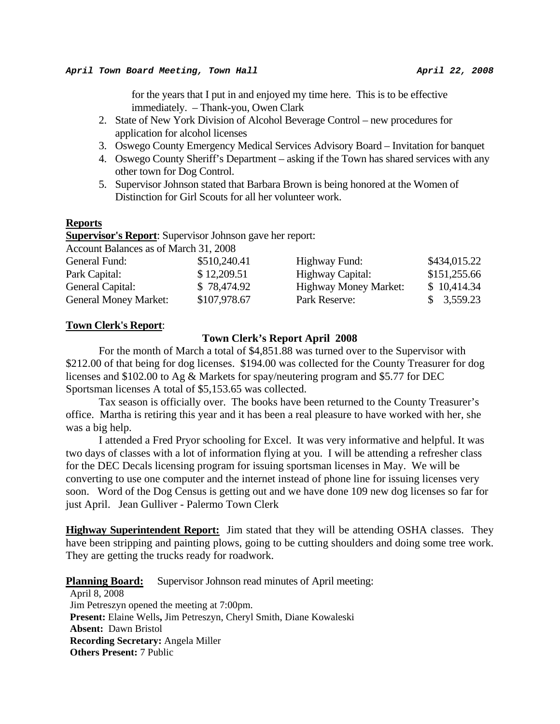for the years that I put in and enjoyed my time here. This is to be effective immediately. – Thank-you, Owen Clark

- 2. State of New York Division of Alcohol Beverage Control new procedures for application for alcohol licenses
- 3. Oswego County Emergency Medical Services Advisory Board Invitation for banquet
- 4. Oswego County Sheriff's Department asking if the Town has shared services with any other town for Dog Control.
- 5. Supervisor Johnson stated that Barbara Brown is being honored at the Women of Distinction for Girl Scouts for all her volunteer work.

#### **Reports**

**Supervisor's Report**: Supervisor Johnson gave her report:

Account Balances as of March 31, 2008

| General Fund:                | \$510,240.41 | Highway Fund:                | \$434,015.22 |
|------------------------------|--------------|------------------------------|--------------|
| Park Capital:                | \$12,209.51  | Highway Capital:             | \$151,255.66 |
| General Capital:             | \$78,474.92  | <b>Highway Money Market:</b> | \$10,414.34  |
| <b>General Money Market:</b> | \$107,978.67 | Park Reserve:                | \$3,559.23   |

#### **Town Clerk's Report**:

#### **Town Clerk's Report April 2008**

For the month of March a total of \$4,851.88 was turned over to the Supervisor with \$212.00 of that being for dog licenses. \$194.00 was collected for the County Treasurer for dog licenses and \$102.00 to Ag & Markets for spay/neutering program and \$5.77 for DEC Sportsman licenses A total of \$5,153.65 was collected.

 Tax season is officially over. The books have been returned to the County Treasurer's office. Martha is retiring this year and it has been a real pleasure to have worked with her, she was a big help.

 I attended a Fred Pryor schooling for Excel. It was very informative and helpful. It was two days of classes with a lot of information flying at you. I will be attending a refresher class for the DEC Decals licensing program for issuing sportsman licenses in May. We will be converting to use one computer and the internet instead of phone line for issuing licenses very soon. Word of the Dog Census is getting out and we have done 109 new dog licenses so far for just April. Jean Gulliver - Palermo Town Clerk

**Highway Superintendent Report:** Jim stated that they will be attending OSHA classes. They have been stripping and painting plows, going to be cutting shoulders and doing some tree work. They are getting the trucks ready for roadwork.

**Planning Board:** Supervisor Johnson read minutes of April meeting:

April 8, 2008 Jim Petreszyn opened the meeting at 7:00pm. **Present:** Elaine Wells**,** Jim Petreszyn, Cheryl Smith, Diane Kowaleski **Absent:** Dawn Bristol **Recording Secretary:** Angela Miller **Others Present:** 7 Public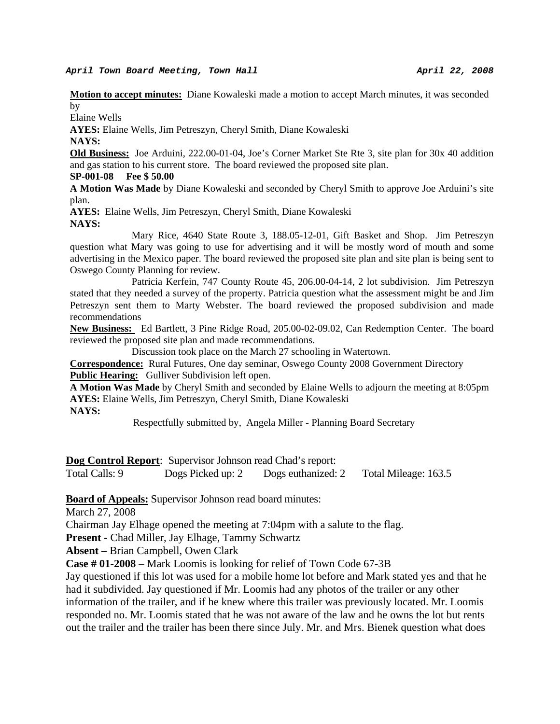#### April Town Board Meeting, Town Hall **April 22, 2008**

**Motion to accept minutes:** Diane Kowaleski made a motion to accept March minutes, it was seconded by

Elaine Wells

**AYES:** Elaine Wells, Jim Petreszyn, Cheryl Smith, Diane Kowaleski

**NAYS:** 

**Old Business:** Joe Arduini, 222.00-01-04, Joe's Corner Market Ste Rte 3, site plan for 30x 40 addition and gas station to his current store. The board reviewed the proposed site plan.

#### **SP-001-08 Fee \$ 50.00**

**A Motion Was Made** by Diane Kowaleski and seconded by Cheryl Smith to approve Joe Arduini's site plan.

**AYES:** Elaine Wells, Jim Petreszyn, Cheryl Smith, Diane Kowaleski **NAYS:** 

 Mary Rice, 4640 State Route 3, 188.05-12-01, Gift Basket and Shop. Jim Petreszyn question what Mary was going to use for advertising and it will be mostly word of mouth and some advertising in the Mexico paper. The board reviewed the proposed site plan and site plan is being sent to Oswego County Planning for review.

 Patricia Kerfein, 747 County Route 45, 206.00-04-14, 2 lot subdivision. Jim Petreszyn stated that they needed a survey of the property. Patricia question what the assessment might be and Jim Petreszyn sent them to Marty Webster. The board reviewed the proposed subdivision and made recommendations

**New Business:** Ed Bartlett, 3 Pine Ridge Road, 205.00-02-09.02, Can Redemption Center. The board reviewed the proposed site plan and made recommendations.

Discussion took place on the March 27 schooling in Watertown.

**Correspondence:** Rural Futures, One day seminar, Oswego County 2008 Government Directory **Public Hearing:** Gulliver Subdivision left open.

**A Motion Was Made** by Cheryl Smith and seconded by Elaine Wells to adjourn the meeting at 8:05pm **AYES:** Elaine Wells, Jim Petreszyn, Cheryl Smith, Diane Kowaleski **NAYS:** 

Respectfully submitted by, Angela Miller - Planning Board Secretary

**Dog Control Report**: Supervisor Johnson read Chad's report:

Total Calls: 9 Dogs Picked up: 2 Dogs euthanized: 2 Total Mileage: 163.5

**Board of Appeals:** Supervisor Johnson read board minutes:

March 27, 2008

Chairman Jay Elhage opened the meeting at 7:04pm with a salute to the flag.

**Present -** Chad Miller, Jay Elhage, Tammy Schwartz

**Absent –** Brian Campbell, Owen Clark

**Case # 01-2008** – Mark Loomis is looking for relief of Town Code 67-3B

Jay questioned if this lot was used for a mobile home lot before and Mark stated yes and that he had it subdivided. Jay questioned if Mr. Loomis had any photos of the trailer or any other information of the trailer, and if he knew where this trailer was previously located. Mr. Loomis responded no. Mr. Loomis stated that he was not aware of the law and he owns the lot but rents out the trailer and the trailer has been there since July. Mr. and Mrs. Bienek question what does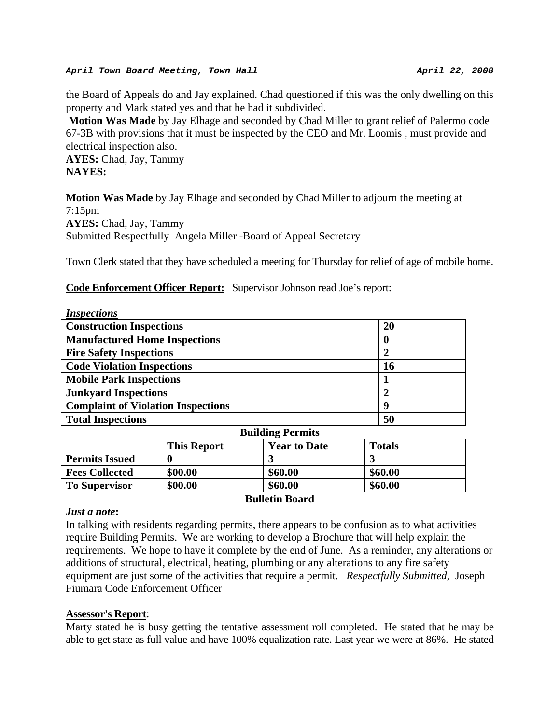#### *April Town Board Meeting, Town Hall* **April 22, 2008** *April 22, 2008*

the Board of Appeals do and Jay explained. Chad questioned if this was the only dwelling on this property and Mark stated yes and that he had it subdivided.

 **Motion Was Made** by Jay Elhage and seconded by Chad Miller to grant relief of Palermo code 67-3B with provisions that it must be inspected by the CEO and Mr. Loomis , must provide and electrical inspection also.

**AYES:** Chad, Jay, Tammy **NAYES:** 

**Motion Was Made** by Jay Elhage and seconded by Chad Miller to adjourn the meeting at 7:15pm **AYES:** Chad, Jay, Tammy Submitted Respectfully Angela Miller -Board of Appeal Secretary

Town Clerk stated that they have scheduled a meeting for Thursday for relief of age of mobile home.

### **Code Enforcement Officer Report:** Supervisor Johnson read Joe's report:

| <i>Inspections</i>                        |                  |
|-------------------------------------------|------------------|
| <b>Construction Inspections</b>           | <b>20</b>        |
| <b>Manufactured Home Inspections</b>      | 0                |
| <b>Fire Safety Inspections</b>            | $\boldsymbol{2}$ |
| <b>Code Violation Inspections</b>         | <b>16</b>        |
| <b>Mobile Park Inspections</b>            |                  |
| <b>Junkyard Inspections</b>               | $\overline{2}$   |
| <b>Complaint of Violation Inspections</b> | 9                |
| <b>Total Inspections</b>                  | 50               |
|                                           |                  |

| <b>Bunding Permits</b> |                    |                     |               |  |
|------------------------|--------------------|---------------------|---------------|--|
|                        | <b>This Report</b> | <b>Year to Date</b> | <b>Totals</b> |  |
| <b>Permits Issued</b>  |                    |                     |               |  |
| <b>Fees Collected</b>  | \$00.00            | \$60.00             | \$60.00       |  |
| <b>To Supervisor</b>   | \$00.00            | \$60.00             | \$60.00       |  |
| <b>Bulletin Board</b>  |                    |                     |               |  |

#### *Just a note***:**

In talking with residents regarding permits, there appears to be confusion as to what activities require Building Permits. We are working to develop a Brochure that will help explain the requirements. We hope to have it complete by the end of June. As a reminder, any alterations or additions of structural, electrical, heating, plumbing or any alterations to any fire safety equipment are just some of the activities that require a permit. *Respectfully Submitted,* Joseph Fiumara Code Enforcement Officer

### **Assessor's Report**:

Marty stated he is busy getting the tentative assessment roll completed. He stated that he may be able to get state as full value and have 100% equalization rate. Last year we were at 86%. He stated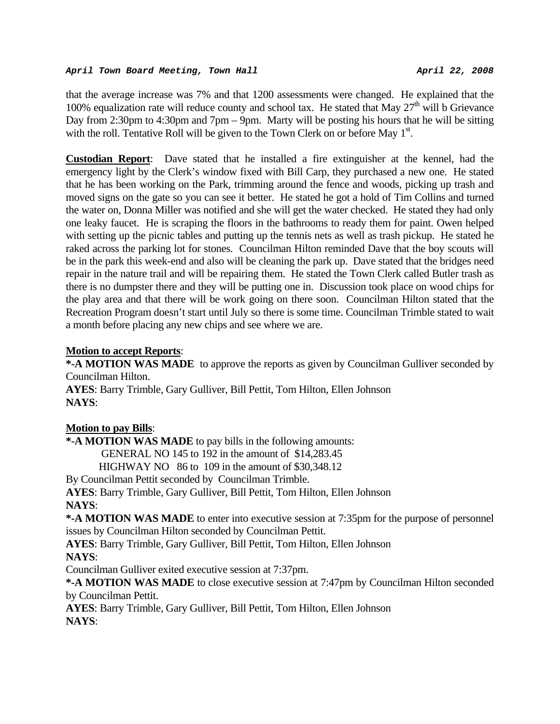that the average increase was 7% and that 1200 assessments were changed. He explained that the 100% equalization rate will reduce county and school tax. He stated that May  $27<sup>th</sup>$  will b Grievance Day from 2:30pm to 4:30pm and 7pm – 9pm. Marty will be posting his hours that he will be sitting with the roll. Tentative Roll will be given to the Town Clerk on or before May 1<sup>st</sup>.

**Custodian Report**: Dave stated that he installed a fire extinguisher at the kennel, had the emergency light by the Clerk's window fixed with Bill Carp, they purchased a new one. He stated that he has been working on the Park, trimming around the fence and woods, picking up trash and moved signs on the gate so you can see it better. He stated he got a hold of Tim Collins and turned the water on, Donna Miller was notified and she will get the water checked. He stated they had only one leaky faucet. He is scraping the floors in the bathrooms to ready them for paint. Owen helped with setting up the picnic tables and putting up the tennis nets as well as trash pickup. He stated he raked across the parking lot for stones. Councilman Hilton reminded Dave that the boy scouts will be in the park this week-end and also will be cleaning the park up. Dave stated that the bridges need repair in the nature trail and will be repairing them. He stated the Town Clerk called Butler trash as there is no dumpster there and they will be putting one in. Discussion took place on wood chips for the play area and that there will be work going on there soon. Councilman Hilton stated that the Recreation Program doesn't start until July so there is some time. Councilman Trimble stated to wait a month before placing any new chips and see where we are.

# **Motion to accept Reports**:

**\*-A MOTION WAS MADE** to approve the reports as given by Councilman Gulliver seconded by Councilman Hilton.

**AYES**: Barry Trimble, Gary Gulliver, Bill Pettit, Tom Hilton, Ellen Johnson **NAYS**:

# **Motion to pay Bills**:

**\*-A MOTION WAS MADE** to pay bills in the following amounts:

GENERAL NO 145 to 192 in the amount of \$14,283.45

HIGHWAY NO 86 to 109 in the amount of \$30,348.12

By Councilman Pettit seconded by Councilman Trimble.

**AYES**: Barry Trimble, Gary Gulliver, Bill Pettit, Tom Hilton, Ellen Johnson

# **NAYS**:

**\*-A MOTION WAS MADE** to enter into executive session at 7:35pm for the purpose of personnel issues by Councilman Hilton seconded by Councilman Pettit.

**AYES**: Barry Trimble, Gary Gulliver, Bill Pettit, Tom Hilton, Ellen Johnson **NAYS**:

Councilman Gulliver exited executive session at 7:37pm.

**\*-A MOTION WAS MADE** to close executive session at 7:47pm by Councilman Hilton seconded by Councilman Pettit.

**AYES**: Barry Trimble, Gary Gulliver, Bill Pettit, Tom Hilton, Ellen Johnson **NAYS**: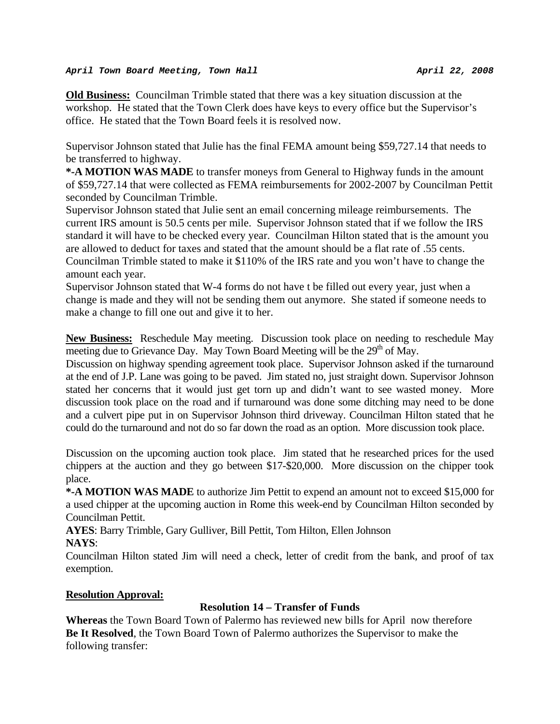#### *April Town Board Meeting, Town Hall* **April 22, 2008** *April 22, 2008*

**Old Business:** Councilman Trimble stated that there was a key situation discussion at the workshop. He stated that the Town Clerk does have keys to every office but the Supervisor's office. He stated that the Town Board feels it is resolved now.

Supervisor Johnson stated that Julie has the final FEMA amount being \$59,727.14 that needs to be transferred to highway.

**\*-A MOTION WAS MADE** to transfer moneys from General to Highway funds in the amount of \$59,727.14 that were collected as FEMA reimbursements for 2002-2007 by Councilman Pettit seconded by Councilman Trimble.

Supervisor Johnson stated that Julie sent an email concerning mileage reimbursements. The current IRS amount is 50.5 cents per mile. Supervisor Johnson stated that if we follow the IRS standard it will have to be checked every year. Councilman Hilton stated that is the amount you are allowed to deduct for taxes and stated that the amount should be a flat rate of .55 cents. Councilman Trimble stated to make it \$110% of the IRS rate and you won't have to change the amount each year.

Supervisor Johnson stated that W-4 forms do not have t be filled out every year, just when a change is made and they will not be sending them out anymore. She stated if someone needs to make a change to fill one out and give it to her.

**New Business:** Reschedule May meeting. Discussion took place on needing to reschedule May meeting due to Grievance Day. May Town Board Meeting will be the  $29<sup>th</sup>$  of May.

Discussion on highway spending agreement took place. Supervisor Johnson asked if the turnaround at the end of J.P. Lane was going to be paved. Jim stated no, just straight down. Supervisor Johnson stated her concerns that it would just get torn up and didn't want to see wasted money. More discussion took place on the road and if turnaround was done some ditching may need to be done and a culvert pipe put in on Supervisor Johnson third driveway. Councilman Hilton stated that he could do the turnaround and not do so far down the road as an option. More discussion took place.

Discussion on the upcoming auction took place. Jim stated that he researched prices for the used chippers at the auction and they go between \$17-\$20,000. More discussion on the chipper took place.

**\*-A MOTION WAS MADE** to authorize Jim Pettit to expend an amount not to exceed \$15,000 for a used chipper at the upcoming auction in Rome this week-end by Councilman Hilton seconded by Councilman Pettit.

**AYES**: Barry Trimble, Gary Gulliver, Bill Pettit, Tom Hilton, Ellen Johnson

**NAYS**:

Councilman Hilton stated Jim will need a check, letter of credit from the bank, and proof of tax exemption.

# **Resolution Approval:**

# **Resolution 14 – Transfer of Funds**

**Whereas** the Town Board Town of Palermo has reviewed new bills for April now therefore **Be It Resolved**, the Town Board Town of Palermo authorizes the Supervisor to make the following transfer: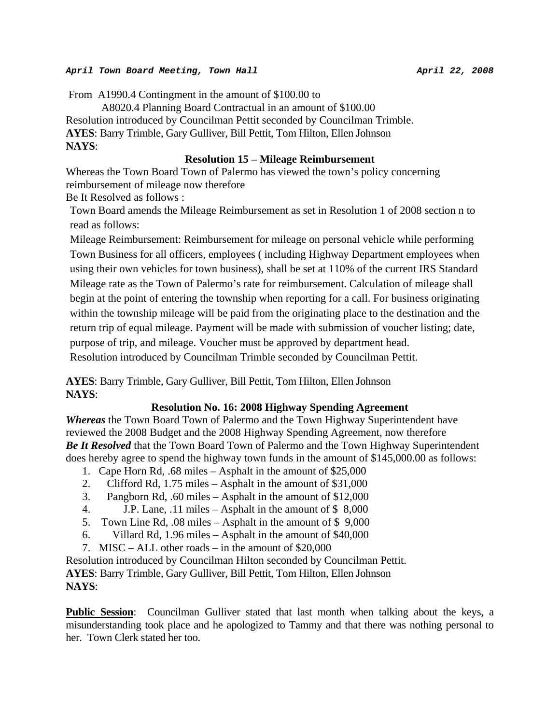#### *April Town Board Meeting, Town Hall* **April 22, 2008** *April 22, 2008*

From A1990.4 Contingment in the amount of \$100.00 to

 A8020.4 Planning Board Contractual in an amount of \$100.00 Resolution introduced by Councilman Pettit seconded by Councilman Trimble. **AYES**: Barry Trimble, Gary Gulliver, Bill Pettit, Tom Hilton, Ellen Johnson **NAYS**:

#### **Resolution 15 – Mileage Reimbursement**

Whereas the Town Board Town of Palermo has viewed the town's policy concerning reimbursement of mileage now therefore Be It Resolved as follows :

Town Board amends the Mileage Reimbursement as set in Resolution 1 of 2008 section n to read as follows:

Mileage Reimbursement: Reimbursement for mileage on personal vehicle while performing Town Business for all officers, employees ( including Highway Department employees when using their own vehicles for town business), shall be set at 110% of the current IRS Standard Mileage rate as the Town of Palermo's rate for reimbursement. Calculation of mileage shall begin at the point of entering the township when reporting for a call. For business originating within the township mileage will be paid from the originating place to the destination and the return trip of equal mileage. Payment will be made with submission of voucher listing; date, purpose of trip, and mileage. Voucher must be approved by department head. Resolution introduced by Councilman Trimble seconded by Councilman Pettit.

**AYES**: Barry Trimble, Gary Gulliver, Bill Pettit, Tom Hilton, Ellen Johnson **NAYS**:

### **Resolution No. 16: 2008 Highway Spending Agreement**

*Whereas* the Town Board Town of Palermo and the Town Highway Superintendent have reviewed the 2008 Budget and the 2008 Highway Spending Agreement, now therefore *Be It Resolved* that the Town Board Town of Palermo and the Town Highway Superintendent does hereby agree to spend the highway town funds in the amount of \$145,000.00 as follows:

- 1. Cape Horn Rd, .68 miles Asphalt in the amount of \$25,000
- 2. Clifford Rd, 1.75 miles Asphalt in the amount of \$31,000
- 3. Pangborn Rd, .60 miles Asphalt in the amount of \$12,000
- 4. J.P. Lane, .11 miles Asphalt in the amount of \$ 8,000
- 5. Town Line Rd, .08 miles Asphalt in the amount of \$ 9,000
- 6. Villard Rd, 1.96 miles Asphalt in the amount of \$40,000
- 7. MISC ALL other roads in the amount of \$20,000

Resolution introduced by Councilman Hilton seconded by Councilman Pettit. **AYES**: Barry Trimble, Gary Gulliver, Bill Pettit, Tom Hilton, Ellen Johnson **NAYS**:

**Public Session**: Councilman Gulliver stated that last month when talking about the keys, a misunderstanding took place and he apologized to Tammy and that there was nothing personal to her. Town Clerk stated her too.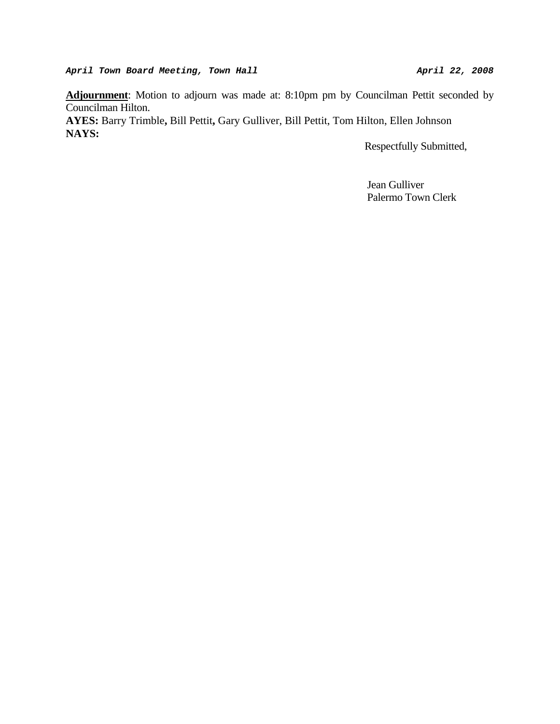**Adjournment**: Motion to adjourn was made at: 8:10pm pm by Councilman Pettit seconded by Councilman Hilton.

**AYES:** Barry Trimble**,** Bill Pettit**,** Gary Gulliver, Bill Pettit, Tom Hilton, Ellen Johnson **NAYS:** 

Respectfully Submitted,

 Jean Gulliver Palermo Town Clerk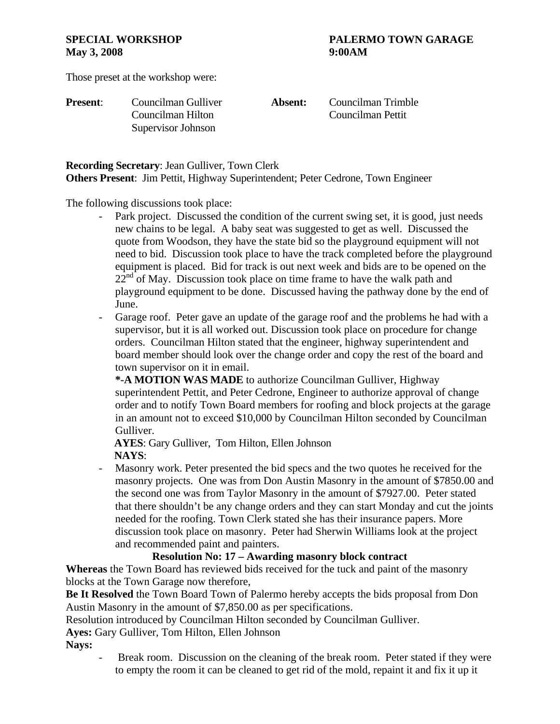# **May 3, 2008** 9:00 AM

# **SPECIAL WORKSHOP PALERMO TOWN GARAGE**

Those preset at the workshop were:

| <b>Present:</b> | Councilman Gulliver | Absent: | Cou |
|-----------------|---------------------|---------|-----|
|                 | Councilman Hilton   |         | Cou |
|                 | Supervisor Johnson  |         |     |

**Present**: Councilman Gulliver **Absent:** Councilman Trimble ncilman Pettit

**Recording Secretary**: Jean Gulliver, Town Clerk

**Others Present**: Jim Pettit, Highway Superintendent; Peter Cedrone, Town Engineer

The following discussions took place:

- Park project. Discussed the condition of the current swing set, it is good, just needs new chains to be legal. A baby seat was suggested to get as well. Discussed the quote from Woodson, they have the state bid so the playground equipment will not need to bid. Discussion took place to have the track completed before the playground equipment is placed. Bid for track is out next week and bids are to be opened on the  $22<sup>nd</sup>$  of May. Discussion took place on time frame to have the walk path and playground equipment to be done. Discussed having the pathway done by the end of June.
- Garage roof. Peter gave an update of the garage roof and the problems he had with a supervisor, but it is all worked out. Discussion took place on procedure for change orders. Councilman Hilton stated that the engineer, highway superintendent and board member should look over the change order and copy the rest of the board and town supervisor on it in email.

**\*-A MOTION WAS MADE** to authorize Councilman Gulliver, Highway superintendent Pettit, and Peter Cedrone, Engineer to authorize approval of change order and to notify Town Board members for roofing and block projects at the garage in an amount not to exceed \$10,000 by Councilman Hilton seconded by Councilman Gulliver.

 **AYES**: Gary Gulliver, Tom Hilton, Ellen Johnson  **NAYS**:

- Masonry work. Peter presented the bid specs and the two quotes he received for the masonry projects. One was from Don Austin Masonry in the amount of \$7850.00 and the second one was from Taylor Masonry in the amount of \$7927.00. Peter stated that there shouldn't be any change orders and they can start Monday and cut the joints needed for the roofing. Town Clerk stated she has their insurance papers. More discussion took place on masonry. Peter had Sherwin Williams look at the project and recommended paint and painters.

### **Resolution No: 17 – Awarding masonry block contract**

**Whereas** the Town Board has reviewed bids received for the tuck and paint of the masonry blocks at the Town Garage now therefore,

**Be It Resolved** the Town Board Town of Palermo hereby accepts the bids proposal from Don Austin Masonry in the amount of \$7,850.00 as per specifications.

Resolution introduced by Councilman Hilton seconded by Councilman Gulliver.

**Ayes:** Gary Gulliver, Tom Hilton, Ellen Johnson

**Nays:**

Break room. Discussion on the cleaning of the break room. Peter stated if they were to empty the room it can be cleaned to get rid of the mold, repaint it and fix it up it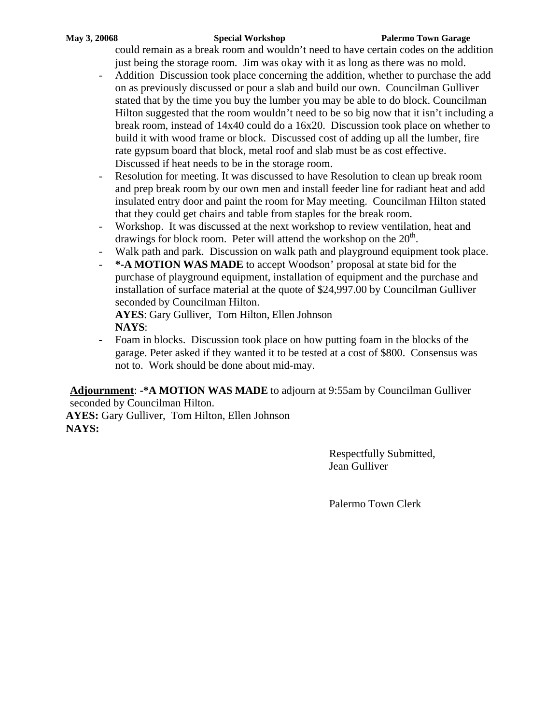#### **May 3, 20068 Special Workshop Palermo Town Garage**

could remain as a break room and wouldn't need to have certain codes on the addition just being the storage room. Jim was okay with it as long as there was no mold.

- Addition Discussion took place concerning the addition, whether to purchase the add on as previously discussed or pour a slab and build our own. Councilman Gulliver stated that by the time you buy the lumber you may be able to do block. Councilman Hilton suggested that the room wouldn't need to be so big now that it isn't including a break room, instead of 14x40 could do a 16x20. Discussion took place on whether to build it with wood frame or block. Discussed cost of adding up all the lumber, fire rate gypsum board that block, metal roof and slab must be as cost effective. Discussed if heat needs to be in the storage room.
- Resolution for meeting. It was discussed to have Resolution to clean up break room and prep break room by our own men and install feeder line for radiant heat and add insulated entry door and paint the room for May meeting. Councilman Hilton stated that they could get chairs and table from staples for the break room.
- Workshop. It was discussed at the next workshop to review ventilation, heat and drawings for block room. Peter will attend the workshop on the  $20<sup>th</sup>$ .
- Walk path and park. Discussion on walk path and playground equipment took place.
- **\*-A MOTION WAS MADE** to accept Woodson' proposal at state bid for the purchase of playground equipment, installation of equipment and the purchase and installation of surface material at the quote of \$24,997.00 by Councilman Gulliver seconded by Councilman Hilton.

**AYES**: Gary Gulliver, Tom Hilton, Ellen Johnson **NAYS**:

- Foam in blocks. Discussion took place on how putting foam in the blocks of the garage. Peter asked if they wanted it to be tested at a cost of \$800. Consensus was not to. Work should be done about mid-may.

**Adjournment**: **-\*A MOTION WAS MADE** to adjourn at 9:55am by Councilman Gulliver seconded by Councilman Hilton.

**AYES:** Gary Gulliver, Tom Hilton, Ellen Johnson **NAYS:**

> Respectfully Submitted, Jean Gulliver

Palermo Town Clerk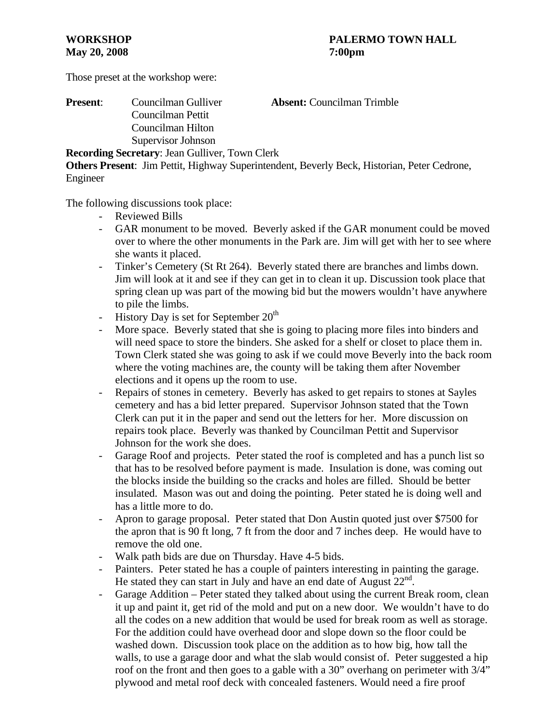Those preset at the workshop were:

| <b>Present:</b> | Councilman Gulliver                                   | <b>Absent:</b> Councilman Trimble |
|-----------------|-------------------------------------------------------|-----------------------------------|
|                 | Councilman Pettit                                     |                                   |
|                 | Councilman Hilton                                     |                                   |
|                 | Supervisor Johnson                                    |                                   |
|                 | <b>Recording Secretary: Jean Gulliver, Town Clerk</b> |                                   |

**Others Present**: Jim Pettit, Highway Superintendent, Beverly Beck, Historian, Peter Cedrone, Engineer

The following discussions took place:

- Reviewed Bills
- GAR monument to be moved. Beverly asked if the GAR monument could be moved over to where the other monuments in the Park are. Jim will get with her to see where she wants it placed.
- Tinker's Cemetery (St Rt 264). Beverly stated there are branches and limbs down. Jim will look at it and see if they can get in to clean it up. Discussion took place that spring clean up was part of the mowing bid but the mowers wouldn't have anywhere to pile the limbs.
- History Day is set for September  $20<sup>th</sup>$
- More space. Beverly stated that she is going to placing more files into binders and will need space to store the binders. She asked for a shelf or closet to place them in. Town Clerk stated she was going to ask if we could move Beverly into the back room where the voting machines are, the county will be taking them after November elections and it opens up the room to use.
- Repairs of stones in cemetery. Beverly has asked to get repairs to stones at Sayles cemetery and has a bid letter prepared. Supervisor Johnson stated that the Town Clerk can put it in the paper and send out the letters for her. More discussion on repairs took place. Beverly was thanked by Councilman Pettit and Supervisor Johnson for the work she does.
- Garage Roof and projects. Peter stated the roof is completed and has a punch list so that has to be resolved before payment is made. Insulation is done, was coming out the blocks inside the building so the cracks and holes are filled. Should be better insulated. Mason was out and doing the pointing. Peter stated he is doing well and has a little more to do.
- Apron to garage proposal. Peter stated that Don Austin quoted just over \$7500 for the apron that is 90 ft long, 7 ft from the door and 7 inches deep. He would have to remove the old one.
- Walk path bids are due on Thursday. Have 4-5 bids.
- Painters. Peter stated he has a couple of painters interesting in painting the garage. He stated they can start in July and have an end date of August  $22<sup>nd</sup>$ .
- Garage Addition Peter stated they talked about using the current Break room, clean it up and paint it, get rid of the mold and put on a new door. We wouldn't have to do all the codes on a new addition that would be used for break room as well as storage. For the addition could have overhead door and slope down so the floor could be washed down. Discussion took place on the addition as to how big, how tall the walls, to use a garage door and what the slab would consist of. Peter suggested a hip roof on the front and then goes to a gable with a 30" overhang on perimeter with 3/4" plywood and metal roof deck with concealed fasteners. Would need a fire proof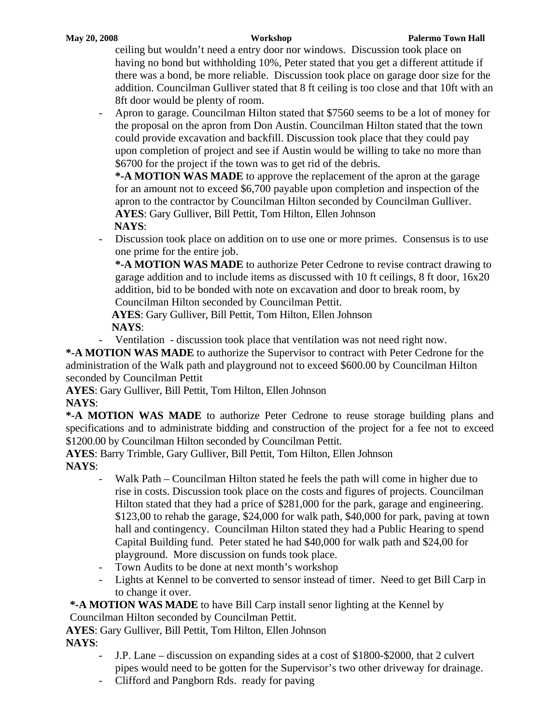#### **May 20, 2008 Workshop Palermo Town Hall**

ceiling but wouldn't need a entry door nor windows. Discussion took place on having no bond but withholding 10%, Peter stated that you get a different attitude if there was a bond, be more reliable. Discussion took place on garage door size for the addition. Councilman Gulliver stated that 8 ft ceiling is too close and that 10ft with an 8ft door would be plenty of room.

- Apron to garage. Councilman Hilton stated that \$7560 seems to be a lot of money for the proposal on the apron from Don Austin. Councilman Hilton stated that the town could provide excavation and backfill. Discussion took place that they could pay upon completion of project and see if Austin would be willing to take no more than \$6700 for the project if the town was to get rid of the debris.

**\*-A MOTION WAS MADE** to approve the replacement of the apron at the garage for an amount not to exceed \$6,700 payable upon completion and inspection of the apron to the contractor by Councilman Hilton seconded by Councilman Gulliver. **AYES**: Gary Gulliver, Bill Pettit, Tom Hilton, Ellen Johnson  **NAYS**:

Discussion took place on addition on to use one or more primes. Consensus is to use one prime for the entire job.

**\*-A MOTION WAS MADE** to authorize Peter Cedrone to revise contract drawing to garage addition and to include items as discussed with 10 ft ceilings, 8 ft door, 16x20 addition, bid to be bonded with note on excavation and door to break room, by Councilman Hilton seconded by Councilman Pettit.

 **AYES**: Gary Gulliver, Bill Pettit, Tom Hilton, Ellen Johnson  **NAYS**:

- Ventilation - discussion took place that ventilation was not need right now.

**\*-A MOTION WAS MADE** to authorize the Supervisor to contract with Peter Cedrone for the administration of the Walk path and playground not to exceed \$600.00 by Councilman Hilton seconded by Councilman Pettit

**AYES**: Gary Gulliver, Bill Pettit, Tom Hilton, Ellen Johnson

# **NAYS**:

**\*-A MOTION WAS MADE** to authorize Peter Cedrone to reuse storage building plans and specifications and to administrate bidding and construction of the project for a fee not to exceed \$1200.00 by Councilman Hilton seconded by Councilman Pettit.

**AYES**: Barry Trimble, Gary Gulliver, Bill Pettit, Tom Hilton, Ellen Johnson **NAYS**:

- Walk Path Councilman Hilton stated he feels the path will come in higher due to rise in costs. Discussion took place on the costs and figures of projects. Councilman Hilton stated that they had a price of \$281,000 for the park, garage and engineering. \$123,00 to rehab the garage, \$24,000 for walk path, \$40,000 for park, paving at town hall and contingency. Councilman Hilton stated they had a Public Hearing to spend Capital Building fund. Peter stated he had \$40,000 for walk path and \$24,00 for playground. More discussion on funds took place.
- Town Audits to be done at next month's workshop
- Lights at Kennel to be converted to sensor instead of timer. Need to get Bill Carp in to change it over.

**\*-A MOTION WAS MADE** to have Bill Carp install senor lighting at the Kennel by Councilman Hilton seconded by Councilman Pettit.

**AYES**: Gary Gulliver, Bill Pettit, Tom Hilton, Ellen Johnson

**NAYS**:

- J.P. Lane discussion on expanding sides at a cost of \$1800-\$2000, that 2 culvert pipes would need to be gotten for the Supervisor's two other driveway for drainage.
- Clifford and Pangborn Rds. ready for paving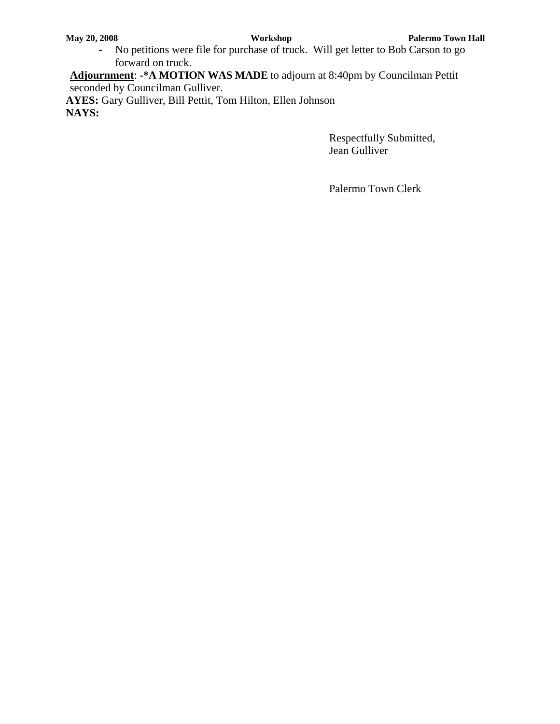- No petitions were file for purchase of truck. Will get letter to Bob Carson to go forward on truck.

**Adjournment**: **-\*A MOTION WAS MADE** to adjourn at 8:40pm by Councilman Pettit seconded by Councilman Gulliver.

**AYES:** Gary Gulliver, Bill Pettit, Tom Hilton, Ellen Johnson **NAYS:**

> Respectfully Submitted, Jean Gulliver

Palermo Town Clerk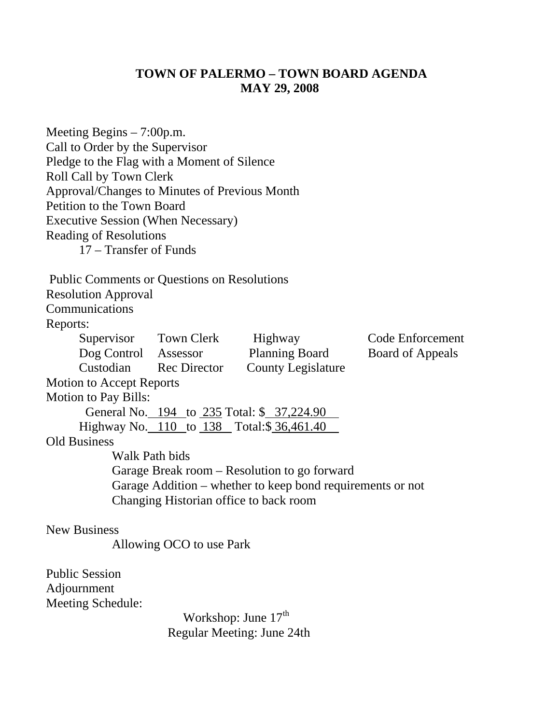# **TOWN OF PALERMO – TOWN BOARD AGENDA MAY 29, 2008**

Meeting Begins – 7:00p.m. Call to Order by the Supervisor Pledge to the Flag with a Moment of Silence Roll Call by Town Clerk Approval/Changes to Minutes of Previous Month Petition to the Town Board Executive Session (When Necessary) Reading of Resolutions 17 – Transfer of Funds Public Comments or Questions on Resolutions Resolution Approval Communications Reports: Supervisor Town Clerk Highway Code Enforcement Dog Control Assessor Planning Board Board of Appeals Custodian Rec Director County Legislature Motion to Accept Reports Motion to Pay Bills: General No. 194 to 235 Total: \$ 37,224.90 Highway No. 110 to 138 Total:\$ 36,461.40 . Old Business Walk Path bids Garage Break room – Resolution to go forward Garage Addition – whether to keep bond requirements or not Changing Historian office to back room New Business Allowing OCO to use Park Public Session Adjournment

Meeting Schedule:

Workshop: June  $17<sup>th</sup>$ Regular Meeting: June 24th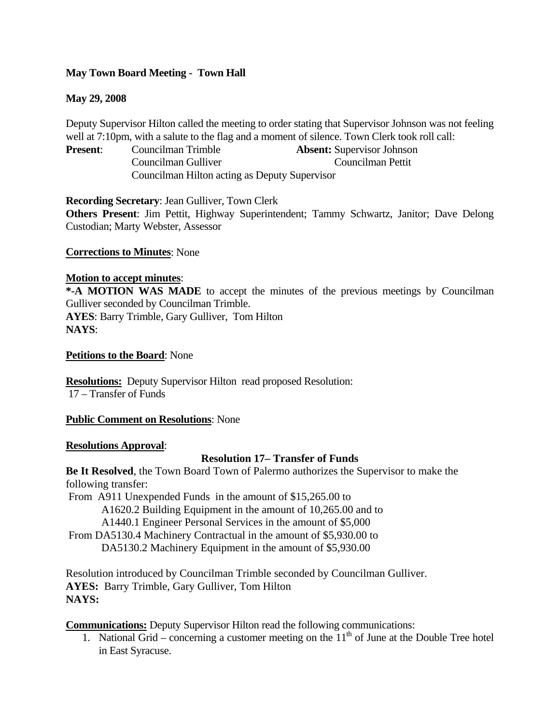# **May Town Board Meeting - Town Hall**

### **May 29, 2008**

Deputy Supervisor Hilton called the meeting to order stating that Supervisor Johnson was not feeling well at 7:10pm, with a salute to the flag and a moment of silence. Town Clerk took roll call:

**Present**: Councilman Trimble **Absent:** Supervisor Johnson Councilman Gulliver Councilman Pettit Councilman Hilton acting as Deputy Supervisor

**Recording Secretary**: Jean Gulliver, Town Clerk

**Others Present**: Jim Pettit, Highway Superintendent; Tammy Schwartz, Janitor; Dave Delong Custodian; Marty Webster, Assessor

### **Corrections to Minutes**: None

#### **Motion to accept minutes**:

**\*-A MOTION WAS MADE** to accept the minutes of the previous meetings by Councilman Gulliver seconded by Councilman Trimble. **AYES**: Barry Trimble, Gary Gulliver, Tom Hilton **NAYS**:

#### **Petitions to the Board**: None

**Resolutions:** Deputy Supervisor Hilton read proposed Resolution: 17 – Transfer of Funds

### **Public Comment on Resolutions**: None

#### **Resolutions Approval**:

### **Resolution 17– Transfer of Funds**

**Be It Resolved**, the Town Board Town of Palermo authorizes the Supervisor to make the following transfer:

 From A911 Unexpended Funds in the amount of \$15,265.00 to A1620.2 Building Equipment in the amount of 10,265.00 and to A1440.1 Engineer Personal Services in the amount of \$5,000 From DA5130.4 Machinery Contractual in the amount of \$5,930.00 to DA5130.2 Machinery Equipment in the amount of \$5,930.00

Resolution introduced by Councilman Trimble seconded by Councilman Gulliver. **AYES:** Barry Trimble, Gary Gulliver, Tom Hilton **NAYS:**

**Communications:** Deputy Supervisor Hilton read the following communications:

1. National Grid – concerning a customer meeting on the  $11<sup>th</sup>$  of June at the Double Tree hotel in East Syracuse.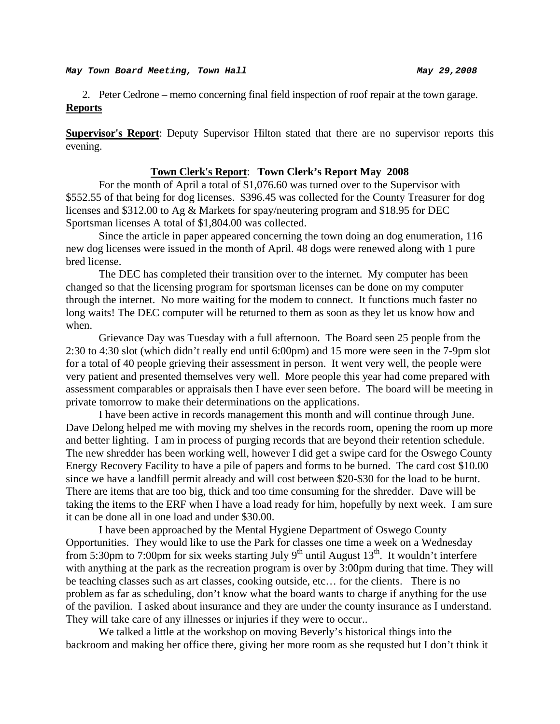2. Peter Cedrone – memo concerning final field inspection of roof repair at the town garage. **Reports**

**Supervisor's Report**: Deputy Supervisor Hilton stated that there are no supervisor reports this evening.

#### **Town Clerk's Report**: **Town Clerk's Report May 2008**

For the month of April a total of \$1,076.60 was turned over to the Supervisor with \$552.55 of that being for dog licenses. \$396.45 was collected for the County Treasurer for dog licenses and \$312.00 to Ag & Markets for spay/neutering program and \$18.95 for DEC Sportsman licenses A total of \$1,804.00 was collected.

 Since the article in paper appeared concerning the town doing an dog enumeration, 116 new dog licenses were issued in the month of April. 48 dogs were renewed along with 1 pure bred license.

 The DEC has completed their transition over to the internet. My computer has been changed so that the licensing program for sportsman licenses can be done on my computer through the internet. No more waiting for the modem to connect. It functions much faster no long waits! The DEC computer will be returned to them as soon as they let us know how and when.

 Grievance Day was Tuesday with a full afternoon. The Board seen 25 people from the 2:30 to 4:30 slot (which didn't really end until 6:00pm) and 15 more were seen in the 7-9pm slot for a total of 40 people grieving their assessment in person. It went very well, the people were very patient and presented themselves very well. More people this year had come prepared with assessment comparables or appraisals then I have ever seen before. The board will be meeting in private tomorrow to make their determinations on the applications.

 I have been active in records management this month and will continue through June. Dave Delong helped me with moving my shelves in the records room, opening the room up more and better lighting. I am in process of purging records that are beyond their retention schedule. The new shredder has been working well, however I did get a swipe card for the Oswego County Energy Recovery Facility to have a pile of papers and forms to be burned. The card cost \$10.00 since we have a landfill permit already and will cost between \$20-\$30 for the load to be burnt. There are items that are too big, thick and too time consuming for the shredder. Dave will be taking the items to the ERF when I have a load ready for him, hopefully by next week. I am sure it can be done all in one load and under \$30.00.

 I have been approached by the Mental Hygiene Department of Oswego County Opportunities. They would like to use the Park for classes one time a week on a Wednesday from 5:30pm to 7:00pm for six weeks starting July 9<sup>th</sup> until August 13<sup>th</sup>. It wouldn't interfere with anything at the park as the recreation program is over by 3:00pm during that time. They will be teaching classes such as art classes, cooking outside, etc… for the clients. There is no problem as far as scheduling, don't know what the board wants to charge if anything for the use of the pavilion. I asked about insurance and they are under the county insurance as I understand. They will take care of any illnesses or injuries if they were to occur..

 We talked a little at the workshop on moving Beverly's historical things into the backroom and making her office there, giving her more room as she requsted but I don't think it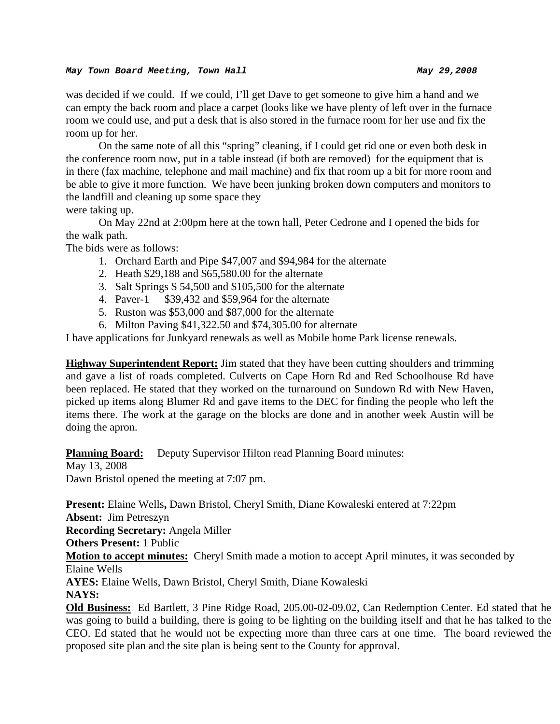#### *May Town Board Meeting, Town Hall May 29,2008*

was decided if we could. If we could, I'll get Dave to get someone to give him a hand and we can empty the back room and place a carpet (looks like we have plenty of left over in the furnace room we could use, and put a desk that is also stored in the furnace room for her use and fix the room up for her.

 On the same note of all this "spring" cleaning, if I could get rid one or even both desk in the conference room now, put in a table instead (if both are removed) for the equipment that is in there (fax machine, telephone and mail machine) and fix that room up a bit for more room and be able to give it more function. We have been junking broken down computers and monitors to the landfill and cleaning up some space they

were taking up.

 On May 22nd at 2:00pm here at the town hall, Peter Cedrone and I opened the bids for the walk path.

The bids were as follows:

- 1. Orchard Earth and Pipe \$47,007 and \$94,984 for the alternate
- 2. Heath \$29,188 and \$65,580.00 for the alternate
- 3. Salt Springs \$ 54,500 and \$105,500 for the alternate
- 4. Paver-1 \$39,432 and \$59,964 for the alternate
- 5. Ruston was \$53,000 and \$87,000 for the alternate
- 6. Milton Paving \$41,322.50 and \$74,305.00 for alternate

I have applications for Junkyard renewals as well as Mobile home Park license renewals.

**Highway Superintendent Report:** Jim stated that they have been cutting shoulders and trimming and gave a list of roads completed. Culverts on Cape Horn Rd and Red Schoolhouse Rd have been replaced. He stated that they worked on the turnaround on Sundown Rd with New Haven, picked up items along Blumer Rd and gave items to the DEC for finding the people who left the items there. The work at the garage on the blocks are done and in another week Austin will be doing the apron.

**Planning Board:** Deputy Supervisor Hilton read Planning Board minutes:

May 13, 2008 Dawn Bristol opened the meeting at 7:07 pm.

**Present:** Elaine Wells**,** Dawn Bristol, Cheryl Smith, Diane Kowaleski entered at 7:22pm **Absent:** Jim Petreszyn

**Recording Secretary:** Angela Miller

**Others Present:** 1 Public

**Motion to accept minutes:** Cheryl Smith made a motion to accept April minutes, it was seconded by Elaine Wells

**AYES:** Elaine Wells, Dawn Bristol, Cheryl Smith, Diane Kowaleski **NAYS:** 

**Old Business:** Ed Bartlett, 3 Pine Ridge Road, 205.00-02-09.02, Can Redemption Center. Ed stated that he was going to build a building, there is going to be lighting on the building itself and that he has talked to the CEO. Ed stated that he would not be expecting more than three cars at one time. The board reviewed the proposed site plan and the site plan is being sent to the County for approval.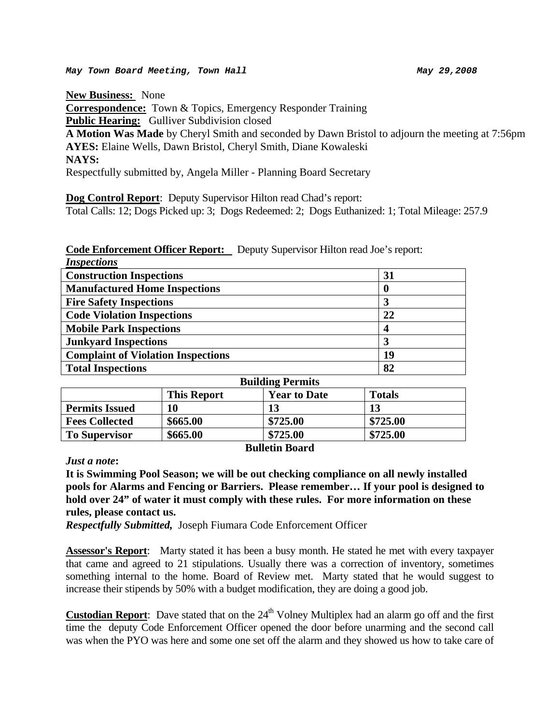**New Business:** None

**Correspondence:** Town & Topics, Emergency Responder Training **Public Hearing:** Gulliver Subdivision closed **A Motion Was Made** by Cheryl Smith and seconded by Dawn Bristol to adjourn the meeting at 7:56pm **AYES:** Elaine Wells, Dawn Bristol, Cheryl Smith, Diane Kowaleski **NAYS:**  Respectfully submitted by, Angela Miller - Planning Board Secretary

**Dog Control Report**: Deputy Supervisor Hilton read Chad's report:

Total Calls: 12; Dogs Picked up: 3; Dogs Redeemed: 2; Dogs Euthanized: 1; Total Mileage: 257.9

**Code Enforcement Officer Report:** Deputy Supervisor Hilton read Joe's report:

| <b>Inspections</b>                        |          |
|-------------------------------------------|----------|
| <b>Construction Inspections</b>           | 31       |
| <b>Manufactured Home Inspections</b>      | $\bf{0}$ |
| <b>Fire Safety Inspections</b>            | 3        |
| <b>Code Violation Inspections</b>         | 22       |
| <b>Mobile Park Inspections</b>            | 4        |
| <b>Junkyard Inspections</b>               | 3        |
| <b>Complaint of Violation Inspections</b> | 19       |
| <b>Total Inspections</b>                  | 82       |
| <b>Building Permits</b>                   |          |
| -----<br>_______                          | -- -     |

|                       | <b>This Report</b> | <b>Year to Date</b> | <b>Totals</b> |
|-----------------------|--------------------|---------------------|---------------|
| <b>Permits Issued</b> | 10                 |                     | 13            |
| <b>Fees Collected</b> | \$665.00           | \$725.00            | \$725.00      |
| <b>To Supervisor</b>  | \$665.00           | \$725.00            | \$725.00      |

# **Bulletin Board**

*Just a note***:** 

**It is Swimming Pool Season; we will be out checking compliance on all newly installed pools for Alarms and Fencing or Barriers. Please remember… If your pool is designed to hold over 24" of water it must comply with these rules. For more information on these rules, please contact us.** 

*Respectfully Submitted,* Joseph Fiumara Code Enforcement Officer

**Assessor's Report**: Marty stated it has been a busy month. He stated he met with every taxpayer that came and agreed to 21 stipulations. Usually there was a correction of inventory, sometimes something internal to the home. Board of Review met. Marty stated that he would suggest to increase their stipends by 50% with a budget modification, they are doing a good job.

**Custodian Report**: Dave stated that on the 24<sup>th</sup> Volney Multiplex had an alarm go off and the first time the deputy Code Enforcement Officer opened the door before unarming and the second call was when the PYO was here and some one set off the alarm and they showed us how to take care of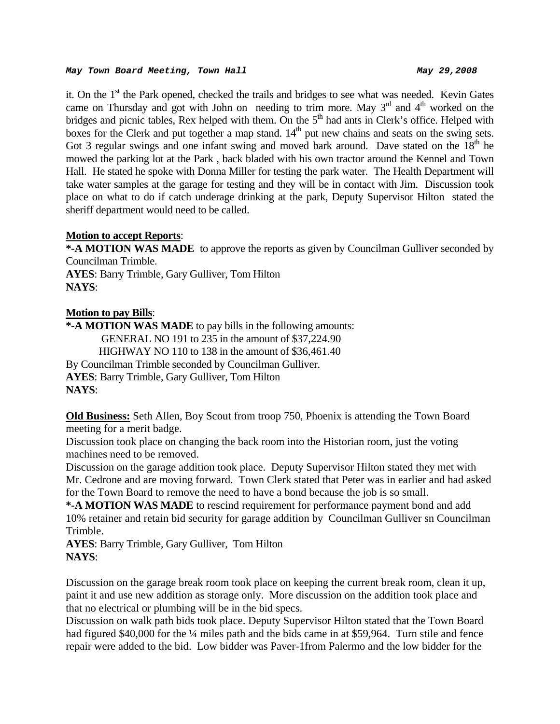#### *May Town Board Meeting, Town Hall May 29,2008*

it. On the 1<sup>st</sup> the Park opened, checked the trails and bridges to see what was needed. Kevin Gates came on Thursday and got with John on needing to trim more. May  $3<sup>rd</sup>$  and  $4<sup>th</sup>$  worked on the bridges and picnic tables, Rex helped with them. On the  $5<sup>th</sup>$  had ants in Clerk's office. Helped with boxes for the Clerk and put together a map stand.  $14<sup>th</sup>$  put new chains and seats on the swing sets. Got 3 regular swings and one infant swing and moved bark around. Dave stated on the  $18<sup>th</sup>$  he mowed the parking lot at the Park , back bladed with his own tractor around the Kennel and Town Hall. He stated he spoke with Donna Miller for testing the park water. The Health Department will take water samples at the garage for testing and they will be in contact with Jim. Discussion took place on what to do if catch underage drinking at the park, Deputy Supervisor Hilton stated the sheriff department would need to be called.

### **Motion to accept Reports**:

**\*-A MOTION WAS MADE** to approve the reports as given by Councilman Gulliver seconded by Councilman Trimble.

**AYES**: Barry Trimble, Gary Gulliver, Tom Hilton **NAYS**:

# **Motion to pay Bills**:

**\*-A MOTION WAS MADE** to pay bills in the following amounts: GENERAL NO 191 to 235 in the amount of \$37,224.90 HIGHWAY NO 110 to 138 in the amount of \$36,461.40 By Councilman Trimble seconded by Councilman Gulliver. **AYES**: Barry Trimble, Gary Gulliver, Tom Hilton **NAYS**:

**Old Business:** Seth Allen, Boy Scout from troop 750, Phoenix is attending the Town Board meeting for a merit badge.

Discussion took place on changing the back room into the Historian room, just the voting machines need to be removed.

Discussion on the garage addition took place. Deputy Supervisor Hilton stated they met with Mr. Cedrone and are moving forward. Town Clerk stated that Peter was in earlier and had asked for the Town Board to remove the need to have a bond because the job is so small.

**\*-A MOTION WAS MADE** to rescind requirement for performance payment bond and add 10% retainer and retain bid security for garage addition by Councilman Gulliver sn Councilman Trimble.

**AYES**: Barry Trimble, Gary Gulliver, Tom Hilton **NAYS**:

Discussion on the garage break room took place on keeping the current break room, clean it up, paint it and use new addition as storage only. More discussion on the addition took place and that no electrical or plumbing will be in the bid specs.

Discussion on walk path bids took place. Deputy Supervisor Hilton stated that the Town Board had figured \$40,000 for the ¼ miles path and the bids came in at \$59,964. Turn stile and fence repair were added to the bid. Low bidder was Paver-1from Palermo and the low bidder for the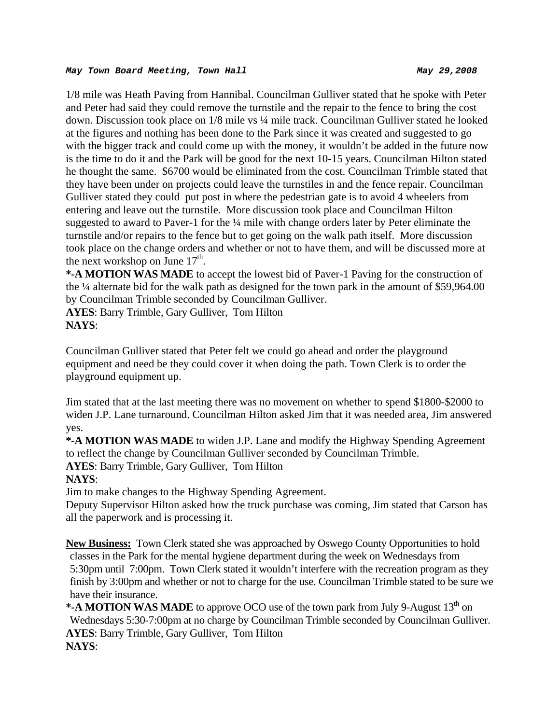#### *May Town Board Meeting, Town Hall May 29,2008*

1/8 mile was Heath Paving from Hannibal. Councilman Gulliver stated that he spoke with Peter and Peter had said they could remove the turnstile and the repair to the fence to bring the cost down. Discussion took place on 1/8 mile vs ¼ mile track. Councilman Gulliver stated he looked at the figures and nothing has been done to the Park since it was created and suggested to go with the bigger track and could come up with the money, it wouldn't be added in the future now is the time to do it and the Park will be good for the next 10-15 years. Councilman Hilton stated he thought the same. \$6700 would be eliminated from the cost. Councilman Trimble stated that they have been under on projects could leave the turnstiles in and the fence repair. Councilman Gulliver stated they could put post in where the pedestrian gate is to avoid 4 wheelers from entering and leave out the turnstile. More discussion took place and Councilman Hilton suggested to award to Paver-1 for the ¼ mile with change orders later by Peter eliminate the turnstile and/or repairs to the fence but to get going on the walk path itself. More discussion took place on the change orders and whether or not to have them, and will be discussed more at the next workshop on June  $17<sup>th</sup>$ .

**\*-A MOTION WAS MADE** to accept the lowest bid of Paver-1 Paving for the construction of the ¼ alternate bid for the walk path as designed for the town park in the amount of \$59,964.00 by Councilman Trimble seconded by Councilman Gulliver.

**AYES**: Barry Trimble, Gary Gulliver, Tom Hilton **NAYS**:

Councilman Gulliver stated that Peter felt we could go ahead and order the playground equipment and need be they could cover it when doing the path. Town Clerk is to order the playground equipment up.

Jim stated that at the last meeting there was no movement on whether to spend \$1800-\$2000 to widen J.P. Lane turnaround. Councilman Hilton asked Jim that it was needed area, Jim answered yes.

**\*-A MOTION WAS MADE** to widen J.P. Lane and modify the Highway Spending Agreement to reflect the change by Councilman Gulliver seconded by Councilman Trimble.

**AYES**: Barry Trimble, Gary Gulliver, Tom Hilton

# **NAYS**:

Jim to make changes to the Highway Spending Agreement.

Deputy Supervisor Hilton asked how the truck purchase was coming, Jim stated that Carson has all the paperwork and is processing it.

**New Business:** Town Clerk stated she was approached by Oswego County Opportunities to hold classes in the Park for the mental hygiene department during the week on Wednesdays from 5:30pm until 7:00pm. Town Clerk stated it wouldn't interfere with the recreation program as they finish by 3:00pm and whether or not to charge for the use. Councilman Trimble stated to be sure we have their insurance.

**\*-A MOTION WAS MADE** to approve OCO use of the town park from July 9-August 13<sup>th</sup> on Wednesdays 5:30-7:00pm at no charge by Councilman Trimble seconded by Councilman Gulliver. **AYES**: Barry Trimble, Gary Gulliver, Tom Hilton **NAYS**: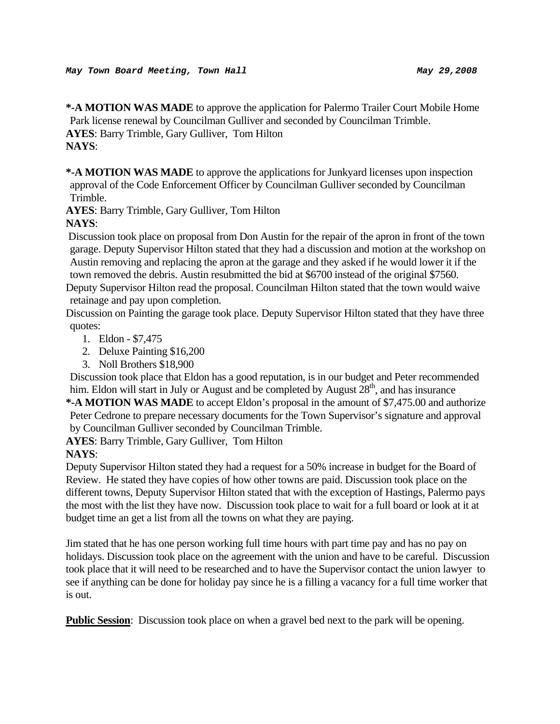**\*-A MOTION WAS MADE** to approve the application for Palermo Trailer Court Mobile Home Park license renewal by Councilman Gulliver and seconded by Councilman Trimble. **AYES**: Barry Trimble, Gary Gulliver, Tom Hilton **NAYS**:

**\*-A MOTION WAS MADE** to approve the applications for Junkyard licenses upon inspection approval of the Code Enforcement Officer by Councilman Gulliver seconded by Councilman Trimble.

**AYES**: Barry Trimble, Gary Gulliver, Tom Hilton

# **NAYS**:

 Discussion took place on proposal from Don Austin for the repair of the apron in front of the town garage. Deputy Supervisor Hilton stated that they had a discussion and motion at the workshop on Austin removing and replacing the apron at the garage and they asked if he would lower it if the town removed the debris. Austin resubmitted the bid at \$6700 instead of the original \$7560.

Deputy Supervisor Hilton read the proposal. Councilman Hilton stated that the town would waive retainage and pay upon completion.

Discussion on Painting the garage took place. Deputy Supervisor Hilton stated that they have three quotes:

- 1. Eldon \$7,475
- 2. Deluxe Painting \$16,200
- 3. Noll Brothers \$18,900

Discussion took place that Eldon has a good reputation, is in our budget and Peter recommended him. Eldon will start in July or August and be completed by August  $28<sup>th</sup>$ , and has insurance

**\*-A MOTION WAS MADE** to accept Eldon's proposal in the amount of \$7,475.00 and authorize Peter Cedrone to prepare necessary documents for the Town Supervisor's signature and approval by Councilman Gulliver seconded by Councilman Trimble.

**AYES**: Barry Trimble, Gary Gulliver, Tom Hilton

# **NAYS**:

Deputy Supervisor Hilton stated they had a request for a 50% increase in budget for the Board of Review. He stated they have copies of how other towns are paid. Discussion took place on the different towns, Deputy Supervisor Hilton stated that with the exception of Hastings, Palermo pays the most with the list they have now. Discussion took place to wait for a full board or look at it at budget time an get a list from all the towns on what they are paying.

Jim stated that he has one person working full time hours with part time pay and has no pay on holidays. Discussion took place on the agreement with the union and have to be careful. Discussion took place that it will need to be researched and to have the Supervisor contact the union lawyer to see if anything can be done for holiday pay since he is a filling a vacancy for a full time worker that is out.

**Public Session**: Discussion took place on when a gravel bed next to the park will be opening.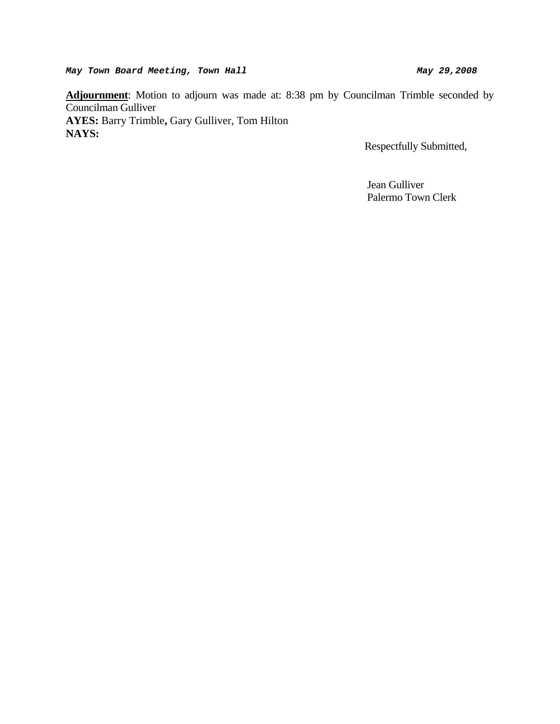May Town Board Meeting, Town Hall May 29,2008

**Adjournment**: Motion to adjourn was made at: 8:38 pm by Councilman Trimble seconded by Councilman Gulliver **AYES:** Barry Trimble**,** Gary Gulliver, Tom Hilton **NAYS:** 

Respectfully Submitted,

 Jean Gulliver Palermo Town Clerk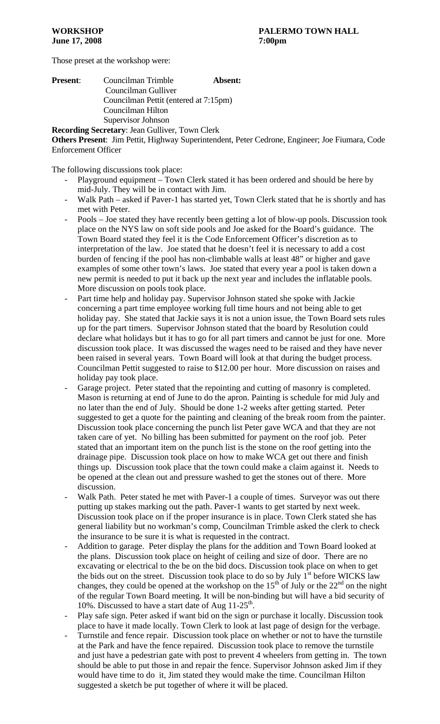Those preset at the workshop were:

| <b>Present:</b> | Councilman Trimble                                | Absent: |
|-----------------|---------------------------------------------------|---------|
|                 | Councilman Gulliver                               |         |
|                 | Councilman Pettit (entered at 7:15pm)             |         |
|                 | Councilman Hilton                                 |         |
|                 | Supervisor Johnson                                |         |
|                 | <b>December Constant</b> Leon Culliver Town Clerk |         |

**Recording Secretary**: Jean Gulliver, Town Clerk **Others Present**: Jim Pettit, Highway Superintendent, Peter Cedrone, Engineer; Joe Fiumara, Code Enforcement Officer

The following discussions took place:

- Playground equipment Town Clerk stated it has been ordered and should be here by mid-July. They will be in contact with Jim.
- Walk Path asked if Paver-1 has started yet, Town Clerk stated that he is shortly and has met with Peter.
- Pools Joe stated they have recently been getting a lot of blow-up pools. Discussion took place on the NYS law on soft side pools and Joe asked for the Board's guidance. The Town Board stated they feel it is the Code Enforcement Officer's discretion as to interpretation of the law. Joe stated that he doesn't feel it is necessary to add a cost burden of fencing if the pool has non-climbable walls at least 48" or higher and gave examples of some other town's laws. Joe stated that every year a pool is taken down a new permit is needed to put it back up the next year and includes the inflatable pools. More discussion on pools took place.
- Part time help and holiday pay. Supervisor Johnson stated she spoke with Jackie concerning a part time employee working full time hours and not being able to get holiday pay. She stated that Jackie says it is not a union issue, the Town Board sets rules up for the part timers. Supervisor Johnson stated that the board by Resolution could declare what holidays but it has to go for all part timers and cannot be just for one. More discussion took place. It was discussed the wages need to be raised and they have never been raised in several years. Town Board will look at that during the budget process. Councilman Pettit suggested to raise to \$12.00 per hour. More discussion on raises and holiday pay took place.
- Garage project. Peter stated that the repointing and cutting of masonry is completed. Mason is returning at end of June to do the apron. Painting is schedule for mid July and no later than the end of July. Should be done 1-2 weeks after getting started. Peter suggested to get a quote for the painting and cleaning of the break room from the painter. Discussion took place concerning the punch list Peter gave WCA and that they are not taken care of yet. No billing has been submitted for payment on the roof job. Peter stated that an important item on the punch list is the stone on the roof getting into the drainage pipe. Discussion took place on how to make WCA get out there and finish things up. Discussion took place that the town could make a claim against it. Needs to be opened at the clean out and pressure washed to get the stones out of there. More discussion.
- Walk Path. Peter stated he met with Paver-1 a couple of times. Surveyor was out there putting up stakes marking out the path. Paver-1 wants to get started by next week. Discussion took place on if the proper insurance is in place. Town Clerk stated she has general liability but no workman's comp, Councilman Trimble asked the clerk to check the insurance to be sure it is what is requested in the contract.
- Addition to garage. Peter display the plans for the addition and Town Board looked at the plans. Discussion took place on height of ceiling and size of door. There are no excavating or electrical to the be on the bid docs. Discussion took place on when to get the bids out on the street. Discussion took place to do so by July  $1<sup>st</sup>$  before WICKS law changes, they could be opened at the workshop on the  $15<sup>th</sup>$  of July or the  $22<sup>nd</sup>$  on the night of the regular Town Board meeting. It will be non-binding but will have a bid security of 10%. Discussed to have a start date of Aug  $11-25$ <sup>th</sup>.
- Play safe sign. Peter asked if want bid on the sign or purchase it locally. Discussion took place to have it made locally. Town Clerk to look at last page of design for the verbage.
- Turnstile and fence repair. Discussion took place on whether or not to have the turnstile at the Park and have the fence repaired. Discussion took place to remove the turnstile and just have a pedestrian gate with post to prevent 4 wheelers from getting in. The town should be able to put those in and repair the fence. Supervisor Johnson asked Jim if they would have time to do it, Jim stated they would make the time. Councilman Hilton suggested a sketch be put together of where it will be placed.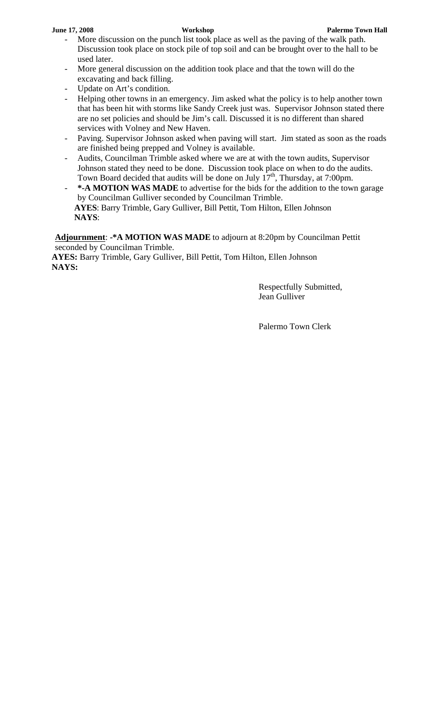- More discussion on the punch list took place as well as the paving of the walk path. Discussion took place on stock pile of top soil and can be brought over to the hall to be used later.
- More general discussion on the addition took place and that the town will do the excavating and back filling.
- Update on Art's condition.
- Helping other towns in an emergency. Jim asked what the policy is to help another town that has been hit with storms like Sandy Creek just was. Supervisor Johnson stated there are no set policies and should be Jim's call. Discussed it is no different than shared services with Volney and New Haven.
- Paving. Supervisor Johnson asked when paving will start. Jim stated as soon as the roads are finished being prepped and Volney is available.
- Audits, Councilman Trimble asked where we are at with the town audits, Supervisor Johnson stated they need to be done. Discussion took place on when to do the audits. Town Board decided that audits will be done on July  $17<sup>th</sup>$ , Thursday, at 7:00pm.
- \*-A MOTION WAS MADE to advertise for the bids for the addition to the town garage by Councilman Gulliver seconded by Councilman Trimble.  **AYES**: Barry Trimble, Gary Gulliver, Bill Pettit, Tom Hilton, Ellen Johnson  **NAYS**:

**Adjournment**: **-\*A MOTION WAS MADE** to adjourn at 8:20pm by Councilman Pettit seconded by Councilman Trimble.

**AYES:** Barry Trimble, Gary Gulliver, Bill Pettit, Tom Hilton, Ellen Johnson **NAYS:**

> Respectfully Submitted, Jean Gulliver

Palermo Town Clerk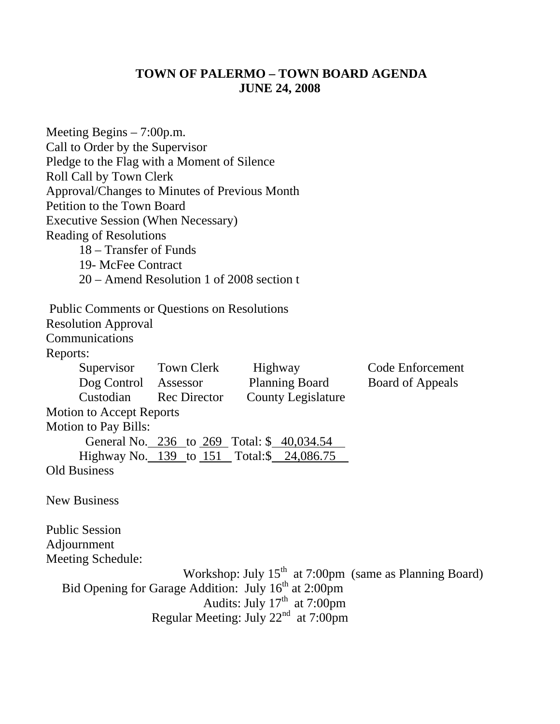# **TOWN OF PALERMO – TOWN BOARD AGENDA JUNE 24, 2008**

| Meeting Begins $-7:00$ p.m.                        |                                           |                                                                  |                                                          |
|----------------------------------------------------|-------------------------------------------|------------------------------------------------------------------|----------------------------------------------------------|
| Call to Order by the Supervisor                    |                                           |                                                                  |                                                          |
| Pledge to the Flag with a Moment of Silence        |                                           |                                                                  |                                                          |
| <b>Roll Call by Town Clerk</b>                     |                                           |                                                                  |                                                          |
| Approval/Changes to Minutes of Previous Month      |                                           |                                                                  |                                                          |
| Petition to the Town Board                         |                                           |                                                                  |                                                          |
| <b>Executive Session (When Necessary)</b>          |                                           |                                                                  |                                                          |
| <b>Reading of Resolutions</b>                      |                                           |                                                                  |                                                          |
| 18 – Transfer of Funds                             |                                           |                                                                  |                                                          |
| 19- McFee Contract                                 |                                           |                                                                  |                                                          |
|                                                    | 20 – Amend Resolution 1 of 2008 section t |                                                                  |                                                          |
| <b>Public Comments or Questions on Resolutions</b> |                                           |                                                                  |                                                          |
| <b>Resolution Approval</b>                         |                                           |                                                                  |                                                          |
| Communications                                     |                                           |                                                                  |                                                          |
| Reports:                                           |                                           |                                                                  |                                                          |
|                                                    | Supervisor Town Clerk                     | Highway                                                          | <b>Code Enforcement</b>                                  |
| Dog Control Assessor                               |                                           | <b>Planning Board</b>                                            | <b>Board of Appeals</b>                                  |
| Custodian                                          | <b>Rec Director</b>                       | <b>County Legislature</b>                                        |                                                          |
| <b>Motion to Accept Reports</b>                    |                                           |                                                                  |                                                          |
| <b>Motion to Pay Bills:</b>                        |                                           |                                                                  |                                                          |
|                                                    |                                           | General No. 236 to 269 Total: \$ 40,034.54                       |                                                          |
|                                                    |                                           | Highway No. 139 to 151 Total:\$ 24,086.75                        |                                                          |
| <b>Old Business</b>                                |                                           |                                                                  |                                                          |
| <b>New Business</b>                                |                                           |                                                                  |                                                          |
| <b>Public Session</b>                              |                                           |                                                                  |                                                          |
| Adjournment                                        |                                           |                                                                  |                                                          |
| Meeting Schedule:                                  |                                           |                                                                  |                                                          |
|                                                    |                                           |                                                                  | Workshop: July $15th$ at 7:00pm (same as Planning Board) |
|                                                    |                                           | Bid Opening for Garage Addition: July 16 <sup>th</sup> at 2:00pm |                                                          |
|                                                    |                                           | Audits: July $17th$ at 7:00pm                                    |                                                          |
|                                                    |                                           | Regular Meeting: July $22^{nd}$ at 7:00pm                        |                                                          |
|                                                    |                                           |                                                                  |                                                          |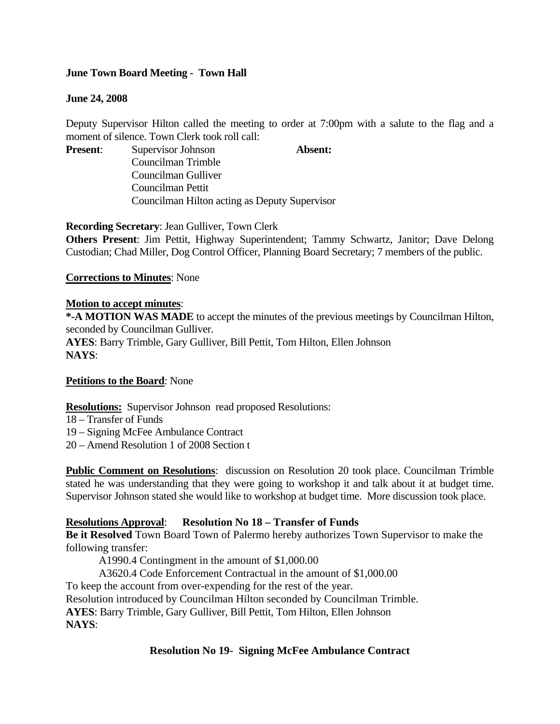# **June Town Board Meeting - Town Hall**

### **June 24, 2008**

Deputy Supervisor Hilton called the meeting to order at 7:00pm with a salute to the flag and a moment of silence. Town Clerk took roll call:

**Present:** Supervisor Johnson **Absent:** Councilman Trimble Councilman Gulliver Councilman Pettit Councilman Hilton acting as Deputy Supervisor

**Recording Secretary**: Jean Gulliver, Town Clerk

**Others Present**: Jim Pettit, Highway Superintendent; Tammy Schwartz, Janitor; Dave Delong Custodian; Chad Miller, Dog Control Officer, Planning Board Secretary; 7 members of the public.

### **Corrections to Minutes**: None

### **Motion to accept minutes**:

**\*-A MOTION WAS MADE** to accept the minutes of the previous meetings by Councilman Hilton, seconded by Councilman Gulliver. **AYES**: Barry Trimble, Gary Gulliver, Bill Pettit, Tom Hilton, Ellen Johnson **NAYS**:

### **Petitions to the Board**: None

# **Resolutions:** Supervisor Johnson read proposed Resolutions:

- 18 Transfer of Funds
- 19 Signing McFee Ambulance Contract
- 20 Amend Resolution 1 of 2008 Section t

**Public Comment on Resolutions**: discussion on Resolution 20 took place. Councilman Trimble stated he was understanding that they were going to workshop it and talk about it at budget time. Supervisor Johnson stated she would like to workshop at budget time. More discussion took place.

# **Resolutions Approval**: **Resolution No 18 – Transfer of Funds**

**Be it Resolved** Town Board Town of Palermo hereby authorizes Town Supervisor to make the following transfer:

A1990.4 Contingment in the amount of \$1,000.00

A3620.4 Code Enforcement Contractual in the amount of \$1,000.00

To keep the account from over-expending for the rest of the year.

Resolution introduced by Councilman Hilton seconded by Councilman Trimble.

**AYES**: Barry Trimble, Gary Gulliver, Bill Pettit, Tom Hilton, Ellen Johnson

**NAYS**:

# **Resolution No 19- Signing McFee Ambulance Contract**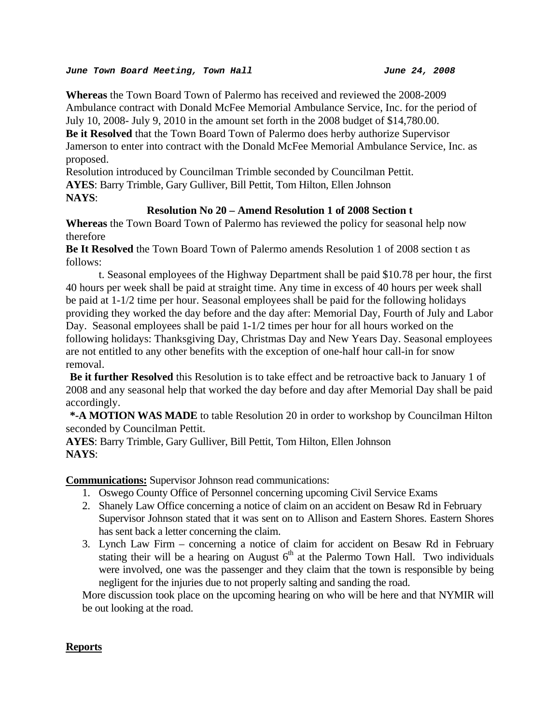#### *June Town Board Meeting, Town Hall June 24, 2008*

**Whereas** the Town Board Town of Palermo has received and reviewed the 2008-2009 Ambulance contract with Donald McFee Memorial Ambulance Service, Inc. for the period of July 10, 2008- July 9, 2010 in the amount set forth in the 2008 budget of \$14,780.00. **Be it Resolved** that the Town Board Town of Palermo does herby authorize Supervisor Jamerson to enter into contract with the Donald McFee Memorial Ambulance Service, Inc. as proposed.

Resolution introduced by Councilman Trimble seconded by Councilman Pettit. **AYES**: Barry Trimble, Gary Gulliver, Bill Pettit, Tom Hilton, Ellen Johnson **NAYS**:

# **Resolution No 20 – Amend Resolution 1 of 2008 Section t**

**Whereas** the Town Board Town of Palermo has reviewed the policy for seasonal help now therefore

**Be It Resolved** the Town Board Town of Palermo amends Resolution 1 of 2008 section t as follows:

 t. Seasonal employees of the Highway Department shall be paid \$10.78 per hour, the first 40 hours per week shall be paid at straight time. Any time in excess of 40 hours per week shall be paid at 1-1/2 time per hour. Seasonal employees shall be paid for the following holidays providing they worked the day before and the day after: Memorial Day, Fourth of July and Labor Day. Seasonal employees shall be paid 1-1/2 times per hour for all hours worked on the following holidays: Thanksgiving Day, Christmas Day and New Years Day. Seasonal employees are not entitled to any other benefits with the exception of one-half hour call-in for snow removal.

**Be it further Resolved** this Resolution is to take effect and be retroactive back to January 1 of 2008 and any seasonal help that worked the day before and day after Memorial Day shall be paid accordingly.

**\*-A MOTION WAS MADE** to table Resolution 20 in order to workshop by Councilman Hilton seconded by Councilman Pettit.

**AYES**: Barry Trimble, Gary Gulliver, Bill Pettit, Tom Hilton, Ellen Johnson **NAYS**:

**Communications:** Supervisor Johnson read communications:

- 1. Oswego County Office of Personnel concerning upcoming Civil Service Exams
- 2. Shanely Law Office concerning a notice of claim on an accident on Besaw Rd in February Supervisor Johnson stated that it was sent on to Allison and Eastern Shores. Eastern Shores has sent back a letter concerning the claim.
- 3. Lynch Law Firm concerning a notice of claim for accident on Besaw Rd in February stating their will be a hearing on August  $6<sup>th</sup>$  at the Palermo Town Hall. Two individuals were involved, one was the passenger and they claim that the town is responsible by being negligent for the injuries due to not properly salting and sanding the road.

More discussion took place on the upcoming hearing on who will be here and that NYMIR will be out looking at the road.

# **Reports**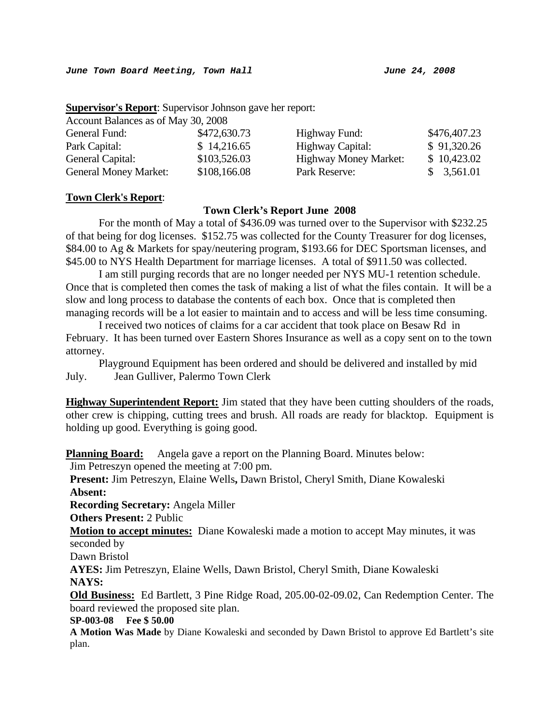#### **Supervisor's Report**: Supervisor Johnson gave her report:

Account Balances as of May 30, 2008

| General Fund:                | \$472,630.73 | Highway Fund:                | \$476,407.23 |
|------------------------------|--------------|------------------------------|--------------|
| Park Capital:                | \$14,216.65  | Highway Capital:             | \$91,320.26  |
| General Capital:             | \$103,526.03 | <b>Highway Money Market:</b> | \$10,423.02  |
| <b>General Money Market:</b> | \$108,166.08 | Park Reserve:                | \$3,561.01   |

#### **Town Clerk's Report**:

### **Town Clerk's Report June 2008**

For the month of May a total of \$436.09 was turned over to the Supervisor with \$232.25 of that being for dog licenses. \$152.75 was collected for the County Treasurer for dog licenses, \$84.00 to Ag & Markets for spay/neutering program, \$193.66 for DEC Sportsman licenses, and \$45.00 to NYS Health Department for marriage licenses. A total of \$911.50 was collected.

 I am still purging records that are no longer needed per NYS MU-1 retention schedule. Once that is completed then comes the task of making a list of what the files contain. It will be a slow and long process to database the contents of each box. Once that is completed then managing records will be a lot easier to maintain and to access and will be less time consuming.

 I received two notices of claims for a car accident that took place on Besaw Rd in February. It has been turned over Eastern Shores Insurance as well as a copy sent on to the town attorney.

 Playground Equipment has been ordered and should be delivered and installed by mid July. Jean Gulliver, Palermo Town Clerk

**Highway Superintendent Report:** Jim stated that they have been cutting shoulders of the roads, other crew is chipping, cutting trees and brush. All roads are ready for blacktop. Equipment is holding up good. Everything is going good.

**Planning Board:** Angela gave a report on the Planning Board. Minutes below:

Jim Petreszyn opened the meeting at 7:00 pm.

**Present:** Jim Petreszyn, Elaine Wells**,** Dawn Bristol, Cheryl Smith, Diane Kowaleski **Absent:**

**Recording Secretary:** Angela Miller

**Others Present:** 2 Public

**Motion to accept minutes:** Diane Kowaleski made a motion to accept May minutes, it was seconded by

Dawn Bristol

**AYES:** Jim Petreszyn, Elaine Wells, Dawn Bristol, Cheryl Smith, Diane Kowaleski **NAYS:** 

**Old Business:** Ed Bartlett, 3 Pine Ridge Road, 205.00-02-09.02, Can Redemption Center. The board reviewed the proposed site plan.

#### **SP-003-08 Fee \$ 50.00**

**A Motion Was Made** by Diane Kowaleski and seconded by Dawn Bristol to approve Ed Bartlett's site plan.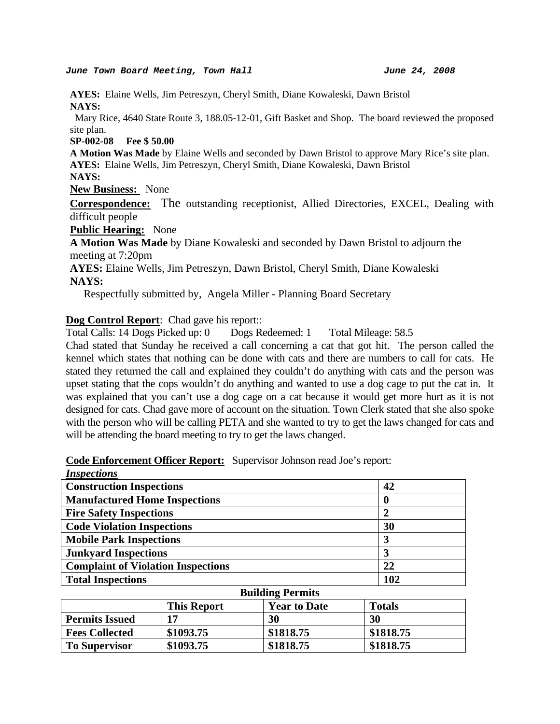#### *June Town Board Meeting, Town Hall June 24, 2008*

**AYES:** Elaine Wells, Jim Petreszyn, Cheryl Smith, Diane Kowaleski, Dawn Bristol **NAYS:** 

Mary Rice, 4640 State Route 3, 188.05-12-01, Gift Basket and Shop. The board reviewed the proposed site plan.

#### **SP-002-08 Fee \$ 50.00**

**A Motion Was Made** by Elaine Wells and seconded by Dawn Bristol to approve Mary Rice's site plan. **AYES:** Elaine Wells, Jim Petreszyn, Cheryl Smith, Diane Kowaleski, Dawn Bristol

**NAYS:** 

**New Business:** None

**Correspondence:** The outstanding receptionist, Allied Directories, EXCEL, Dealing with difficult people

**Public Hearing:** None

**A Motion Was Made** by Diane Kowaleski and seconded by Dawn Bristol to adjourn the meeting at 7:20pm

**AYES:** Elaine Wells, Jim Petreszyn, Dawn Bristol, Cheryl Smith, Diane Kowaleski **NAYS:** 

Respectfully submitted by, Angela Miller - Planning Board Secretary

**Dog Control Report**: Chad gave his report::

Total Calls: 14 Dogs Picked up: 0 Dogs Redeemed: 1 Total Mileage: 58.5

Chad stated that Sunday he received a call concerning a cat that got hit. The person called the kennel which states that nothing can be done with cats and there are numbers to call for cats. He stated they returned the call and explained they couldn't do anything with cats and the person was upset stating that the cops wouldn't do anything and wanted to use a dog cage to put the cat in. It was explained that you can't use a dog cage on a cat because it would get more hurt as it is not designed for cats. Chad gave more of account on the situation. Town Clerk stated that she also spoke with the person who will be calling PETA and she wanted to try to get the laws changed for cats and will be attending the board meeting to try to get the laws changed.

| <b>Inspections</b>                                                       |               |                         |  |                  |
|--------------------------------------------------------------------------|---------------|-------------------------|--|------------------|
| <b>Construction Inspections</b>                                          |               |                         |  | 42               |
| <b>Manufactured Home Inspections</b>                                     |               |                         |  | 0                |
| <b>Fire Safety Inspections</b>                                           |               |                         |  | $\boldsymbol{2}$ |
| <b>Code Violation Inspections</b>                                        |               |                         |  | 30               |
| <b>Mobile Park Inspections</b>                                           |               |                         |  | 3                |
| <b>Junkyard Inspections</b>                                              |               |                         |  | 3                |
| <b>Complaint of Violation Inspections</b>                                |               |                         |  | 22               |
| <b>Total Inspections</b>                                                 |               |                         |  | 102              |
|                                                                          |               | <b>Building Permits</b> |  |                  |
|                                                                          | <b>Totals</b> |                         |  |                  |
| <b>Permits Issued</b><br>17<br>30<br>30                                  |               |                         |  |                  |
| <b>Fees Collected</b>                                                    | \$1818.75     |                         |  |                  |
| \$1818.75<br>\$1093.75<br>\$1818.75<br>\$1093.75<br><b>To Supervisor</b> |               |                         |  | \$1818.75        |

**Code Enforcement Officer Report:** Supervisor Johnson read Joe's report: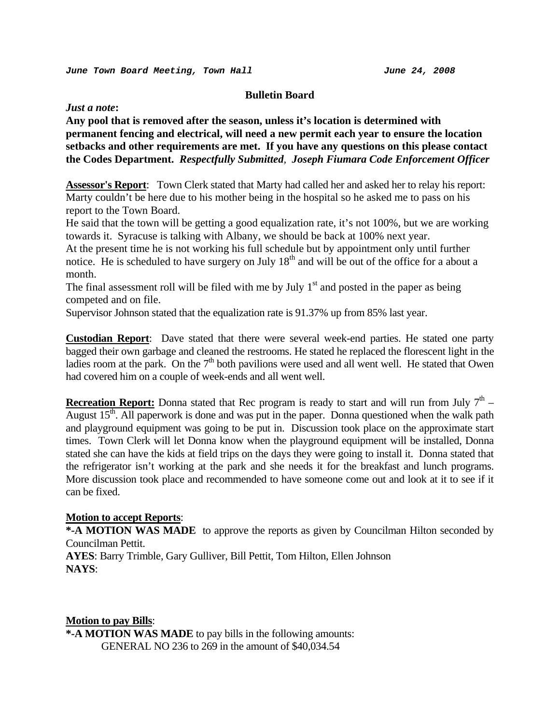#### **Bulletin Board**

*Just a note***:** 

**Any pool that is removed after the season, unless it's location is determined with permanent fencing and electrical, will need a new permit each year to ensure the location setbacks and other requirements are met. If you have any questions on this please contact the Codes Department.** *Respectfully Submitted, Joseph Fiumara Code Enforcement Officer*

**Assessor's Report**: Town Clerk stated that Marty had called her and asked her to relay his report: Marty couldn't be here due to his mother being in the hospital so he asked me to pass on his report to the Town Board.

He said that the town will be getting a good equalization rate, it's not 100%, but we are working towards it. Syracuse is talking with Albany, we should be back at 100% next year.

At the present time he is not working his full schedule but by appointment only until further notice. He is scheduled to have surgery on July  $18<sup>th</sup>$  and will be out of the office for a about a month.

The final assessment roll will be filed with me by July  $1<sup>st</sup>$  and posted in the paper as being competed and on file.

Supervisor Johnson stated that the equalization rate is 91.37% up from 85% last year.

**Custodian Report**: Dave stated that there were several week-end parties. He stated one party bagged their own garbage and cleaned the restrooms. He stated he replaced the florescent light in the ladies room at the park. On the  $7<sup>th</sup>$  both pavilions were used and all went well. He stated that Owen had covered him on a couple of week-ends and all went well.

**Recreation Report:** Donna stated that Rec program is ready to start and will run from July  $7<sup>th</sup>$  – August  $15<sup>th</sup>$ . All paperwork is done and was put in the paper. Donna questioned when the walk path and playground equipment was going to be put in. Discussion took place on the approximate start times. Town Clerk will let Donna know when the playground equipment will be installed, Donna stated she can have the kids at field trips on the days they were going to install it. Donna stated that the refrigerator isn't working at the park and she needs it for the breakfast and lunch programs. More discussion took place and recommended to have someone come out and look at it to see if it can be fixed.

### **Motion to accept Reports**:

**\*-A MOTION WAS MADE** to approve the reports as given by Councilman Hilton seconded by Councilman Pettit.

**AYES**: Barry Trimble, Gary Gulliver, Bill Pettit, Tom Hilton, Ellen Johnson **NAYS**:

#### **Motion to pay Bills**:

**\*-A MOTION WAS MADE** to pay bills in the following amounts: GENERAL NO 236 to 269 in the amount of \$40,034.54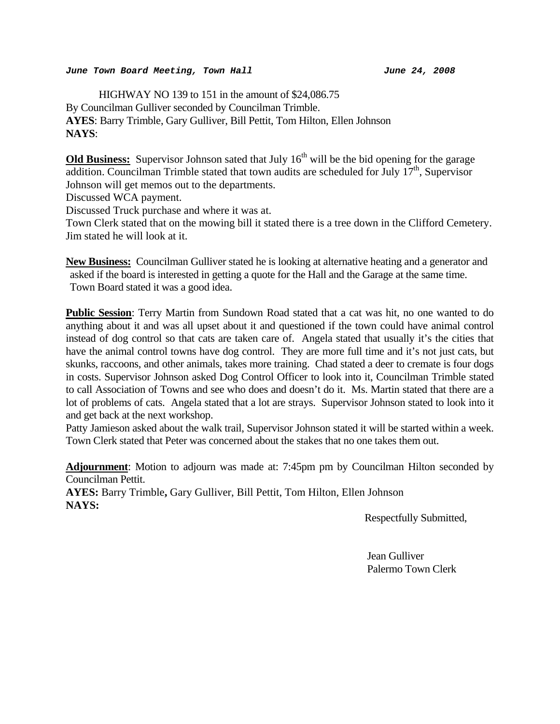#### *June Town Board Meeting, Town Hall June 24, 2008*

 HIGHWAY NO 139 to 151 in the amount of \$24,086.75 By Councilman Gulliver seconded by Councilman Trimble. **AYES**: Barry Trimble, Gary Gulliver, Bill Pettit, Tom Hilton, Ellen Johnson **NAYS**:

**Old Business:** Supervisor Johnson sated that July 16<sup>th</sup> will be the bid opening for the garage addition. Councilman Trimble stated that town audits are scheduled for July  $17<sup>th</sup>$ , Supervisor Johnson will get memos out to the departments.

Discussed WCA payment.

Discussed Truck purchase and where it was at.

Town Clerk stated that on the mowing bill it stated there is a tree down in the Clifford Cemetery. Jim stated he will look at it.

**New Business:** Councilman Gulliver stated he is looking at alternative heating and a generator and asked if the board is interested in getting a quote for the Hall and the Garage at the same time. Town Board stated it was a good idea.

**Public Session**: Terry Martin from Sundown Road stated that a cat was hit, no one wanted to do anything about it and was all upset about it and questioned if the town could have animal control instead of dog control so that cats are taken care of. Angela stated that usually it's the cities that have the animal control towns have dog control. They are more full time and it's not just cats, but skunks, raccoons, and other animals, takes more training. Chad stated a deer to cremate is four dogs in costs. Supervisor Johnson asked Dog Control Officer to look into it, Councilman Trimble stated to call Association of Towns and see who does and doesn't do it. Ms. Martin stated that there are a lot of problems of cats. Angela stated that a lot are strays. Supervisor Johnson stated to look into it and get back at the next workshop.

Patty Jamieson asked about the walk trail, Supervisor Johnson stated it will be started within a week. Town Clerk stated that Peter was concerned about the stakes that no one takes them out.

**Adjournment**: Motion to adjourn was made at: 7:45pm pm by Councilman Hilton seconded by Councilman Pettit. **AYES:** Barry Trimble**,** Gary Gulliver, Bill Pettit, Tom Hilton, Ellen Johnson **NAYS:** 

Respectfully Submitted,

 Jean Gulliver Palermo Town Clerk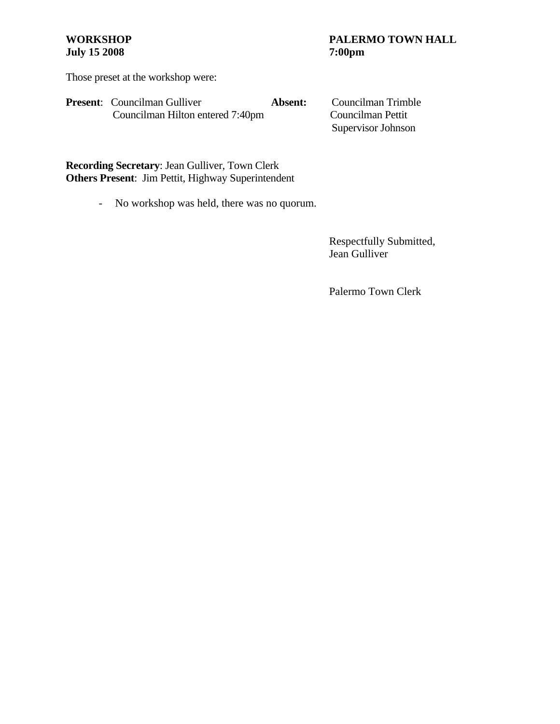# **July 15 2008**

# **WORKSHOP PALERMO TOWN HALL July 15 2008** 7:00pm

Those preset at the workshop were:

| <b>Present:</b> Councilman Gulliver | Absent: | Councilman Trimble |
|-------------------------------------|---------|--------------------|
| Councilman Hilton entered 7:40pm    |         | Councilman Pettit  |
|                                     |         | Supervisor Johnson |

**Recording Secretary**: Jean Gulliver, Town Clerk **Others Present**: Jim Pettit, Highway Superintendent

- No workshop was held, there was no quorum.

 Respectfully Submitted, Jean Gulliver

Palermo Town Clerk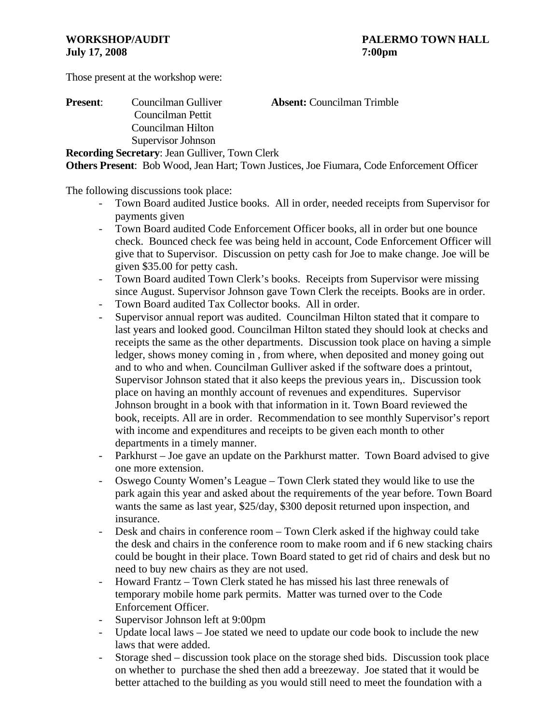Those present at the workshop were:

| <b>Present:</b> | Councilman Gulliver                                   | <b>Absent:</b> Councilman Trimble                                                                 |
|-----------------|-------------------------------------------------------|---------------------------------------------------------------------------------------------------|
|                 | Councilman Pettit                                     |                                                                                                   |
|                 | Councilman Hilton                                     |                                                                                                   |
|                 | Supervisor Johnson                                    |                                                                                                   |
|                 | <b>Recording Secretary: Jean Gulliver, Town Clerk</b> |                                                                                                   |
|                 |                                                       | <b>Others Present</b> : Bob Wood, Jean Hart; Town Justices, Joe Fiumara, Code Enforcement Officer |

The following discussions took place:

- Town Board audited Justice books. All in order, needed receipts from Supervisor for payments given
- Town Board audited Code Enforcement Officer books, all in order but one bounce check. Bounced check fee was being held in account, Code Enforcement Officer will give that to Supervisor. Discussion on petty cash for Joe to make change. Joe will be given \$35.00 for petty cash.
- Town Board audited Town Clerk's books. Receipts from Supervisor were missing since August. Supervisor Johnson gave Town Clerk the receipts. Books are in order.
- Town Board audited Tax Collector books. All in order.
- Supervisor annual report was audited. Councilman Hilton stated that it compare to last years and looked good. Councilman Hilton stated they should look at checks and receipts the same as the other departments. Discussion took place on having a simple ledger, shows money coming in , from where, when deposited and money going out and to who and when. Councilman Gulliver asked if the software does a printout, Supervisor Johnson stated that it also keeps the previous years in,. Discussion took place on having an monthly account of revenues and expenditures. Supervisor Johnson brought in a book with that information in it. Town Board reviewed the book, receipts. All are in order. Recommendation to see monthly Supervisor's report with income and expenditures and receipts to be given each month to other departments in a timely manner.
- Parkhurst Joe gave an update on the Parkhurst matter. Town Board advised to give one more extension.
- Oswego County Women's League Town Clerk stated they would like to use the park again this year and asked about the requirements of the year before. Town Board wants the same as last year, \$25/day, \$300 deposit returned upon inspection, and insurance.
- Desk and chairs in conference room Town Clerk asked if the highway could take the desk and chairs in the conference room to make room and if 6 new stacking chairs could be bought in their place. Town Board stated to get rid of chairs and desk but no need to buy new chairs as they are not used.
- Howard Frantz Town Clerk stated he has missed his last three renewals of temporary mobile home park permits. Matter was turned over to the Code Enforcement Officer.
- Supervisor Johnson left at 9:00pm
- Update local laws Joe stated we need to update our code book to include the new laws that were added.
- Storage shed discussion took place on the storage shed bids. Discussion took place on whether to purchase the shed then add a breezeway. Joe stated that it would be better attached to the building as you would still need to meet the foundation with a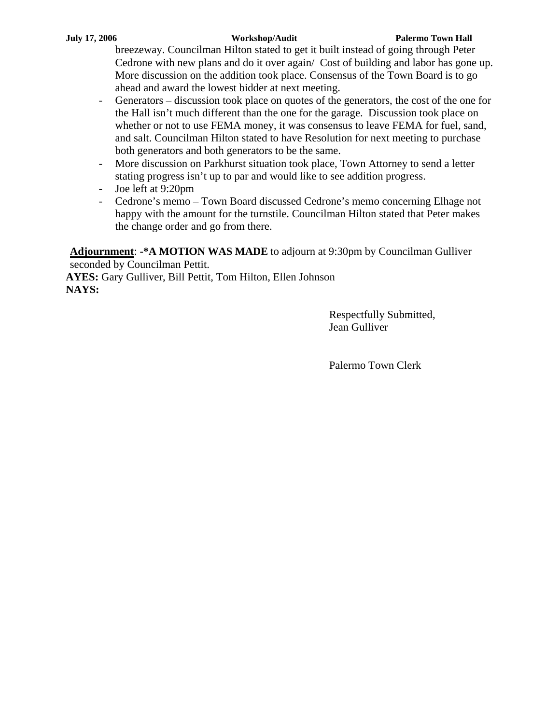breezeway. Councilman Hilton stated to get it built instead of going through Peter Cedrone with new plans and do it over again/ Cost of building and labor has gone up. More discussion on the addition took place. Consensus of the Town Board is to go ahead and award the lowest bidder at next meeting.

- Generators discussion took place on quotes of the generators, the cost of the one for the Hall isn't much different than the one for the garage. Discussion took place on whether or not to use FEMA money, it was consensus to leave FEMA for fuel, sand, and salt. Councilman Hilton stated to have Resolution for next meeting to purchase both generators and both generators to be the same.
- More discussion on Parkhurst situation took place, Town Attorney to send a letter stating progress isn't up to par and would like to see addition progress.
- Joe left at 9:20pm
- Cedrone's memo Town Board discussed Cedrone's memo concerning Elhage not happy with the amount for the turnstile. Councilman Hilton stated that Peter makes the change order and go from there.

**Adjournment**: **-\*A MOTION WAS MADE** to adjourn at 9:30pm by Councilman Gulliver seconded by Councilman Pettit.

**AYES:** Gary Gulliver, Bill Pettit, Tom Hilton, Ellen Johnson **NAYS:**

> Respectfully Submitted, Jean Gulliver

Palermo Town Clerk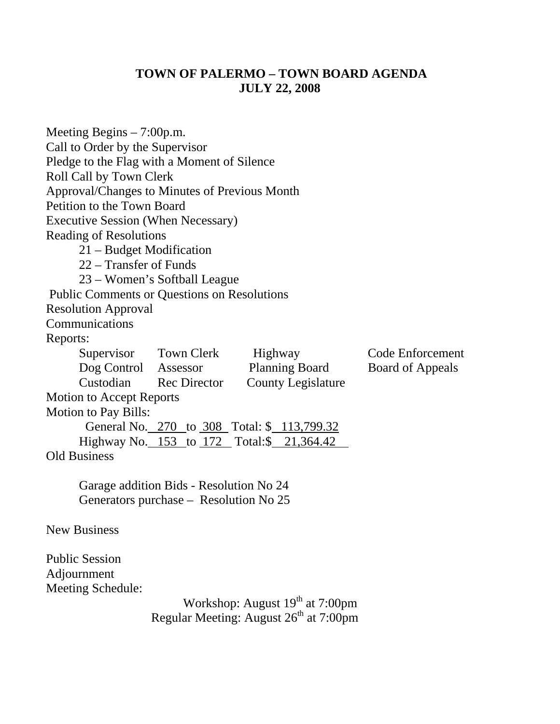# **TOWN OF PALERMO – TOWN BOARD AGENDA JULY 22, 2008**

| Meeting Begins $-7:00$ p.m.                        |                                             |                                                    |                  |  |  |
|----------------------------------------------------|---------------------------------------------|----------------------------------------------------|------------------|--|--|
| Call to Order by the Supervisor                    |                                             |                                                    |                  |  |  |
|                                                    | Pledge to the Flag with a Moment of Silence |                                                    |                  |  |  |
| Roll Call by Town Clerk                            |                                             |                                                    |                  |  |  |
| Approval/Changes to Minutes of Previous Month      |                                             |                                                    |                  |  |  |
| Petition to the Town Board                         |                                             |                                                    |                  |  |  |
| <b>Executive Session (When Necessary)</b>          |                                             |                                                    |                  |  |  |
| <b>Reading of Resolutions</b>                      |                                             |                                                    |                  |  |  |
| 21 – Budget Modification                           |                                             |                                                    |                  |  |  |
| 22 – Transfer of Funds                             |                                             |                                                    |                  |  |  |
|                                                    | 23 – Women's Softball League                |                                                    |                  |  |  |
| <b>Public Comments or Questions on Resolutions</b> |                                             |                                                    |                  |  |  |
| <b>Resolution Approval</b>                         |                                             |                                                    |                  |  |  |
| Communications                                     |                                             |                                                    |                  |  |  |
| Reports:                                           |                                             |                                                    |                  |  |  |
| Supervisor Town Clerk                              |                                             | Highway                                            | Code Enforcement |  |  |
| Dog Control Assessor                               |                                             | <b>Planning Board</b>                              | Board of Appeals |  |  |
|                                                    | Custodian Rec Director                      | <b>County Legislature</b>                          |                  |  |  |
| <b>Motion to Accept Reports</b>                    |                                             |                                                    |                  |  |  |
| <b>Motion to Pay Bills:</b>                        |                                             |                                                    |                  |  |  |
|                                                    |                                             | General No. 270 to 308 Total: \$ 113,799.32        |                  |  |  |
|                                                    |                                             | Highway No. 153 to 172 Total:\$ 21,364.42          |                  |  |  |
| <b>Old Business</b>                                |                                             |                                                    |                  |  |  |
|                                                    | Garage addition Bids - Resolution No 24     |                                                    |                  |  |  |
|                                                    | Generators purchase – Resolution No 25      |                                                    |                  |  |  |
| <b>New Business</b>                                |                                             |                                                    |                  |  |  |
| <b>Public Session</b>                              |                                             |                                                    |                  |  |  |
| Adjournment                                        |                                             |                                                    |                  |  |  |
| <b>Meeting Schedule:</b>                           |                                             |                                                    |                  |  |  |
|                                                    |                                             | Workshop: August 19 <sup>th</sup> at 7:00pm        |                  |  |  |
|                                                    |                                             | Regular Meeting: August 26 <sup>th</sup> at 7:00pm |                  |  |  |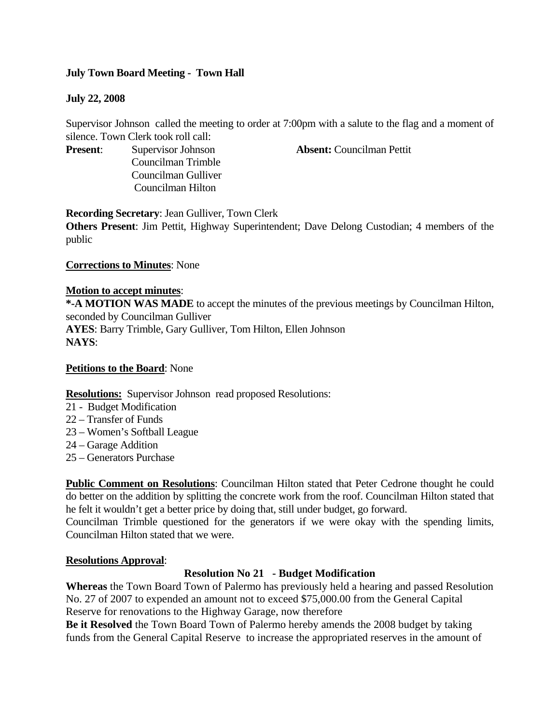# **July Town Board Meeting - Town Hall**

# **July 22, 2008**

Supervisor Johnson called the meeting to order at 7:00pm with a salute to the flag and a moment of silence. Town Clerk took roll call:

Councilman Trimble Councilman Gulliver Councilman Hilton

**Present**: Supervisor Johnson **Absent:** Councilman Pettit

**Recording Secretary**: Jean Gulliver, Town Clerk

**Others Present**: Jim Pettit, Highway Superintendent; Dave Delong Custodian; 4 members of the public

# **Corrections to Minutes**: None

# **Motion to accept minutes**:

**\*-A MOTION WAS MADE** to accept the minutes of the previous meetings by Councilman Hilton, seconded by Councilman Gulliver **AYES**: Barry Trimble, Gary Gulliver, Tom Hilton, Ellen Johnson **NAYS**:

# **Petitions to the Board**: None

# **Resolutions:** Supervisor Johnson read proposed Resolutions:

- 21 Budget Modification
- 22 Transfer of Funds
- 23 Women's Softball League
- 24 Garage Addition
- 25 Generators Purchase

**Public Comment on Resolutions**: Councilman Hilton stated that Peter Cedrone thought he could do better on the addition by splitting the concrete work from the roof. Councilman Hilton stated that he felt it wouldn't get a better price by doing that, still under budget, go forward.

Councilman Trimble questioned for the generators if we were okay with the spending limits, Councilman Hilton stated that we were.

# **Resolutions Approval**:

# **Resolution No 21 - Budget Modification**

**Whereas** the Town Board Town of Palermo has previously held a hearing and passed Resolution No. 27 of 2007 to expended an amount not to exceed \$75,000.00 from the General Capital Reserve for renovations to the Highway Garage, now therefore

**Be it Resolved** the Town Board Town of Palermo hereby amends the 2008 budget by taking funds from the General Capital Reserve to increase the appropriated reserves in the amount of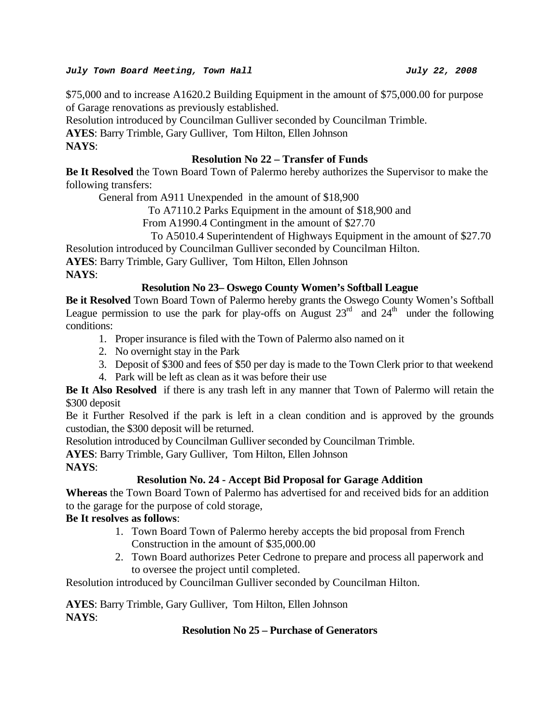## *July Town Board Meeting, Town Hall July 22, 2008*

\$75,000 and to increase A1620.2 Building Equipment in the amount of \$75,000.00 for purpose of Garage renovations as previously established.

Resolution introduced by Councilman Gulliver seconded by Councilman Trimble.

**AYES**: Barry Trimble, Gary Gulliver, Tom Hilton, Ellen Johnson

**NAYS**:

# **Resolution No 22 – Transfer of Funds**

**Be It Resolved** the Town Board Town of Palermo hereby authorizes the Supervisor to make the following transfers:

General from A911 Unexpended in the amount of \$18,900

To A7110.2 Parks Equipment in the amount of \$18,900 and

From A1990.4 Contingment in the amount of \$27.70

# To A5010.4 Superintendent of Highways Equipment in the amount of \$27.70

Resolution introduced by Councilman Gulliver seconded by Councilman Hilton.

**AYES**: Barry Trimble, Gary Gulliver, Tom Hilton, Ellen Johnson

**NAYS**:

# **Resolution No 23– Oswego County Women's Softball League**

**Be it Resolved** Town Board Town of Palermo hereby grants the Oswego County Women's Softball League permission to use the park for play-offs on August  $23<sup>rd</sup>$  and  $24<sup>th</sup>$  under the following conditions:

- 1. Proper insurance is filed with the Town of Palermo also named on it
- 2. No overnight stay in the Park
- 3. Deposit of \$300 and fees of \$50 per day is made to the Town Clerk prior to that weekend
- 4. Park will be left as clean as it was before their use

**Be It Also Resolved** if there is any trash left in any manner that Town of Palermo will retain the \$300 deposit

Be it Further Resolved if the park is left in a clean condition and is approved by the grounds custodian, the \$300 deposit will be returned.

Resolution introduced by Councilman Gulliver seconded by Councilman Trimble.

**AYES**: Barry Trimble, Gary Gulliver, Tom Hilton, Ellen Johnson

**NAYS**:

# **Resolution No. 24 - Accept Bid Proposal for Garage Addition**

**Whereas** the Town Board Town of Palermo has advertised for and received bids for an addition to the garage for the purpose of cold storage,

# **Be It resolves as follows**:

- 1. Town Board Town of Palermo hereby accepts the bid proposal from French Construction in the amount of \$35,000.00
- 2. Town Board authorizes Peter Cedrone to prepare and process all paperwork and to oversee the project until completed.

Resolution introduced by Councilman Gulliver seconded by Councilman Hilton.

**AYES**: Barry Trimble, Gary Gulliver, Tom Hilton, Ellen Johnson **NAYS**:

# **Resolution No 25 – Purchase of Generators**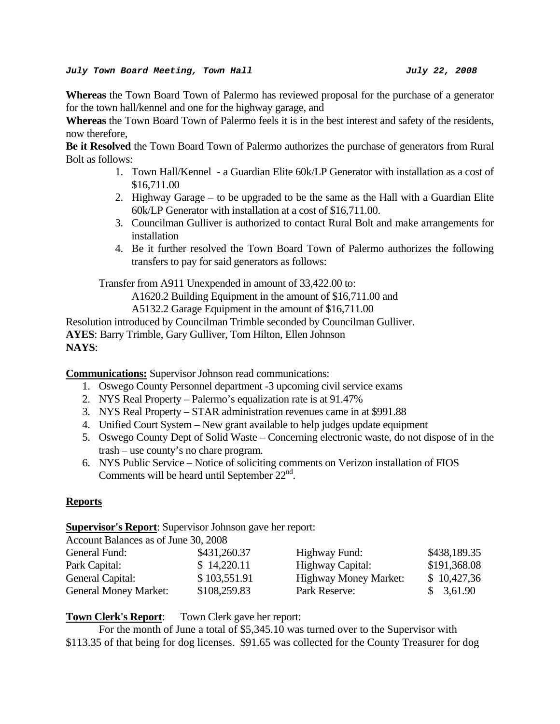**Whereas** the Town Board Town of Palermo has reviewed proposal for the purchase of a generator for the town hall/kennel and one for the highway garage, and

**Whereas** the Town Board Town of Palermo feels it is in the best interest and safety of the residents, now therefore,

**Be it Resolved** the Town Board Town of Palermo authorizes the purchase of generators from Rural Bolt as follows:

- 1. Town Hall/Kennel a Guardian Elite 60k/LP Generator with installation as a cost of \$16,711.00
- 2. Highway Garage to be upgraded to be the same as the Hall with a Guardian Elite 60k/LP Generator with installation at a cost of \$16,711.00.
- 3. Councilman Gulliver is authorized to contact Rural Bolt and make arrangements for installation
- 4. Be it further resolved the Town Board Town of Palermo authorizes the following transfers to pay for said generators as follows:

Transfer from A911 Unexpended in amount of 33,422.00 to:

A1620.2 Building Equipment in the amount of \$16,711.00 and

A5132.2 Garage Equipment in the amount of \$16,711.00

Resolution introduced by Councilman Trimble seconded by Councilman Gulliver. **AYES**: Barry Trimble, Gary Gulliver, Tom Hilton, Ellen Johnson **NAYS**:

**Communications:** Supervisor Johnson read communications:

- 1. Oswego County Personnel department -3 upcoming civil service exams
- 2. NYS Real Property Palermo's equalization rate is at 91.47%
- 3. NYS Real Property STAR administration revenues came in at \$991.88
- 4. Unified Court System New grant available to help judges update equipment
- 5. Oswego County Dept of Solid Waste Concerning electronic waste, do not dispose of in the trash – use county's no chare program.
- 6. NYS Public Service Notice of soliciting comments on Verizon installation of FIOS Comments will be heard until September  $22<sup>nd</sup>$ .

# **Reports**

# **Supervisor's Report**: Supervisor Johnson gave her report:

| Account Balances as of June 30, 2008 |              |                              |              |
|--------------------------------------|--------------|------------------------------|--------------|
| General Fund:                        | \$431,260.37 | Highway Fund:                | \$438,189.35 |
| Park Capital:                        | \$14,220.11  | Highway Capital:             | \$191,368.08 |
| General Capital:                     | \$103,551.91 | <b>Highway Money Market:</b> | \$10,427,36  |
| <b>General Money Market:</b>         | \$108,259.83 | Park Reserve:                | \$3,61.90    |

# **Town Clerk's Report**: Town Clerk gave her report:

For the month of June a total of \$5,345.10 was turned over to the Supervisor with \$113.35 of that being for dog licenses. \$91.65 was collected for the County Treasurer for dog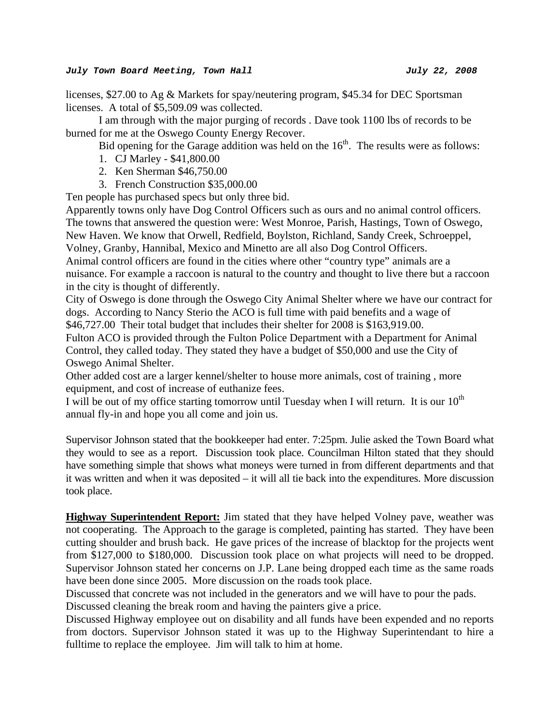licenses, \$27.00 to Ag & Markets for spay/neutering program, \$45.34 for DEC Sportsman licenses. A total of \$5,509.09 was collected.

 I am through with the major purging of records . Dave took 1100 lbs of records to be burned for me at the Oswego County Energy Recover.

Bid opening for the Garage addition was held on the  $16<sup>th</sup>$ . The results were as follows:

- 1. CJ Marley \$41,800.00
- 2. Ken Sherman \$46,750.00
- 3. French Construction \$35,000.00

Ten people has purchased specs but only three bid.

Apparently towns only have Dog Control Officers such as ours and no animal control officers. The towns that answered the question were: West Monroe, Parish, Hastings, Town of Oswego, New Haven. We know that Orwell, Redfield, Boylston, Richland, Sandy Creek, Schroeppel, Volney, Granby, Hannibal, Mexico and Minetto are all also Dog Control Officers.

Animal control officers are found in the cities where other "country type" animals are a nuisance. For example a raccoon is natural to the country and thought to live there but a raccoon in the city is thought of differently.

City of Oswego is done through the Oswego City Animal Shelter where we have our contract for dogs. According to Nancy Sterio the ACO is full time with paid benefits and a wage of \$46,727.00 Their total budget that includes their shelter for 2008 is \$163,919.00.

Fulton ACO is provided through the Fulton Police Department with a Department for Animal Control, they called today. They stated they have a budget of \$50,000 and use the City of Oswego Animal Shelter.

Other added cost are a larger kennel/shelter to house more animals, cost of training , more equipment, and cost of increase of euthanize fees.

I will be out of my office starting tomorrow until Tuesday when I will return. It is our  $10^{th}$ annual fly-in and hope you all come and join us.

Supervisor Johnson stated that the bookkeeper had enter. 7:25pm. Julie asked the Town Board what they would to see as a report. Discussion took place. Councilman Hilton stated that they should have something simple that shows what moneys were turned in from different departments and that it was written and when it was deposited – it will all tie back into the expenditures. More discussion took place.

**Highway Superintendent Report:** Jim stated that they have helped Volney pave, weather was not cooperating. The Approach to the garage is completed, painting has started. They have been cutting shoulder and brush back. He gave prices of the increase of blacktop for the projects went from \$127,000 to \$180,000. Discussion took place on what projects will need to be dropped. Supervisor Johnson stated her concerns on J.P. Lane being dropped each time as the same roads have been done since 2005. More discussion on the roads took place.

Discussed that concrete was not included in the generators and we will have to pour the pads. Discussed cleaning the break room and having the painters give a price.

Discussed Highway employee out on disability and all funds have been expended and no reports from doctors. Supervisor Johnson stated it was up to the Highway Superintendant to hire a fulltime to replace the employee. Jim will talk to him at home.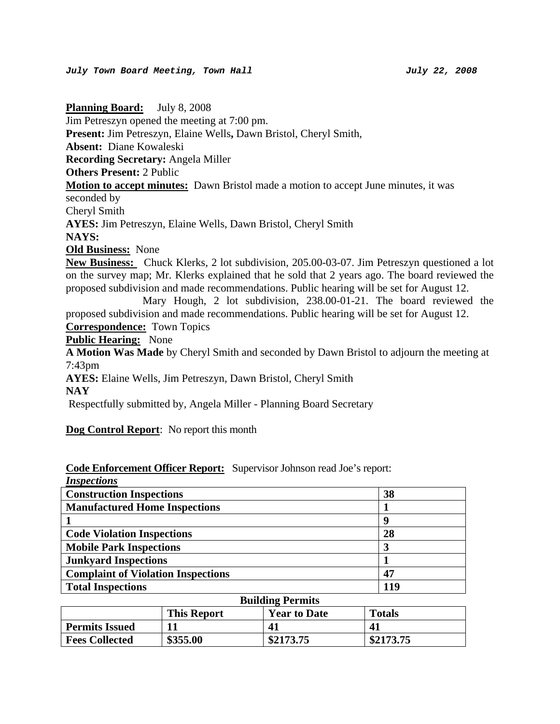**Planning Board:** July 8, 2008 Jim Petreszyn opened the meeting at 7:00 pm. **Present:** Jim Petreszyn, Elaine Wells**,** Dawn Bristol, Cheryl Smith, **Absent:** Diane Kowaleski **Recording Secretary:** Angela Miller **Others Present:** 2 Public **Motion to accept minutes:** Dawn Bristol made a motion to accept June minutes, it was seconded by Cheryl Smith **AYES:** Jim Petreszyn, Elaine Wells, Dawn Bristol, Cheryl Smith **NAYS: Old Business:** None **New Business:** Chuck Klerks, 2 lot subdivision, 205.00-03-07. Jim Petreszyn questioned a lot on the survey map; Mr. Klerks explained that he sold that 2 years ago. The board reviewed the proposed subdivision and made recommendations. Public hearing will be set for August 12. Mary Hough, 2 lot subdivision, 238.00-01-21. The board reviewed the proposed subdivision and made recommendations. Public hearing will be set for August 12. **Correspondence:** Town Topics **Public Hearing:** None **A Motion Was Made** by Cheryl Smith and seconded by Dawn Bristol to adjourn the meeting at 7:43pm **AYES:** Elaine Wells, Jim Petreszyn, Dawn Bristol, Cheryl Smith **NAY**  Respectfully submitted by, Angela Miller - Planning Board Secretary

**Dog Control Report**: No report this month

|             | <b>Code Enforcement Officer Report:</b> Supervisor Johnson read Joe's report: |
|-------------|-------------------------------------------------------------------------------|
| Ingnostique |                                                                               |

| <i>Hispections</i><br><b>Construction Inspections</b>      | 38  |
|------------------------------------------------------------|-----|
|                                                            |     |
| <b>Manufactured Home Inspections</b>                       |     |
|                                                            | g   |
| <b>Code Violation Inspections</b>                          | 28  |
| <b>Mobile Park Inspections</b>                             |     |
| <b>Junkyard Inspections</b>                                |     |
| <b>Complaint of Violation Inspections</b>                  | 47  |
| <b>Total Inspections</b>                                   | 119 |
| $\mathbf{r}$ . $\mathbf{r}$<br>$\blacksquare$<br>$\bullet$ |     |

| <b>Building Permits</b>                                    |          |           |           |
|------------------------------------------------------------|----------|-----------|-----------|
| <b>This Report</b><br><b>Year to Date</b><br><b>Totals</b> |          |           |           |
| <b>Permits Issued</b>                                      |          | 41        | 41        |
| <b>Fees Collected</b>                                      | \$355.00 | \$2173.75 | \$2173.75 |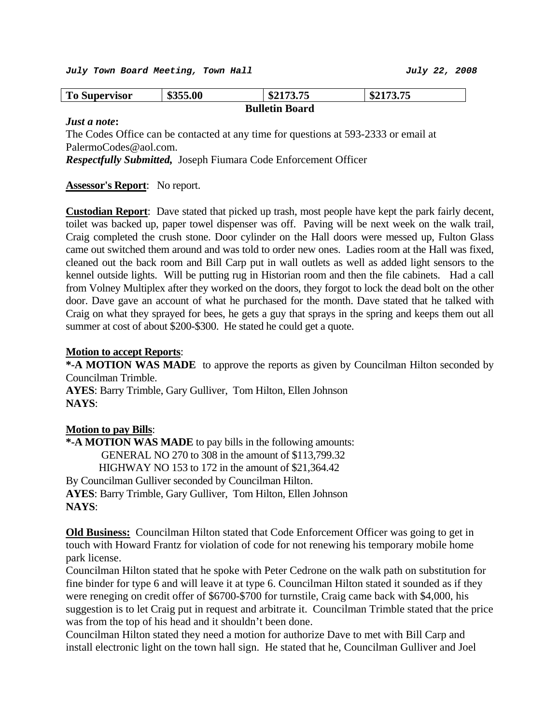| <b>To Supervisor</b>  | \$355.00 | \$2173.75 | \$2173.75 |
|-----------------------|----------|-----------|-----------|
| <b>Bulletin Board</b> |          |           |           |

#### *Just a note***:**

The Codes Office can be contacted at any time for questions at 593-2333 or email at PalermoCodes@aol.com.

*Respectfully Submitted,* Joseph Fiumara Code Enforcement Officer

### **Assessor's Report**: No report.

**Custodian Report**: Dave stated that picked up trash, most people have kept the park fairly decent, toilet was backed up, paper towel dispenser was off. Paving will be next week on the walk trail, Craig completed the crush stone. Door cylinder on the Hall doors were messed up, Fulton Glass came out switched them around and was told to order new ones. Ladies room at the Hall was fixed, cleaned out the back room and Bill Carp put in wall outlets as well as added light sensors to the kennel outside lights. Will be putting rug in Historian room and then the file cabinets. Had a call from Volney Multiplex after they worked on the doors, they forgot to lock the dead bolt on the other door. Dave gave an account of what he purchased for the month. Dave stated that he talked with Craig on what they sprayed for bees, he gets a guy that sprays in the spring and keeps them out all summer at cost of about \$200-\$300. He stated he could get a quote.

#### **Motion to accept Reports**:

**\*-A MOTION WAS MADE** to approve the reports as given by Councilman Hilton seconded by Councilman Trimble.

**AYES**: Barry Trimble, Gary Gulliver, Tom Hilton, Ellen Johnson **NAYS**:

#### **Motion to pay Bills**:

**\*-A MOTION WAS MADE** to pay bills in the following amounts: GENERAL NO 270 to 308 in the amount of \$113,799.32 HIGHWAY NO 153 to 172 in the amount of \$21,364.42 By Councilman Gulliver seconded by Councilman Hilton. **AYES**: Barry Trimble, Gary Gulliver, Tom Hilton, Ellen Johnson **NAYS**:

**Old Business:** Councilman Hilton stated that Code Enforcement Officer was going to get in touch with Howard Frantz for violation of code for not renewing his temporary mobile home park license.

Councilman Hilton stated that he spoke with Peter Cedrone on the walk path on substitution for fine binder for type 6 and will leave it at type 6. Councilman Hilton stated it sounded as if they were reneging on credit offer of \$6700-\$700 for turnstile, Craig came back with \$4,000, his suggestion is to let Craig put in request and arbitrate it. Councilman Trimble stated that the price was from the top of his head and it shouldn't been done.

Councilman Hilton stated they need a motion for authorize Dave to met with Bill Carp and install electronic light on the town hall sign. He stated that he, Councilman Gulliver and Joel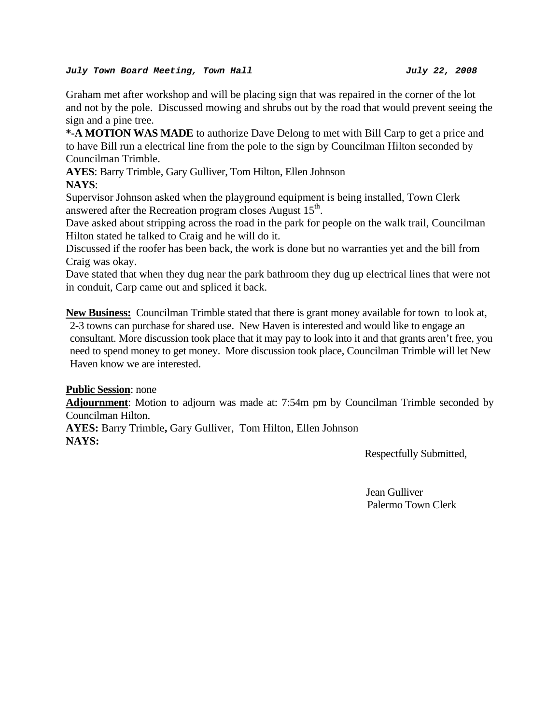#### *July Town Board Meeting, Town Hall July 22, 2008*

Graham met after workshop and will be placing sign that was repaired in the corner of the lot and not by the pole. Discussed mowing and shrubs out by the road that would prevent seeing the sign and a pine tree.

**\*-A MOTION WAS MADE** to authorize Dave Delong to met with Bill Carp to get a price and to have Bill run a electrical line from the pole to the sign by Councilman Hilton seconded by Councilman Trimble.

**AYES**: Barry Trimble, Gary Gulliver, Tom Hilton, Ellen Johnson **NAYS**:

Supervisor Johnson asked when the playground equipment is being installed, Town Clerk answered after the Recreation program closes August  $15<sup>th</sup>$ .

Dave asked about stripping across the road in the park for people on the walk trail, Councilman Hilton stated he talked to Craig and he will do it.

Discussed if the roofer has been back, the work is done but no warranties yet and the bill from Craig was okay.

Dave stated that when they dug near the park bathroom they dug up electrical lines that were not in conduit, Carp came out and spliced it back.

**New Business:** Councilman Trimble stated that there is grant money available for town to look at, 2-3 towns can purchase for shared use. New Haven is interested and would like to engage an consultant. More discussion took place that it may pay to look into it and that grants aren't free, you need to spend money to get money. More discussion took place, Councilman Trimble will let New Haven know we are interested.

**Public Session**: none

**Adjournment**: Motion to adjourn was made at: 7:54m pm by Councilman Trimble seconded by Councilman Hilton.

**AYES:** Barry Trimble**,** Gary Gulliver, Tom Hilton, Ellen Johnson **NAYS:** 

Respectfully Submitted,

Jean Gulliver Palermo Town Clerk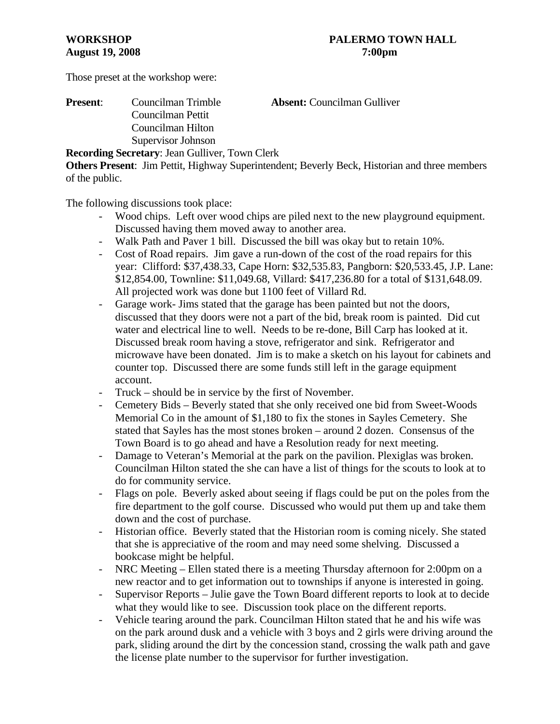Those preset at the workshop were:

# **Present**: Councilman Trimble **Absent:** Councilman Gulliver Councilman Pettit Councilman Hilton Supervisor Johnson

**Recording Secretary**: Jean Gulliver, Town Clerk

**Others Present**: Jim Pettit, Highway Superintendent; Beverly Beck, Historian and three members of the public.

The following discussions took place:

- Wood chips. Left over wood chips are piled next to the new playground equipment. Discussed having them moved away to another area.
- Walk Path and Paver 1 bill. Discussed the bill was okay but to retain 10%.
- Cost of Road repairs. Jim gave a run-down of the cost of the road repairs for this year: Clifford: \$37,438.33, Cape Horn: \$32,535.83, Pangborn: \$20,533.45, J.P. Lane: \$12,854.00, Townline: \$11,049.68, Villard: \$417,236.80 for a total of \$131,648.09. All projected work was done but 1100 feet of Villard Rd.
- Garage work- Jims stated that the garage has been painted but not the doors, discussed that they doors were not a part of the bid, break room is painted. Did cut water and electrical line to well. Needs to be re-done, Bill Carp has looked at it. Discussed break room having a stove, refrigerator and sink. Refrigerator and microwave have been donated. Jim is to make a sketch on his layout for cabinets and counter top. Discussed there are some funds still left in the garage equipment account.
- Truck should be in service by the first of November.
- Cemetery Bids Beverly stated that she only received one bid from Sweet-Woods Memorial Co in the amount of \$1,180 to fix the stones in Sayles Cemetery. She stated that Sayles has the most stones broken – around 2 dozen. Consensus of the Town Board is to go ahead and have a Resolution ready for next meeting.
- Damage to Veteran's Memorial at the park on the pavilion. Plexiglas was broken. Councilman Hilton stated the she can have a list of things for the scouts to look at to do for community service.
- Flags on pole. Beverly asked about seeing if flags could be put on the poles from the fire department to the golf course. Discussed who would put them up and take them down and the cost of purchase.
- Historian office. Beverly stated that the Historian room is coming nicely. She stated that she is appreciative of the room and may need some shelving. Discussed a bookcase might be helpful.
- NRC Meeting Ellen stated there is a meeting Thursday afternoon for 2:00pm on a new reactor and to get information out to townships if anyone is interested in going.
- Supervisor Reports Julie gave the Town Board different reports to look at to decide what they would like to see. Discussion took place on the different reports.
- Vehicle tearing around the park. Councilman Hilton stated that he and his wife was on the park around dusk and a vehicle with 3 boys and 2 girls were driving around the park, sliding around the dirt by the concession stand, crossing the walk path and gave the license plate number to the supervisor for further investigation.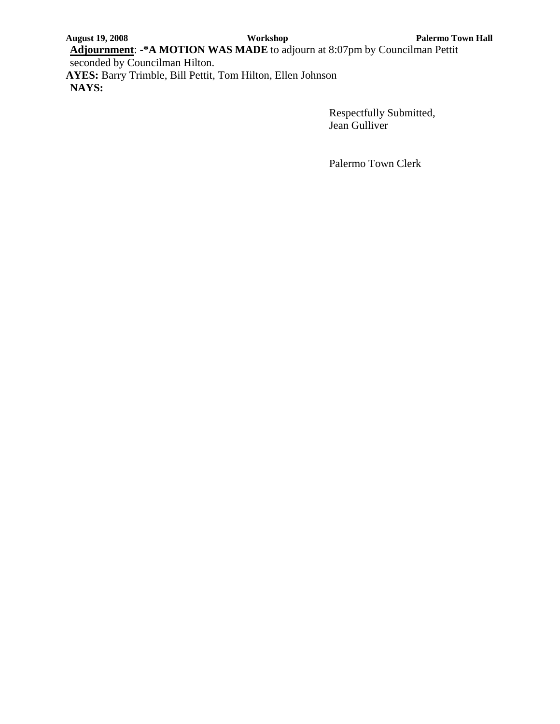**Adjournment**: **-\*A MOTION WAS MADE** to adjourn at 8:07pm by Councilman Pettit seconded by Councilman Hilton.

**AYES:** Barry Trimble, Bill Pettit, Tom Hilton, Ellen Johnson **NAYS:**

> Respectfully Submitted, Jean Gulliver

Palermo Town Clerk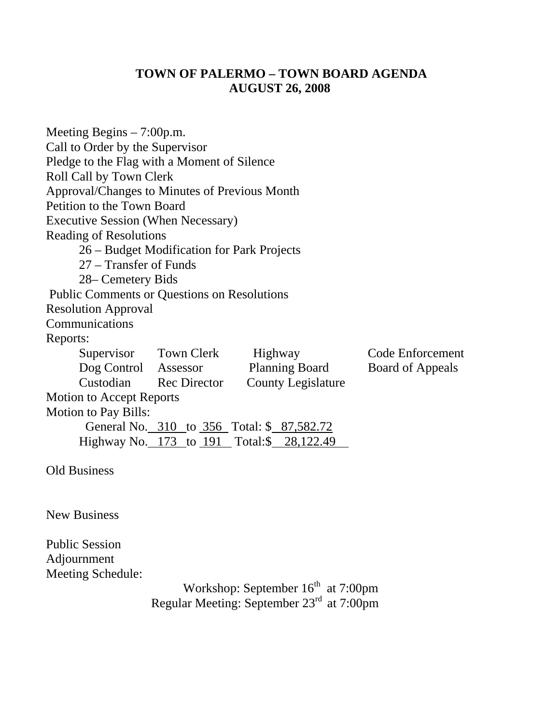# **TOWN OF PALERMO – TOWN BOARD AGENDA AUGUST 26, 2008**

| Meeting Begins $-7:00$ p.m.                             |  |  |  |  |
|---------------------------------------------------------|--|--|--|--|
| Call to Order by the Supervisor                         |  |  |  |  |
| Pledge to the Flag with a Moment of Silence             |  |  |  |  |
| Roll Call by Town Clerk                                 |  |  |  |  |
| Approval/Changes to Minutes of Previous Month           |  |  |  |  |
| Petition to the Town Board                              |  |  |  |  |
| <b>Executive Session (When Necessary)</b>               |  |  |  |  |
| <b>Reading of Resolutions</b>                           |  |  |  |  |
| 26 – Budget Modification for Park Projects              |  |  |  |  |
| 27 - Transfer of Funds                                  |  |  |  |  |
| 28– Cemetery Bids                                       |  |  |  |  |
| <b>Public Comments or Questions on Resolutions</b>      |  |  |  |  |
| <b>Resolution Approval</b>                              |  |  |  |  |
| Communications                                          |  |  |  |  |
| Reports:                                                |  |  |  |  |
| Supervisor Town Clerk Highway<br>Code Enforcement       |  |  |  |  |
| Dog Control Assessor Planning Board<br>Board of Appeals |  |  |  |  |
| Custodian Rec Director<br><b>County Legislature</b>     |  |  |  |  |
| <b>Motion to Accept Reports</b>                         |  |  |  |  |
| <b>Motion to Pay Bills:</b>                             |  |  |  |  |
| General No. 310 to 356 Total: \$ 87,582.72              |  |  |  |  |
| Highway No. 173 to 191 Total: \$28,122.49               |  |  |  |  |
| <b>Old Business</b>                                     |  |  |  |  |

New Business

Public Session Adjournment Meeting Schedule:

Workshop: September 16<sup>th</sup> at 7:00pm Regular Meeting: September 23rd at 7:00pm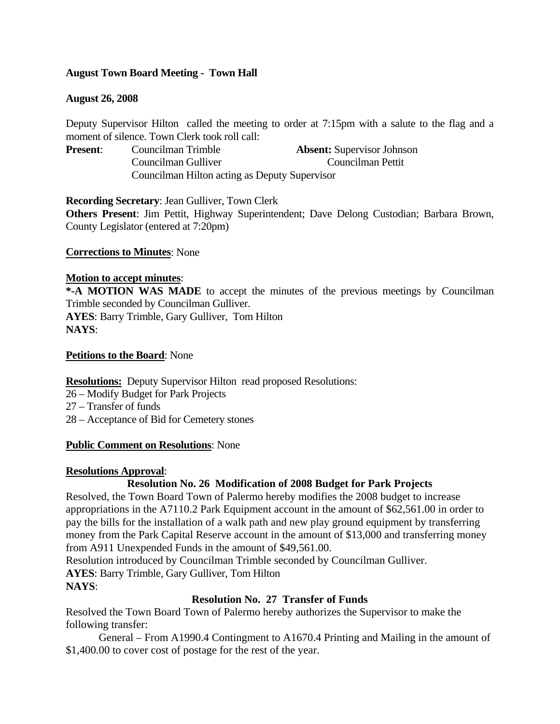# **August Town Board Meeting - Town Hall**

# **August 26, 2008**

Deputy Supervisor Hilton called the meeting to order at 7:15pm with a salute to the flag and a moment of silence. Town Clerk took roll call:

| <b>Present:</b> | Councilman Trimble                            | <b>Absent:</b> Supervisor Johnson |
|-----------------|-----------------------------------------------|-----------------------------------|
|                 | Councilman Gulliver                           | Councilman Pettit                 |
|                 | Councilman Hilton acting as Deputy Supervisor |                                   |

**Recording Secretary**: Jean Gulliver, Town Clerk

**Others Present**: Jim Pettit, Highway Superintendent; Dave Delong Custodian; Barbara Brown, County Legislator (entered at 7:20pm)

# **Corrections to Minutes**: None

## **Motion to accept minutes**:

**\*-A MOTION WAS MADE** to accept the minutes of the previous meetings by Councilman Trimble seconded by Councilman Gulliver. **AYES**: Barry Trimble, Gary Gulliver, Tom Hilton **NAYS**:

## **Petitions to the Board**: None

# **Resolutions:** Deputy Supervisor Hilton read proposed Resolutions:

- 26 Modify Budget for Park Projects
- 27 Transfer of funds
- 28 Acceptance of Bid for Cemetery stones

# **Public Comment on Resolutions**: None

# **Resolutions Approval**:

# **Resolution No. 26 Modification of 2008 Budget for Park Projects**

Resolved, the Town Board Town of Palermo hereby modifies the 2008 budget to increase appropriations in the A7110.2 Park Equipment account in the amount of \$62,561.00 in order to pay the bills for the installation of a walk path and new play ground equipment by transferring money from the Park Capital Reserve account in the amount of \$13,000 and transferring money from A911 Unexpended Funds in the amount of \$49,561.00.

Resolution introduced by Councilman Trimble seconded by Councilman Gulliver. **AYES**: Barry Trimble, Gary Gulliver, Tom Hilton

# **NAYS**:

# **Resolution No. 27 Transfer of Funds**

Resolved the Town Board Town of Palermo hereby authorizes the Supervisor to make the following transfer:

 General – From A1990.4 Contingment to A1670.4 Printing and Mailing in the amount of \$1,400.00 to cover cost of postage for the rest of the year.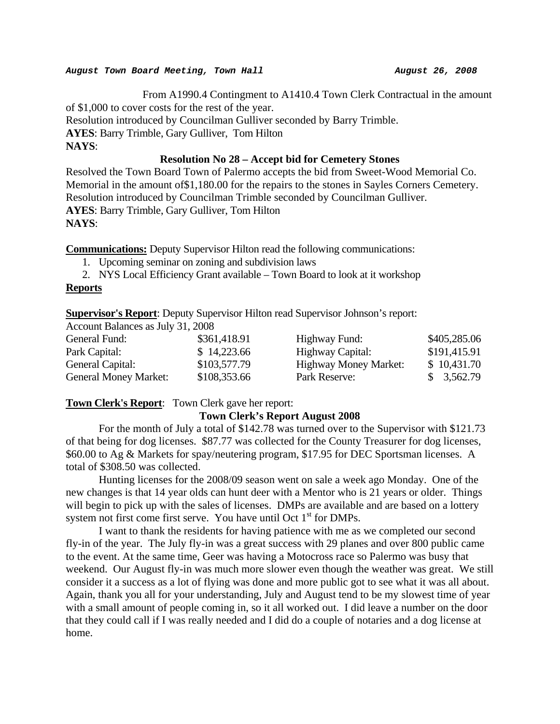From A1990.4 Contingment to A1410.4 Town Clerk Contractual in the amount of \$1,000 to cover costs for the rest of the year. Resolution introduced by Councilman Gulliver seconded by Barry Trimble. **AYES**: Barry Trimble, Gary Gulliver, Tom Hilton **NAYS**: **Resolution No 28 – Accept bid for Cemetery Stones** 

Resolved the Town Board Town of Palermo accepts the bid from Sweet-Wood Memorial Co. Memorial in the amount of\$1,180.00 for the repairs to the stones in Sayles Corners Cemetery. Resolution introduced by Councilman Trimble seconded by Councilman Gulliver. **AYES**: Barry Trimble, Gary Gulliver, Tom Hilton **NAYS**:

**Communications:** Deputy Supervisor Hilton read the following communications:

- 1. Upcoming seminar on zoning and subdivision laws
- 2. NYS Local Efficiency Grant available Town Board to look at it workshop

# **Reports**

**Supervisor's Report**: Deputy Supervisor Hilton read Supervisor Johnson's report:

Account Balances as July 31, 2008

| General Fund:                | \$361,418.91 | Highway Fund:                | \$405,285.06 |
|------------------------------|--------------|------------------------------|--------------|
| Park Capital:                | \$14,223.66  | Highway Capital:             | \$191,415.91 |
| General Capital:             | \$103,577.79 | <b>Highway Money Market:</b> | \$10,431.70  |
| <b>General Money Market:</b> | \$108,353.66 | Park Reserve:                | \$3,562.79   |

**Town Clerk's Report**: Town Clerk gave her report:

# **Town Clerk's Report August 2008**

For the month of July a total of \$142.78 was turned over to the Supervisor with \$121.73 of that being for dog licenses. \$87.77 was collected for the County Treasurer for dog licenses, \$60.00 to Ag & Markets for spay/neutering program, \$17.95 for DEC Sportsman licenses. A total of \$308.50 was collected.

 Hunting licenses for the 2008/09 season went on sale a week ago Monday. One of the new changes is that 14 year olds can hunt deer with a Mentor who is 21 years or older. Things will begin to pick up with the sales of licenses. DMPs are available and are based on a lottery system not first come first serve. You have until Oct  $1<sup>st</sup>$  for DMPs.

 I want to thank the residents for having patience with me as we completed our second fly-in of the year. The July fly-in was a great success with 29 planes and over 800 public came to the event. At the same time, Geer was having a Motocross race so Palermo was busy that weekend. Our August fly-in was much more slower even though the weather was great. We still consider it a success as a lot of flying was done and more public got to see what it was all about. Again, thank you all for your understanding, July and August tend to be my slowest time of year with a small amount of people coming in, so it all worked out. I did leave a number on the door that they could call if I was really needed and I did do a couple of notaries and a dog license at home.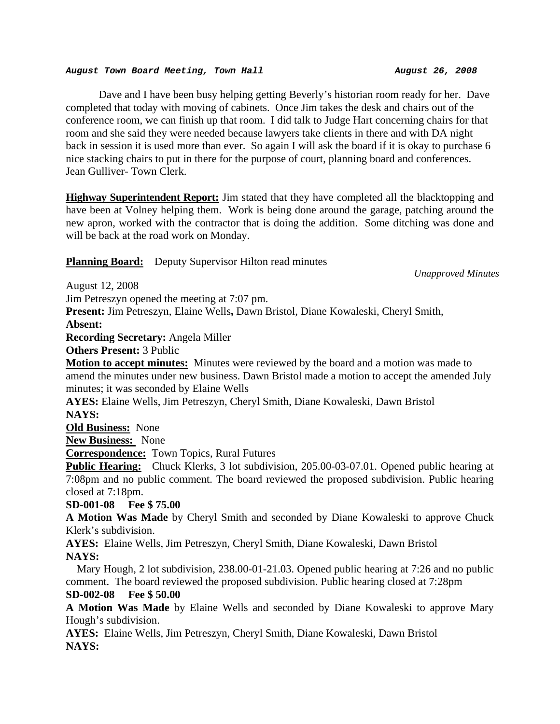Dave and I have been busy helping getting Beverly's historian room ready for her. Dave completed that today with moving of cabinets. Once Jim takes the desk and chairs out of the conference room, we can finish up that room. I did talk to Judge Hart concerning chairs for that room and she said they were needed because lawyers take clients in there and with DA night back in session it is used more than ever. So again I will ask the board if it is okay to purchase 6 nice stacking chairs to put in there for the purpose of court, planning board and conferences. Jean Gulliver- Town Clerk.

**Highway Superintendent Report:** Jim stated that they have completed all the blacktopping and have been at Volney helping them. Work is being done around the garage, patching around the new apron, worked with the contractor that is doing the addition. Some ditching was done and will be back at the road work on Monday.

**Planning Board:** Deputy Supervisor Hilton read minutes

*Unapproved Minutes* 

August 12, 2008

Jim Petreszyn opened the meeting at 7:07 pm.

**Present:** Jim Petreszyn, Elaine Wells**,** Dawn Bristol, Diane Kowaleski, Cheryl Smith,

**Absent:**

**Recording Secretary:** Angela Miller

**Others Present:** 3 Public

**Motion to accept minutes:** Minutes were reviewed by the board and a motion was made to amend the minutes under new business. Dawn Bristol made a motion to accept the amended July minutes; it was seconded by Elaine Wells

**AYES:** Elaine Wells, Jim Petreszyn, Cheryl Smith, Diane Kowaleski, Dawn Bristol **NAYS:** 

**Old Business:** None

**New Business:** None

**Correspondence:** Town Topics, Rural Futures

**Public Hearing:** Chuck Klerks, 3 lot subdivision, 205.00-03-07.01. Opened public hearing at 7:08pm and no public comment. The board reviewed the proposed subdivision. Public hearing closed at 7:18pm.

**SD-001-08 Fee \$ 75.00** 

**A Motion Was Made** by Cheryl Smith and seconded by Diane Kowaleski to approve Chuck Klerk's subdivision.

**AYES:** Elaine Wells, Jim Petreszyn, Cheryl Smith, Diane Kowaleski, Dawn Bristol **NAYS:** 

Mary Hough, 2 lot subdivision, 238.00-01-21.03. Opened public hearing at 7:26 and no public comment. The board reviewed the proposed subdivision. Public hearing closed at 7:28pm

# **SD-002-08 Fee \$ 50.00**

**A Motion Was Made** by Elaine Wells and seconded by Diane Kowaleski to approve Mary Hough's subdivision.

**AYES:** Elaine Wells, Jim Petreszyn, Cheryl Smith, Diane Kowaleski, Dawn Bristol **NAYS:**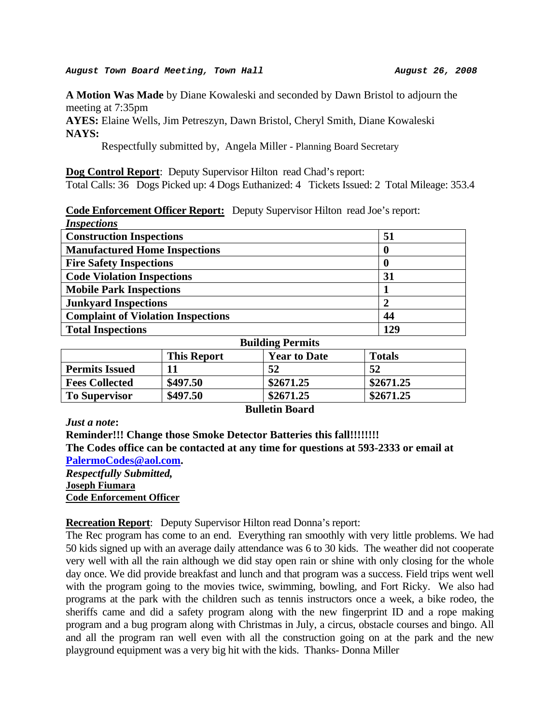**A Motion Was Made** by Diane Kowaleski and seconded by Dawn Bristol to adjourn the meeting at 7:35pm

**AYES:** Elaine Wells, Jim Petreszyn, Dawn Bristol, Cheryl Smith, Diane Kowaleski **NAYS:** 

Respectfully submitted by, Angela Miller - Planning Board Secretary

**Dog Control Report**: Deputy Supervisor Hilton read Chad's report:

Total Calls: 36 Dogs Picked up: 4 Dogs Euthanized: 4 Tickets Issued: 2 Total Mileage: 353.4

#### **Code Enforcement Officer Report:** Deputy Supervisor Hilton read Joe's report: *Inspections*

| <i><u><b>INSPECIIONS</b></u></i>          |     |
|-------------------------------------------|-----|
| <b>Construction Inspections</b>           | 51  |
| <b>Manufactured Home Inspections</b>      |     |
| <b>Fire Safety Inspections</b>            |     |
| <b>Code Violation Inspections</b>         | 31  |
| <b>Mobile Park Inspections</b>            |     |
| <b>Junkyard Inspections</b>               |     |
| <b>Complaint of Violation Inspections</b> | 44  |
| <b>Total Inspections</b>                  | 129 |

| DUNUME I CLINIS       |                    |                     |               |
|-----------------------|--------------------|---------------------|---------------|
|                       | <b>This Report</b> | <b>Year to Date</b> | <b>Totals</b> |
| <b>Permits Issued</b> | 11                 | 52                  | 52            |
| <b>Fees Collected</b> | \$497.50           | \$2671.25           | \$2671.25     |
| <b>To Supervisor</b>  | \$497.50           | \$2671.25           | \$2671.25     |

*Just a note***:** 

#### **Bulletin Board**

**Building Permits** 

**Reminder!!! Change those Smoke Detector Batteries this fall!!!!!!!! The Codes office can be contacted at any time for questions at 593-2333 or email at [PalermoCodes@aol.com.](mailto:PalermoCodes@aol.com)**  *Respectfully Submitted,*  **Joseph Fiumara**

**Code Enforcement Officer**

## **Recreation Report**: Deputy Supervisor Hilton read Donna's report:

The Rec program has come to an end. Everything ran smoothly with very little problems. We had 50 kids signed up with an average daily attendance was 6 to 30 kids. The weather did not cooperate very well with all the rain although we did stay open rain or shine with only closing for the whole day once. We did provide breakfast and lunch and that program was a success. Field trips went well with the program going to the movies twice, swimming, bowling, and Fort Ricky. We also had programs at the park with the children such as tennis instructors once a week, a bike rodeo, the sheriffs came and did a safety program along with the new fingerprint ID and a rope making program and a bug program along with Christmas in July, a circus, obstacle courses and bingo. All and all the program ran well even with all the construction going on at the park and the new playground equipment was a very big hit with the kids. Thanks- Donna Miller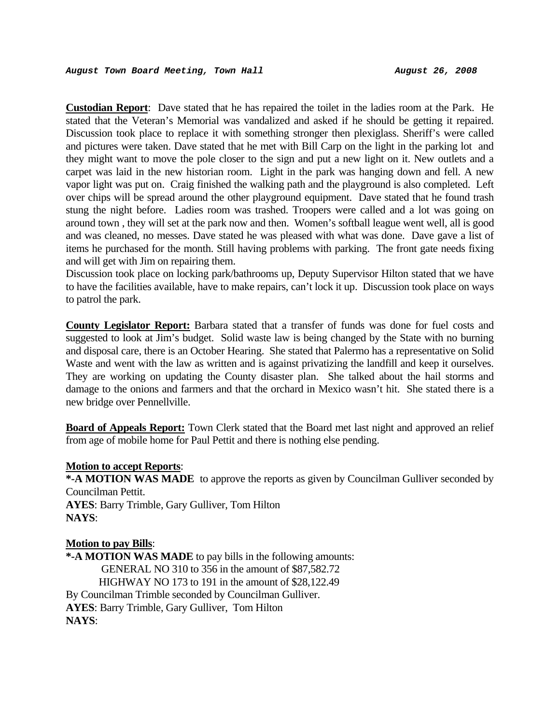**Custodian Report**: Dave stated that he has repaired the toilet in the ladies room at the Park. He stated that the Veteran's Memorial was vandalized and asked if he should be getting it repaired. Discussion took place to replace it with something stronger then plexiglass. Sheriff's were called and pictures were taken. Dave stated that he met with Bill Carp on the light in the parking lot and they might want to move the pole closer to the sign and put a new light on it. New outlets and a carpet was laid in the new historian room. Light in the park was hanging down and fell. A new vapor light was put on. Craig finished the walking path and the playground is also completed. Left over chips will be spread around the other playground equipment. Dave stated that he found trash stung the night before. Ladies room was trashed. Troopers were called and a lot was going on around town , they will set at the park now and then. Women's softball league went well, all is good and was cleaned, no messes. Dave stated he was pleased with what was done. Dave gave a list of items he purchased for the month. Still having problems with parking. The front gate needs fixing and will get with Jim on repairing them.

Discussion took place on locking park/bathrooms up, Deputy Supervisor Hilton stated that we have to have the facilities available, have to make repairs, can't lock it up. Discussion took place on ways to patrol the park.

**County Legislator Report:** Barbara stated that a transfer of funds was done for fuel costs and suggested to look at Jim's budget. Solid waste law is being changed by the State with no burning and disposal care, there is an October Hearing. She stated that Palermo has a representative on Solid Waste and went with the law as written and is against privatizing the landfill and keep it ourselves. They are working on updating the County disaster plan. She talked about the hail storms and damage to the onions and farmers and that the orchard in Mexico wasn't hit. She stated there is a new bridge over Pennellville.

**Board of Appeals Report:** Town Clerk stated that the Board met last night and approved an relief from age of mobile home for Paul Pettit and there is nothing else pending.

#### **Motion to accept Reports**:

**\*-A MOTION WAS MADE** to approve the reports as given by Councilman Gulliver seconded by Councilman Pettit.

**AYES**: Barry Trimble, Gary Gulliver, Tom Hilton **NAYS**:

#### **Motion to pay Bills**:

**\*-A MOTION WAS MADE** to pay bills in the following amounts: GENERAL NO 310 to 356 in the amount of \$87,582.72 HIGHWAY NO 173 to 191 in the amount of \$28,122.49 By Councilman Trimble seconded by Councilman Gulliver. **AYES**: Barry Trimble, Gary Gulliver, Tom Hilton **NAYS**: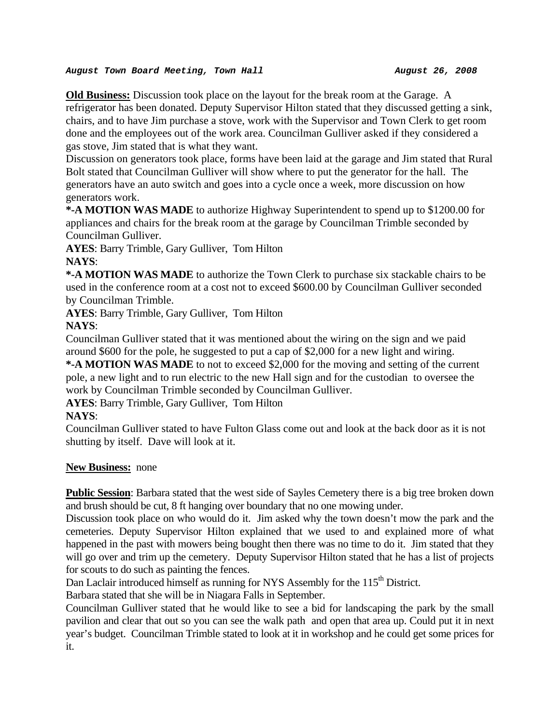**Old Business:** Discussion took place on the layout for the break room at the Garage. A refrigerator has been donated. Deputy Supervisor Hilton stated that they discussed getting a sink, chairs, and to have Jim purchase a stove, work with the Supervisor and Town Clerk to get room done and the employees out of the work area. Councilman Gulliver asked if they considered a gas stove, Jim stated that is what they want.

Discussion on generators took place, forms have been laid at the garage and Jim stated that Rural Bolt stated that Councilman Gulliver will show where to put the generator for the hall. The generators have an auto switch and goes into a cycle once a week, more discussion on how generators work.

**\*-A MOTION WAS MADE** to authorize Highway Superintendent to spend up to \$1200.00 for appliances and chairs for the break room at the garage by Councilman Trimble seconded by Councilman Gulliver.

**AYES**: Barry Trimble, Gary Gulliver, Tom Hilton **NAYS**:

**\*-A MOTION WAS MADE** to authorize the Town Clerk to purchase six stackable chairs to be used in the conference room at a cost not to exceed \$600.00 by Councilman Gulliver seconded by Councilman Trimble.

**AYES**: Barry Trimble, Gary Gulliver, Tom Hilton

# **NAYS**:

Councilman Gulliver stated that it was mentioned about the wiring on the sign and we paid around \$600 for the pole, he suggested to put a cap of \$2,000 for a new light and wiring.

**\*-A MOTION WAS MADE** to not to exceed \$2,000 for the moving and setting of the current pole, a new light and to run electric to the new Hall sign and for the custodian to oversee the work by Councilman Trimble seconded by Councilman Gulliver.

**AYES**: Barry Trimble, Gary Gulliver, Tom Hilton

# **NAYS**:

Councilman Gulliver stated to have Fulton Glass come out and look at the back door as it is not shutting by itself. Dave will look at it.

# **New Business:** none

**Public Session**: Barbara stated that the west side of Sayles Cemetery there is a big tree broken down and brush should be cut, 8 ft hanging over boundary that no one mowing under.

Discussion took place on who would do it. Jim asked why the town doesn't mow the park and the cemeteries. Deputy Supervisor Hilton explained that we used to and explained more of what happened in the past with mowers being bought then there was no time to do it. Jim stated that they will go over and trim up the cemetery. Deputy Supervisor Hilton stated that he has a list of projects for scouts to do such as painting the fences.

Dan Laclair introduced himself as running for NYS Assembly for the 115<sup>th</sup> District.

Barbara stated that she will be in Niagara Falls in September.

Councilman Gulliver stated that he would like to see a bid for landscaping the park by the small pavilion and clear that out so you can see the walk path and open that area up. Could put it in next year's budget. Councilman Trimble stated to look at it in workshop and he could get some prices for it.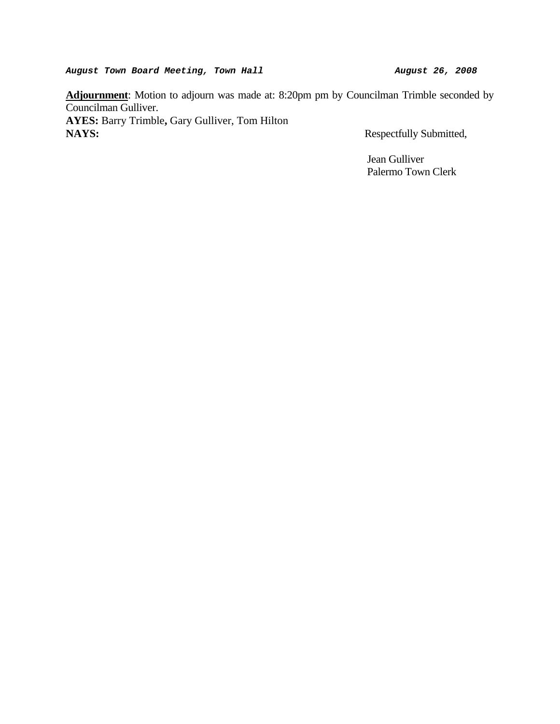**Adjournment**: Motion to adjourn was made at: 8:20pm pm by Councilman Trimble seconded by Councilman Gulliver.

**AYES:** Barry Trimble**,** Gary Gulliver, Tom Hilton **NAYS:** Respectfully Submitted,

 Jean Gulliver Palermo Town Clerk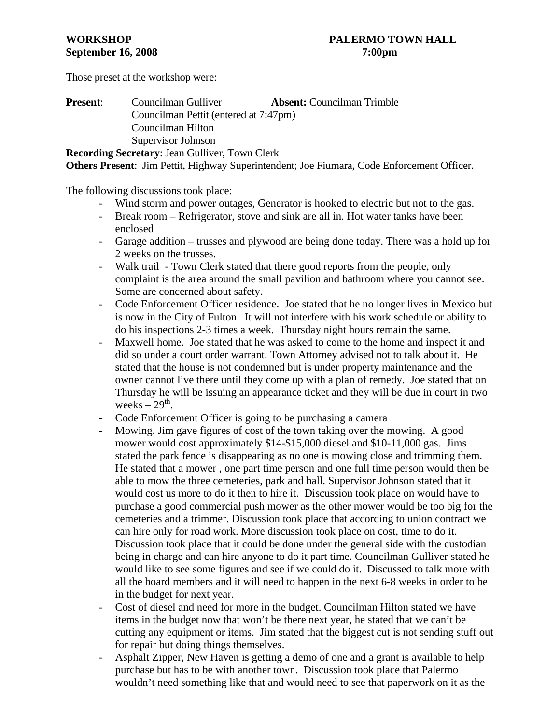Those preset at the workshop were:

| <b>Present:</b> | Councilman Gulliver                                   | <b>Absent:</b> Councilman Trimble |
|-----------------|-------------------------------------------------------|-----------------------------------|
|                 | Councilman Pettit (entered at 7:47pm)                 |                                   |
|                 | Councilman Hilton                                     |                                   |
|                 | Supervisor Johnson                                    |                                   |
|                 | <b>Recording Secretary: Jean Gulliver, Town Clerk</b> |                                   |

**Others Present**: Jim Pettit, Highway Superintendent; Joe Fiumara, Code Enforcement Officer.

The following discussions took place:

- Wind storm and power outages, Generator is hooked to electric but not to the gas.
- Break room Refrigerator, stove and sink are all in. Hot water tanks have been enclosed
- Garage addition trusses and plywood are being done today. There was a hold up for 2 weeks on the trusses.
- Walk trail Town Clerk stated that there good reports from the people, only complaint is the area around the small pavilion and bathroom where you cannot see. Some are concerned about safety.
- Code Enforcement Officer residence. Joe stated that he no longer lives in Mexico but is now in the City of Fulton. It will not interfere with his work schedule or ability to do his inspections 2-3 times a week. Thursday night hours remain the same.
- Maxwell home. Joe stated that he was asked to come to the home and inspect it and did so under a court order warrant. Town Attorney advised not to talk about it. He stated that the house is not condemned but is under property maintenance and the owner cannot live there until they come up with a plan of remedy. Joe stated that on Thursday he will be issuing an appearance ticket and they will be due in court in two weeks  $-29<sup>th</sup>$ .
- Code Enforcement Officer is going to be purchasing a camera
- Mowing. Jim gave figures of cost of the town taking over the mowing. A good mower would cost approximately \$14-\$15,000 diesel and \$10-11,000 gas. Jims stated the park fence is disappearing as no one is mowing close and trimming them. He stated that a mower , one part time person and one full time person would then be able to mow the three cemeteries, park and hall. Supervisor Johnson stated that it would cost us more to do it then to hire it. Discussion took place on would have to purchase a good commercial push mower as the other mower would be too big for the cemeteries and a trimmer. Discussion took place that according to union contract we can hire only for road work. More discussion took place on cost, time to do it. Discussion took place that it could be done under the general side with the custodian being in charge and can hire anyone to do it part time. Councilman Gulliver stated he would like to see some figures and see if we could do it. Discussed to talk more with all the board members and it will need to happen in the next 6-8 weeks in order to be in the budget for next year.
- Cost of diesel and need for more in the budget. Councilman Hilton stated we have items in the budget now that won't be there next year, he stated that we can't be cutting any equipment or items. Jim stated that the biggest cut is not sending stuff out for repair but doing things themselves.
- Asphalt Zipper, New Haven is getting a demo of one and a grant is available to help purchase but has to be with another town. Discussion took place that Palermo wouldn't need something like that and would need to see that paperwork on it as the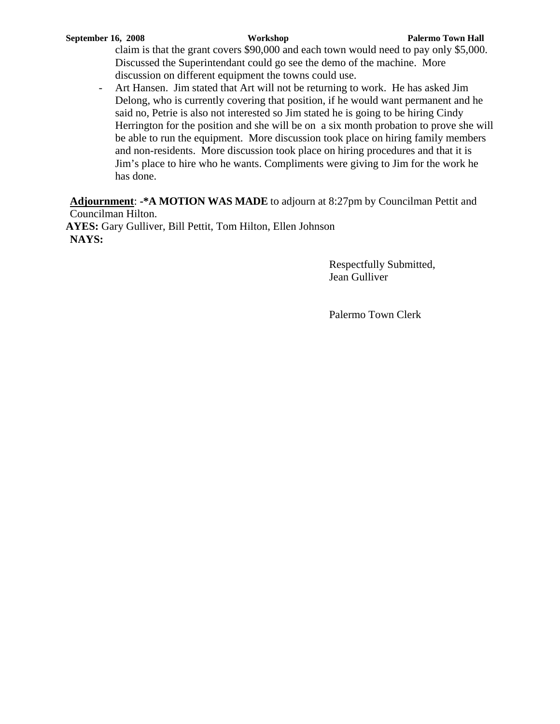claim is that the grant covers \$90,000 and each town would need to pay only \$5,000. Discussed the Superintendant could go see the demo of the machine. More discussion on different equipment the towns could use.

- Art Hansen. Jim stated that Art will not be returning to work. He has asked Jim Delong, who is currently covering that position, if he would want permanent and he said no, Petrie is also not interested so Jim stated he is going to be hiring Cindy Herrington for the position and she will be on a six month probation to prove she will be able to run the equipment. More discussion took place on hiring family members and non-residents. More discussion took place on hiring procedures and that it is Jim's place to hire who he wants. Compliments were giving to Jim for the work he has done.

**Adjournment**: **-\*A MOTION WAS MADE** to adjourn at 8:27pm by Councilman Pettit and Councilman Hilton.

**AYES:** Gary Gulliver, Bill Pettit, Tom Hilton, Ellen Johnson **NAYS:**

> Respectfully Submitted, Jean Gulliver

Palermo Town Clerk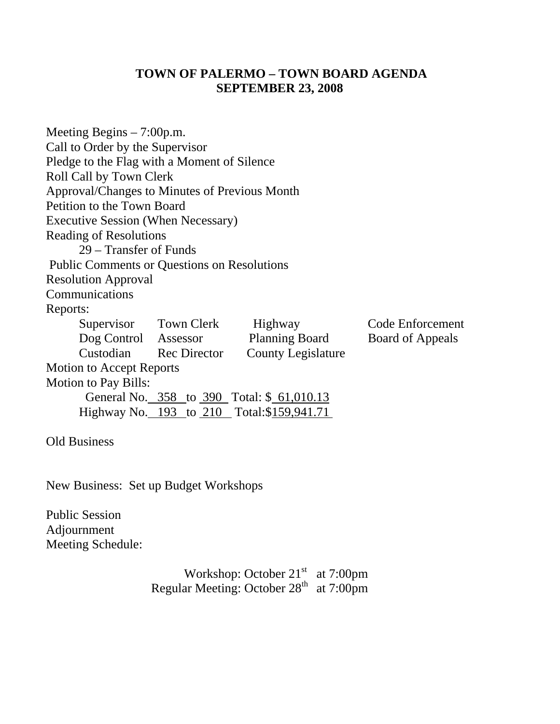# **TOWN OF PALERMO – TOWN BOARD AGENDA SEPTEMBER 23, 2008**

| Meeting Begins $-7:00$ p.m.                        |                        |                           |                  |  |
|----------------------------------------------------|------------------------|---------------------------|------------------|--|
| Call to Order by the Supervisor                    |                        |                           |                  |  |
| Pledge to the Flag with a Moment of Silence        |                        |                           |                  |  |
| Roll Call by Town Clerk                            |                        |                           |                  |  |
| Approval/Changes to Minutes of Previous Month      |                        |                           |                  |  |
| Petition to the Town Board                         |                        |                           |                  |  |
| <b>Executive Session (When Necessary)</b>          |                        |                           |                  |  |
| <b>Reading of Resolutions</b>                      |                        |                           |                  |  |
| 29 – Transfer of Funds                             |                        |                           |                  |  |
| <b>Public Comments or Questions on Resolutions</b> |                        |                           |                  |  |
| <b>Resolution Approval</b>                         |                        |                           |                  |  |
| Communications                                     |                        |                           |                  |  |
| Reports:                                           |                        |                           |                  |  |
|                                                    | Supervisor Town Clerk  | Highway                   | Code Enforcement |  |
| Dog Control Assessor                               |                        | <b>Planning Board</b>     | Board of Appeals |  |
|                                                    | Custodian Rec Director | <b>County Legislature</b> |                  |  |
| <b>Motion to Accept Reports</b>                    |                        |                           |                  |  |
| <b>Motion to Pay Bills:</b>                        |                        |                           |                  |  |
| General No. 358 to 390 Total: \$ 61,010.13         |                        |                           |                  |  |
| Highway No. 193 to 210 Total:\$159,941.71          |                        |                           |                  |  |
| <b>Old Business</b>                                |                        |                           |                  |  |
|                                                    |                        |                           |                  |  |

New Business: Set up Budget Workshops

Public Session Adjournment Meeting Schedule:

Workshop: October  $21<sup>st</sup>$  at 7:00pm Regular Meeting: October  $28<sup>th</sup>$  at 7:00pm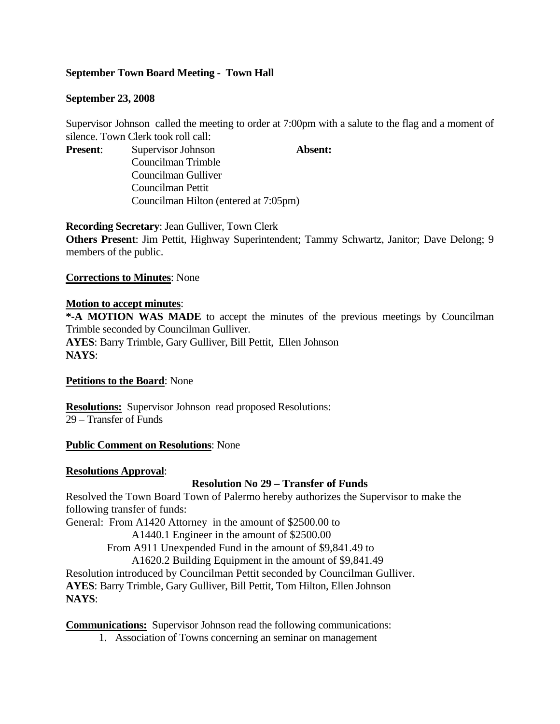# **September Town Board Meeting - Town Hall**

## **September 23, 2008**

Supervisor Johnson called the meeting to order at 7:00pm with a salute to the flag and a moment of silence. Town Clerk took roll call:

**Present:** Supervisor Johnson **Absent:** 

Councilman Trimble Councilman Gulliver Councilman Pettit Councilman Hilton (entered at 7:05pm)

**Recording Secretary**: Jean Gulliver, Town Clerk

**Others Present**: Jim Pettit, Highway Superintendent; Tammy Schwartz, Janitor; Dave Delong; 9 members of the public.

## **Corrections to Minutes**: None

## **Motion to accept minutes**:

**\*-A MOTION WAS MADE** to accept the minutes of the previous meetings by Councilman Trimble seconded by Councilman Gulliver. **AYES**: Barry Trimble, Gary Gulliver, Bill Pettit, Ellen Johnson **NAYS**:

#### **Petitions to the Board**: None

**Resolutions:** Supervisor Johnson read proposed Resolutions: 29 – Transfer of Funds

#### **Public Comment on Resolutions**: None

#### **Resolutions Approval**:

# **Resolution No 29 – Transfer of Funds**

Resolved the Town Board Town of Palermo hereby authorizes the Supervisor to make the following transfer of funds:

General: From A1420 Attorney in the amount of \$2500.00 to

A1440.1 Engineer in the amount of \$2500.00

From A911 Unexpended Fund in the amount of \$9,841.49 to

A1620.2 Building Equipment in the amount of \$9,841.49

Resolution introduced by Councilman Pettit seconded by Councilman Gulliver.

**AYES**: Barry Trimble, Gary Gulliver, Bill Pettit, Tom Hilton, Ellen Johnson **NAYS**:

**Communications:** Supervisor Johnson read the following communications:

1. Association of Towns concerning an seminar on management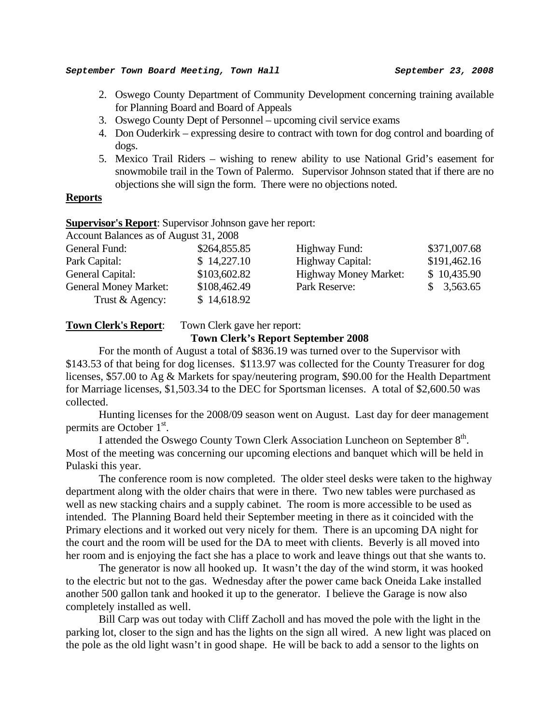- 2. Oswego County Department of Community Development concerning training available for Planning Board and Board of Appeals
- 3. Oswego County Dept of Personnel upcoming civil service exams
- 4. Don Ouderkirk expressing desire to contract with town for dog control and boarding of dogs.
- 5. Mexico Trail Riders wishing to renew ability to use National Grid's easement for snowmobile trail in the Town of Palermo. Supervisor Johnson stated that if there are no objections she will sign the form. There were no objections noted.

## **Reports**

#### **Supervisor's Report**: Supervisor Johnson gave her report:

| Account Balances as of August 31, 2008 |              |                              |              |
|----------------------------------------|--------------|------------------------------|--------------|
| General Fund:                          | \$264,855.85 | Highway Fund:                | \$371,007.68 |
| Park Capital:                          | \$14,227.10  | Highway Capital:             | \$191,462.16 |
| General Capital:                       | \$103,602.82 | <b>Highway Money Market:</b> | \$10,435.90  |
| <b>General Money Market:</b>           | \$108,462.49 | Park Reserve:                | \$3,563.65   |
| Trust & Agency:                        | \$14,618.92  |                              |              |

#### **Town Clerk's Report:** Town Clerk gave her report:

# **Town Clerk's Report September 2008**

For the month of August a total of \$836.19 was turned over to the Supervisor with \$143.53 of that being for dog licenses. \$113.97 was collected for the County Treasurer for dog licenses, \$57.00 to Ag & Markets for spay/neutering program, \$90.00 for the Health Department for Marriage licenses, \$1,503.34 to the DEC for Sportsman licenses. A total of \$2,600.50 was collected.

 Hunting licenses for the 2008/09 season went on August. Last day for deer management permits are October 1<sup>st</sup>.

I attended the Oswego County Town Clerk Association Luncheon on September 8<sup>th</sup>. Most of the meeting was concerning our upcoming elections and banquet which will be held in Pulaski this year.

 The conference room is now completed. The older steel desks were taken to the highway department along with the older chairs that were in there. Two new tables were purchased as well as new stacking chairs and a supply cabinet. The room is more accessible to be used as intended. The Planning Board held their September meeting in there as it coincided with the Primary elections and it worked out very nicely for them. There is an upcoming DA night for the court and the room will be used for the DA to meet with clients. Beverly is all moved into her room and is enjoying the fact she has a place to work and leave things out that she wants to.

 The generator is now all hooked up. It wasn't the day of the wind storm, it was hooked to the electric but not to the gas. Wednesday after the power came back Oneida Lake installed another 500 gallon tank and hooked it up to the generator. I believe the Garage is now also completely installed as well.

 Bill Carp was out today with Cliff Zacholl and has moved the pole with the light in the parking lot, closer to the sign and has the lights on the sign all wired. A new light was placed on the pole as the old light wasn't in good shape. He will be back to add a sensor to the lights on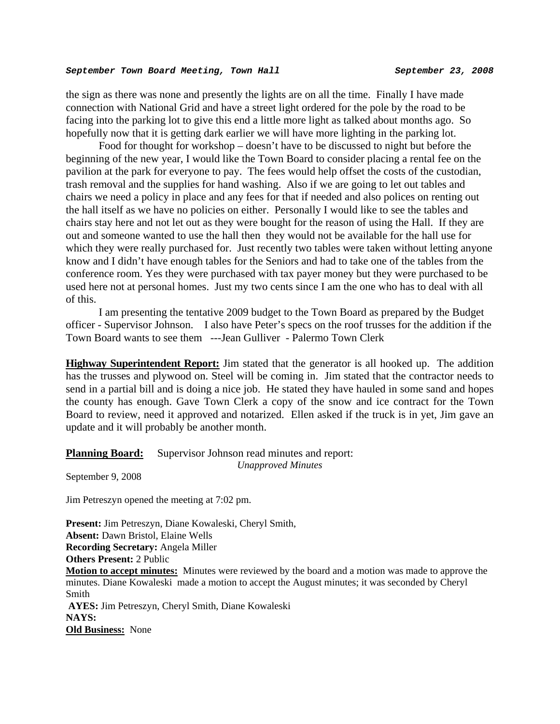the sign as there was none and presently the lights are on all the time. Finally I have made connection with National Grid and have a street light ordered for the pole by the road to be facing into the parking lot to give this end a little more light as talked about months ago. So hopefully now that it is getting dark earlier we will have more lighting in the parking lot.

 Food for thought for workshop – doesn't have to be discussed to night but before the beginning of the new year, I would like the Town Board to consider placing a rental fee on the pavilion at the park for everyone to pay. The fees would help offset the costs of the custodian, trash removal and the supplies for hand washing. Also if we are going to let out tables and chairs we need a policy in place and any fees for that if needed and also polices on renting out the hall itself as we have no policies on either. Personally I would like to see the tables and chairs stay here and not let out as they were bought for the reason of using the Hall. If they are out and someone wanted to use the hall then they would not be available for the hall use for which they were really purchased for. Just recently two tables were taken without letting anyone know and I didn't have enough tables for the Seniors and had to take one of the tables from the conference room. Yes they were purchased with tax payer money but they were purchased to be used here not at personal homes. Just my two cents since I am the one who has to deal with all of this.

 I am presenting the tentative 2009 budget to the Town Board as prepared by the Budget officer - Supervisor Johnson. I also have Peter's specs on the roof trusses for the addition if the Town Board wants to see them ---Jean Gulliver - Palermo Town Clerk

**Highway Superintendent Report:** Jim stated that the generator is all hooked up. The addition has the trusses and plywood on. Steel will be coming in. Jim stated that the contractor needs to send in a partial bill and is doing a nice job. He stated they have hauled in some sand and hopes the county has enough. Gave Town Clerk a copy of the snow and ice contract for the Town Board to review, need it approved and notarized. Ellen asked if the truck is in yet, Jim gave an update and it will probably be another month.

# **Planning Board:** Supervisor Johnson read minutes and report:

*Unapproved Minutes* 

September 9, 2008

Jim Petreszyn opened the meeting at 7:02 pm.

**Present:** Jim Petreszyn, Diane Kowaleski, Cheryl Smith, **Absent:** Dawn Bristol, Elaine Wells **Recording Secretary:** Angela Miller **Others Present:** 2 Public **Motion to accept minutes:** Minutes were reviewed by the board and a motion was made to approve the minutes. Diane Kowaleski made a motion to accept the August minutes; it was seconded by Cheryl Smith **AYES:** Jim Petreszyn, Cheryl Smith, Diane Kowaleski **NAYS: Old Business:** None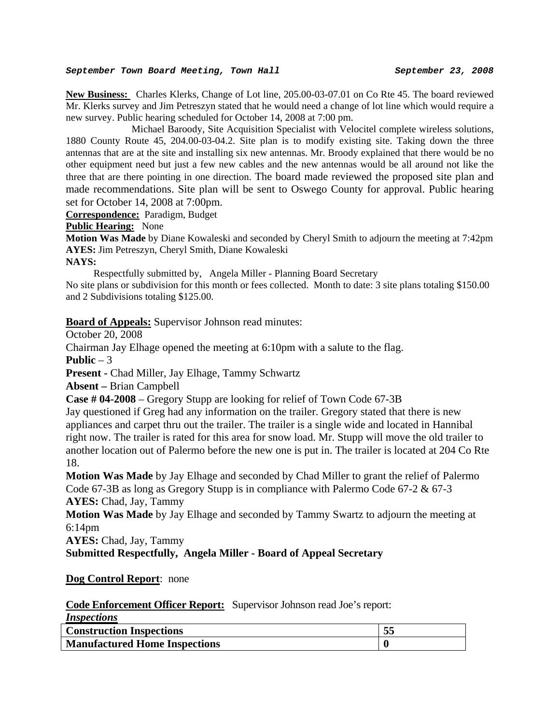**New Business:** Charles Klerks, Change of Lot line, 205.00-03-07.01 on Co Rte 45. The board reviewed Mr. Klerks survey and Jim Petreszyn stated that he would need a change of lot line which would require a new survey. Public hearing scheduled for October 14, 2008 at 7:00 pm.

 Michael Baroody, Site Acquisition Specialist with Velocitel complete wireless solutions, 1880 County Route 45, 204.00-03-04.2. Site plan is to modify existing site. Taking down the three antennas that are at the site and installing six new antennas. Mr. Broody explained that there would be no other equipment need but just a few new cables and the new antennas would be all around not like the three that are there pointing in one direction. The board made reviewed the proposed site plan and made recommendations. Site plan will be sent to Oswego County for approval. Public hearing set for October 14, 2008 at 7:00pm.

**Correspondence:** Paradigm, Budget

**Public Hearing:** None

**Motion Was Made** by Diane Kowaleski and seconded by Cheryl Smith to adjourn the meeting at 7:42pm **AYES:** Jim Petreszyn, Cheryl Smith, Diane Kowaleski

#### **NAYS:**

 Respectfully submitted by, Angela Miller - Planning Board Secretary No site plans or subdivision for this month or fees collected. Month to date: 3 site plans totaling \$150.00 and 2 Subdivisions totaling \$125.00.

**Board of Appeals:** Supervisor Johnson read minutes:

October 20, 2008

Chairman Jay Elhage opened the meeting at 6:10pm with a salute to the flag.

**Public**  $-3$ 

**Present -** Chad Miller, Jay Elhage, Tammy Schwartz

**Absent –** Brian Campbell

**Case # 04-2008** – Gregory Stupp are looking for relief of Town Code 67-3B

Jay questioned if Greg had any information on the trailer. Gregory stated that there is new appliances and carpet thru out the trailer. The trailer is a single wide and located in Hannibal right now. The trailer is rated for this area for snow load. Mr. Stupp will move the old trailer to another location out of Palermo before the new one is put in. The trailer is located at 204 Co Rte 18.

**Motion Was Made** by Jay Elhage and seconded by Chad Miller to grant the relief of Palermo Code 67-3B as long as Gregory Stupp is in compliance with Palermo Code 67-2 & 67-3 **AYES:** Chad, Jay, Tammy

**Motion Was Made** by Jay Elhage and seconded by Tammy Swartz to adjourn the meeting at 6:14pm

**AYES:** Chad, Jay, Tammy

**Submitted Respectfully, Angela Miller - Board of Appeal Secretary** 

#### **Dog Control Report**: none

**Code Enforcement Officer Report:** Supervisor Johnson read Joe's report:

| <i>Inspections</i>                   |    |
|--------------------------------------|----|
| <b>Construction Inspections</b>      | 53 |
| <b>Manufactured Home Inspections</b> |    |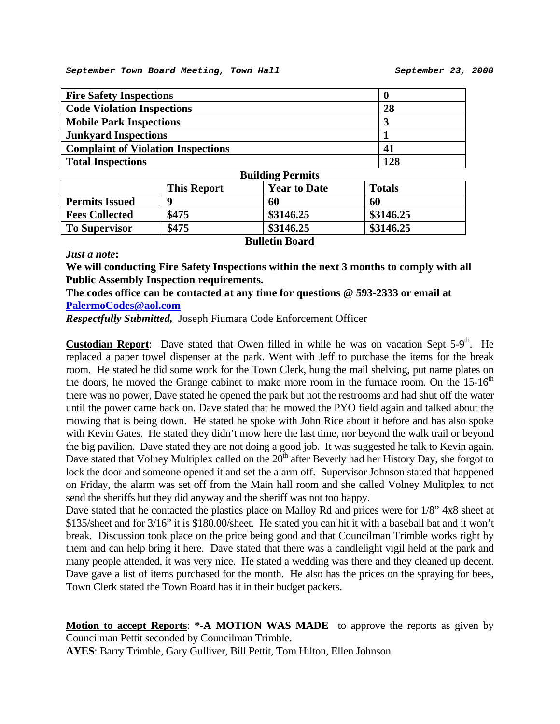| <b>Fire Safety Inspections</b>            |     |  |
|-------------------------------------------|-----|--|
| <b>Code Violation Inspections</b>         | 28  |  |
| <b>Mobile Park Inspections</b>            | J   |  |
| <b>Junkyard Inspections</b>               |     |  |
| <b>Complaint of Violation Inspections</b> | 41  |  |
| <b>Total Inspections</b>                  | 128 |  |
|                                           |     |  |

| DUNUME I CLIMIS       |                    |                     |               |  |
|-----------------------|--------------------|---------------------|---------------|--|
|                       | <b>This Report</b> | <b>Year to Date</b> | <b>Totals</b> |  |
| <b>Permits Issued</b> | o                  | 60                  | 60            |  |
| <b>Fees Collected</b> | \$475              | \$3146.25           | \$3146.25     |  |
| <b>To Supervisor</b>  | \$475              | \$3146.25           | \$3146.25     |  |
| <b>Rulletin Board</b> |                    |                     |               |  |

#### *Just a note***:**

**We will conducting Fire Safety Inspections within the next 3 months to comply with all Public Assembly Inspection requirements.** 

**The codes office can be contacted at any time for questions @ 593-2333 or email at [PalermoCodes@aol.com](mailto:PalermoCodes@aol.com)** 

*Respectfully Submitted,* Joseph Fiumara Code Enforcement Officer

**Custodian Report**: Dave stated that Owen filled in while he was on vacation Sept  $5-9<sup>th</sup>$ . He replaced a paper towel dispenser at the park. Went with Jeff to purchase the items for the break room. He stated he did some work for the Town Clerk, hung the mail shelving, put name plates on the doors, he moved the Grange cabinet to make more room in the furnace room. On the  $15{\text -}16^{\text{th}}$ there was no power, Dave stated he opened the park but not the restrooms and had shut off the water until the power came back on. Dave stated that he mowed the PYO field again and talked about the mowing that is being down. He stated he spoke with John Rice about it before and has also spoke with Kevin Gates. He stated they didn't mow here the last time, nor beyond the walk trail or beyond the big pavilion. Dave stated they are not doing a good job. It was suggested he talk to Kevin again. Dave stated that Volney Multiplex called on the  $20<sup>th</sup>$  after Beverly had her History Day, she forgot to lock the door and someone opened it and set the alarm off. Supervisor Johnson stated that happened on Friday, the alarm was set off from the Main hall room and she called Volney Mulitplex to not send the sheriffs but they did anyway and the sheriff was not too happy.

Dave stated that he contacted the plastics place on Malloy Rd and prices were for  $1/8$ " 4x8 sheet at \$135/sheet and for 3/16" it is \$180.00/sheet. He stated you can hit it with a baseball bat and it won't break. Discussion took place on the price being good and that Councilman Trimble works right by them and can help bring it here. Dave stated that there was a candlelight vigil held at the park and many people attended, it was very nice. He stated a wedding was there and they cleaned up decent. Dave gave a list of items purchased for the month. He also has the prices on the spraying for bees, Town Clerk stated the Town Board has it in their budget packets.

**Motion to accept Reports**: **\*-A MOTION WAS MADE** to approve the reports as given by Councilman Pettit seconded by Councilman Trimble.

**AYES**: Barry Trimble, Gary Gulliver, Bill Pettit, Tom Hilton, Ellen Johnson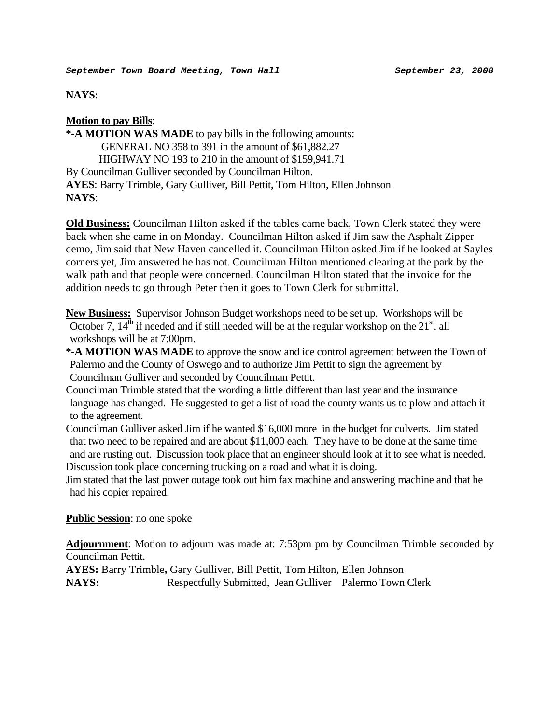**NAYS**:

# **Motion to pay Bills**:

**\*-A MOTION WAS MADE** to pay bills in the following amounts: GENERAL NO 358 to 391 in the amount of \$61,882.27 HIGHWAY NO 193 to 210 in the amount of \$159,941.71 By Councilman Gulliver seconded by Councilman Hilton. **AYES**: Barry Trimble, Gary Gulliver, Bill Pettit, Tom Hilton, Ellen Johnson **NAYS**:

**Old Business:** Councilman Hilton asked if the tables came back, Town Clerk stated they were back when she came in on Monday. Councilman Hilton asked if Jim saw the Asphalt Zipper demo, Jim said that New Haven cancelled it. Councilman Hilton asked Jim if he looked at Sayles corners yet, Jim answered he has not. Councilman Hilton mentioned clearing at the park by the walk path and that people were concerned. Councilman Hilton stated that the invoice for the addition needs to go through Peter then it goes to Town Clerk for submittal.

**New Business:** Supervisor Johnson Budget workshops need to be set up. Workshops will be October 7,  $14<sup>th</sup>$  if needed and if still needed will be at the regular workshop on the  $21<sup>st</sup>$ . all workshops will be at 7:00pm.

- **\*-A MOTION WAS MADE** to approve the snow and ice control agreement between the Town of Palermo and the County of Oswego and to authorize Jim Pettit to sign the agreement by Councilman Gulliver and seconded by Councilman Pettit.
- Councilman Trimble stated that the wording a little different than last year and the insurance language has changed. He suggested to get a list of road the county wants us to plow and attach it to the agreement.
- Councilman Gulliver asked Jim if he wanted \$16,000 more in the budget for culverts. Jim stated that two need to be repaired and are about \$11,000 each. They have to be done at the same time and are rusting out. Discussion took place that an engineer should look at it to see what is needed. Discussion took place concerning trucking on a road and what it is doing.

Jim stated that the last power outage took out him fax machine and answering machine and that he had his copier repaired.

# **Public Session**: no one spoke

**Adjournment**: Motion to adjourn was made at: 7:53pm pm by Councilman Trimble seconded by Councilman Pettit.

**AYES:** Barry Trimble**,** Gary Gulliver, Bill Pettit, Tom Hilton, Ellen Johnson

**NAYS:** Respectfully Submitted, Jean Gulliver Palermo Town Clerk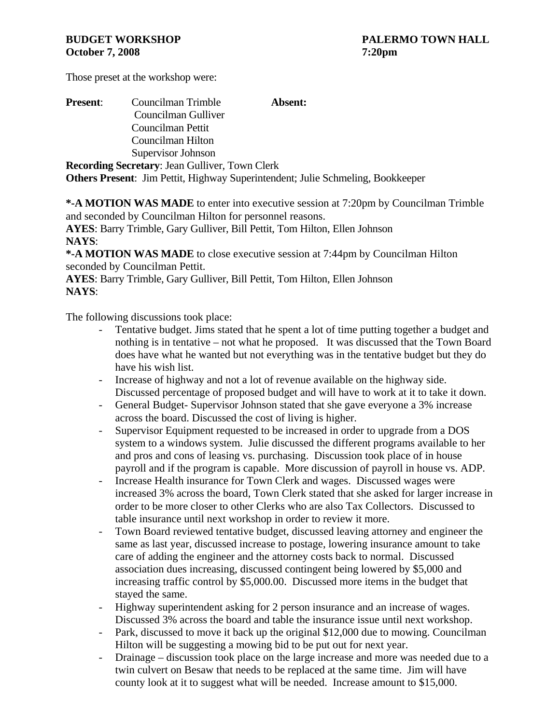Those preset at the workshop were:

| <b>Present:</b> | Councilman Trimble                                    | Absent: |
|-----------------|-------------------------------------------------------|---------|
|                 | Councilman Gulliver                                   |         |
|                 | Councilman Pettit                                     |         |
|                 | Councilman Hilton                                     |         |
|                 | Supervisor Johnson                                    |         |
|                 | <b>Recording Secretary: Jean Gulliver, Town Clerk</b> |         |

**Others Present**: Jim Pettit, Highway Superintendent; Julie Schmeling, Bookkeeper

**\*-A MOTION WAS MADE** to enter into executive session at 7:20pm by Councilman Trimble and seconded by Councilman Hilton for personnel reasons.

**AYES**: Barry Trimble, Gary Gulliver, Bill Pettit, Tom Hilton, Ellen Johnson **NAYS**:

**\*-A MOTION WAS MADE** to close executive session at 7:44pm by Councilman Hilton seconded by Councilman Pettit.

**AYES**: Barry Trimble, Gary Gulliver, Bill Pettit, Tom Hilton, Ellen Johnson **NAYS**:

The following discussions took place:

- Tentative budget. Jims stated that he spent a lot of time putting together a budget and nothing is in tentative – not what he proposed. It was discussed that the Town Board does have what he wanted but not everything was in the tentative budget but they do have his wish list.
- Increase of highway and not a lot of revenue available on the highway side. Discussed percentage of proposed budget and will have to work at it to take it down.
- General Budget- Supervisor Johnson stated that she gave everyone a 3% increase across the board. Discussed the cost of living is higher.
- Supervisor Equipment requested to be increased in order to upgrade from a DOS system to a windows system. Julie discussed the different programs available to her and pros and cons of leasing vs. purchasing. Discussion took place of in house payroll and if the program is capable. More discussion of payroll in house vs. ADP.
- Increase Health insurance for Town Clerk and wages. Discussed wages were increased 3% across the board, Town Clerk stated that she asked for larger increase in order to be more closer to other Clerks who are also Tax Collectors. Discussed to table insurance until next workshop in order to review it more.
- Town Board reviewed tentative budget, discussed leaving attorney and engineer the same as last year, discussed increase to postage, lowering insurance amount to take care of adding the engineer and the attorney costs back to normal. Discussed association dues increasing, discussed contingent being lowered by \$5,000 and increasing traffic control by \$5,000.00. Discussed more items in the budget that stayed the same.
- Highway superintendent asking for 2 person insurance and an increase of wages. Discussed 3% across the board and table the insurance issue until next workshop.
- Park, discussed to move it back up the original \$12,000 due to mowing. Councilman Hilton will be suggesting a mowing bid to be put out for next year.
- Drainage discussion took place on the large increase and more was needed due to a twin culvert on Besaw that needs to be replaced at the same time. Jim will have county look at it to suggest what will be needed. Increase amount to \$15,000.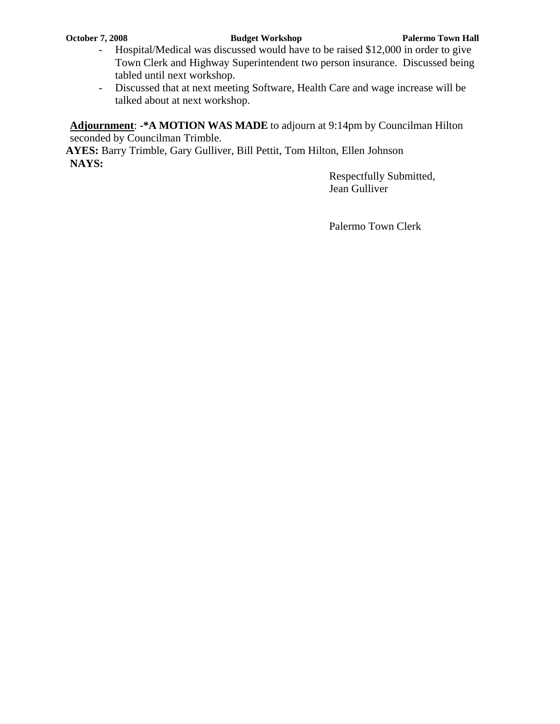- Hospital/Medical was discussed would have to be raised \$12,000 in order to give Town Clerk and Highway Superintendent two person insurance. Discussed being tabled until next workshop.
- Discussed that at next meeting Software, Health Care and wage increase will be talked about at next workshop.

**Adjournment**: **-\*A MOTION WAS MADE** to adjourn at 9:14pm by Councilman Hilton seconded by Councilman Trimble.

**AYES:** Barry Trimble, Gary Gulliver, Bill Pettit, Tom Hilton, Ellen Johnson **NAYS:**

 Respectfully Submitted, Jean Gulliver

Palermo Town Clerk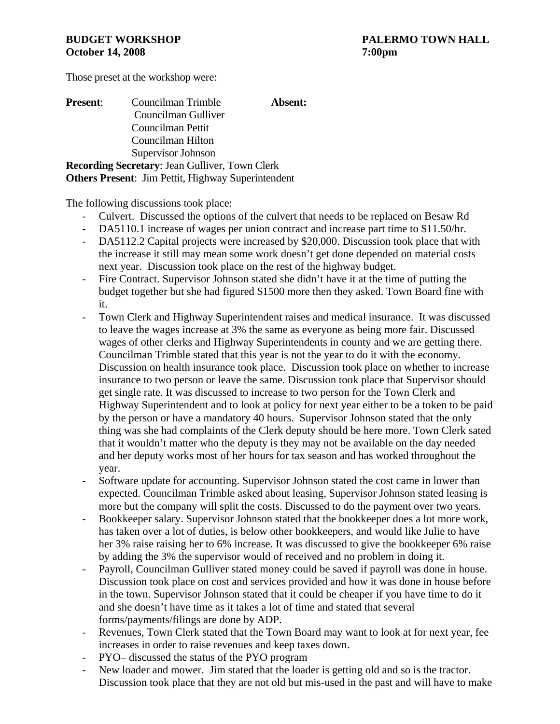Those preset at the workshop were:

| <b>Present:</b> | Councilman Trimble                                        | Absent: |
|-----------------|-----------------------------------------------------------|---------|
|                 | Councilman Gulliver                                       |         |
|                 | Councilman Pettit                                         |         |
|                 | Councilman Hilton                                         |         |
|                 | Supervisor Johnson                                        |         |
|                 | <b>Recording Secretary: Jean Gulliver, Town Clerk</b>     |         |
|                 | <b>Others Present:</b> Jim Pettit, Highway Superintendent |         |

The following discussions took place:

- Culvert. Discussed the options of the culvert that needs to be replaced on Besaw Rd
- DA5110.1 increase of wages per union contract and increase part time to \$11.50/hr.
- DA5112.2 Capital projects were increased by \$20,000. Discussion took place that with the increase it still may mean some work doesn't get done depended on material costs next year. Discussion took place on the rest of the highway budget.
- Fire Contract. Supervisor Johnson stated she didn't have it at the time of putting the budget together but she had figured \$1500 more then they asked. Town Board fine with it.
- Town Clerk and Highway Superintendent raises and medical insurance. It was discussed to leave the wages increase at 3% the same as everyone as being more fair. Discussed wages of other clerks and Highway Superintendents in county and we are getting there. Councilman Trimble stated that this year is not the year to do it with the economy. Discussion on health insurance took place. Discussion took place on whether to increase insurance to two person or leave the same. Discussion took place that Supervisor should get single rate. It was discussed to increase to two person for the Town Clerk and Highway Superintendent and to look at policy for next year either to be a token to be paid by the person or have a mandatory 40 hours. Supervisor Johnson stated that the only thing was she had complaints of the Clerk deputy should be here more. Town Clerk sated that it wouldn't matter who the deputy is they may not be available on the day needed and her deputy works most of her hours for tax season and has worked throughout the year.
- Software update for accounting. Supervisor Johnson stated the cost came in lower than expected. Councilman Trimble asked about leasing, Supervisor Johnson stated leasing is more but the company will split the costs. Discussed to do the payment over two years.
- Bookkeeper salary. Supervisor Johnson stated that the bookkeeper does a lot more work, has taken over a lot of duties, is below other bookkeepers, and would like Julie to have her 3% raise raising her to 6% increase. It was discussed to give the bookkeeper 6% raise by adding the 3% the supervisor would of received and no problem in doing it.
- Payroll, Councilman Gulliver stated money could be saved if payroll was done in house. Discussion took place on cost and services provided and how it was done in house before in the town. Supervisor Johnson stated that it could be cheaper if you have time to do it and she doesn't have time as it takes a lot of time and stated that several forms/payments/filings are done by ADP.
- Revenues, Town Clerk stated that the Town Board may want to look at for next year, fee increases in order to raise revenues and keep taxes down.
- PYO– discussed the status of the PYO program
- New loader and mower. Jim stated that the loader is getting old and so is the tractor. Discussion took place that they are not old but mis-used in the past and will have to make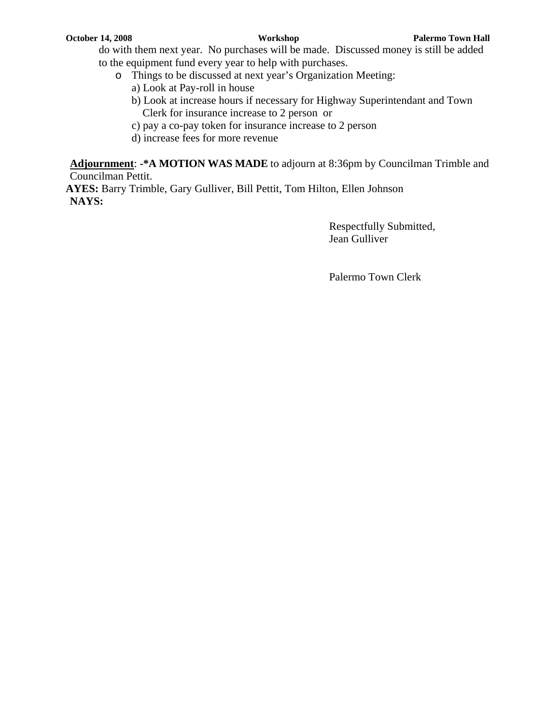- do with them next year. No purchases will be made. Discussed money is still be added to the equipment fund every year to help with purchases.
	- o Things to be discussed at next year's Organization Meeting:
		- a) Look at Pay-roll in house
		- b) Look at increase hours if necessary for Highway Superintendant and Town Clerk for insurance increase to 2 person or
		- c) pay a co-pay token for insurance increase to 2 person
		- d) increase fees for more revenue

**Adjournment**: **-\*A MOTION WAS MADE** to adjourn at 8:36pm by Councilman Trimble and Councilman Pettit.

**AYES:** Barry Trimble, Gary Gulliver, Bill Pettit, Tom Hilton, Ellen Johnson **NAYS:**

> Respectfully Submitted, Jean Gulliver

Palermo Town Clerk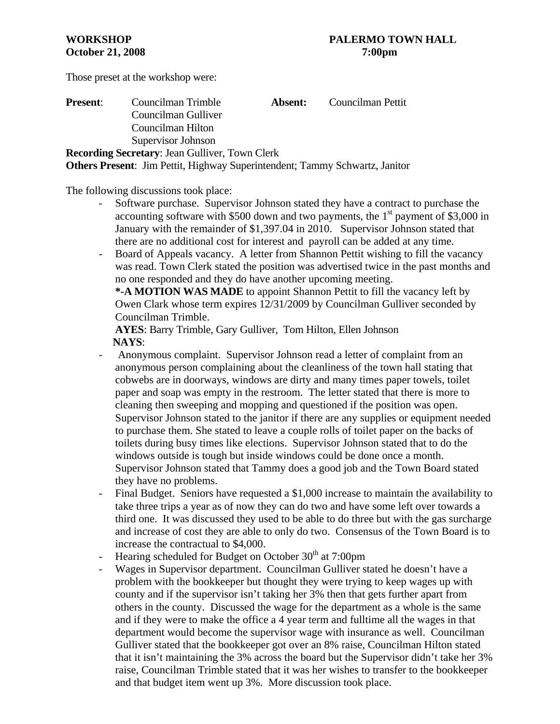Those preset at the workshop were:

| <b>Present:</b> | Councilman Trimble                                                                 | <b>Absent:</b> | Councilman Pettit |
|-----------------|------------------------------------------------------------------------------------|----------------|-------------------|
|                 | Councilman Gulliver                                                                |                |                   |
|                 | Councilman Hilton                                                                  |                |                   |
|                 | Supervisor Johnson                                                                 |                |                   |
|                 | <b>Recording Secretary: Jean Gulliver, Town Clerk</b>                              |                |                   |
|                 | <b>Others Present:</b> Jim Pettit, Highway Superintendent; Tammy Schwartz, Janitor |                |                   |

The following discussions took place:

- Software purchase. Supervisor Johnson stated they have a contract to purchase the accounting software with \$500 down and two payments, the  $1<sup>st</sup>$  payment of \$3,000 in January with the remainder of \$1,397.04 in 2010. Supervisor Johnson stated that there are no additional cost for interest and payroll can be added at any time.
- Board of Appeals vacancy. A letter from Shannon Pettit wishing to fill the vacancy was read. Town Clerk stated the position was advertised twice in the past months and no one responded and they do have another upcoming meeting.

**\*-A MOTION WAS MADE** to appoint Shannon Pettit to fill the vacancy left by Owen Clark whose term expires 12/31/2009 by Councilman Gulliver seconded by Councilman Trimble.

**AYES**: Barry Trimble, Gary Gulliver, Tom Hilton, Ellen Johnson  **NAYS**:

- Anonymous complaint. Supervisor Johnson read a letter of complaint from an anonymous person complaining about the cleanliness of the town hall stating that cobwebs are in doorways, windows are dirty and many times paper towels, toilet paper and soap was empty in the restroom. The letter stated that there is more to cleaning then sweeping and mopping and questioned if the position was open. Supervisor Johnson stated to the janitor if there are any supplies or equipment needed to purchase them. She stated to leave a couple rolls of toilet paper on the backs of toilets during busy times like elections. Supervisor Johnson stated that to do the windows outside is tough but inside windows could be done once a month. Supervisor Johnson stated that Tammy does a good job and the Town Board stated they have no problems.
- Final Budget. Seniors have requested a \$1,000 increase to maintain the availability to take three trips a year as of now they can do two and have some left over towards a third one. It was discussed they used to be able to do three but with the gas surcharge and increase of cost they are able to only do two. Consensus of the Town Board is to increase the contractual to \$4,000.
- Hearing scheduled for Budget on October  $30<sup>th</sup>$  at 7:00pm
- Wages in Supervisor department. Councilman Gulliver stated he doesn't have a problem with the bookkeeper but thought they were trying to keep wages up with county and if the supervisor isn't taking her 3% then that gets further apart from others in the county. Discussed the wage for the department as a whole is the same and if they were to make the office a 4 year term and fulltime all the wages in that department would become the supervisor wage with insurance as well. Councilman Gulliver stated that the bookkeeper got over an 8% raise, Councilman Hilton stated that it isn't maintaining the 3% across the board but the Supervisor didn't take her 3% raise, Councilman Trimble stated that it was her wishes to transfer to the bookkeeper and that budget item went up 3%. More discussion took place.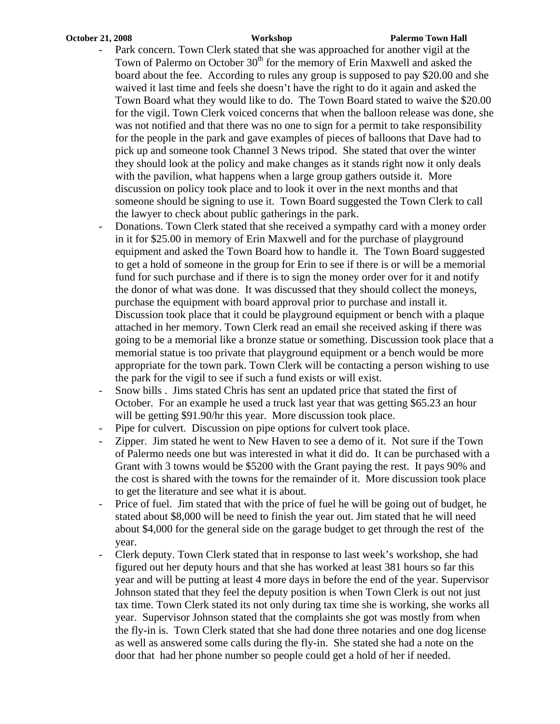#### **October 21, 2008 Workshop Palermo Town Hall**

- Park concern. Town Clerk stated that she was approached for another vigil at the Town of Palermo on October  $30<sup>th</sup>$  for the memory of Erin Maxwell and asked the board about the fee. According to rules any group is supposed to pay \$20.00 and she waived it last time and feels she doesn't have the right to do it again and asked the Town Board what they would like to do. The Town Board stated to waive the \$20.00 for the vigil. Town Clerk voiced concerns that when the balloon release was done, she was not notified and that there was no one to sign for a permit to take responsibility for the people in the park and gave examples of pieces of balloons that Dave had to pick up and someone took Channel 3 News tripod. She stated that over the winter they should look at the policy and make changes as it stands right now it only deals with the pavilion, what happens when a large group gathers outside it. More discussion on policy took place and to look it over in the next months and that someone should be signing to use it. Town Board suggested the Town Clerk to call the lawyer to check about public gatherings in the park.
- Donations. Town Clerk stated that she received a sympathy card with a money order in it for \$25.00 in memory of Erin Maxwell and for the purchase of playground equipment and asked the Town Board how to handle it. The Town Board suggested to get a hold of someone in the group for Erin to see if there is or will be a memorial fund for such purchase and if there is to sign the money order over for it and notify the donor of what was done. It was discussed that they should collect the moneys, purchase the equipment with board approval prior to purchase and install it. Discussion took place that it could be playground equipment or bench with a plaque attached in her memory. Town Clerk read an email she received asking if there was going to be a memorial like a bronze statue or something. Discussion took place that a memorial statue is too private that playground equipment or a bench would be more appropriate for the town park. Town Clerk will be contacting a person wishing to use the park for the vigil to see if such a fund exists or will exist.
- Snow bills . Jims stated Chris has sent an updated price that stated the first of October. For an example he used a truck last year that was getting \$65.23 an hour will be getting \$91.90/hr this year. More discussion took place.
- Pipe for culvert. Discussion on pipe options for culvert took place.
- Zipper. Jim stated he went to New Haven to see a demo of it. Not sure if the Town of Palermo needs one but was interested in what it did do. It can be purchased with a Grant with 3 towns would be \$5200 with the Grant paying the rest. It pays 90% and the cost is shared with the towns for the remainder of it. More discussion took place to get the literature and see what it is about.
- Price of fuel. Jim stated that with the price of fuel he will be going out of budget, he stated about \$8,000 will be need to finish the year out. Jim stated that he will need about \$4,000 for the general side on the garage budget to get through the rest of the year.
- Clerk deputy. Town Clerk stated that in response to last week's workshop, she had figured out her deputy hours and that she has worked at least 381 hours so far this year and will be putting at least 4 more days in before the end of the year. Supervisor Johnson stated that they feel the deputy position is when Town Clerk is out not just tax time. Town Clerk stated its not only during tax time she is working, she works all year. Supervisor Johnson stated that the complaints she got was mostly from when the fly-in is. Town Clerk stated that she had done three notaries and one dog license as well as answered some calls during the fly-in. She stated she had a note on the door that had her phone number so people could get a hold of her if needed.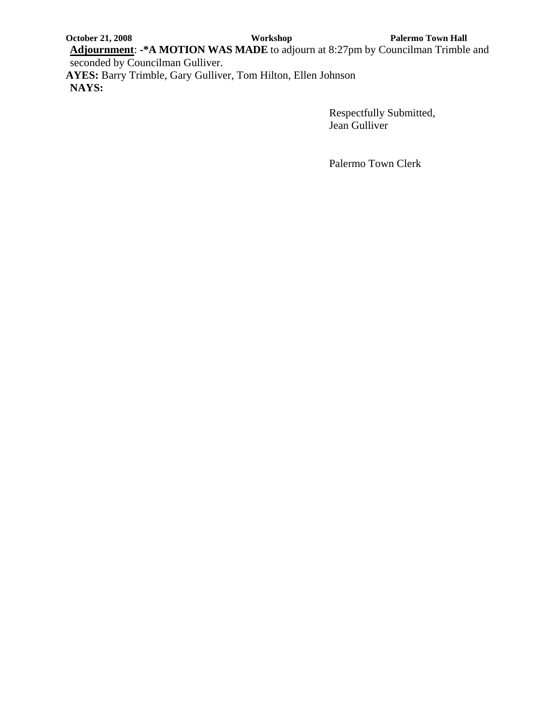**October 21, 2008** Workshop Palermo Town Hall

**Adjournment**: **-\*A MOTION WAS MADE** to adjourn at 8:27pm by Councilman Trimble and seconded by Councilman Gulliver.

**AYES:** Barry Trimble, Gary Gulliver, Tom Hilton, Ellen Johnson **NAYS:**

> Respectfully Submitted, Jean Gulliver

Palermo Town Clerk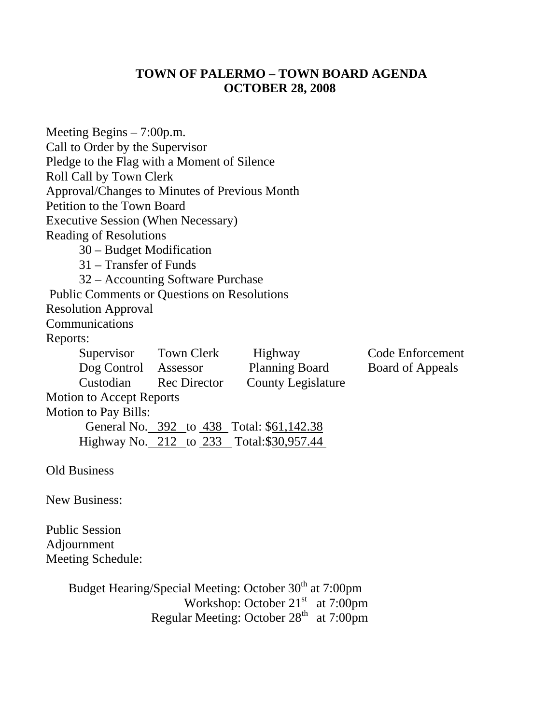# **TOWN OF PALERMO – TOWN BOARD AGENDA OCTOBER 28, 2008**

| Meeting Begins $-7:00$ p.m.                        |                                   |                                           |                  |
|----------------------------------------------------|-----------------------------------|-------------------------------------------|------------------|
| Call to Order by the Supervisor                    |                                   |                                           |                  |
| Pledge to the Flag with a Moment of Silence        |                                   |                                           |                  |
| Roll Call by Town Clerk                            |                                   |                                           |                  |
| Approval/Changes to Minutes of Previous Month      |                                   |                                           |                  |
| Petition to the Town Board                         |                                   |                                           |                  |
| <b>Executive Session (When Necessary)</b>          |                                   |                                           |                  |
| <b>Reading of Resolutions</b>                      |                                   |                                           |                  |
| 30 – Budget Modification                           |                                   |                                           |                  |
| 31 – Transfer of Funds                             |                                   |                                           |                  |
|                                                    | 32 – Accounting Software Purchase |                                           |                  |
| <b>Public Comments or Questions on Resolutions</b> |                                   |                                           |                  |
| <b>Resolution Approval</b>                         |                                   |                                           |                  |
| Communications                                     |                                   |                                           |                  |
| Reports:                                           |                                   |                                           |                  |
|                                                    | Supervisor Town Clerk             | Highway                                   | Code Enforcement |
| Dog Control Assessor                               |                                   | <b>Planning Board</b>                     | Board of Appeals |
|                                                    | Custodian Rec Director            | <b>County Legislature</b>                 |                  |
| <b>Motion to Accept Reports</b>                    |                                   |                                           |                  |
| <b>Motion to Pay Bills:</b>                        |                                   |                                           |                  |
|                                                    |                                   | General No. 392 to 438 Total: \$61,142.38 |                  |
|                                                    |                                   | Highway No. 212 to 233 Total: \$30,957.44 |                  |
| <b>Old Business</b>                                |                                   |                                           |                  |
| <b>New Business:</b>                               |                                   |                                           |                  |

Public Session Adjournment Meeting Schedule:

Budget Hearing/Special Meeting: October 30<sup>th</sup> at 7:00pm Workshop: October 21<sup>st</sup> at 7:00pm Regular Meeting: October  $28<sup>th</sup>$  at 7:00pm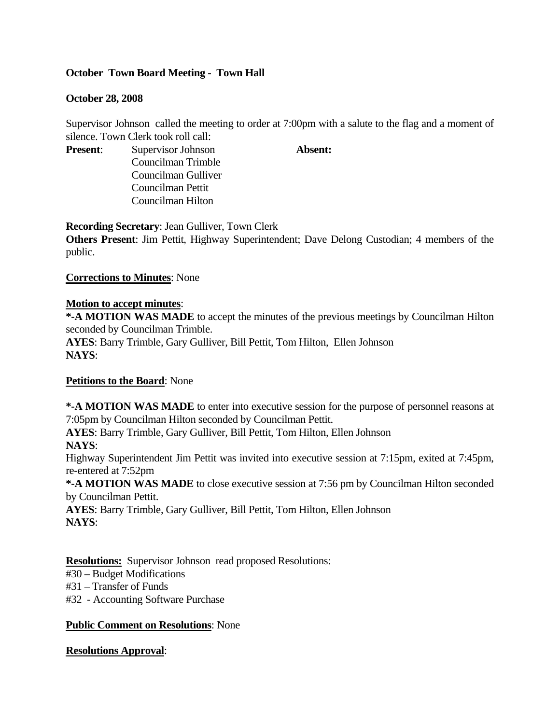## **October Town Board Meeting - Town Hall**

## **October 28, 2008**

Supervisor Johnson called the meeting to order at 7:00pm with a salute to the flag and a moment of silence. Town Clerk took roll call:

**Present:** Supervisor Johnson **Absent:** Councilman Trimble Councilman Gulliver Councilman Pettit Councilman Hilton

**Recording Secretary**: Jean Gulliver, Town Clerk

**Others Present**: Jim Pettit, Highway Superintendent; Dave Delong Custodian; 4 members of the public.

**Corrections to Minutes**: None

## **Motion to accept minutes**:

**\*-A MOTION WAS MADE** to accept the minutes of the previous meetings by Councilman Hilton seconded by Councilman Trimble. **AYES**: Barry Trimble, Gary Gulliver, Bill Pettit, Tom Hilton, Ellen Johnson **NAYS**:

## **Petitions to the Board**: None

**\*-A MOTION WAS MADE** to enter into executive session for the purpose of personnel reasons at 7:05pm by Councilman Hilton seconded by Councilman Pettit.

**AYES**: Barry Trimble, Gary Gulliver, Bill Pettit, Tom Hilton, Ellen Johnson

**NAYS**:

Highway Superintendent Jim Pettit was invited into executive session at 7:15pm, exited at 7:45pm, re-entered at 7:52pm

**\*-A MOTION WAS MADE** to close executive session at 7:56 pm by Councilman Hilton seconded by Councilman Pettit.

**AYES**: Barry Trimble, Gary Gulliver, Bill Pettit, Tom Hilton, Ellen Johnson **NAYS**:

**Resolutions:** Supervisor Johnson read proposed Resolutions:

#30 – Budget Modifications

#31 – Transfer of Funds

#32 - Accounting Software Purchase

## **Public Comment on Resolutions**: None

## **Resolutions Approval**: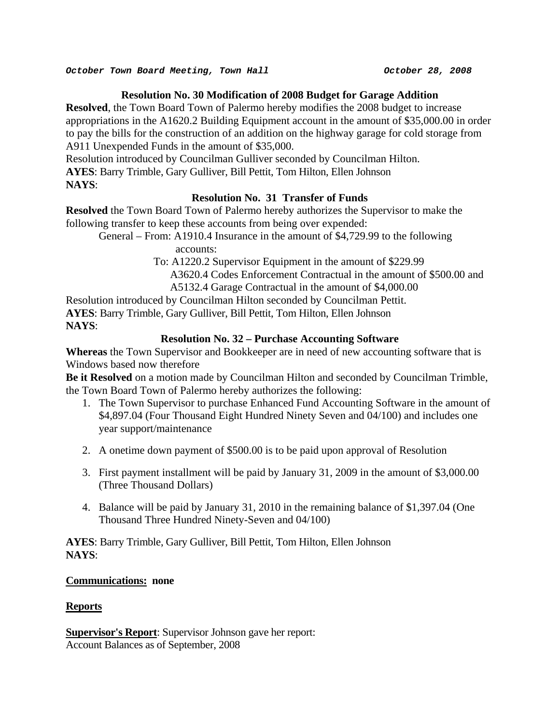## **Resolution No. 30 Modification of 2008 Budget for Garage Addition**

**Resolved**, the Town Board Town of Palermo hereby modifies the 2008 budget to increase appropriations in the A1620.2 Building Equipment account in the amount of \$35,000.00 in order to pay the bills for the construction of an addition on the highway garage for cold storage from A911 Unexpended Funds in the amount of \$35,000.

Resolution introduced by Councilman Gulliver seconded by Councilman Hilton.

**AYES**: Barry Trimble, Gary Gulliver, Bill Pettit, Tom Hilton, Ellen Johnson

**NAYS**:

## **Resolution No. 31 Transfer of Funds**

**Resolved** the Town Board Town of Palermo hereby authorizes the Supervisor to make the following transfer to keep these accounts from being over expended:

 General – From: A1910.4 Insurance in the amount of \$4,729.99 to the following accounts:

To: A1220.2 Supervisor Equipment in the amount of \$229.99

A3620.4 Codes Enforcement Contractual in the amount of \$500.00 and

A5132.4 Garage Contractual in the amount of \$4,000.00

Resolution introduced by Councilman Hilton seconded by Councilman Pettit. **AYES**: Barry Trimble, Gary Gulliver, Bill Pettit, Tom Hilton, Ellen Johnson **NAYS**:

## **Resolution No. 32 – Purchase Accounting Software**

**Whereas** the Town Supervisor and Bookkeeper are in need of new accounting software that is Windows based now therefore

**Be it Resolved** on a motion made by Councilman Hilton and seconded by Councilman Trimble, the Town Board Town of Palermo hereby authorizes the following:

- 1. The Town Supervisor to purchase Enhanced Fund Accounting Software in the amount of \$4,897.04 (Four Thousand Eight Hundred Ninety Seven and 04/100) and includes one year support/maintenance
- 2. A onetime down payment of \$500.00 is to be paid upon approval of Resolution
- 3. First payment installment will be paid by January 31, 2009 in the amount of \$3,000.00 (Three Thousand Dollars)
- 4. Balance will be paid by January 31, 2010 in the remaining balance of \$1,397.04 (One Thousand Three Hundred Ninety-Seven and 04/100)

**AYES**: Barry Trimble, Gary Gulliver, Bill Pettit, Tom Hilton, Ellen Johnson **NAYS**:

## **Communications: none**

## **Reports**

**Supervisor's Report**: Supervisor Johnson gave her report: Account Balances as of September, 2008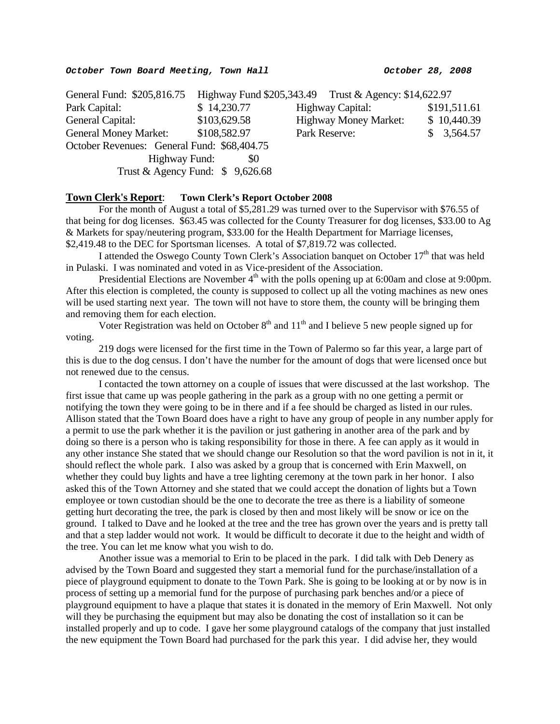| General Fund: \$205,816.75 Highway Fund \$205,343.49 Trust & Agency: \$14,622.97 |                                  |                              |              |
|----------------------------------------------------------------------------------|----------------------------------|------------------------------|--------------|
| Park Capital:                                                                    | \$14,230.77                      | Highway Capital:             | \$191,511.61 |
| General Capital:                                                                 | \$103,629.58                     | <b>Highway Money Market:</b> | \$10,440.39  |
| <b>General Money Market:</b>                                                     | \$108,582.97                     | Park Reserve:                | \$3,564.57   |
| October Revenues: General Fund: \$68,404.75                                      |                                  |                              |              |
| Highway Fund:                                                                    | \$0                              |                              |              |
|                                                                                  | Trust & Agency Fund: $$9,626.68$ |                              |              |

#### **Town Clerk's Report**: **Town Clerk's Report October 2008**

For the month of August a total of \$5,281.29 was turned over to the Supervisor with \$76.55 of that being for dog licenses. \$63.45 was collected for the County Treasurer for dog licenses, \$33.00 to Ag & Markets for spay/neutering program, \$33.00 for the Health Department for Marriage licenses, \$2,419.48 to the DEC for Sportsman licenses. A total of \$7,819.72 was collected.

I attended the Oswego County Town Clerk's Association banquet on October 17<sup>th</sup> that was held in Pulaski. I was nominated and voted in as Vice-president of the Association.

Presidential Elections are November  $4<sup>th</sup>$  with the polls opening up at 6:00am and close at 9:00pm. After this election is completed, the county is supposed to collect up all the voting machines as new ones will be used starting next year. The town will not have to store them, the county will be bringing them and removing them for each election.

Voter Registration was held on October  $8<sup>th</sup>$  and  $11<sup>th</sup>$  and I believe 5 new people signed up for voting.

219 dogs were licensed for the first time in the Town of Palermo so far this year, a large part of this is due to the dog census. I don't have the number for the amount of dogs that were licensed once but not renewed due to the census.

I contacted the town attorney on a couple of issues that were discussed at the last workshop. The first issue that came up was people gathering in the park as a group with no one getting a permit or notifying the town they were going to be in there and if a fee should be charged as listed in our rules. Allison stated that the Town Board does have a right to have any group of people in any number apply for a permit to use the park whether it is the pavilion or just gathering in another area of the park and by doing so there is a person who is taking responsibility for those in there. A fee can apply as it would in any other instance She stated that we should change our Resolution so that the word pavilion is not in it, it should reflect the whole park. I also was asked by a group that is concerned with Erin Maxwell, on whether they could buy lights and have a tree lighting ceremony at the town park in her honor. I also asked this of the Town Attorney and she stated that we could accept the donation of lights but a Town employee or town custodian should be the one to decorate the tree as there is a liability of someone getting hurt decorating the tree, the park is closed by then and most likely will be snow or ice on the ground. I talked to Dave and he looked at the tree and the tree has grown over the years and is pretty tall and that a step ladder would not work. It would be difficult to decorate it due to the height and width of the tree. You can let me know what you wish to do.

Another issue was a memorial to Erin to be placed in the park. I did talk with Deb Denery as advised by the Town Board and suggested they start a memorial fund for the purchase/installation of a piece of playground equipment to donate to the Town Park. She is going to be looking at or by now is in process of setting up a memorial fund for the purpose of purchasing park benches and/or a piece of playground equipment to have a plaque that states it is donated in the memory of Erin Maxwell. Not only will they be purchasing the equipment but may also be donating the cost of installation so it can be installed properly and up to code. I gave her some playground catalogs of the company that just installed the new equipment the Town Board had purchased for the park this year. I did advise her, they would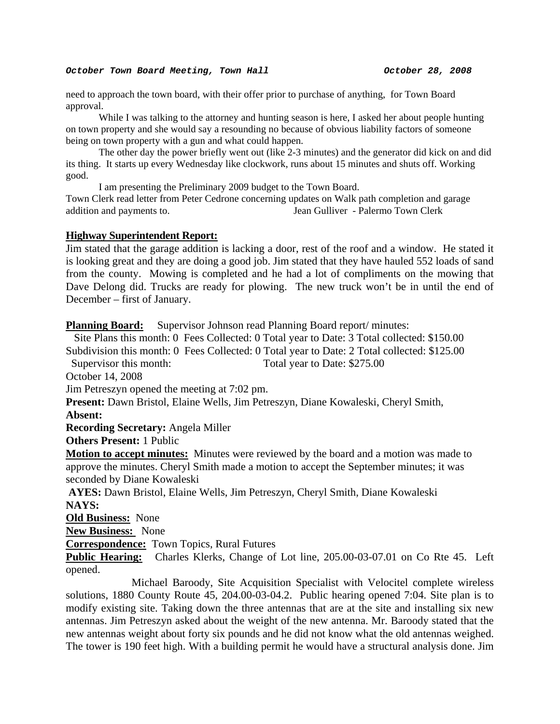#### *October Town Board Meeting, Town Hall October 28, 2008*

need to approach the town board, with their offer prior to purchase of anything, for Town Board approval.

While I was talking to the attorney and hunting season is here, I asked her about people hunting on town property and she would say a resounding no because of obvious liability factors of someone being on town property with a gun and what could happen.

The other day the power briefly went out (like 2-3 minutes) and the generator did kick on and did its thing. It starts up every Wednesday like clockwork, runs about 15 minutes and shuts off. Working good.

I am presenting the Preliminary 2009 budget to the Town Board.

Town Clerk read letter from Peter Cedrone concerning updates on Walk path completion and garage addition and payments to. Jean Gulliver - Palermo Town Clerk

#### **Highway Superintendent Report:**

Jim stated that the garage addition is lacking a door, rest of the roof and a window. He stated it is looking great and they are doing a good job. Jim stated that they have hauled 552 loads of sand from the county. Mowing is completed and he had a lot of compliments on the mowing that Dave Delong did. Trucks are ready for plowing. The new truck won't be in until the end of December – first of January.

**Planning Board:** Supervisor Johnson read Planning Board report/minutes:

 Site Plans this month: 0 Fees Collected: 0 Total year to Date: 3 Total collected: \$150.00 Subdivision this month: 0 Fees Collected: 0 Total year to Date: 2 Total collected: \$125.00

Supervisor this month: Total year to Date: \$275.00

October 14, 2008

Jim Petreszyn opened the meeting at 7:02 pm.

**Present:** Dawn Bristol, Elaine Wells, Jim Petreszyn, Diane Kowaleski, Cheryl Smith,

**Absent:**

**Recording Secretary:** Angela Miller

**Others Present:** 1 Public

**Motion to accept minutes:** Minutes were reviewed by the board and a motion was made to approve the minutes. Cheryl Smith made a motion to accept the September minutes; it was seconded by Diane Kowaleski

**AYES:** Dawn Bristol, Elaine Wells, Jim Petreszyn, Cheryl Smith, Diane Kowaleski **NAYS:** 

**Old Business:** None

**New Business:** None

**Correspondence:** Town Topics, Rural Futures

**Public Hearing:** Charles Klerks, Change of Lot line, 205.00-03-07.01 on Co Rte 45. Left opened.

 Michael Baroody, Site Acquisition Specialist with Velocitel complete wireless solutions, 1880 County Route 45, 204.00-03-04.2. Public hearing opened 7:04. Site plan is to modify existing site. Taking down the three antennas that are at the site and installing six new antennas. Jim Petreszyn asked about the weight of the new antenna. Mr. Baroody stated that the new antennas weight about forty six pounds and he did not know what the old antennas weighed. The tower is 190 feet high. With a building permit he would have a structural analysis done. Jim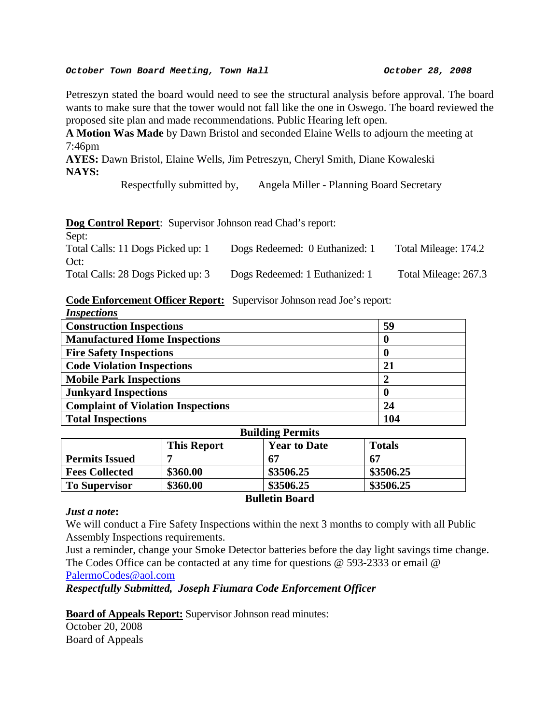#### *October Town Board Meeting, Town Hall October 28, 2008*

Petreszyn stated the board would need to see the structural analysis before approval. The board wants to make sure that the tower would not fall like the one in Oswego. The board reviewed the proposed site plan and made recommendations. Public Hearing left open.

**A Motion Was Made** by Dawn Bristol and seconded Elaine Wells to adjourn the meeting at 7:46pm

**AYES:** Dawn Bristol, Elaine Wells, Jim Petreszyn, Cheryl Smith, Diane Kowaleski **NAYS:** 

Respectfully submitted by, Angela Miller - Planning Board Secretary

## **Dog Control Report**: Supervisor Johnson read Chad's report:

| Sept:                             |                                |                      |
|-----------------------------------|--------------------------------|----------------------|
| Total Calls: 11 Dogs Picked up: 1 | Dogs Redeemed: 0 Euthanized: 1 | Total Mileage: 174.2 |
| Oct:                              |                                |                      |
| Total Calls: 28 Dogs Picked up: 3 | Dogs Redeemed: 1 Euthanized: 1 | Total Mileage: 267.3 |

#### **Code Enforcement Officer Report:** Supervisor Johnson read Joe's report: *Inspections*

| <i><b>Inspections</b></i>                      |     |
|------------------------------------------------|-----|
| <b>Construction Inspections</b>                | 59  |
| <b>Manufactured Home Inspections</b>           |     |
| <b>Fire Safety Inspections</b>                 |     |
| <b>Code Violation Inspections</b>              | 21  |
| <b>Mobile Park Inspections</b>                 |     |
| <b>Junkyard Inspections</b>                    |     |
| <b>Complaint of Violation Inspections</b>      | 24  |
| <b>Total Inspections</b>                       | 104 |
| $\mathbf{D}$ --21.1: $\sim \mathbf{D}$ omarita |     |

| <b>Bullaing Permits</b> |                    |                     |               |
|-------------------------|--------------------|---------------------|---------------|
|                         | <b>This Report</b> | <b>Year to Date</b> | <b>Totals</b> |
| <b>Permits Issued</b>   |                    | 67                  | 67            |
| <b>Fees Collected</b>   | \$360.00           | \$3506.25           | \$3506.25     |
| <b>To Supervisor</b>    | \$360.00           | \$3506.25           | \$3506.25     |
| <b>Bulletin Board</b>   |                    |                     |               |

#### *Just a note***:**

We will conduct a Fire Safety Inspections within the next 3 months to comply with all Public Assembly Inspections requirements.

Just a reminder, change your Smoke Detector batteries before the day light savings time change. The Codes Office can be contacted at any time for questions @ 593-2333 or email @ [PalermoCodes@aol.com](mailto:PalermoCodes@aol.com)

*Respectfully Submitted, Joseph Fiumara Code Enforcement Officer*

## **Board of Appeals Report:** Supervisor Johnson read minutes:

October 20, 2008 Board of Appeals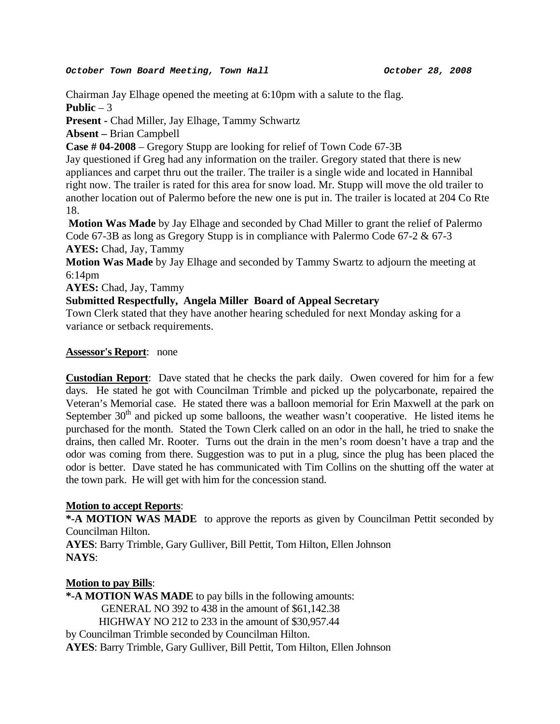Chairman Jay Elhage opened the meeting at 6:10pm with a salute to the flag. **Public**  $-3$ 

**Present -** Chad Miller, Jay Elhage, Tammy Schwartz

**Absent –** Brian Campbell

**Case # 04-2008** – Gregory Stupp are looking for relief of Town Code 67-3B

Jay questioned if Greg had any information on the trailer. Gregory stated that there is new appliances and carpet thru out the trailer. The trailer is a single wide and located in Hannibal right now. The trailer is rated for this area for snow load. Mr. Stupp will move the old trailer to another location out of Palermo before the new one is put in. The trailer is located at 204 Co Rte 18.

**Motion Was Made** by Jay Elhage and seconded by Chad Miller to grant the relief of Palermo Code 67-3B as long as Gregory Stupp is in compliance with Palermo Code 67-2 & 67-3 **AYES:** Chad, Jay, Tammy

**Motion Was Made** by Jay Elhage and seconded by Tammy Swartz to adjourn the meeting at 6:14pm

**AYES:** Chad, Jay, Tammy

## **Submitted Respectfully, Angela Miller Board of Appeal Secretary**

Town Clerk stated that they have another hearing scheduled for next Monday asking for a variance or setback requirements.

## **Assessor's Report**: none

**Custodian Report**: Dave stated that he checks the park daily. Owen covered for him for a few days. He stated he got with Councilman Trimble and picked up the polycarbonate, repaired the Veteran's Memorial case. He stated there was a balloon memorial for Erin Maxwell at the park on September  $30<sup>th</sup>$  and picked up some balloons, the weather wasn't cooperative. He listed items he purchased for the month. Stated the Town Clerk called on an odor in the hall, he tried to snake the drains, then called Mr. Rooter. Turns out the drain in the men's room doesn't have a trap and the odor was coming from there. Suggestion was to put in a plug, since the plug has been placed the odor is better. Dave stated he has communicated with Tim Collins on the shutting off the water at the town park. He will get with him for the concession stand.

## **Motion to accept Reports**:

**\*-A MOTION WAS MADE** to approve the reports as given by Councilman Pettit seconded by Councilman Hilton.

**AYES**: Barry Trimble, Gary Gulliver, Bill Pettit, Tom Hilton, Ellen Johnson **NAYS**:

## **Motion to pay Bills**:

**\*-A MOTION WAS MADE** to pay bills in the following amounts: GENERAL NO 392 to 438 in the amount of \$61,142.38 HIGHWAY NO 212 to 233 in the amount of \$30,957.44 by Councilman Trimble seconded by Councilman Hilton.

**AYES**: Barry Trimble, Gary Gulliver, Bill Pettit, Tom Hilton, Ellen Johnson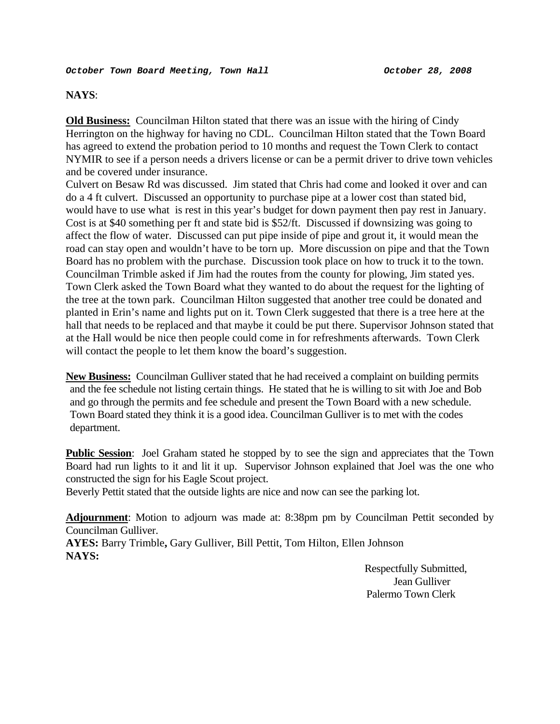#### **NAYS**:

**Old Business:** Councilman Hilton stated that there was an issue with the hiring of Cindy Herrington on the highway for having no CDL. Councilman Hilton stated that the Town Board has agreed to extend the probation period to 10 months and request the Town Clerk to contact NYMIR to see if a person needs a drivers license or can be a permit driver to drive town vehicles and be covered under insurance.

Culvert on Besaw Rd was discussed. Jim stated that Chris had come and looked it over and can do a 4 ft culvert. Discussed an opportunity to purchase pipe at a lower cost than stated bid, would have to use what is rest in this year's budget for down payment then pay rest in January. Cost is at \$40 something per ft and state bid is \$52/ft. Discussed if downsizing was going to affect the flow of water. Discussed can put pipe inside of pipe and grout it, it would mean the road can stay open and wouldn't have to be torn up. More discussion on pipe and that the Town Board has no problem with the purchase. Discussion took place on how to truck it to the town. Councilman Trimble asked if Jim had the routes from the county for plowing, Jim stated yes. Town Clerk asked the Town Board what they wanted to do about the request for the lighting of the tree at the town park. Councilman Hilton suggested that another tree could be donated and planted in Erin's name and lights put on it. Town Clerk suggested that there is a tree here at the hall that needs to be replaced and that maybe it could be put there. Supervisor Johnson stated that at the Hall would be nice then people could come in for refreshments afterwards. Town Clerk will contact the people to let them know the board's suggestion.

**New Business:** Councilman Gulliver stated that he had received a complaint on building permits and the fee schedule not listing certain things. He stated that he is willing to sit with Joe and Bob and go through the permits and fee schedule and present the Town Board with a new schedule. Town Board stated they think it is a good idea. Councilman Gulliver is to met with the codes department.

**Public Session**: Joel Graham stated he stopped by to see the sign and appreciates that the Town Board had run lights to it and lit it up. Supervisor Johnson explained that Joel was the one who constructed the sign for his Eagle Scout project.

Beverly Pettit stated that the outside lights are nice and now can see the parking lot.

**Adjournment**: Motion to adjourn was made at: 8:38pm pm by Councilman Pettit seconded by Councilman Gulliver.

**AYES:** Barry Trimble**,** Gary Gulliver, Bill Pettit, Tom Hilton, Ellen Johnson **NAYS:** 

> Respectfully Submitted, Jean Gulliver Palermo Town Clerk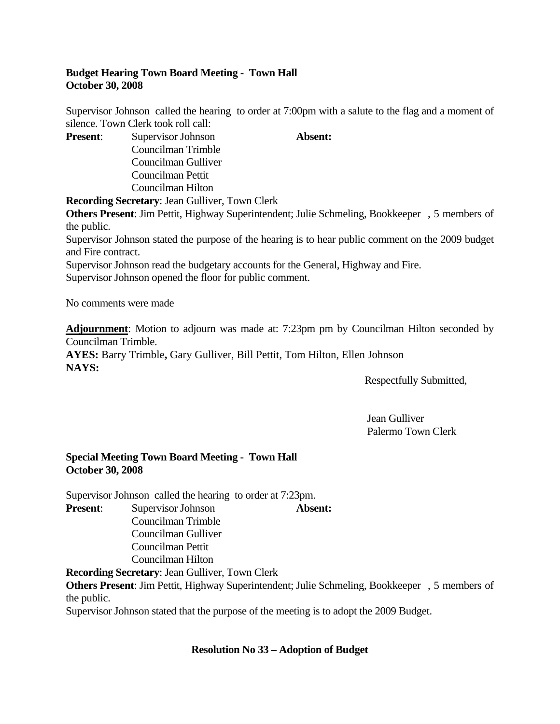## **Budget Hearing Town Board Meeting - Town Hall October 30, 2008**

Supervisor Johnson called the hearing to order at 7:00pm with a salute to the flag and a moment of silence. Town Clerk took roll call:

**Present:** Supervisor Johnson **Absent:** Councilman Trimble Councilman Gulliver Councilman Pettit Councilman Hilton

**Recording Secretary**: Jean Gulliver, Town Clerk

**Others Present**: Jim Pettit, Highway Superintendent; Julie Schmeling, Bookkeeper , 5 members of the public.

Supervisor Johnson stated the purpose of the hearing is to hear public comment on the 2009 budget and Fire contract.

Supervisor Johnson read the budgetary accounts for the General, Highway and Fire. Supervisor Johnson opened the floor for public comment.

No comments were made

**Adjournment**: Motion to adjourn was made at: 7:23pm pm by Councilman Hilton seconded by Councilman Trimble.

**AYES:** Barry Trimble**,** Gary Gulliver, Bill Pettit, Tom Hilton, Ellen Johnson **NAYS:** 

Respectfully Submitted,

 Jean Gulliver Palermo Town Clerk

## **Special Meeting Town Board Meeting - Town Hall October 30, 2008**

Supervisor Johnson called the hearing to order at 7:23pm. **Present**: Supervisor Johnson **Absent:**

- 
- Councilman Trimble Councilman Gulliver Councilman Pettit Councilman Hilton

**Recording Secretary**: Jean Gulliver, Town Clerk

**Others Present**: Jim Pettit, Highway Superintendent; Julie Schmeling, Bookkeeper , 5 members of the public.

Supervisor Johnson stated that the purpose of the meeting is to adopt the 2009 Budget.

## **Resolution No 33 – Adoption of Budget**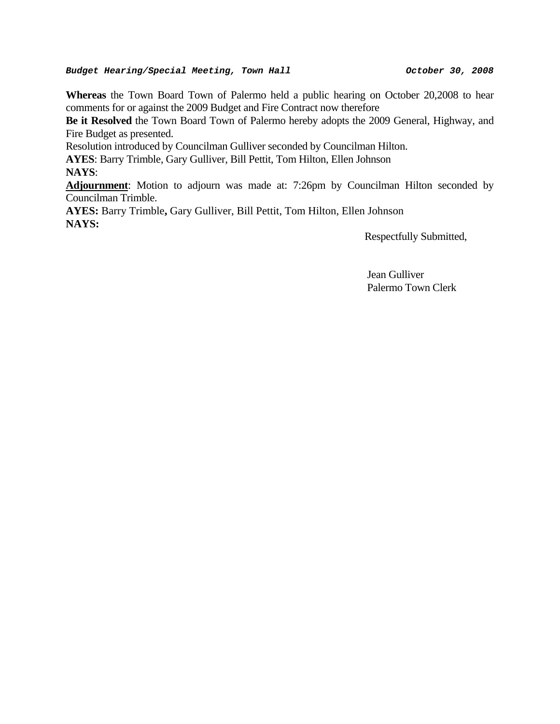#### Budget Hearing/Special Meeting, Town Hall **Budget Allowing Contract Contract** 00, 2008

**Whereas** the Town Board Town of Palermo held a public hearing on October 20,2008 to hear comments for or against the 2009 Budget and Fire Contract now therefore

**Be it Resolved** the Town Board Town of Palermo hereby adopts the 2009 General, Highway, and Fire Budget as presented.

Resolution introduced by Councilman Gulliver seconded by Councilman Hilton.

**AYES**: Barry Trimble, Gary Gulliver, Bill Pettit, Tom Hilton, Ellen Johnson **NAYS**:

**Adjournment**: Motion to adjourn was made at: 7:26pm by Councilman Hilton seconded by Councilman Trimble.

**AYES:** Barry Trimble**,** Gary Gulliver, Bill Pettit, Tom Hilton, Ellen Johnson **NAYS:** 

Respectfully Submitted,

 Jean Gulliver Palermo Town Clerk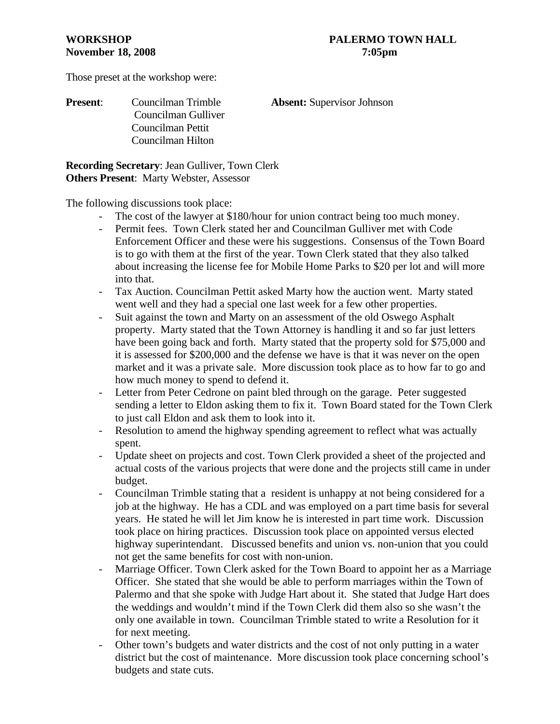Those preset at the workshop were:

## **Present**: Councilman Trimble **Absent:** Supervisor Johnson Councilman Gulliver Councilman Pettit Councilman Hilton

**Recording Secretary**: Jean Gulliver, Town Clerk **Others Present**: Marty Webster, Assessor

The following discussions took place:

- The cost of the lawyer at \$180/hour for union contract being too much money.
- Permit fees. Town Clerk stated her and Councilman Gulliver met with Code Enforcement Officer and these were his suggestions. Consensus of the Town Board is to go with them at the first of the year. Town Clerk stated that they also talked about increasing the license fee for Mobile Home Parks to \$20 per lot and will more into that.
- Tax Auction. Councilman Pettit asked Marty how the auction went. Marty stated went well and they had a special one last week for a few other properties.
- Suit against the town and Marty on an assessment of the old Oswego Asphalt property. Marty stated that the Town Attorney is handling it and so far just letters have been going back and forth. Marty stated that the property sold for \$75,000 and it is assessed for \$200,000 and the defense we have is that it was never on the open market and it was a private sale. More discussion took place as to how far to go and how much money to spend to defend it.
- Letter from Peter Cedrone on paint bled through on the garage. Peter suggested sending a letter to Eldon asking them to fix it. Town Board stated for the Town Clerk to just call Eldon and ask them to look into it.
- Resolution to amend the highway spending agreement to reflect what was actually spent.
- Update sheet on projects and cost. Town Clerk provided a sheet of the projected and actual costs of the various projects that were done and the projects still came in under budget.
- Councilman Trimble stating that a resident is unhappy at not being considered for a job at the highway. He has a CDL and was employed on a part time basis for several years. He stated he will let Jim know he is interested in part time work. Discussion took place on hiring practices. Discussion took place on appointed versus elected highway superintendant. Discussed benefits and union vs. non-union that you could not get the same benefits for cost with non-union.
- Marriage Officer. Town Clerk asked for the Town Board to appoint her as a Marriage Officer. She stated that she would be able to perform marriages within the Town of Palermo and that she spoke with Judge Hart about it. She stated that Judge Hart does the weddings and wouldn't mind if the Town Clerk did them also so she wasn't the only one available in town. Councilman Trimble stated to write a Resolution for it for next meeting.
- Other town's budgets and water districts and the cost of not only putting in a water district but the cost of maintenance. More discussion took place concerning school's budgets and state cuts.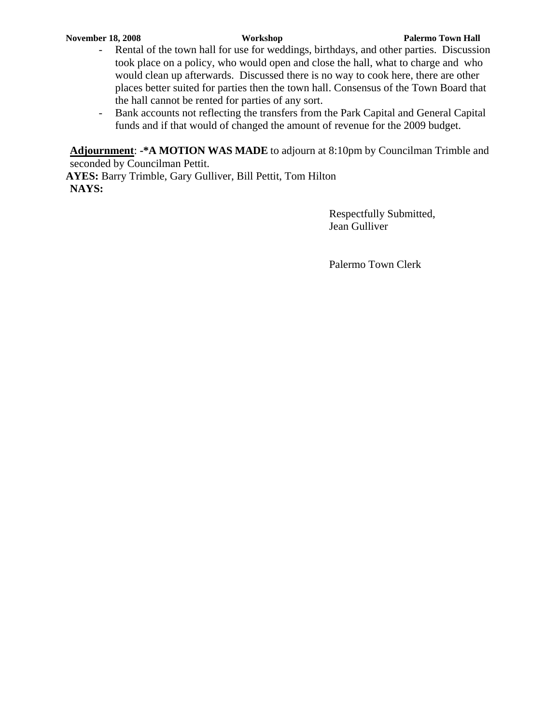- Rental of the town hall for use for weddings, birthdays, and other parties. Discussion took place on a policy, who would open and close the hall, what to charge and who would clean up afterwards. Discussed there is no way to cook here, there are other places better suited for parties then the town hall. Consensus of the Town Board that the hall cannot be rented for parties of any sort.
- Bank accounts not reflecting the transfers from the Park Capital and General Capital funds and if that would of changed the amount of revenue for the 2009 budget.

**Adjournment**: **-\*A MOTION WAS MADE** to adjourn at 8:10pm by Councilman Trimble and seconded by Councilman Pettit.

**AYES:** Barry Trimble, Gary Gulliver, Bill Pettit, Tom Hilton **NAYS:**

> Respectfully Submitted, Jean Gulliver

Palermo Town Clerk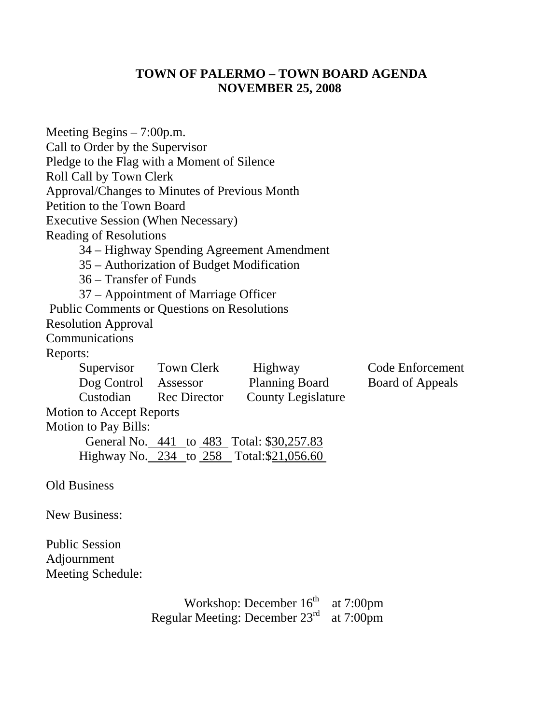# **TOWN OF PALERMO – TOWN BOARD AGENDA NOVEMBER 25, 2008**

| Meeting Begins $-7:00$ p.m.                        |                                           |                                           |                  |
|----------------------------------------------------|-------------------------------------------|-------------------------------------------|------------------|
| Call to Order by the Supervisor                    |                                           |                                           |                  |
| Pledge to the Flag with a Moment of Silence        |                                           |                                           |                  |
| Roll Call by Town Clerk                            |                                           |                                           |                  |
| Approval/Changes to Minutes of Previous Month      |                                           |                                           |                  |
| Petition to the Town Board                         |                                           |                                           |                  |
| <b>Executive Session (When Necessary)</b>          |                                           |                                           |                  |
| <b>Reading of Resolutions</b>                      |                                           |                                           |                  |
|                                                    |                                           | 34 – Highway Spending Agreement Amendment |                  |
|                                                    | 35 – Authorization of Budget Modification |                                           |                  |
| 36 – Transfer of Funds                             |                                           |                                           |                  |
|                                                    | 37 – Appointment of Marriage Officer      |                                           |                  |
| <b>Public Comments or Questions on Resolutions</b> |                                           |                                           |                  |
| <b>Resolution Approval</b>                         |                                           |                                           |                  |
| Communications                                     |                                           |                                           |                  |
| Reports:                                           |                                           |                                           |                  |
| Supervisor Town Clerk                              |                                           | Highway                                   | Code Enforcement |
| Dog Control Assessor                               |                                           | <b>Planning Board</b>                     | Board of Appeals |
| Custodian                                          | <b>Rec Director</b>                       | <b>County Legislature</b>                 |                  |
| Motion to Accept Reports                           |                                           |                                           |                  |
| <b>Motion to Pay Bills:</b>                        |                                           |                                           |                  |
|                                                    |                                           | General No. 441 to 483 Total: \$30,257.83 |                  |
|                                                    |                                           | Highway No. 234 to 258 Total:\$21,056.60  |                  |
|                                                    |                                           |                                           |                  |
| <b>Old Business</b>                                |                                           |                                           |                  |
| <b>New Business:</b>                               |                                           |                                           |                  |
|                                                    |                                           |                                           |                  |
| <b>Public Session</b>                              |                                           |                                           |                  |
| Adjournment                                        |                                           |                                           |                  |
| Meeting Schedule:                                  |                                           |                                           |                  |

Workshop: December  $16<sup>th</sup>$  at 7:00pm Regular Meeting: December 23<sup>rd</sup> at 7:00pm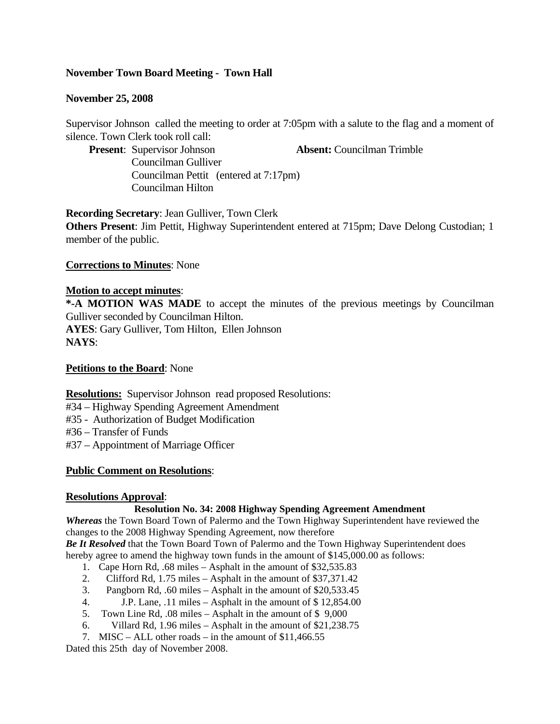## **November Town Board Meeting - Town Hall**

## **November 25, 2008**

Supervisor Johnson called the meeting to order at 7:05pm with a salute to the flag and a moment of silence. Town Clerk took roll call:

**Present**: Supervisor Johnson **Absent:** Councilman Trimble

Councilman Gulliver Councilman Pettit (entered at 7:17pm) Councilman Hilton

**Recording Secretary**: Jean Gulliver, Town Clerk **Others Present**: Jim Pettit, Highway Superintendent entered at 715pm; Dave Delong Custodian; 1 member of the public.

**Corrections to Minutes**: None

## **Motion to accept minutes**:

**\*-A MOTION WAS MADE** to accept the minutes of the previous meetings by Councilman Gulliver seconded by Councilman Hilton. **AYES**: Gary Gulliver, Tom Hilton, Ellen Johnson **NAYS**:

#### **Petitions to the Board**: None

**Resolutions:** Supervisor Johnson read proposed Resolutions:

- #34 Highway Spending Agreement Amendment
- #35 Authorization of Budget Modification

#36 – Transfer of Funds

#37 – Appointment of Marriage Officer

## **Public Comment on Resolutions**:

## **Resolutions Approval**:

#### **Resolution No. 34: 2008 Highway Spending Agreement Amendment**

*Whereas* the Town Board Town of Palermo and the Town Highway Superintendent have reviewed the changes to the 2008 Highway Spending Agreement, now therefore

*Be It Resolved* that the Town Board Town of Palermo and the Town Highway Superintendent does hereby agree to amend the highway town funds in the amount of \$145,000.00 as follows:

- 1. Cape Horn Rd, .68 miles Asphalt in the amount of \$32,535.83
- 2. Clifford Rd, 1.75 miles Asphalt in the amount of \$37,371.42
- 3. Pangborn Rd, .60 miles Asphalt in the amount of \$20,533.45
- 4. J.P. Lane, .11 miles Asphalt in the amount of \$ 12,854.00
- 5. Town Line Rd, .08 miles Asphalt in the amount of \$ 9,000
- 6. Villard Rd, 1.96 miles Asphalt in the amount of \$21,238.75
- 7. MISC ALL other roads in the amount of \$11,466.55

Dated this 25th day of November 2008.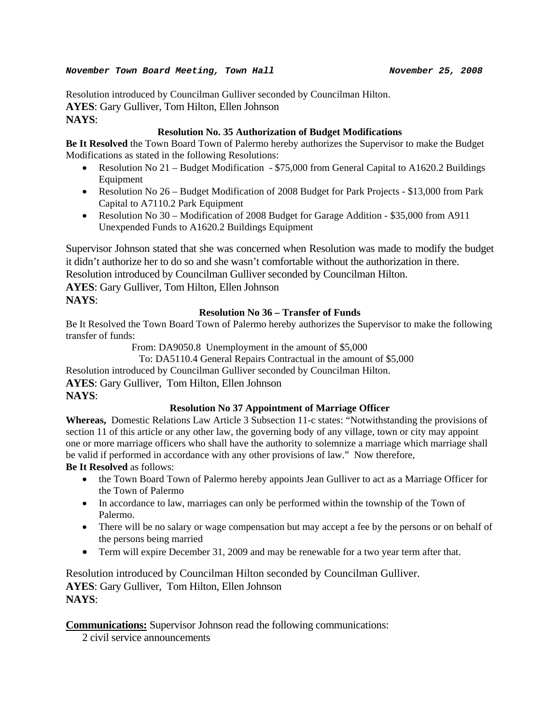#### *November Town Board Meeting, Town Hall November 25, 2008*

Resolution introduced by Councilman Gulliver seconded by Councilman Hilton. **AYES**: Gary Gulliver, Tom Hilton, Ellen Johnson **NAYS**:

## **Resolution No. 35 Authorization of Budget Modifications**

**Be It Resolved** the Town Board Town of Palermo hereby authorizes the Supervisor to make the Budget Modifications as stated in the following Resolutions:

- Resolution No 21 Budget Modification \$75,000 from General Capital to A1620.2 Buildings Equipment
- Resolution No 26 Budget Modification of 2008 Budget for Park Projects \$13,000 from Park Capital to A7110.2 Park Equipment
- Resolution No 30 Modification of 2008 Budget for Garage Addition \$35,000 from A911 Unexpended Funds to A1620.2 Buildings Equipment

Supervisor Johnson stated that she was concerned when Resolution was made to modify the budget it didn't authorize her to do so and she wasn't comfortable without the authorization in there. Resolution introduced by Councilman Gulliver seconded by Councilman Hilton.

**AYES**: Gary Gulliver, Tom Hilton, Ellen Johnson **NAYS**:

## **Resolution No 36 – Transfer of Funds**

Be It Resolved the Town Board Town of Palermo hereby authorizes the Supervisor to make the following transfer of funds:

From: DA9050.8 Unemployment in the amount of \$5,000

To: DA5110.4 General Repairs Contractual in the amount of \$5,000

Resolution introduced by Councilman Gulliver seconded by Councilman Hilton.

**AYES**: Gary Gulliver, Tom Hilton, Ellen Johnson

## **NAYS**:

## **Resolution No 37 Appointment of Marriage Officer**

**Whereas,** Domestic Relations Law Article 3 Subsection 11-c states: "Notwithstanding the provisions of section 11 of this article or any other law, the governing body of any village, town or city may appoint one or more marriage officers who shall have the authority to solemnize a marriage which marriage shall be valid if performed in accordance with any other provisions of law." Now therefore,

**Be It Resolved** as follows:

- the Town Board Town of Palermo hereby appoints Jean Gulliver to act as a Marriage Officer for the Town of Palermo
- In accordance to law, marriages can only be performed within the township of the Town of Palermo.
- There will be no salary or wage compensation but may accept a fee by the persons or on behalf of the persons being married
- Term will expire December 31, 2009 and may be renewable for a two year term after that.

Resolution introduced by Councilman Hilton seconded by Councilman Gulliver. **AYES**: Gary Gulliver, Tom Hilton, Ellen Johnson **NAYS**:

**Communications:** Supervisor Johnson read the following communications:

2 civil service announcements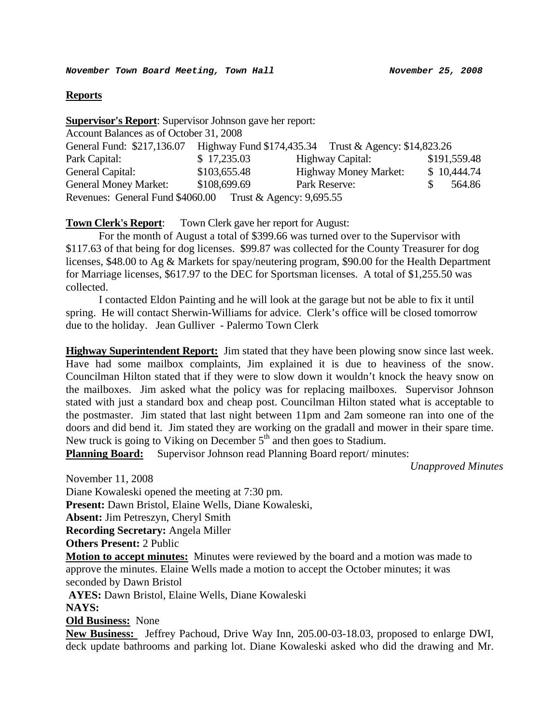## **Reports**

| <b>Supervisor's Report:</b> Supervisor Johnson gave her report: |              |                                                                                  |              |  |
|-----------------------------------------------------------------|--------------|----------------------------------------------------------------------------------|--------------|--|
| Account Balances as of October 31, 2008                         |              |                                                                                  |              |  |
|                                                                 |              | General Fund: \$217,136.07 Highway Fund \$174,435.34 Trust & Agency: \$14,823.26 |              |  |
| Park Capital:                                                   | \$17,235.03  | <b>Highway Capital:</b>                                                          | \$191,559.48 |  |
| General Capital:                                                | \$103,655.48 | <b>Highway Money Market:</b>                                                     | \$10,444.74  |  |
| <b>General Money Market:</b>                                    | \$108,699.69 | Park Reserve:                                                                    | 564.86       |  |
| Revenues: General Fund \$4060.00 Trust & Agency: 9,695.55       |              |                                                                                  |              |  |

## **Town Clerk's Report**: Town Clerk gave her report for August:

For the month of August a total of \$399.66 was turned over to the Supervisor with \$117.63 of that being for dog licenses. \$99.87 was collected for the County Treasurer for dog licenses, \$48.00 to Ag & Markets for spay/neutering program, \$90.00 for the Health Department for Marriage licenses, \$617.97 to the DEC for Sportsman licenses. A total of \$1,255.50 was collected.

 I contacted Eldon Painting and he will look at the garage but not be able to fix it until spring. He will contact Sherwin-Williams for advice. Clerk's office will be closed tomorrow due to the holiday. Jean Gulliver - Palermo Town Clerk

**Highway Superintendent Report:** Jim stated that they have been plowing snow since last week. Have had some mailbox complaints, Jim explained it is due to heaviness of the snow. Councilman Hilton stated that if they were to slow down it wouldn't knock the heavy snow on the mailboxes. Jim asked what the policy was for replacing mailboxes. Supervisor Johnson stated with just a standard box and cheap post. Councilman Hilton stated what is acceptable to the postmaster. Jim stated that last night between 11pm and 2am someone ran into one of the doors and did bend it. Jim stated they are working on the gradall and mower in their spare time. New truck is going to Viking on December  $5<sup>th</sup>$  and then goes to Stadium.

**Planning Board:** Supervisor Johnson read Planning Board report/ minutes:

*Unapproved Minutes* 

November 11, 2008 Diane Kowaleski opened the meeting at 7:30 pm. **Present:** Dawn Bristol, Elaine Wells, Diane Kowaleski, **Absent:** Jim Petreszyn, Cheryl Smith **Recording Secretary:** Angela Miller **Others Present:** 2 Public **Motion to accept minutes:** Minutes were reviewed by the board and a motion was made to approve the minutes. Elaine Wells made a motion to accept the October minutes; it was seconded by Dawn Bristol **AYES:** Dawn Bristol, Elaine Wells, Diane Kowaleski **NAYS: Old Business:** None **New Business:** Jeffrey Pachoud, Drive Way Inn, 205.00-03-18.03, proposed to enlarge DWI, deck update bathrooms and parking lot. Diane Kowaleski asked who did the drawing and Mr.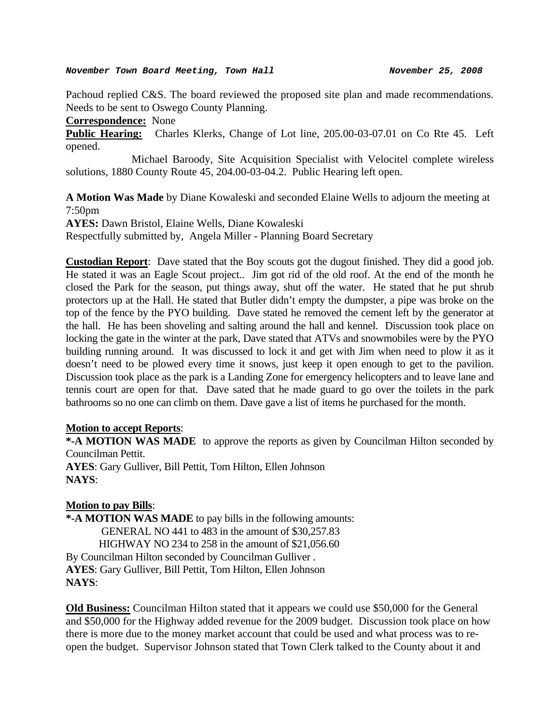#### *November Town Board Meeting, Town Hall November 25, 2008*

Pachoud replied C&S. The board reviewed the proposed site plan and made recommendations. Needs to be sent to Oswego County Planning.

**Correspondence:** None

**Public Hearing:** Charles Klerks, Change of Lot line, 205.00-03-07.01 on Co Rte 45. Left opened.

 Michael Baroody, Site Acquisition Specialist with Velocitel complete wireless solutions, 1880 County Route 45, 204.00-03-04.2. Public Hearing left open.

**A Motion Was Made** by Diane Kowaleski and seconded Elaine Wells to adjourn the meeting at 7:50pm

**AYES:** Dawn Bristol, Elaine Wells, Diane Kowaleski Respectfully submitted by, Angela Miller - Planning Board Secretary

**Custodian Report**: Dave stated that the Boy scouts got the dugout finished. They did a good job. He stated it was an Eagle Scout project.. Jim got rid of the old roof. At the end of the month he closed the Park for the season, put things away, shut off the water. He stated that he put shrub protectors up at the Hall. He stated that Butler didn't empty the dumpster, a pipe was broke on the top of the fence by the PYO building. Dave stated he removed the cement left by the generator at the hall. He has been shoveling and salting around the hall and kennel. Discussion took place on locking the gate in the winter at the park, Dave stated that ATVs and snowmobiles were by the PYO building running around. It was discussed to lock it and get with Jim when need to plow it as it doesn't need to be plowed every time it snows, just keep it open enough to get to the pavilion. Discussion took place as the park is a Landing Zone for emergency helicopters and to leave lane and tennis court are open for that. Dave sated that he made guard to go over the toilets in the park bathrooms so no one can climb on them. Dave gave a list of items he purchased for the month.

## **Motion to accept Reports**:

**\*-A MOTION WAS MADE** to approve the reports as given by Councilman Hilton seconded by Councilman Pettit.

**AYES**: Gary Gulliver, Bill Pettit, Tom Hilton, Ellen Johnson **NAYS**:

## **Motion to pay Bills**:

**\*-A MOTION WAS MADE** to pay bills in the following amounts: GENERAL NO 441 to 483 in the amount of \$30,257.83 HIGHWAY NO 234 to 258 in the amount of \$21,056.60 By Councilman Hilton seconded by Councilman Gulliver . **AYES**: Gary Gulliver, Bill Pettit, Tom Hilton, Ellen Johnson **NAYS**:

**Old Business:** Councilman Hilton stated that it appears we could use \$50,000 for the General and \$50,000 for the Highway added revenue for the 2009 budget. Discussion took place on how there is more due to the money market account that could be used and what process was to reopen the budget. Supervisor Johnson stated that Town Clerk talked to the County about it and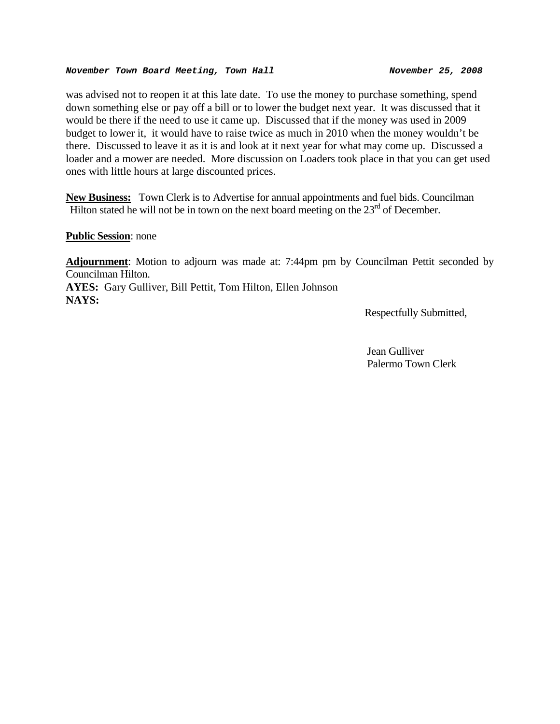#### *November Town Board Meeting, Town Hall November 25, 2008*

was advised not to reopen it at this late date. To use the money to purchase something, spend down something else or pay off a bill or to lower the budget next year. It was discussed that it would be there if the need to use it came up. Discussed that if the money was used in 2009 budget to lower it, it would have to raise twice as much in 2010 when the money wouldn't be there. Discussed to leave it as it is and look at it next year for what may come up. Discussed a loader and a mower are needed. More discussion on Loaders took place in that you can get used ones with little hours at large discounted prices.

**New Business:** Town Clerk is to Advertise for annual appointments and fuel bids. Councilman Hilton stated he will not be in town on the next board meeting on the  $23<sup>rd</sup>$  of December.

#### **Public Session**: none

**Adjournment**: Motion to adjourn was made at: 7:44pm pm by Councilman Pettit seconded by Councilman Hilton.

**AYES:** Gary Gulliver, Bill Pettit, Tom Hilton, Ellen Johnson **NAYS:** 

Respectfully Submitted,

 Jean Gulliver Palermo Town Clerk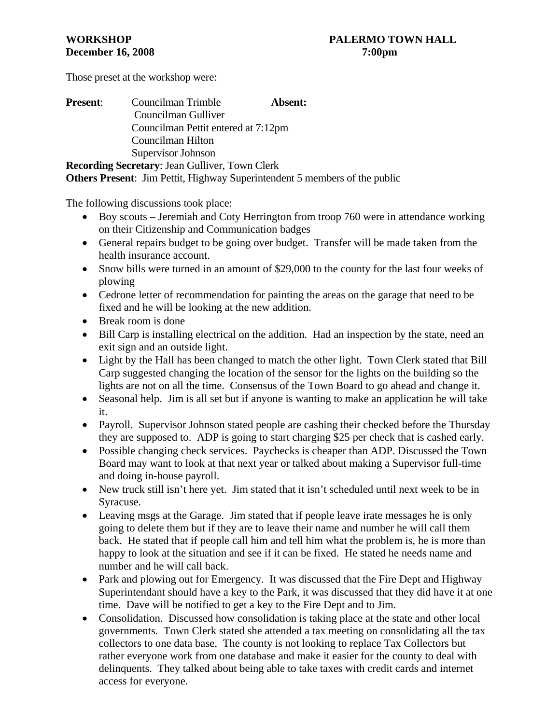Those preset at the workshop were:

| <b>Present:</b> |                                     |  |  | Councilman Trimble                               |  |  | Absent: |
|-----------------|-------------------------------------|--|--|--------------------------------------------------|--|--|---------|
|                 |                                     |  |  | Councilman Gulliver                              |  |  |         |
|                 | Councilman Pettit entered at 7:12pm |  |  |                                                  |  |  |         |
|                 |                                     |  |  | Councilman Hilton                                |  |  |         |
|                 |                                     |  |  | Supervisor Johnson                               |  |  |         |
|                 |                                     |  |  | $\sim$ $\sim$ $\sim$ $\sim$ $\sim$ $\sim$ $\sim$ |  |  |         |

**Recording Secretary**: Jean Gulliver, Town Clerk **Others Present**: Jim Pettit, Highway Superintendent 5 members of the public

The following discussions took place:

- Boy scouts Jeremiah and Coty Herrington from troop 760 were in attendance working on their Citizenship and Communication badges
- General repairs budget to be going over budget. Transfer will be made taken from the health insurance account.
- Snow bills were turned in an amount of \$29,000 to the county for the last four weeks of plowing
- Cedrone letter of recommendation for painting the areas on the garage that need to be fixed and he will be looking at the new addition.
- Break room is done
- Bill Carp is installing electrical on the addition. Had an inspection by the state, need an exit sign and an outside light.
- Light by the Hall has been changed to match the other light. Town Clerk stated that Bill Carp suggested changing the location of the sensor for the lights on the building so the lights are not on all the time. Consensus of the Town Board to go ahead and change it.
- Seasonal help. Jim is all set but if anyone is wanting to make an application he will take it.
- Payroll. Supervisor Johnson stated people are cashing their checked before the Thursday they are supposed to. ADP is going to start charging \$25 per check that is cashed early.
- Possible changing check services. Paychecks is cheaper than ADP. Discussed the Town Board may want to look at that next year or talked about making a Supervisor full-time and doing in-house payroll.
- New truck still isn't here yet. Jim stated that it isn't scheduled until next week to be in Syracuse.
- Leaving msgs at the Garage. Jim stated that if people leave irate messages he is only going to delete them but if they are to leave their name and number he will call them back. He stated that if people call him and tell him what the problem is, he is more than happy to look at the situation and see if it can be fixed. He stated he needs name and number and he will call back.
- Park and plowing out for Emergency. It was discussed that the Fire Dept and Highway Superintendant should have a key to the Park, it was discussed that they did have it at one time. Dave will be notified to get a key to the Fire Dept and to Jim.
- Consolidation. Discussed how consolidation is taking place at the state and other local governments. Town Clerk stated she attended a tax meeting on consolidating all the tax collectors to one data base, The county is not looking to replace Tax Collectors but rather everyone work from one database and make it easier for the county to deal with delinquents. They talked about being able to take taxes with credit cards and internet access for everyone.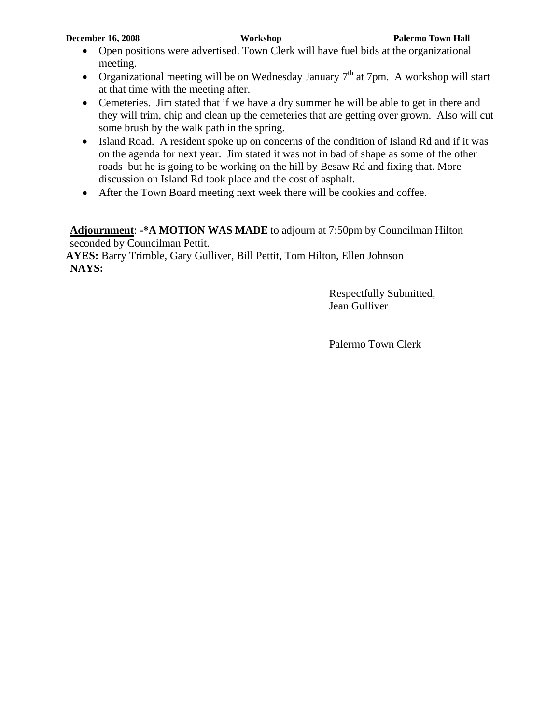- Open positions were advertised. Town Clerk will have fuel bids at the organizational meeting.
- Organizational meeting will be on Wednesday January  $7<sup>th</sup>$  at 7pm. A workshop will start at that time with the meeting after.
- Cemeteries. Jim stated that if we have a dry summer he will be able to get in there and they will trim, chip and clean up the cemeteries that are getting over grown. Also will cut some brush by the walk path in the spring.
- Island Road. A resident spoke up on concerns of the condition of Island Rd and if it was on the agenda for next year. Jim stated it was not in bad of shape as some of the other roads but he is going to be working on the hill by Besaw Rd and fixing that. More discussion on Island Rd took place and the cost of asphalt.
- After the Town Board meeting next week there will be cookies and coffee.

**Adjournment**: **-\*A MOTION WAS MADE** to adjourn at 7:50pm by Councilman Hilton seconded by Councilman Pettit.

**AYES:** Barry Trimble, Gary Gulliver, Bill Pettit, Tom Hilton, Ellen Johnson **NAYS:**

> Respectfully Submitted, Jean Gulliver

Palermo Town Clerk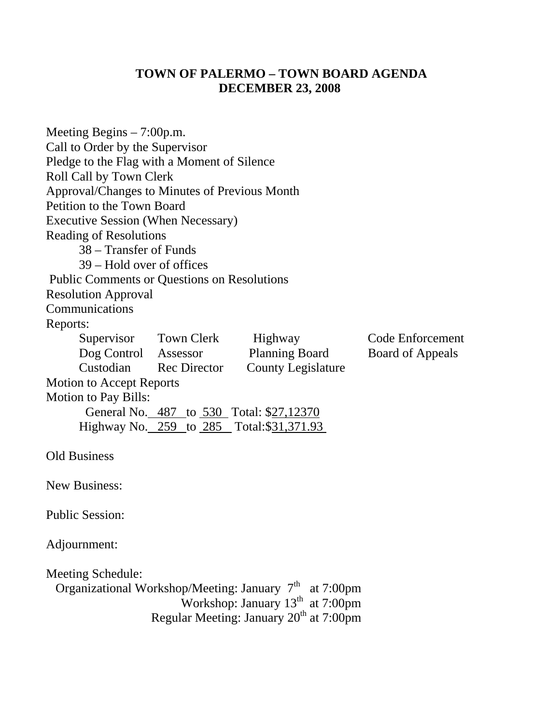# **TOWN OF PALERMO – TOWN BOARD AGENDA DECEMBER 23, 2008**

| Meeting Begins $-7:00$ p.m.<br>Call to Order by the Supervisor<br>Pledge to the Flag with a Moment of Silence<br>Roll Call by Town Clerk<br>Approval/Changes to Minutes of Previous Month<br>Petition to the Town Board<br><b>Executive Session (When Necessary)</b><br><b>Reading of Resolutions</b><br>38 – Transfer of Funds<br>39 – Hold over of offices |                        |                                                                                                                                                                 |                         |
|--------------------------------------------------------------------------------------------------------------------------------------------------------------------------------------------------------------------------------------------------------------------------------------------------------------------------------------------------------------|------------------------|-----------------------------------------------------------------------------------------------------------------------------------------------------------------|-------------------------|
| <b>Public Comments or Questions on Resolutions</b>                                                                                                                                                                                                                                                                                                           |                        |                                                                                                                                                                 |                         |
| <b>Resolution Approval</b>                                                                                                                                                                                                                                                                                                                                   |                        |                                                                                                                                                                 |                         |
| Communications                                                                                                                                                                                                                                                                                                                                               |                        |                                                                                                                                                                 |                         |
| Reports:                                                                                                                                                                                                                                                                                                                                                     |                        |                                                                                                                                                                 |                         |
|                                                                                                                                                                                                                                                                                                                                                              | Supervisor Town Clerk  | Highway                                                                                                                                                         | Code Enforcement        |
| Dog Control Assessor                                                                                                                                                                                                                                                                                                                                         |                        | <b>Planning Board</b>                                                                                                                                           | <b>Board of Appeals</b> |
|                                                                                                                                                                                                                                                                                                                                                              | Custodian Rec Director | <b>County Legislature</b>                                                                                                                                       |                         |
| <b>Motion to Accept Reports</b>                                                                                                                                                                                                                                                                                                                              |                        |                                                                                                                                                                 |                         |
| <b>Motion to Pay Bills:</b>                                                                                                                                                                                                                                                                                                                                  |                        | General No. 487 to 530 Total: \$27,12370                                                                                                                        |                         |
|                                                                                                                                                                                                                                                                                                                                                              |                        | Highway No. 259 to 285 Total: \$31,371.93                                                                                                                       |                         |
|                                                                                                                                                                                                                                                                                                                                                              |                        |                                                                                                                                                                 |                         |
| <b>Old Business</b>                                                                                                                                                                                                                                                                                                                                          |                        |                                                                                                                                                                 |                         |
| <b>New Business:</b>                                                                                                                                                                                                                                                                                                                                         |                        |                                                                                                                                                                 |                         |
| <b>Public Session:</b>                                                                                                                                                                                                                                                                                                                                       |                        |                                                                                                                                                                 |                         |
| Adjournment:                                                                                                                                                                                                                                                                                                                                                 |                        |                                                                                                                                                                 |                         |
| <b>Meeting Schedule:</b>                                                                                                                                                                                                                                                                                                                                     |                        | Organizational Workshop/Meeting: January 7 <sup>th</sup> at 7:00pm<br>Workshop: January $13th$ at 7:00pm<br>Regular Meeting: January 20 <sup>th</sup> at 7:00pm |                         |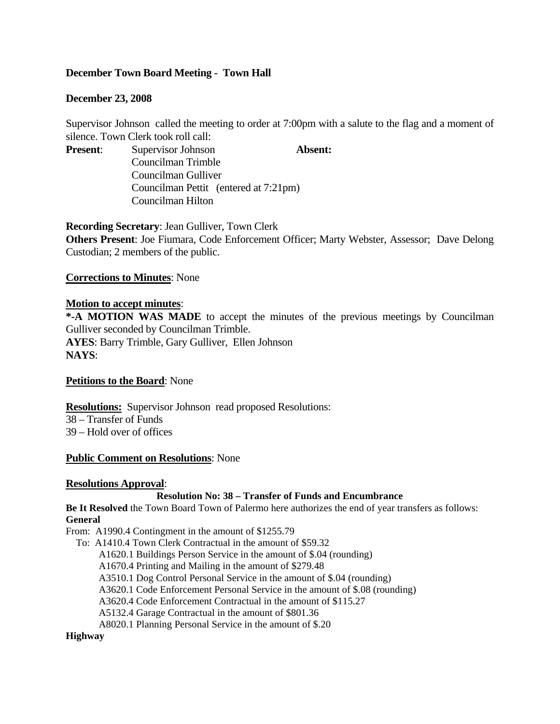## **December Town Board Meeting - Town Hall**

## **December 23, 2008**

Supervisor Johnson called the meeting to order at 7:00pm with a salute to the flag and a moment of silence. Town Clerk took roll call:

**Present:** Supervisor Johnson **Absent:** Councilman Trimble Councilman Gulliver Councilman Pettit (entered at 7:21pm) Councilman Hilton

**Recording Secretary**: Jean Gulliver, Town Clerk **Others Present**: Joe Fiumara, Code Enforcement Officer; Marty Webster, Assessor; Dave Delong Custodian; 2 members of the public.

**Corrections to Minutes**: None

## **Motion to accept minutes**:

**\*-A MOTION WAS MADE** to accept the minutes of the previous meetings by Councilman Gulliver seconded by Councilman Trimble. **AYES**: Barry Trimble, Gary Gulliver, Ellen Johnson **NAYS**:

#### **Petitions to the Board**: None

**Resolutions:** Supervisor Johnson read proposed Resolutions: 38 – Transfer of Funds 39 – Hold over of offices

#### **Public Comment on Resolutions**: None

#### **Resolutions Approval**:

#### **Resolution No: 38 – Transfer of Funds and Encumbrance**

**Be It Resolved** the Town Board Town of Palermo here authorizes the end of year transfers as follows: **General** 

From: A1990.4 Contingment in the amount of \$1255.79

To: A1410.4 Town Clerk Contractual in the amount of \$59.32

A1620.1 Buildings Person Service in the amount of \$.04 (rounding)

A1670.4 Printing and Mailing in the amount of \$279.48

A3510.1 Dog Control Personal Service in the amount of \$.04 (rounding)

A3620.1 Code Enforcement Personal Service in the amount of \$.08 (rounding)

A3620.4 Code Enforcement Contractual in the amount of \$115.27

A5132.4 Garage Contractual in the amount of \$801.36

A8020.1 Planning Personal Service in the amount of \$.20

### **Highway**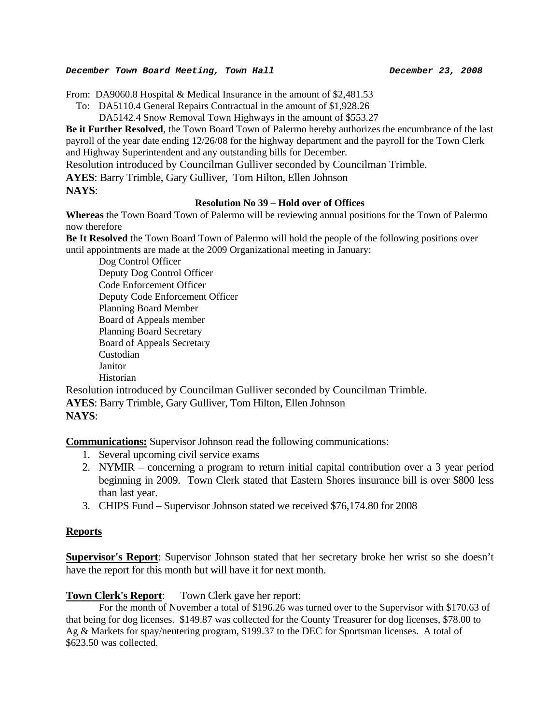#### *December Town Board Meeting, Town Hall December 23, 2008*

From: DA9060.8 Hospital & Medical Insurance in the amount of \$2,481.53

- To: DA5110.4 General Repairs Contractual in the amount of \$1,928.26
	- DA5142.4 Snow Removal Town Highways in the amount of \$553.27

**Be it Further Resolved**, the Town Board Town of Palermo hereby authorizes the encumbrance of the last payroll of the year date ending 12/26/08 for the highway department and the payroll for the Town Clerk and Highway Superintendent and any outstanding bills for December.

Resolution introduced by Councilman Gulliver seconded by Councilman Trimble.

**AYES**: Barry Trimble, Gary Gulliver, Tom Hilton, Ellen Johnson

## **NAYS**:

## **Resolution No 39 – Hold over of Offices**

**Whereas** the Town Board Town of Palermo will be reviewing annual positions for the Town of Palermo now therefore

**Be It Resolved** the Town Board Town of Palermo will hold the people of the following positions over until appointments are made at the 2009 Organizational meeting in January:

 Dog Control Officer Deputy Dog Control Officer Code Enforcement Officer Deputy Code Enforcement Officer Planning Board Member Board of Appeals member Planning Board Secretary Board of Appeals Secretary Custodian Janitor Historian

Resolution introduced by Councilman Gulliver seconded by Councilman Trimble. **AYES**: Barry Trimble, Gary Gulliver, Tom Hilton, Ellen Johnson **NAYS**:

**Communications:** Supervisor Johnson read the following communications:

- 1. Several upcoming civil service exams
- 2. NYMIR concerning a program to return initial capital contribution over a 3 year period beginning in 2009. Town Clerk stated that Eastern Shores insurance bill is over \$800 less than last year.
- 3. CHIPS Fund Supervisor Johnson stated we received \$76,174.80 for 2008

## **Reports**

**Supervisor's Report**: Supervisor Johnson stated that her secretary broke her wrist so she doesn't have the report for this month but will have it for next month.

## **Town Clerk's Report**: Town Clerk gave her report:

For the month of November a total of \$196.26 was turned over to the Supervisor with \$170.63 of that being for dog licenses. \$149.87 was collected for the County Treasurer for dog licenses, \$78.00 to Ag & Markets for spay/neutering program, \$199.37 to the DEC for Sportsman licenses. A total of \$623.50 was collected.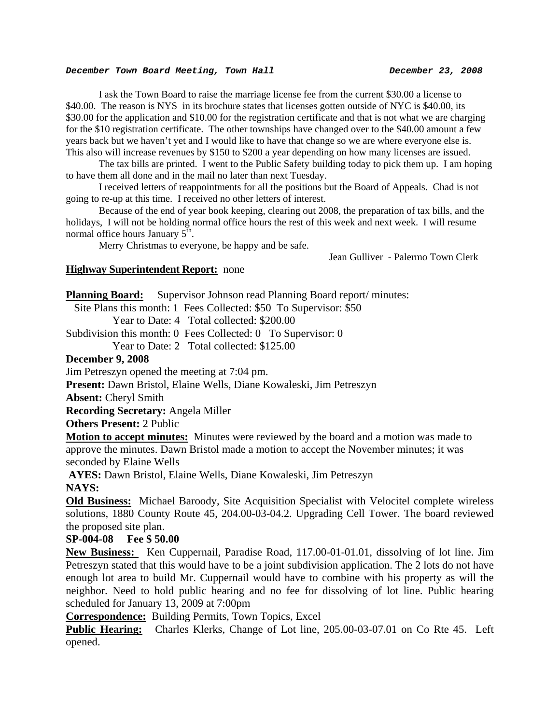#### *December Town Board Meeting, Town Hall* **December 23, 2008**

 I ask the Town Board to raise the marriage license fee from the current \$30.00 a license to \$40.00. The reason is NYS in its brochure states that licenses gotten outside of NYC is \$40.00, its \$30.00 for the application and \$10.00 for the registration certificate and that is not what we are charging for the \$10 registration certificate. The other townships have changed over to the \$40.00 amount a few years back but we haven't yet and I would like to have that change so we are where everyone else is. This also will increase revenues by \$150 to \$200 a year depending on how many licenses are issued.

 The tax bills are printed. I went to the Public Safety building today to pick them up. I am hoping to have them all done and in the mail no later than next Tuesday.

 I received letters of reappointments for all the positions but the Board of Appeals. Chad is not going to re-up at this time. I received no other letters of interest.

 Because of the end of year book keeping, clearing out 2008, the preparation of tax bills, and the holidays, I will not be holding normal office hours the rest of this week and next week. I will resume normal office hours January  $5<sup>th</sup>$ .

Merry Christmas to everyone, be happy and be safe.

Jean Gulliver - Palermo Town Clerk

## **Highway Superintendent Report:** none

**Planning Board:** Supervisor Johnson read Planning Board report/minutes:

Site Plans this month: 1 Fees Collected: \$50 To Supervisor: \$50

Year to Date: 4 Total collected: \$200.00

Subdivision this month: 0 Fees Collected: 0 To Supervisor: 0

Year to Date: 2 Total collected: \$125.00

#### **December 9, 2008**

Jim Petreszyn opened the meeting at 7:04 pm.

**Present:** Dawn Bristol, Elaine Wells, Diane Kowaleski, Jim Petreszyn

**Absent:** Cheryl Smith

**Recording Secretary:** Angela Miller

**Others Present:** 2 Public

**Motion to accept minutes:** Minutes were reviewed by the board and a motion was made to approve the minutes. Dawn Bristol made a motion to accept the November minutes; it was seconded by Elaine Wells

**AYES:** Dawn Bristol, Elaine Wells, Diane Kowaleski, Jim Petreszyn **NAYS:** 

**Old Business:** Michael Baroody, Site Acquisition Specialist with Velocitel complete wireless solutions, 1880 County Route 45, 204.00-03-04.2. Upgrading Cell Tower. The board reviewed the proposed site plan.

**SP-004-08 Fee \$ 50.00** 

**New Business:** Ken Cuppernail, Paradise Road, 117.00-01-01.01, dissolving of lot line. Jim Petreszyn stated that this would have to be a joint subdivision application. The 2 lots do not have enough lot area to build Mr. Cuppernail would have to combine with his property as will the neighbor. Need to hold public hearing and no fee for dissolving of lot line. Public hearing scheduled for January 13, 2009 at 7:00pm

**Correspondence:** Building Permits, Town Topics, Excel

**Public Hearing:** Charles Klerks, Change of Lot line, 205.00-03-07.01 on Co Rte 45. Left opened.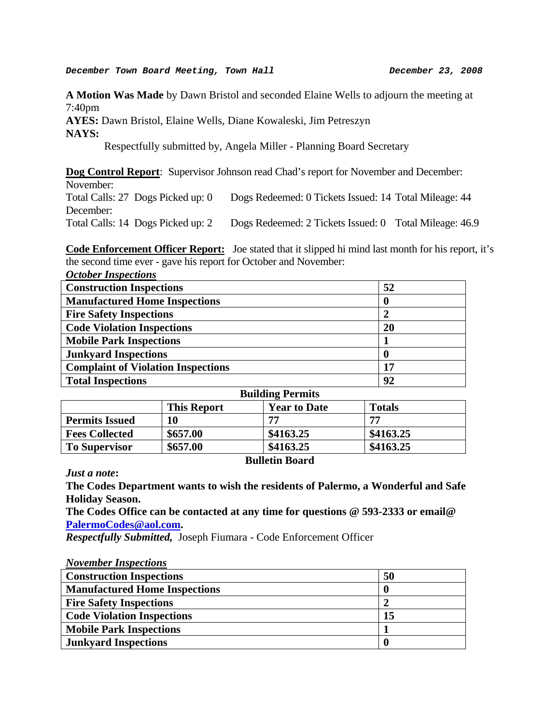**A Motion Was Made** by Dawn Bristol and seconded Elaine Wells to adjourn the meeting at 7:40pm

**AYES:** Dawn Bristol, Elaine Wells, Diane Kowaleski, Jim Petreszyn **NAYS:** 

Respectfully submitted by, Angela Miller - Planning Board Secretary

**Dog Control Report:** Supervisor Johnson read Chad's report for November and December: November: Total Calls: 27 Dogs Picked up: 0 Dogs Redeemed: 0 Tickets Issued: 14 Total Mileage: 44 December:

Total Calls: 14 Dogs Picked up: 2 Dogs Redeemed: 2 Tickets Issued: 0 Total Mileage: 46.9

**Code Enforcement Officer Report:** Joe stated that it slipped hi mind last month for his report, it's the second time ever - gave his report for October and November:

| <b>October Inspections</b>                |    |
|-------------------------------------------|----|
| <b>Construction Inspections</b>           | 52 |
| <b>Manufactured Home Inspections</b>      |    |
| <b>Fire Safety Inspections</b>            |    |
| <b>Code Violation Inspections</b>         | 20 |
| <b>Mobile Park Inspections</b>            |    |
| <b>Junkyard Inspections</b>               | 0  |
| <b>Complaint of Violation Inspections</b> | 17 |
| <b>Total Inspections</b>                  | 92 |

| <b>Building Permits</b> |                    |                     |               |  |
|-------------------------|--------------------|---------------------|---------------|--|
|                         | <b>This Report</b> | <b>Year to Date</b> | <b>Totals</b> |  |
| <b>Permits Issued</b>   | 10                 | 77                  | 77            |  |
| <b>Fees Collected</b>   | \$657.00           | \$4163.25           | \$4163.25     |  |
| <b>To Supervisor</b>    | \$657.00           | \$4163.25           | \$4163.25     |  |
|                         |                    |                     |               |  |

#### **Bulletin Board**

*Just a note***:** 

**The Codes Department wants to wish the residents of Palermo, a Wonderful and Safe Holiday Season.** 

**The Codes Office can be contacted at any time for questions @ 593-2333 or email@ [PalermoCodes@aol.com.](mailto:PalermoCodes@aol.com)** 

*Respectfully Submitted,* Joseph Fiumara - Code Enforcement Officer

| <b>November Inspections</b>          |    |
|--------------------------------------|----|
| <b>Construction Inspections</b>      | 50 |
| <b>Manufactured Home Inspections</b> |    |
| <b>Fire Safety Inspections</b>       |    |
| <b>Code Violation Inspections</b>    | 15 |
| <b>Mobile Park Inspections</b>       |    |
| <b>Junkyard Inspections</b>          |    |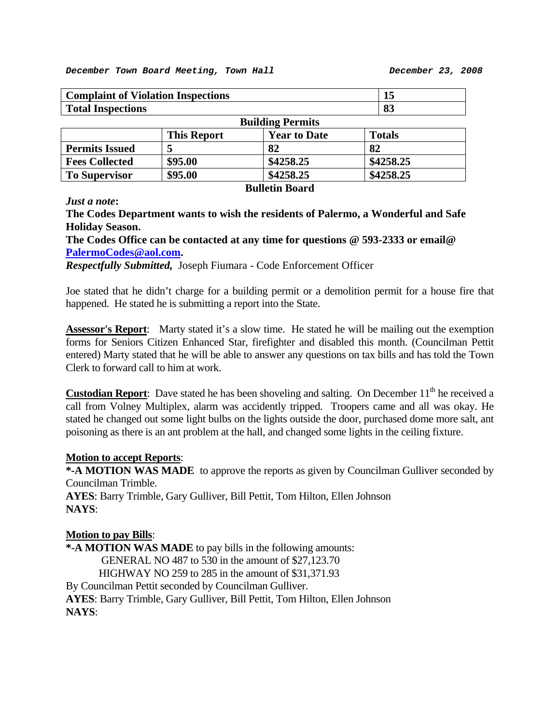| <b>Complaint of Violation Inspections</b> |                    |                       | 15            |
|-------------------------------------------|--------------------|-----------------------|---------------|
| <b>Total Inspections</b>                  |                    |                       | 83            |
| <b>Building Permits</b>                   |                    |                       |               |
|                                           | <b>This Report</b> | <b>Year to Date</b>   | <b>Totals</b> |
| <b>Permits Issued</b>                     |                    | 82                    | 82            |
| <b>Fees Collected</b>                     | \$95.00            | \$4258.25             | \$4258.25     |
| <b>To Supervisor</b>                      | \$95.00            | \$4258.25             | \$4258.25     |
|                                           |                    | <b>Rulletin Roard</b> |               |

## *Just a note***:**

**The Codes Department wants to wish the residents of Palermo, a Wonderful and Safe Holiday Season.** 

**The Codes Office can be contacted at any time for questions @ 593-2333 or email@ [PalermoCodes@aol.com.](mailto:PalermoCodes@aol.com)** 

*Respectfully Submitted,* Joseph Fiumara - Code Enforcement Officer

Joe stated that he didn't charge for a building permit or a demolition permit for a house fire that happened. He stated he is submitting a report into the State.

**Assessor's Report**: Marty stated it's a slow time. He stated he will be mailing out the exemption forms for Seniors Citizen Enhanced Star, firefighter and disabled this month. (Councilman Pettit entered) Marty stated that he will be able to answer any questions on tax bills and has told the Town Clerk to forward call to him at work.

**Custodian Report**: Dave stated he has been shoveling and salting. On December 11<sup>th</sup> he received a call from Volney Multiplex, alarm was accidently tripped. Troopers came and all was okay. He stated he changed out some light bulbs on the lights outside the door, purchased dome more salt, ant poisoning as there is an ant problem at the hall, and changed some lights in the ceiling fixture.

## **Motion to accept Reports**:

**\*-A MOTION WAS MADE** to approve the reports as given by Councilman Gulliver seconded by Councilman Trimble.

**AYES**: Barry Trimble, Gary Gulliver, Bill Pettit, Tom Hilton, Ellen Johnson **NAYS**:

## **Motion to pay Bills**:

**\*-A MOTION WAS MADE** to pay bills in the following amounts: GENERAL NO 487 to 530 in the amount of \$27,123.70 HIGHWAY NO 259 to 285 in the amount of \$31,371.93 By Councilman Pettit seconded by Councilman Gulliver. **AYES**: Barry Trimble, Gary Gulliver, Bill Pettit, Tom Hilton, Ellen Johnson **NAYS**: